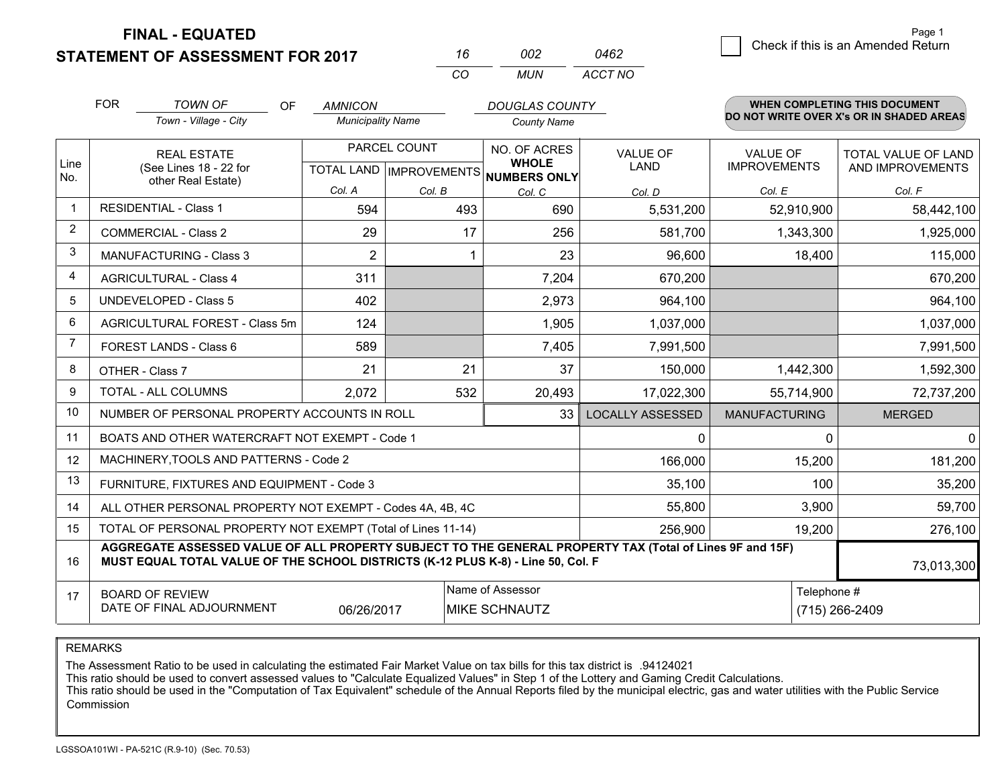**FINAL - EQUATED**

**STATEMENT OF ASSESSMENT FOR 2017** 

| 16  | nn2 | 0462    |
|-----|-----|---------|
| CO. | MUN | ACCT NO |

|                | <b>FOR</b><br><b>TOWN OF</b><br>OF<br><b>DOUGLAS COUNTY</b><br><b>AMNICON</b><br>Town - Village - City<br><b>Municipality Name</b><br><b>County Name</b>                                     |                |                              |                         | <b>WHEN COMPLETING THIS DOCUMENT</b><br>DO NOT WRITE OVER X's OR IN SHADED AREAS |                                         |                |
|----------------|----------------------------------------------------------------------------------------------------------------------------------------------------------------------------------------------|----------------|------------------------------|-------------------------|----------------------------------------------------------------------------------|-----------------------------------------|----------------|
| Line<br>No.    | PARCEL COUNT<br><b>REAL ESTATE</b><br>(See Lines 18 - 22 for<br>TOTAL LAND   IMPROVEMENTS   NUMBERS ONLY                                                                                     |                | NO. OF ACRES<br><b>WHOLE</b> | <b>VALUE OF</b><br>LAND | <b>VALUE OF</b><br><b>IMPROVEMENTS</b>                                           | TOTAL VALUE OF LAND<br>AND IMPROVEMENTS |                |
|                | other Real Estate)                                                                                                                                                                           | Col. A         | Col. B                       | Col. C                  | Col. D                                                                           | Col. E                                  | Col. F         |
| $\mathbf 1$    | <b>RESIDENTIAL - Class 1</b>                                                                                                                                                                 | 594            | 493                          | 690                     | 5,531,200                                                                        | 52,910,900                              | 58,442,100     |
| 2              | <b>COMMERCIAL - Class 2</b>                                                                                                                                                                  | 29             | 17                           | 256                     | 581,700                                                                          | 1,343,300                               | 1,925,000      |
| 3              | <b>MANUFACTURING - Class 3</b>                                                                                                                                                               | $\overline{2}$ |                              | 23                      | 96,600                                                                           | 18,400                                  | 115,000        |
| 4              | <b>AGRICULTURAL - Class 4</b>                                                                                                                                                                | 311            |                              | 7,204                   | 670,200                                                                          |                                         | 670,200        |
| 5              | UNDEVELOPED - Class 5                                                                                                                                                                        | 402            |                              | 2,973                   | 964,100                                                                          |                                         | 964,100        |
| 6              | AGRICULTURAL FOREST - Class 5m                                                                                                                                                               | 124            |                              | 1,905                   | 1,037,000                                                                        |                                         | 1,037,000      |
| $\overline{7}$ | FOREST LANDS - Class 6                                                                                                                                                                       | 589            |                              | 7,405                   | 7,991,500                                                                        |                                         | 7,991,500      |
| 8              | OTHER - Class 7                                                                                                                                                                              | 21             | 21                           | 37                      | 150,000                                                                          | 1,442,300                               | 1,592,300      |
| 9              | TOTAL - ALL COLUMNS                                                                                                                                                                          | 2,072          | 532                          | 20,493                  | 17,022,300                                                                       | 55,714,900                              | 72,737,200     |
| 10             | NUMBER OF PERSONAL PROPERTY ACCOUNTS IN ROLL                                                                                                                                                 |                |                              | 33                      | <b>LOCALLY ASSESSED</b>                                                          | <b>MANUFACTURING</b>                    | <b>MERGED</b>  |
| 11             | BOATS AND OTHER WATERCRAFT NOT EXEMPT - Code 1                                                                                                                                               |                |                              |                         | $\mathbf{0}$                                                                     | 0                                       | $\Omega$       |
| 12             | MACHINERY, TOOLS AND PATTERNS - Code 2                                                                                                                                                       |                |                              |                         | 166,000                                                                          | 15,200                                  | 181,200        |
| 13             | FURNITURE, FIXTURES AND EQUIPMENT - Code 3                                                                                                                                                   |                |                              |                         | 35,100                                                                           | 100                                     | 35,200         |
| 14             | ALL OTHER PERSONAL PROPERTY NOT EXEMPT - Codes 4A, 4B, 4C                                                                                                                                    | 3,900          | 59,700                       |                         |                                                                                  |                                         |                |
| 15             | TOTAL OF PERSONAL PROPERTY NOT EXEMPT (Total of Lines 11-14)                                                                                                                                 | 19,200         | 276,100                      |                         |                                                                                  |                                         |                |
| 16             | AGGREGATE ASSESSED VALUE OF ALL PROPERTY SUBJECT TO THE GENERAL PROPERTY TAX (Total of Lines 9F and 15F)<br>MUST EQUAL TOTAL VALUE OF THE SCHOOL DISTRICTS (K-12 PLUS K-8) - Line 50, Col. F |                |                              |                         |                                                                                  |                                         |                |
| 17             | Name of Assessor<br>Telephone #<br><b>BOARD OF REVIEW</b><br>DATE OF FINAL ADJOURNMENT<br><b>MIKE SCHNAUTZ</b><br>06/26/2017                                                                 |                |                              |                         |                                                                                  |                                         | (715) 266-2409 |

REMARKS

The Assessment Ratio to be used in calculating the estimated Fair Market Value on tax bills for this tax district is .94124021

This ratio should be used to convert assessed values to "Calculate Equalized Values" in Step 1 of the Lottery and Gaming Credit Calculations.<br>This ratio should be used in the "Computation of Tax Equivalent" schedule of the Commission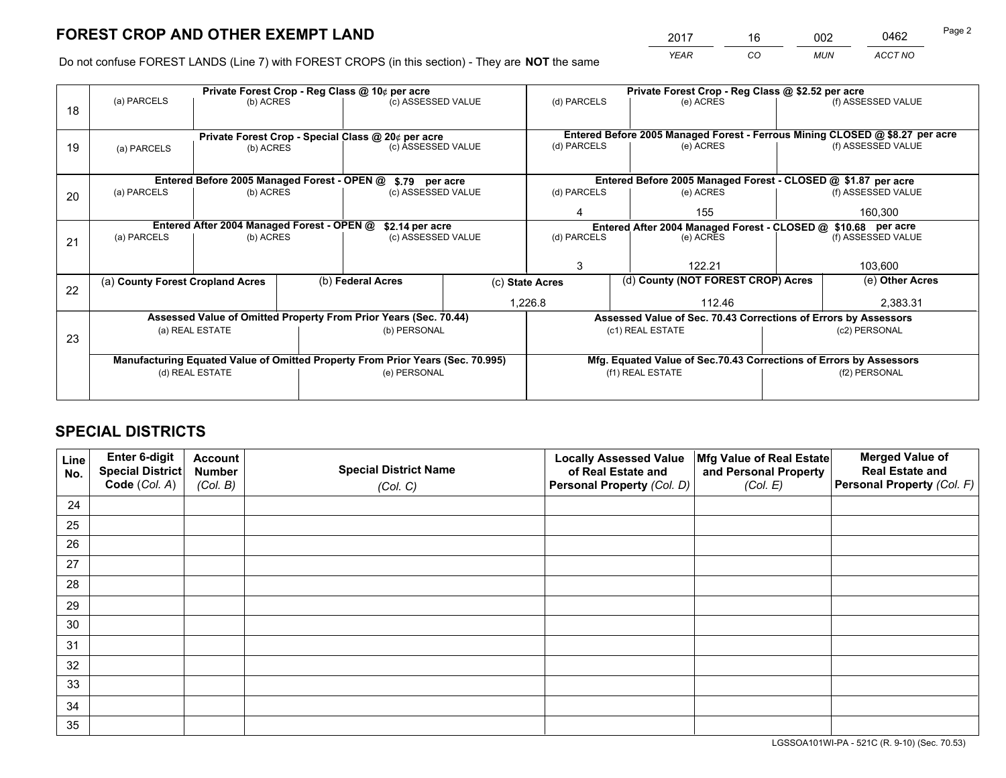*YEAR CO MUN ACCT NO* 2017 16 002 0462 Page 2

Do not confuse FOREST LANDS (Line 7) with FOREST CROPS (in this section) - They are **NOT** the same

|    |                                  |                                             |  | Private Forest Crop - Reg Class @ 10¢ per acre                                 |  | Private Forest Crop - Reg Class @ \$2.52 per acre             |                                                                              |                    |                    |
|----|----------------------------------|---------------------------------------------|--|--------------------------------------------------------------------------------|--|---------------------------------------------------------------|------------------------------------------------------------------------------|--------------------|--------------------|
| 18 | (a) PARCELS                      | (b) ACRES                                   |  | (c) ASSESSED VALUE                                                             |  | (d) PARCELS                                                   | (e) ACRES                                                                    |                    | (f) ASSESSED VALUE |
|    |                                  |                                             |  |                                                                                |  |                                                               |                                                                              |                    |                    |
|    |                                  |                                             |  | Private Forest Crop - Special Class @ 20¢ per acre                             |  |                                                               | Entered Before 2005 Managed Forest - Ferrous Mining CLOSED @ \$8.27 per acre |                    |                    |
| 19 | (a) PARCELS                      | (b) ACRES                                   |  | (c) ASSESSED VALUE                                                             |  | (d) PARCELS                                                   | (e) ACRES                                                                    |                    | (f) ASSESSED VALUE |
|    |                                  |                                             |  |                                                                                |  |                                                               |                                                                              |                    |                    |
|    |                                  | Entered Before 2005 Managed Forest - OPEN @ |  | \$.79 per acre                                                                 |  |                                                               | Entered Before 2005 Managed Forest - CLOSED @ \$1.87 per acre                |                    |                    |
| 20 | (a) PARCELS                      | (b) ACRES                                   |  | (c) ASSESSED VALUE                                                             |  | (d) PARCELS                                                   | (e) ACRES                                                                    |                    | (f) ASSESSED VALUE |
|    |                                  |                                             |  |                                                                                |  | 4                                                             | 155                                                                          |                    | 160,300            |
|    |                                  | Entered After 2004 Managed Forest - OPEN @  |  | \$2.14 per acre                                                                |  | Entered After 2004 Managed Forest - CLOSED @ \$10.68 per acre |                                                                              |                    |                    |
| 21 | (a) PARCELS                      | (b) ACRES                                   |  | (c) ASSESSED VALUE                                                             |  | (d) PARCELS                                                   | (e) ACRES                                                                    | (f) ASSESSED VALUE |                    |
|    |                                  |                                             |  |                                                                                |  |                                                               |                                                                              |                    |                    |
|    |                                  |                                             |  |                                                                                |  | 3                                                             | 122.21                                                                       |                    | 103,600            |
| 22 | (a) County Forest Cropland Acres |                                             |  | (b) Federal Acres                                                              |  | (c) State Acres                                               | (d) County (NOT FOREST CROP) Acres                                           |                    | (e) Other Acres    |
|    |                                  |                                             |  |                                                                                |  | 1,226.8<br>112.46                                             |                                                                              |                    | 2,383.31           |
|    |                                  |                                             |  | Assessed Value of Omitted Property From Prior Years (Sec. 70.44)               |  |                                                               | Assessed Value of Sec. 70.43 Corrections of Errors by Assessors              |                    |                    |
| 23 |                                  | (a) REAL ESTATE                             |  | (b) PERSONAL                                                                   |  |                                                               | (c1) REAL ESTATE                                                             |                    | (c2) PERSONAL      |
|    |                                  |                                             |  |                                                                                |  |                                                               |                                                                              |                    |                    |
|    |                                  |                                             |  | Manufacturing Equated Value of Omitted Property From Prior Years (Sec. 70.995) |  |                                                               | Mfg. Equated Value of Sec.70.43 Corrections of Errors by Assessors           |                    |                    |
|    | (d) REAL ESTATE                  |                                             |  | (e) PERSONAL                                                                   |  |                                                               | (f1) REAL ESTATE                                                             |                    | (f2) PERSONAL      |
|    |                                  |                                             |  |                                                                                |  |                                                               |                                                                              |                    |                    |

## **SPECIAL DISTRICTS**

| Line<br>No. | Enter 6-digit<br><b>Special District</b> | <b>Account</b><br><b>Number</b> | <b>Special District Name</b> | <b>Locally Assessed Value</b><br>of Real Estate and | Mfg Value of Real Estate<br>and Personal Property | <b>Merged Value of</b><br><b>Real Estate and</b> |
|-------------|------------------------------------------|---------------------------------|------------------------------|-----------------------------------------------------|---------------------------------------------------|--------------------------------------------------|
|             | Code (Col. A)                            | (Col. B)                        | (Col. C)                     | Personal Property (Col. D)                          | (Col. E)                                          | Personal Property (Col. F)                       |
| 24          |                                          |                                 |                              |                                                     |                                                   |                                                  |
| 25          |                                          |                                 |                              |                                                     |                                                   |                                                  |
| 26          |                                          |                                 |                              |                                                     |                                                   |                                                  |
| 27          |                                          |                                 |                              |                                                     |                                                   |                                                  |
| 28          |                                          |                                 |                              |                                                     |                                                   |                                                  |
| 29          |                                          |                                 |                              |                                                     |                                                   |                                                  |
| 30          |                                          |                                 |                              |                                                     |                                                   |                                                  |
| 31          |                                          |                                 |                              |                                                     |                                                   |                                                  |
| 32          |                                          |                                 |                              |                                                     |                                                   |                                                  |
| 33          |                                          |                                 |                              |                                                     |                                                   |                                                  |
| 34          |                                          |                                 |                              |                                                     |                                                   |                                                  |
| 35          |                                          |                                 |                              |                                                     |                                                   |                                                  |

LGSSOA101WI-PA - 521C (R. 9-10) (Sec. 70.53)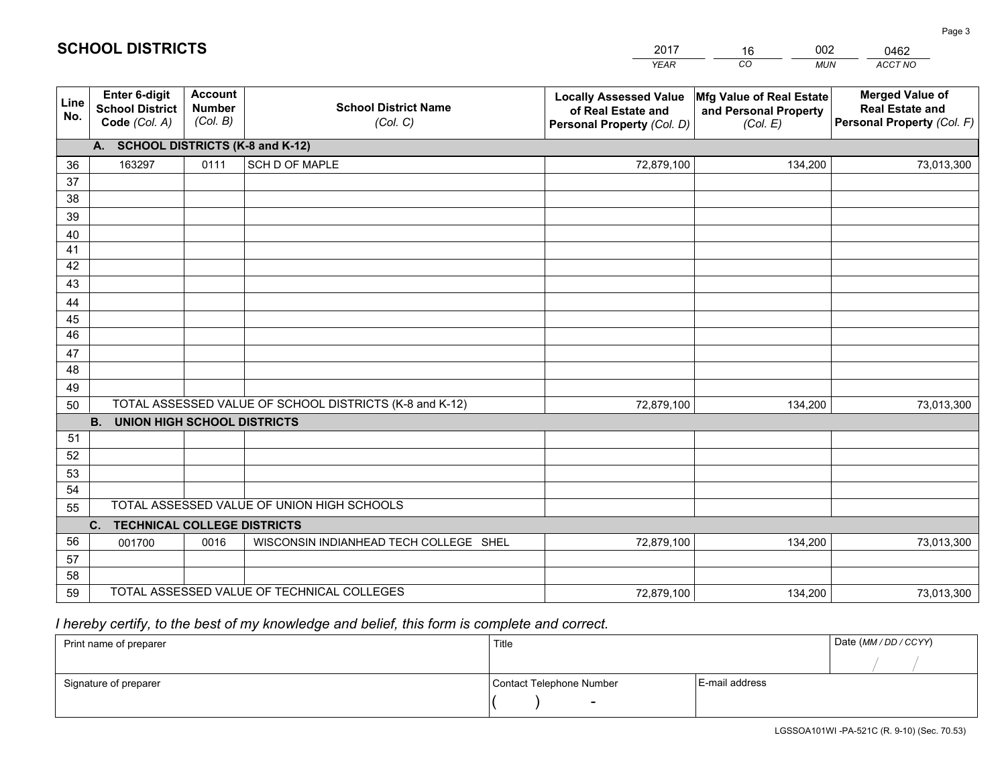| <b>Account</b><br><b>Merged Value of</b><br><b>Enter 6-digit</b><br>Mfg Value of Real Estate<br><b>Locally Assessed Value</b><br>Line<br><b>School District Name</b><br><b>Number</b><br><b>School District</b><br><b>Real Estate and</b><br>of Real Estate and<br>and Personal Property<br>No.<br>(Col. B)<br>Code (Col. A)<br>Personal Property (Col. F)<br>(Col. C)<br>Personal Property (Col. D)<br>(Col. E)<br>A. SCHOOL DISTRICTS (K-8 and K-12) | 73,013,300 |
|--------------------------------------------------------------------------------------------------------------------------------------------------------------------------------------------------------------------------------------------------------------------------------------------------------------------------------------------------------------------------------------------------------------------------------------------------------|------------|
|                                                                                                                                                                                                                                                                                                                                                                                                                                                        |            |
|                                                                                                                                                                                                                                                                                                                                                                                                                                                        |            |
| 0111<br>SCH D OF MAPLE<br>163297<br>72,879,100<br>134,200<br>36                                                                                                                                                                                                                                                                                                                                                                                        |            |
| 37                                                                                                                                                                                                                                                                                                                                                                                                                                                     |            |
| 38                                                                                                                                                                                                                                                                                                                                                                                                                                                     |            |
| 39                                                                                                                                                                                                                                                                                                                                                                                                                                                     |            |
| 40                                                                                                                                                                                                                                                                                                                                                                                                                                                     |            |
| 41<br>42                                                                                                                                                                                                                                                                                                                                                                                                                                               |            |
| 43                                                                                                                                                                                                                                                                                                                                                                                                                                                     |            |
| 44                                                                                                                                                                                                                                                                                                                                                                                                                                                     |            |
| 45                                                                                                                                                                                                                                                                                                                                                                                                                                                     |            |
| 46                                                                                                                                                                                                                                                                                                                                                                                                                                                     |            |
| 47                                                                                                                                                                                                                                                                                                                                                                                                                                                     |            |
| 48                                                                                                                                                                                                                                                                                                                                                                                                                                                     |            |
| 49                                                                                                                                                                                                                                                                                                                                                                                                                                                     |            |
| TOTAL ASSESSED VALUE OF SCHOOL DISTRICTS (K-8 and K-12)<br>50<br>72,879,100<br>134,200                                                                                                                                                                                                                                                                                                                                                                 | 73,013,300 |
| <b>B.</b><br><b>UNION HIGH SCHOOL DISTRICTS</b>                                                                                                                                                                                                                                                                                                                                                                                                        |            |
| 51                                                                                                                                                                                                                                                                                                                                                                                                                                                     |            |
| 52                                                                                                                                                                                                                                                                                                                                                                                                                                                     |            |
| 53                                                                                                                                                                                                                                                                                                                                                                                                                                                     |            |
| 54<br>TOTAL ASSESSED VALUE OF UNION HIGH SCHOOLS                                                                                                                                                                                                                                                                                                                                                                                                       |            |
| 55                                                                                                                                                                                                                                                                                                                                                                                                                                                     |            |
| C.<br><b>TECHNICAL COLLEGE DISTRICTS</b><br>56<br>WISCONSIN INDIANHEAD TECH COLLEGE SHEL<br>72,879,100<br>0016                                                                                                                                                                                                                                                                                                                                         |            |
| 001700<br>134,200<br>57                                                                                                                                                                                                                                                                                                                                                                                                                                | 73,013,300 |
| 58                                                                                                                                                                                                                                                                                                                                                                                                                                                     |            |
| TOTAL ASSESSED VALUE OF TECHNICAL COLLEGES<br>59<br>134,200<br>72,879,100                                                                                                                                                                                                                                                                                                                                                                              | 73,013,300 |

16

002

## *I hereby certify, to the best of my knowledge and belief, this form is complete and correct.*

**SCHOOL DISTRICTS**

| Print name of preparer | Title                    |                | Date (MM / DD / CCYY) |
|------------------------|--------------------------|----------------|-----------------------|
|                        |                          |                |                       |
| Signature of preparer  | Contact Telephone Number | E-mail address |                       |
|                        | $\overline{\phantom{0}}$ |                |                       |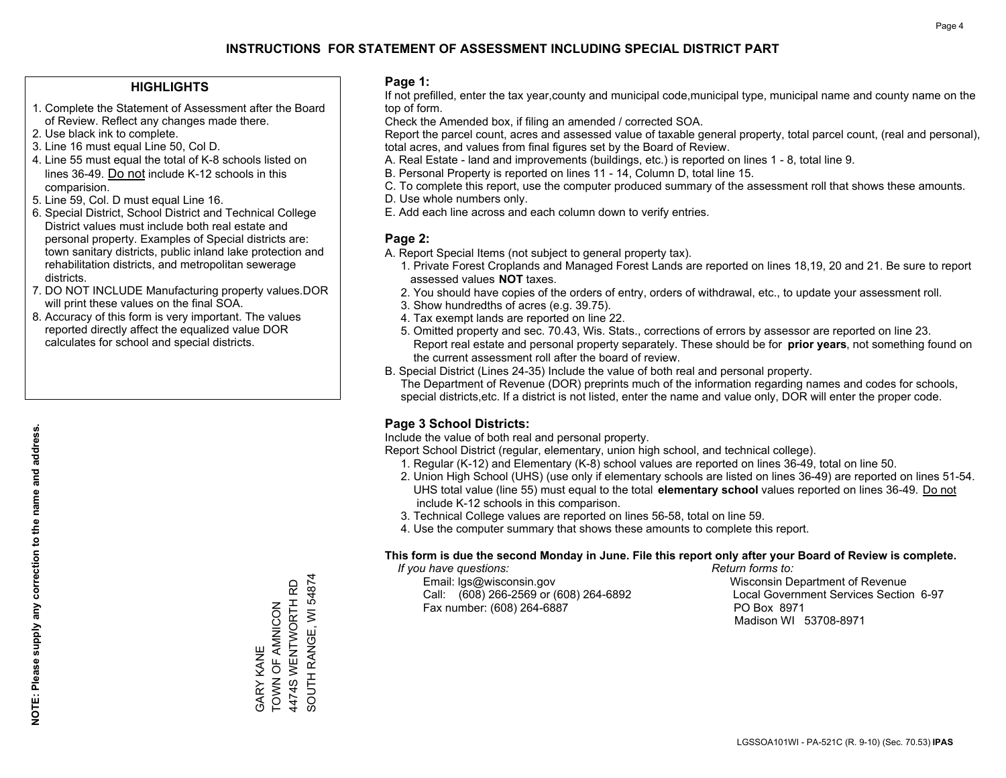#### **HIGHLIGHTS**

- 1. Complete the Statement of Assessment after the Board of Review. Reflect any changes made there.
- 2. Use black ink to complete.
- 3. Line 16 must equal Line 50, Col D.
- 4. Line 55 must equal the total of K-8 schools listed on lines 36-49. Do not include K-12 schools in this comparision.
- 5. Line 59, Col. D must equal Line 16.
- 6. Special District, School District and Technical College District values must include both real estate and personal property. Examples of Special districts are: town sanitary districts, public inland lake protection and rehabilitation districts, and metropolitan sewerage districts.
- 7. DO NOT INCLUDE Manufacturing property values.DOR will print these values on the final SOA.
- 8. Accuracy of this form is very important. The values reported directly affect the equalized value DOR calculates for school and special districts.

#### **Page 1:**

 If not prefilled, enter the tax year,county and municipal code,municipal type, municipal name and county name on the top of form.

Check the Amended box, if filing an amended / corrected SOA.

 Report the parcel count, acres and assessed value of taxable general property, total parcel count, (real and personal), total acres, and values from final figures set by the Board of Review.

- A. Real Estate land and improvements (buildings, etc.) is reported on lines 1 8, total line 9.
- B. Personal Property is reported on lines 11 14, Column D, total line 15.
- C. To complete this report, use the computer produced summary of the assessment roll that shows these amounts.
- D. Use whole numbers only.
- E. Add each line across and each column down to verify entries.

### **Page 2:**

- A. Report Special Items (not subject to general property tax).
- 1. Private Forest Croplands and Managed Forest Lands are reported on lines 18,19, 20 and 21. Be sure to report assessed values **NOT** taxes.
- 2. You should have copies of the orders of entry, orders of withdrawal, etc., to update your assessment roll.
	- 3. Show hundredths of acres (e.g. 39.75).
- 4. Tax exempt lands are reported on line 22.
- 5. Omitted property and sec. 70.43, Wis. Stats., corrections of errors by assessor are reported on line 23. Report real estate and personal property separately. These should be for **prior years**, not something found on the current assessment roll after the board of review.
- B. Special District (Lines 24-35) Include the value of both real and personal property.

 The Department of Revenue (DOR) preprints much of the information regarding names and codes for schools, special districts,etc. If a district is not listed, enter the name and value only, DOR will enter the proper code.

### **Page 3 School Districts:**

Include the value of both real and personal property.

Report School District (regular, elementary, union high school, and technical college).

- 1. Regular (K-12) and Elementary (K-8) school values are reported on lines 36-49, total on line 50.
- 2. Union High School (UHS) (use only if elementary schools are listed on lines 36-49) are reported on lines 51-54. UHS total value (line 55) must equal to the total **elementary school** values reported on lines 36-49. Do notinclude K-12 schools in this comparison.
- 3. Technical College values are reported on lines 56-58, total on line 59.
- 4. Use the computer summary that shows these amounts to complete this report.

#### **This form is due the second Monday in June. File this report only after your Board of Review is complete.**

 *If you have questions: Return forms to:*

 Email: lgs@wisconsin.gov Wisconsin Department of RevenueCall:  $(608)$  266-2569 or  $(608)$  264-6892 Fax number: (608) 264-6887 PO Box 8971

Local Government Services Section 6-97 Madison WI 53708-8971

SOUTH RANGE, WI 54874 SOUTH RANGE, WI 54874 4474S WENTWORTH RD 4474S WENTWORTH RD TOWN OF AMNICON TOWN OF AMNICON **GARY KANE** GARY KANE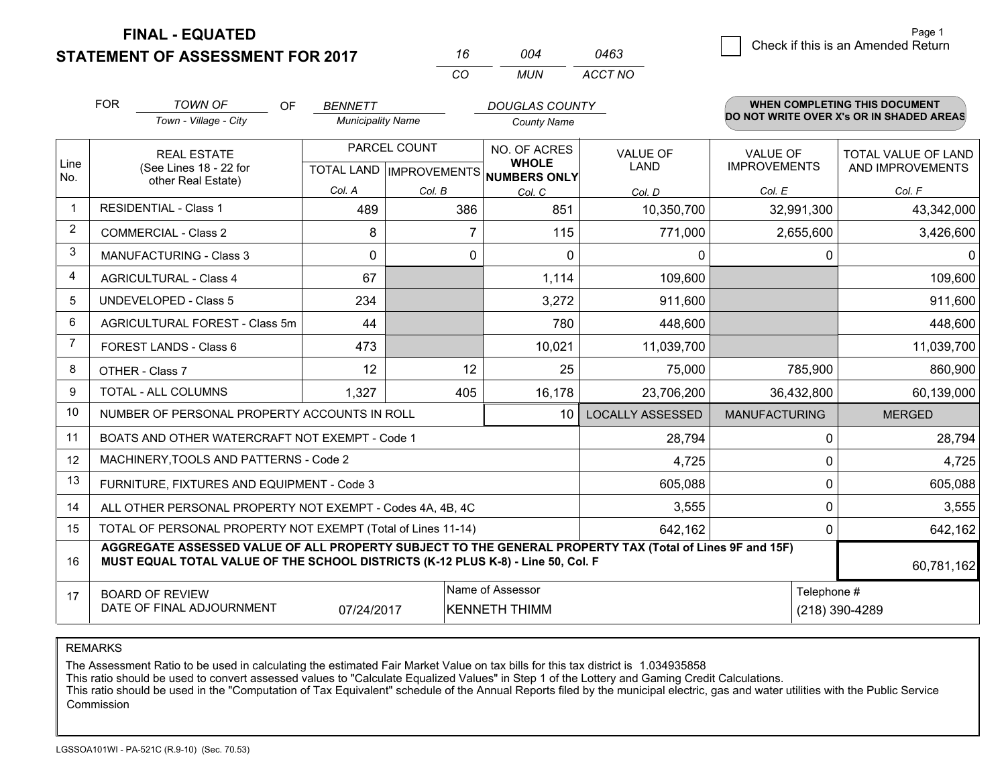**FINAL - EQUATED**

**STATEMENT OF ASSESSMENT FOR 2017** 

| 16  | 004 | 0463    |
|-----|-----|---------|
| CO. | MUN | ACCT NO |

|                | <b>FOR</b>                                                                                                                                                                                   | <b>TOWN OF</b><br>OF<br>Town - Village - City             | <b>BENNETT</b><br><b>Municipality Name</b> |              | <b>DOUGLAS COUNTY</b><br><b>County Name</b>                          |                         |                                        | <b>WHEN COMPLETING THIS DOCUMENT</b><br>DO NOT WRITE OVER X's OR IN SHADED AREAS |
|----------------|----------------------------------------------------------------------------------------------------------------------------------------------------------------------------------------------|-----------------------------------------------------------|--------------------------------------------|--------------|----------------------------------------------------------------------|-------------------------|----------------------------------------|----------------------------------------------------------------------------------|
| Line<br>No.    | <b>REAL ESTATE</b><br>(See Lines 18 - 22 for<br>other Real Estate)                                                                                                                           |                                                           |                                            | PARCEL COUNT | NO. OF ACRES<br><b>WHOLE</b><br>TOTAL LAND IMPROVEMENTS NUMBERS ONLY | <b>VALUE OF</b><br>LAND | <b>VALUE OF</b><br><b>IMPROVEMENTS</b> | <b>TOTAL VALUE OF LAND</b><br>AND IMPROVEMENTS                                   |
|                |                                                                                                                                                                                              |                                                           | Col. A                                     | Col. B       | Col. C                                                               | Col. D                  | Col. E                                 | Col. F                                                                           |
| -1             |                                                                                                                                                                                              | <b>RESIDENTIAL - Class 1</b>                              | 489                                        | 386          | 851                                                                  | 10,350,700              | 32,991,300                             | 43,342,000                                                                       |
| 2              |                                                                                                                                                                                              | <b>COMMERCIAL - Class 2</b>                               | 8                                          |              | 115                                                                  | 771,000                 | 2,655,600                              | 3,426,600                                                                        |
| 3              |                                                                                                                                                                                              | <b>MANUFACTURING - Class 3</b>                            | $\Omega$                                   | 0            | $\mathbf{0}$                                                         | 0                       | 0                                      | $\Omega$                                                                         |
| 4              |                                                                                                                                                                                              | <b>AGRICULTURAL - Class 4</b>                             | 67                                         |              | 1,114                                                                | 109,600                 |                                        | 109,600                                                                          |
| 5              |                                                                                                                                                                                              | UNDEVELOPED - Class 5                                     | 234                                        |              | 3,272                                                                | 911,600                 |                                        | 911,600                                                                          |
| 6              |                                                                                                                                                                                              | AGRICULTURAL FOREST - Class 5m                            | 44                                         |              | 780                                                                  | 448,600                 |                                        | 448,600                                                                          |
| $\overline{7}$ |                                                                                                                                                                                              | FOREST LANDS - Class 6                                    | 473                                        |              | 10,021                                                               | 11,039,700              |                                        | 11,039,700                                                                       |
| 8              |                                                                                                                                                                                              | OTHER - Class 7                                           | 12                                         | 12           | 25                                                                   | 75,000                  | 785,900                                | 860,900                                                                          |
| 9              |                                                                                                                                                                                              | TOTAL - ALL COLUMNS                                       | 1,327                                      | 405          | 16,178                                                               | 23,706,200              | 36,432,800                             | 60,139,000                                                                       |
| 10             |                                                                                                                                                                                              | NUMBER OF PERSONAL PROPERTY ACCOUNTS IN ROLL              |                                            |              | 10                                                                   | <b>LOCALLY ASSESSED</b> | <b>MANUFACTURING</b>                   | <b>MERGED</b>                                                                    |
| 11             |                                                                                                                                                                                              | BOATS AND OTHER WATERCRAFT NOT EXEMPT - Code 1            |                                            |              |                                                                      | 28,794                  | $\Omega$                               | 28,794                                                                           |
| 12             |                                                                                                                                                                                              | MACHINERY, TOOLS AND PATTERNS - Code 2                    |                                            |              |                                                                      | 4,725                   | $\Omega$                               | 4,725                                                                            |
| 13             |                                                                                                                                                                                              | FURNITURE, FIXTURES AND EQUIPMENT - Code 3                |                                            |              |                                                                      | 605,088                 | 0                                      | 605,088                                                                          |
| 14             |                                                                                                                                                                                              | ALL OTHER PERSONAL PROPERTY NOT EXEMPT - Codes 4A, 4B, 4C |                                            |              |                                                                      | 3,555                   | 0                                      | 3,555                                                                            |
| 15             | TOTAL OF PERSONAL PROPERTY NOT EXEMPT (Total of Lines 11-14)<br>642,162                                                                                                                      |                                                           |                                            |              |                                                                      |                         | 0<br>642,162                           |                                                                                  |
| 16             | AGGREGATE ASSESSED VALUE OF ALL PROPERTY SUBJECT TO THE GENERAL PROPERTY TAX (Total of Lines 9F and 15F)<br>MUST EQUAL TOTAL VALUE OF THE SCHOOL DISTRICTS (K-12 PLUS K-8) - Line 50, Col. F |                                                           |                                            |              |                                                                      |                         | 60,781,162                             |                                                                                  |
| 17             |                                                                                                                                                                                              | <b>BOARD OF REVIEW</b>                                    |                                            |              | Name of Assessor                                                     |                         | Telephone #                            |                                                                                  |
|                | DATE OF FINAL ADJOURNMENT<br>07/24/2017<br><b>KENNETH THIMM</b>                                                                                                                              |                                                           |                                            |              |                                                                      | (218) 390-4289          |                                        |                                                                                  |

REMARKS

The Assessment Ratio to be used in calculating the estimated Fair Market Value on tax bills for this tax district is 1.034935858

This ratio should be used to convert assessed values to "Calculate Equalized Values" in Step 1 of the Lottery and Gaming Credit Calculations.<br>This ratio should be used in the "Computation of Tax Equivalent" schedule of the Commission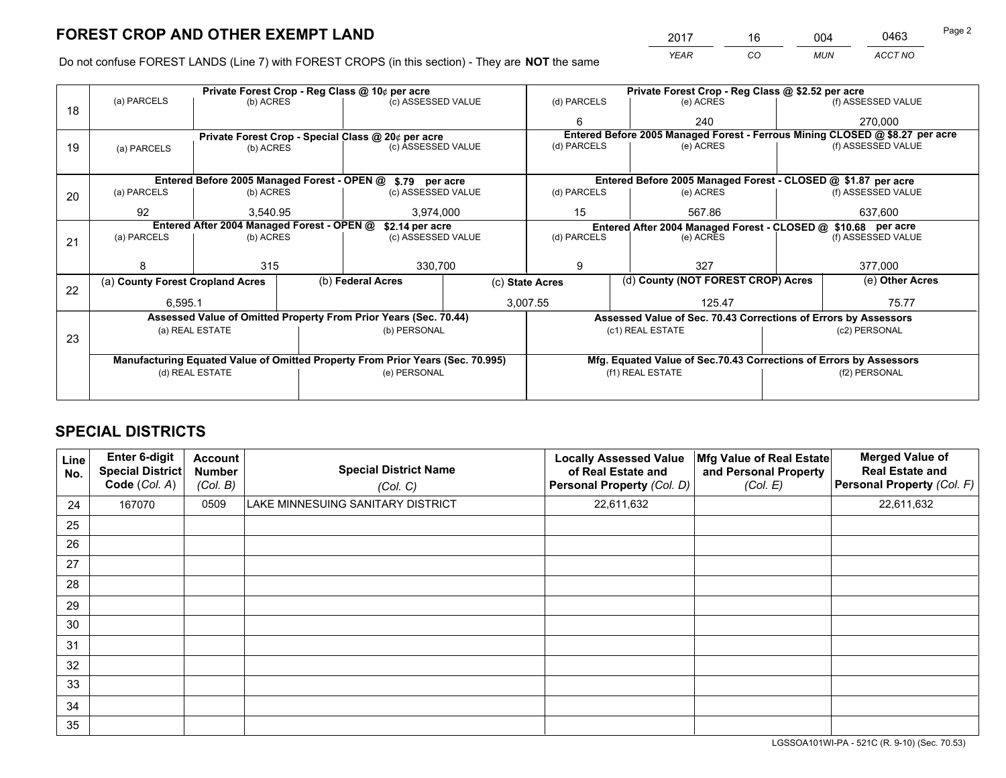*YEAR CO MUN ACCT NO* 2017 <u>\_\_\_\_\_ 16 \_\_\_\_\_ 004 \_\_\_</u> \_\_\_\_0463 Page 2

Do not confuse FOREST LANDS (Line 7) with FOREST CROPS (in this section) - They are **NOT** the same

|    |                                                                                |                                             |  | Private Forest Crop - Reg Class @ 10¢ per acre                   |                                                               |                                                                    |                                                                              | Private Forest Crop - Reg Class @ \$2.52 per acre               |                    |                    |
|----|--------------------------------------------------------------------------------|---------------------------------------------|--|------------------------------------------------------------------|---------------------------------------------------------------|--------------------------------------------------------------------|------------------------------------------------------------------------------|-----------------------------------------------------------------|--------------------|--------------------|
| 18 | (a) PARCELS                                                                    | (b) ACRES                                   |  | (c) ASSESSED VALUE                                               |                                                               | (d) PARCELS                                                        |                                                                              | (e) ACRES                                                       |                    | (f) ASSESSED VALUE |
|    |                                                                                |                                             |  |                                                                  | 6                                                             |                                                                    | 240                                                                          |                                                                 | 270,000            |                    |
|    |                                                                                |                                             |  | Private Forest Crop - Special Class @ 20¢ per acre               |                                                               |                                                                    | Entered Before 2005 Managed Forest - Ferrous Mining CLOSED @ \$8.27 per acre |                                                                 |                    |                    |
| 19 | (a) PARCELS                                                                    | (b) ACRES                                   |  | (c) ASSESSED VALUE                                               |                                                               | (d) PARCELS                                                        |                                                                              | (e) ACRES                                                       |                    | (f) ASSESSED VALUE |
|    |                                                                                |                                             |  |                                                                  |                                                               |                                                                    |                                                                              |                                                                 |                    |                    |
|    |                                                                                | Entered Before 2005 Managed Forest - OPEN @ |  | \$.79 per acre                                                   |                                                               |                                                                    |                                                                              | Entered Before 2005 Managed Forest - CLOSED @ \$1.87 per acre   |                    |                    |
| 20 | (a) PARCELS                                                                    | (b) ACRES                                   |  | (c) ASSESSED VALUE                                               |                                                               | (d) PARCELS                                                        |                                                                              | (e) ACRES                                                       |                    | (f) ASSESSED VALUE |
|    | 92                                                                             | 3.540.95                                    |  | 3,974,000                                                        |                                                               | 15                                                                 |                                                                              | 567.86                                                          |                    | 637,600            |
|    |                                                                                | Entered After 2004 Managed Forest - OPEN @  |  | \$2.14 per acre                                                  | Entered After 2004 Managed Forest - CLOSED @ \$10.68 per acre |                                                                    |                                                                              |                                                                 |                    |                    |
| 21 | (a) PARCELS                                                                    | (b) ACRES                                   |  | (c) ASSESSED VALUE                                               |                                                               | (d) PARCELS<br>(e) ACRES                                           |                                                                              |                                                                 | (f) ASSESSED VALUE |                    |
|    |                                                                                |                                             |  |                                                                  |                                                               |                                                                    |                                                                              |                                                                 |                    |                    |
|    |                                                                                | 315                                         |  | 330,700                                                          |                                                               | 9                                                                  |                                                                              | 327                                                             |                    | 377,000            |
| 22 | (a) County Forest Cropland Acres                                               |                                             |  | (b) Federal Acres                                                |                                                               | (c) State Acres                                                    |                                                                              | (d) County (NOT FOREST CROP) Acres                              |                    | (e) Other Acres    |
|    | 6,595.1                                                                        |                                             |  |                                                                  |                                                               | 3,007.55<br>125.47                                                 |                                                                              | 75.77                                                           |                    |                    |
|    |                                                                                |                                             |  | Assessed Value of Omitted Property From Prior Years (Sec. 70.44) |                                                               |                                                                    |                                                                              | Assessed Value of Sec. 70.43 Corrections of Errors by Assessors |                    |                    |
|    |                                                                                | (a) REAL ESTATE                             |  | (b) PERSONAL                                                     |                                                               |                                                                    |                                                                              | (c1) REAL ESTATE                                                |                    | (c2) PERSONAL      |
| 23 |                                                                                |                                             |  |                                                                  |                                                               |                                                                    |                                                                              |                                                                 |                    |                    |
|    | Manufacturing Equated Value of Omitted Property From Prior Years (Sec. 70.995) |                                             |  |                                                                  |                                                               | Mfg. Equated Value of Sec.70.43 Corrections of Errors by Assessors |                                                                              |                                                                 |                    |                    |
|    | (d) REAL ESTATE                                                                |                                             |  | (e) PERSONAL                                                     |                                                               |                                                                    |                                                                              | (f1) REAL ESTATE                                                |                    | (f2) PERSONAL      |
|    |                                                                                |                                             |  |                                                                  |                                                               |                                                                    |                                                                              |                                                                 |                    |                    |

## **SPECIAL DISTRICTS**

| Line<br>No. | Enter 6-digit<br>Special District<br>Code (Col. A) | <b>Account</b><br><b>Number</b><br>(Col. B) | <b>Special District Name</b><br>(Col. C) | <b>Locally Assessed Value</b><br>of Real Estate and<br>Personal Property (Col. D) | Mfg Value of Real Estate<br>and Personal Property<br>(Col. E) | <b>Merged Value of</b><br><b>Real Estate and</b><br>Personal Property (Col. F) |
|-------------|----------------------------------------------------|---------------------------------------------|------------------------------------------|-----------------------------------------------------------------------------------|---------------------------------------------------------------|--------------------------------------------------------------------------------|
| 24          | 167070                                             | 0509                                        | LAKE MINNESUING SANITARY DISTRICT        | 22,611,632                                                                        |                                                               | 22,611,632                                                                     |
| 25          |                                                    |                                             |                                          |                                                                                   |                                                               |                                                                                |
| 26          |                                                    |                                             |                                          |                                                                                   |                                                               |                                                                                |
| 27          |                                                    |                                             |                                          |                                                                                   |                                                               |                                                                                |
| 28          |                                                    |                                             |                                          |                                                                                   |                                                               |                                                                                |
| 29          |                                                    |                                             |                                          |                                                                                   |                                                               |                                                                                |
| 30          |                                                    |                                             |                                          |                                                                                   |                                                               |                                                                                |
| 31          |                                                    |                                             |                                          |                                                                                   |                                                               |                                                                                |
| 32          |                                                    |                                             |                                          |                                                                                   |                                                               |                                                                                |
| 33          |                                                    |                                             |                                          |                                                                                   |                                                               |                                                                                |
| 34          |                                                    |                                             |                                          |                                                                                   |                                                               |                                                                                |
| 35          |                                                    |                                             |                                          |                                                                                   |                                                               |                                                                                |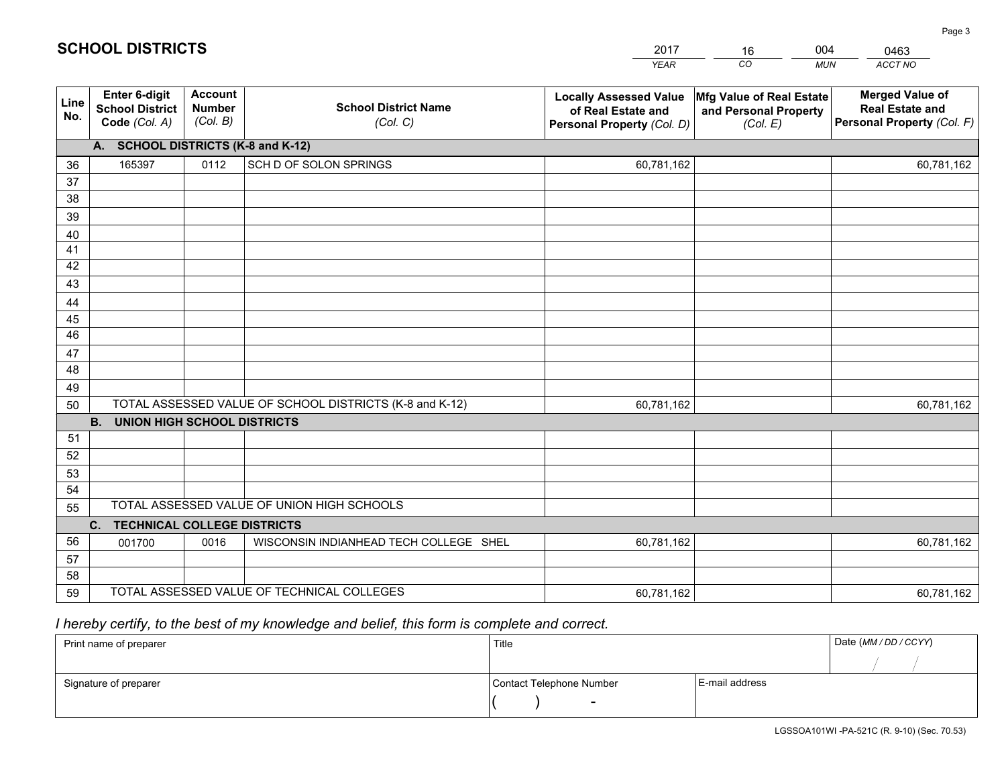|             |                                                          |                                             |                                                         | <b>YEAR</b>                                                                       | CO<br><b>MUN</b>                                              | ACCT NO                                                                        |
|-------------|----------------------------------------------------------|---------------------------------------------|---------------------------------------------------------|-----------------------------------------------------------------------------------|---------------------------------------------------------------|--------------------------------------------------------------------------------|
| Line<br>No. | Enter 6-digit<br><b>School District</b><br>Code (Col. A) | <b>Account</b><br><b>Number</b><br>(Col. B) | <b>School District Name</b><br>(Col. C)                 | <b>Locally Assessed Value</b><br>of Real Estate and<br>Personal Property (Col. D) | Mfg Value of Real Estate<br>and Personal Property<br>(Col. E) | <b>Merged Value of</b><br><b>Real Estate and</b><br>Personal Property (Col. F) |
|             | A. SCHOOL DISTRICTS (K-8 and K-12)                       |                                             |                                                         |                                                                                   |                                                               |                                                                                |
| 36          | 165397                                                   | 0112                                        | SCH D OF SOLON SPRINGS                                  | 60,781,162                                                                        |                                                               | 60,781,162                                                                     |
| 37          |                                                          |                                             |                                                         |                                                                                   |                                                               |                                                                                |
| 38          |                                                          |                                             |                                                         |                                                                                   |                                                               |                                                                                |
| 39          |                                                          |                                             |                                                         |                                                                                   |                                                               |                                                                                |
| 40          |                                                          |                                             |                                                         |                                                                                   |                                                               |                                                                                |
| 41          |                                                          |                                             |                                                         |                                                                                   |                                                               |                                                                                |
| 42          |                                                          |                                             |                                                         |                                                                                   |                                                               |                                                                                |
| 43          |                                                          |                                             |                                                         |                                                                                   |                                                               |                                                                                |
| 44<br>45    |                                                          |                                             |                                                         |                                                                                   |                                                               |                                                                                |
| 46          |                                                          |                                             |                                                         |                                                                                   |                                                               |                                                                                |
| 47          |                                                          |                                             |                                                         |                                                                                   |                                                               |                                                                                |
| 48          |                                                          |                                             |                                                         |                                                                                   |                                                               |                                                                                |
| 49          |                                                          |                                             |                                                         |                                                                                   |                                                               |                                                                                |
| 50          |                                                          |                                             | TOTAL ASSESSED VALUE OF SCHOOL DISTRICTS (K-8 and K-12) | 60,781,162                                                                        |                                                               | 60,781,162                                                                     |
|             | <b>B.</b><br><b>UNION HIGH SCHOOL DISTRICTS</b>          |                                             |                                                         |                                                                                   |                                                               |                                                                                |
| 51          |                                                          |                                             |                                                         |                                                                                   |                                                               |                                                                                |
| 52          |                                                          |                                             |                                                         |                                                                                   |                                                               |                                                                                |
| 53          |                                                          |                                             |                                                         |                                                                                   |                                                               |                                                                                |
| 54          |                                                          |                                             |                                                         |                                                                                   |                                                               |                                                                                |
| 55          |                                                          |                                             | TOTAL ASSESSED VALUE OF UNION HIGH SCHOOLS              |                                                                                   |                                                               |                                                                                |
|             | C.<br><b>TECHNICAL COLLEGE DISTRICTS</b>                 |                                             |                                                         |                                                                                   |                                                               |                                                                                |
| 56          | 001700                                                   | 0016                                        | WISCONSIN INDIANHEAD TECH COLLEGE SHEL                  | 60,781,162                                                                        |                                                               | 60,781,162                                                                     |
| 57          |                                                          |                                             |                                                         |                                                                                   |                                                               |                                                                                |
| 58          |                                                          |                                             |                                                         |                                                                                   |                                                               |                                                                                |
| 59          |                                                          |                                             | TOTAL ASSESSED VALUE OF TECHNICAL COLLEGES              | 60,781,162                                                                        |                                                               | 60,781,162                                                                     |

16

004

 *I hereby certify, to the best of my knowledge and belief, this form is complete and correct.*

**SCHOOL DISTRICTS**

| Print name of preparer | Title                    |                | Date (MM/DD/CCYY) |
|------------------------|--------------------------|----------------|-------------------|
|                        |                          |                |                   |
| Signature of preparer  | Contact Telephone Number | E-mail address |                   |
|                        | $\overline{\phantom{0}}$ |                |                   |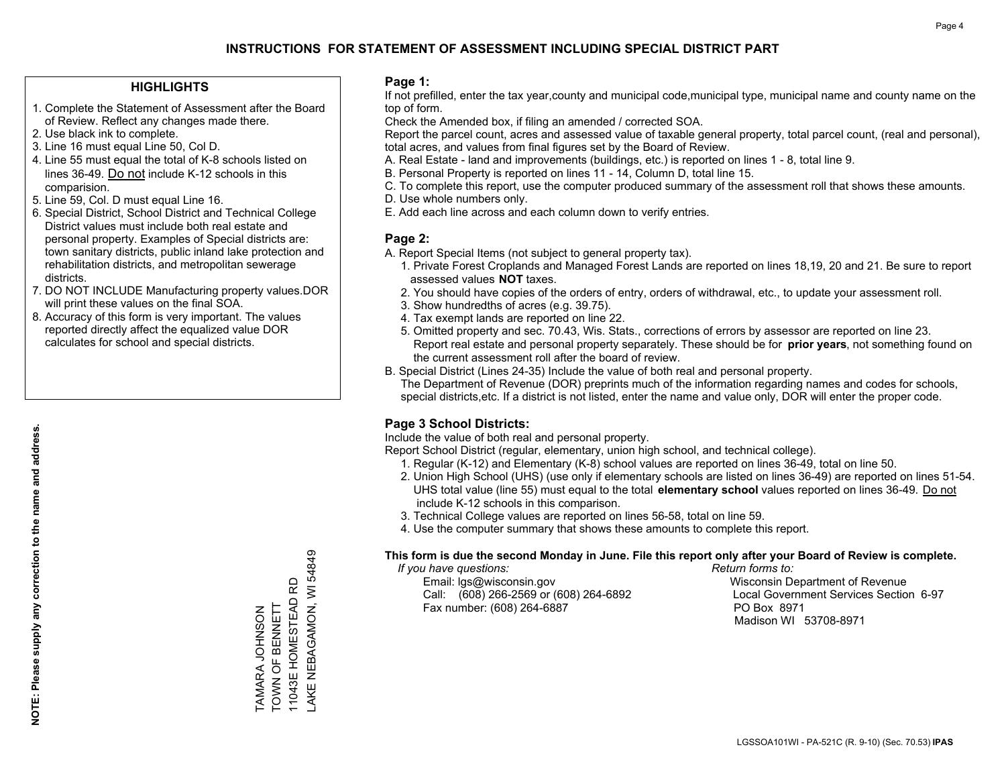#### **HIGHLIGHTS**

- 1. Complete the Statement of Assessment after the Board of Review. Reflect any changes made there.
- 2. Use black ink to complete.
- 3. Line 16 must equal Line 50, Col D.
- 4. Line 55 must equal the total of K-8 schools listed on lines 36-49. Do not include K-12 schools in this comparision.
- 5. Line 59, Col. D must equal Line 16.
- 6. Special District, School District and Technical College District values must include both real estate and personal property. Examples of Special districts are: town sanitary districts, public inland lake protection and rehabilitation districts, and metropolitan sewerage districts.
- 7. DO NOT INCLUDE Manufacturing property values.DOR will print these values on the final SOA.
- 8. Accuracy of this form is very important. The values reported directly affect the equalized value DOR calculates for school and special districts.

#### **Page 1:**

 If not prefilled, enter the tax year,county and municipal code,municipal type, municipal name and county name on the top of form.

Check the Amended box, if filing an amended / corrected SOA.

 Report the parcel count, acres and assessed value of taxable general property, total parcel count, (real and personal), total acres, and values from final figures set by the Board of Review.

- A. Real Estate land and improvements (buildings, etc.) is reported on lines 1 8, total line 9.
- B. Personal Property is reported on lines 11 14, Column D, total line 15.
- C. To complete this report, use the computer produced summary of the assessment roll that shows these amounts.
- D. Use whole numbers only.
- E. Add each line across and each column down to verify entries.

#### **Page 2:**

- A. Report Special Items (not subject to general property tax).
- 1. Private Forest Croplands and Managed Forest Lands are reported on lines 18,19, 20 and 21. Be sure to report assessed values **NOT** taxes.
- 2. You should have copies of the orders of entry, orders of withdrawal, etc., to update your assessment roll.
	- 3. Show hundredths of acres (e.g. 39.75).
- 4. Tax exempt lands are reported on line 22.
- 5. Omitted property and sec. 70.43, Wis. Stats., corrections of errors by assessor are reported on line 23. Report real estate and personal property separately. These should be for **prior years**, not something found on the current assessment roll after the board of review.
- B. Special District (Lines 24-35) Include the value of both real and personal property.
- The Department of Revenue (DOR) preprints much of the information regarding names and codes for schools, special districts,etc. If a district is not listed, enter the name and value only, DOR will enter the proper code.

### **Page 3 School Districts:**

Include the value of both real and personal property.

Report School District (regular, elementary, union high school, and technical college).

- 1. Regular (K-12) and Elementary (K-8) school values are reported on lines 36-49, total on line 50.
- 2. Union High School (UHS) (use only if elementary schools are listed on lines 36-49) are reported on lines 51-54. UHS total value (line 55) must equal to the total **elementary school** values reported on lines 36-49. Do notinclude K-12 schools in this comparison.
- 3. Technical College values are reported on lines 56-58, total on line 59.
- 4. Use the computer summary that shows these amounts to complete this report.

#### **This form is due the second Monday in June. File this report only after your Board of Review is complete.**

 *If you have questions: Return forms to:*

 Email: lgs@wisconsin.gov Wisconsin Department of RevenueCall:  $(608)$  266-2569 or  $(608)$  264-6892 Fax number: (608) 264-6887 PO Box 8971

Local Government Services Section 6-97 Madison WI 53708-8971

AKE NEBAGAMON, WI 54849 LAKE NEBAGAMON, WI 54849 11043E HOMESTEAD RD 11043E HOMESTEAD RD TOWN OF BENNETT TOWN OF BENNETT **LAMARA JOHNSON** TAMARA JOHNSON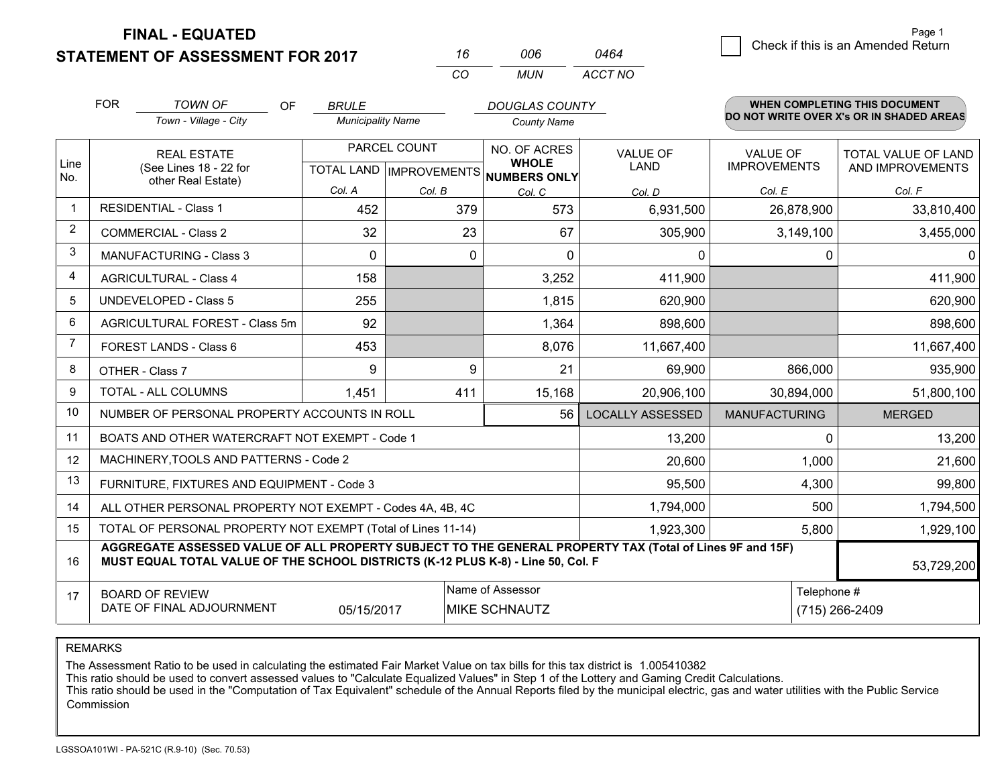**FINAL - EQUATED**

**STATEMENT OF ASSESSMENT FOR 2017** 

| 16  | NOG. | 0464    |  |
|-----|------|---------|--|
| CO. | MUN  | ACCT NO |  |

|             | <b>FOR</b>                                                      | <b>TOWN OF</b><br><b>OF</b>                                                                                                                                                                  | <b>BRULE</b>             |              | <b>DOUGLAS COUNTY</b>                |                         |                      | <b>WHEN COMPLETING THIS DOCUMENT</b><br>DO NOT WRITE OVER X's OR IN SHADED AREAS |
|-------------|-----------------------------------------------------------------|----------------------------------------------------------------------------------------------------------------------------------------------------------------------------------------------|--------------------------|--------------|--------------------------------------|-------------------------|----------------------|----------------------------------------------------------------------------------|
|             |                                                                 | Town - Village - City                                                                                                                                                                        | <b>Municipality Name</b> |              | <b>County Name</b>                   |                         |                      |                                                                                  |
|             |                                                                 | <b>REAL ESTATE</b>                                                                                                                                                                           |                          | PARCEL COUNT | NO. OF ACRES<br><b>WHOLE</b>         | <b>VALUE OF</b>         | <b>VALUE OF</b>      | TOTAL VALUE OF LAND                                                              |
| Line<br>No. |                                                                 | (See Lines 18 - 22 for<br>other Real Estate)                                                                                                                                                 |                          |              | TOTAL LAND IMPROVEMENTS NUMBERS ONLY | <b>LAND</b>             | <b>IMPROVEMENTS</b>  | AND IMPROVEMENTS                                                                 |
|             |                                                                 |                                                                                                                                                                                              | Col. A                   | Col. B       | Col. C                               | Col. D                  | Col. E               | Col. F                                                                           |
| $\mathbf 1$ |                                                                 | <b>RESIDENTIAL - Class 1</b>                                                                                                                                                                 | 452                      | 379          | 573                                  | 6,931,500               | 26,878,900           | 33,810,400                                                                       |
| 2           |                                                                 | <b>COMMERCIAL - Class 2</b>                                                                                                                                                                  | 32                       | 23           | 67                                   | 305,900                 | 3,149,100            | 3,455,000                                                                        |
| 3           |                                                                 | <b>MANUFACTURING - Class 3</b>                                                                                                                                                               | $\Omega$                 | $\Omega$     | $\Omega$                             | $\mathbf{0}$            | $\Omega$             | $\Omega$                                                                         |
| 4           |                                                                 | <b>AGRICULTURAL - Class 4</b>                                                                                                                                                                | 158                      |              | 3,252                                | 411,900                 |                      | 411,900                                                                          |
| 5           |                                                                 | <b>UNDEVELOPED - Class 5</b>                                                                                                                                                                 | 255                      |              | 1,815                                | 620,900                 |                      | 620,900                                                                          |
| 6           |                                                                 | AGRICULTURAL FOREST - Class 5m                                                                                                                                                               | 92                       |              | 1,364                                | 898,600                 |                      | 898,600                                                                          |
| 7           |                                                                 | FOREST LANDS - Class 6                                                                                                                                                                       | 453                      |              | 8,076                                | 11,667,400              |                      | 11,667,400                                                                       |
| 8           |                                                                 | OTHER - Class 7                                                                                                                                                                              | 9                        | 9            | 21                                   | 69,900                  | 866,000              | 935,900                                                                          |
| 9           |                                                                 | TOTAL - ALL COLUMNS                                                                                                                                                                          | 1,451                    | 411          | 15,168                               | 20,906,100              | 30,894,000           | 51,800,100                                                                       |
| 10          |                                                                 | NUMBER OF PERSONAL PROPERTY ACCOUNTS IN ROLL                                                                                                                                                 |                          |              | 56                                   | <b>LOCALLY ASSESSED</b> | <b>MANUFACTURING</b> | <b>MERGED</b>                                                                    |
| 11          |                                                                 | BOATS AND OTHER WATERCRAFT NOT EXEMPT - Code 1                                                                                                                                               |                          |              |                                      | 13,200                  | $\Omega$             | 13,200                                                                           |
| 12          |                                                                 | MACHINERY, TOOLS AND PATTERNS - Code 2                                                                                                                                                       |                          |              |                                      | 20,600                  | 1,000                | 21,600                                                                           |
| 13          |                                                                 | FURNITURE, FIXTURES AND EQUIPMENT - Code 3                                                                                                                                                   |                          |              |                                      | 95,500                  | 4,300                | 99,800                                                                           |
| 14          |                                                                 | ALL OTHER PERSONAL PROPERTY NOT EXEMPT - Codes 4A, 4B, 4C                                                                                                                                    |                          |              |                                      | 1,794,000               | 500                  | 1,794,500                                                                        |
| 15          |                                                                 | TOTAL OF PERSONAL PROPERTY NOT EXEMPT (Total of Lines 11-14)                                                                                                                                 |                          |              |                                      | 1,923,300               | 5,800                | 1,929,100                                                                        |
| 16          |                                                                 | AGGREGATE ASSESSED VALUE OF ALL PROPERTY SUBJECT TO THE GENERAL PROPERTY TAX (Total of Lines 9F and 15F)<br>MUST EQUAL TOTAL VALUE OF THE SCHOOL DISTRICTS (K-12 PLUS K-8) - Line 50, Col. F |                          |              |                                      |                         |                      | 53,729,200                                                                       |
| 17          |                                                                 | <b>BOARD OF REVIEW</b>                                                                                                                                                                       |                          |              | Name of Assessor                     |                         | Telephone #          |                                                                                  |
|             | DATE OF FINAL ADJOURNMENT<br>05/15/2017<br><b>MIKE SCHNAUTZ</b> |                                                                                                                                                                                              |                          |              |                                      |                         |                      | (715) 266-2409                                                                   |

REMARKS

The Assessment Ratio to be used in calculating the estimated Fair Market Value on tax bills for this tax district is 1.005410382

This ratio should be used to convert assessed values to "Calculate Equalized Values" in Step 1 of the Lottery and Gaming Credit Calculations.<br>This ratio should be used in the "Computation of Tax Equivalent" schedule of the Commission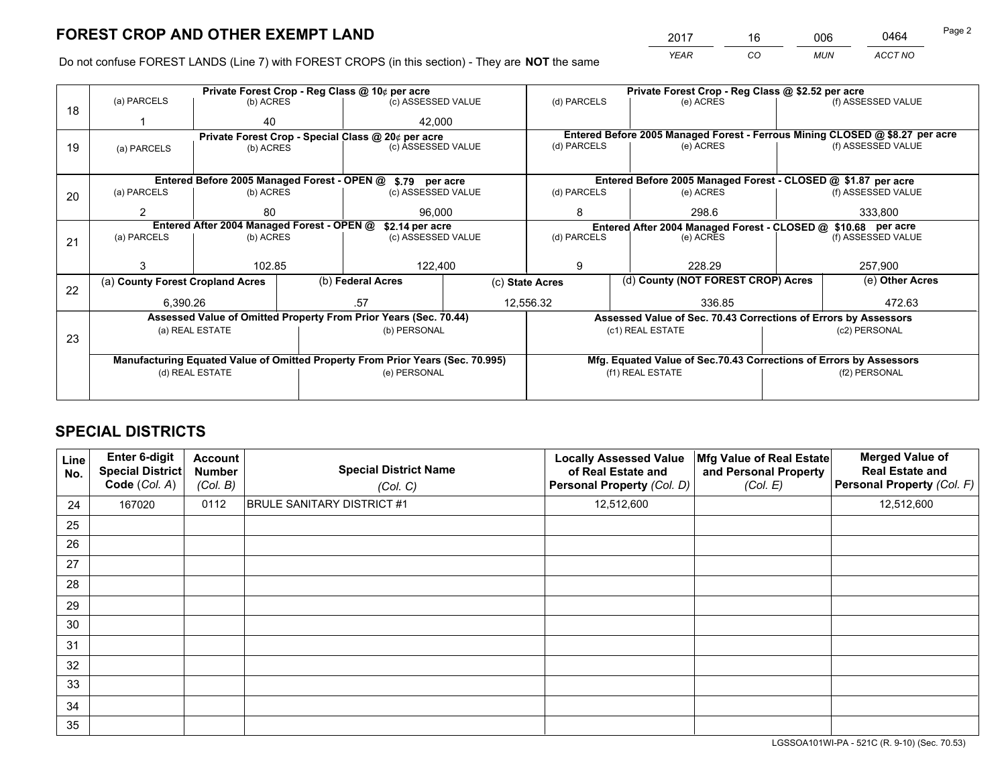*YEAR CO MUN ACCT NO* <sup>2017</sup> <sup>16</sup> <sup>006</sup> <sup>0464</sup>

Do not confuse FOREST LANDS (Line 7) with FOREST CROPS (in this section) - They are **NOT** the same

|    |                                  |                                            | Private Forest Crop - Reg Class @ 10¢ per acre                                 |  | Private Forest Crop - Reg Class @ \$2.52 per acre             |                                                                              |  |                    |  |
|----|----------------------------------|--------------------------------------------|--------------------------------------------------------------------------------|--|---------------------------------------------------------------|------------------------------------------------------------------------------|--|--------------------|--|
| 18 | (a) PARCELS                      | (b) ACRES                                  | (c) ASSESSED VALUE                                                             |  | (d) PARCELS                                                   | (e) ACRES                                                                    |  | (f) ASSESSED VALUE |  |
|    |                                  | 40                                         | 42.000                                                                         |  |                                                               |                                                                              |  |                    |  |
|    |                                  |                                            | Private Forest Crop - Special Class @ 20¢ per acre                             |  |                                                               | Entered Before 2005 Managed Forest - Ferrous Mining CLOSED @ \$8.27 per acre |  |                    |  |
| 19 | (a) PARCELS                      | (b) ACRES                                  | (c) ASSESSED VALUE                                                             |  | (d) PARCELS                                                   | (e) ACRES                                                                    |  | (f) ASSESSED VALUE |  |
|    |                                  |                                            |                                                                                |  |                                                               |                                                                              |  |                    |  |
|    |                                  |                                            | Entered Before 2005 Managed Forest - OPEN @ \$.79 per acre                     |  |                                                               | Entered Before 2005 Managed Forest - CLOSED @ \$1.87 per acre                |  |                    |  |
| 20 | (a) PARCELS                      | (b) ACRES                                  | (c) ASSESSED VALUE                                                             |  | (d) PARCELS                                                   | (e) ACRES                                                                    |  | (f) ASSESSED VALUE |  |
|    | 2                                | 80                                         | 96,000                                                                         |  | 8                                                             | 298.6                                                                        |  | 333,800            |  |
|    |                                  | Entered After 2004 Managed Forest - OPEN @ | \$2.14 per acre                                                                |  | Entered After 2004 Managed Forest - CLOSED @ \$10.68 per acre |                                                                              |  |                    |  |
|    | (a) PARCELS                      | (b) ACRES                                  | (c) ASSESSED VALUE                                                             |  | (d) PARCELS<br>(e) ACRES                                      |                                                                              |  | (f) ASSESSED VALUE |  |
| 21 |                                  |                                            |                                                                                |  |                                                               |                                                                              |  |                    |  |
|    |                                  | 102.85                                     | 122,400                                                                        |  | 228.29<br>9                                                   |                                                                              |  | 257,900            |  |
|    |                                  |                                            |                                                                                |  |                                                               | (d) County (NOT FOREST CROP) Acres                                           |  | (e) Other Acres    |  |
| 22 | (a) County Forest Cropland Acres |                                            | (b) Federal Acres                                                              |  | (c) State Acres                                               |                                                                              |  |                    |  |
|    | 6.390.26                         |                                            | .57                                                                            |  | 12,556.32                                                     | 336.85                                                                       |  | 472.63             |  |
|    |                                  |                                            | Assessed Value of Omitted Property From Prior Years (Sec. 70.44)               |  |                                                               | Assessed Value of Sec. 70.43 Corrections of Errors by Assessors              |  |                    |  |
|    |                                  | (a) REAL ESTATE                            | (b) PERSONAL                                                                   |  |                                                               | (c1) REAL ESTATE                                                             |  | (c2) PERSONAL      |  |
| 23 |                                  |                                            |                                                                                |  |                                                               |                                                                              |  |                    |  |
|    |                                  |                                            | Manufacturing Equated Value of Omitted Property From Prior Years (Sec. 70.995) |  |                                                               | Mfg. Equated Value of Sec.70.43 Corrections of Errors by Assessors           |  |                    |  |
|    |                                  | (d) REAL ESTATE                            | (e) PERSONAL                                                                   |  | (f1) REAL ESTATE<br>(f2) PERSONAL                             |                                                                              |  |                    |  |
|    |                                  |                                            |                                                                                |  |                                                               |                                                                              |  |                    |  |
|    |                                  |                                            |                                                                                |  |                                                               |                                                                              |  |                    |  |

## **SPECIAL DISTRICTS**

| Line<br>No. | Enter 6-digit<br><b>Special District</b><br>Code (Col. A) | <b>Account</b><br><b>Number</b><br>(Col. B) | <b>Special District Name</b><br>(Col. C) | <b>Locally Assessed Value</b><br>of Real Estate and<br>Personal Property (Col. D) | Mfg Value of Real Estate<br>and Personal Property<br>(Col. E) | <b>Merged Value of</b><br><b>Real Estate and</b><br>Personal Property (Col. F) |
|-------------|-----------------------------------------------------------|---------------------------------------------|------------------------------------------|-----------------------------------------------------------------------------------|---------------------------------------------------------------|--------------------------------------------------------------------------------|
| 24          | 167020                                                    | 0112                                        | <b>BRULE SANITARY DISTRICT #1</b>        | 12,512,600                                                                        |                                                               | 12,512,600                                                                     |
| 25          |                                                           |                                             |                                          |                                                                                   |                                                               |                                                                                |
| 26          |                                                           |                                             |                                          |                                                                                   |                                                               |                                                                                |
| 27          |                                                           |                                             |                                          |                                                                                   |                                                               |                                                                                |
| 28          |                                                           |                                             |                                          |                                                                                   |                                                               |                                                                                |
| 29          |                                                           |                                             |                                          |                                                                                   |                                                               |                                                                                |
| 30          |                                                           |                                             |                                          |                                                                                   |                                                               |                                                                                |
| 31          |                                                           |                                             |                                          |                                                                                   |                                                               |                                                                                |
| 32          |                                                           |                                             |                                          |                                                                                   |                                                               |                                                                                |
| 33          |                                                           |                                             |                                          |                                                                                   |                                                               |                                                                                |
| 34          |                                                           |                                             |                                          |                                                                                   |                                                               |                                                                                |
| 35          |                                                           |                                             |                                          |                                                                                   |                                                               |                                                                                |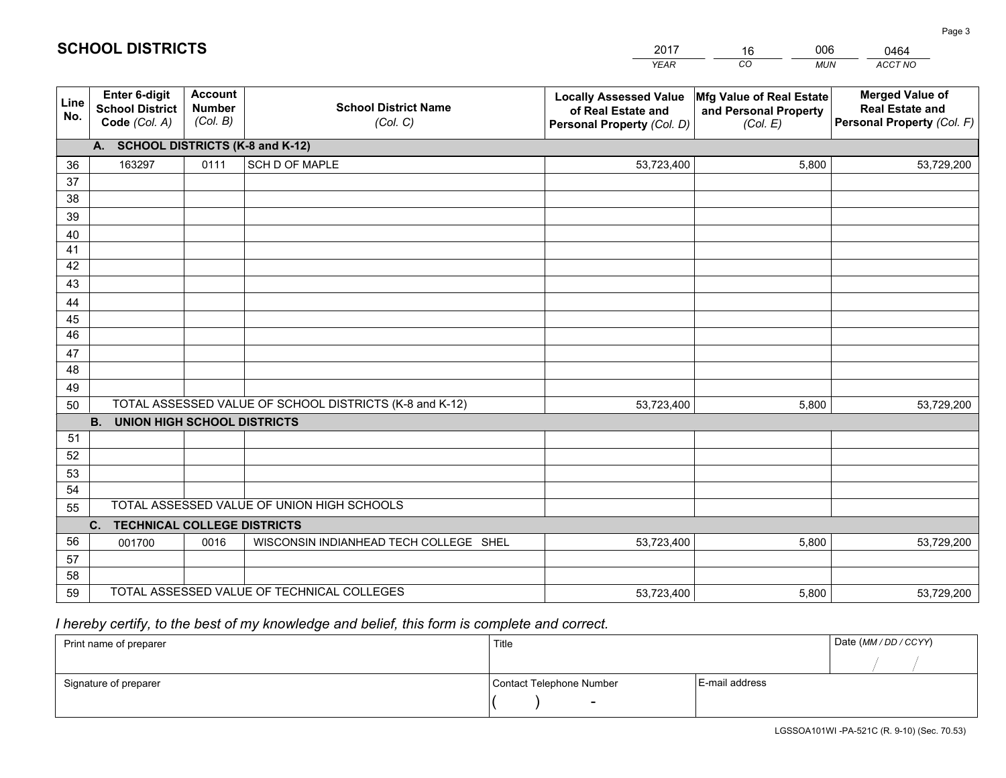|             |                                                                 |                                             |                                                         | <b>YEAR</b>                                                                       | CO<br><b>MUN</b>                                              | ACCT NO                                                                        |
|-------------|-----------------------------------------------------------------|---------------------------------------------|---------------------------------------------------------|-----------------------------------------------------------------------------------|---------------------------------------------------------------|--------------------------------------------------------------------------------|
| Line<br>No. | <b>Enter 6-digit</b><br><b>School District</b><br>Code (Col. A) | <b>Account</b><br><b>Number</b><br>(Col. B) | <b>School District Name</b><br>(Col. C)                 | <b>Locally Assessed Value</b><br>of Real Estate and<br>Personal Property (Col. D) | Mfg Value of Real Estate<br>and Personal Property<br>(Col. E) | <b>Merged Value of</b><br><b>Real Estate and</b><br>Personal Property (Col. F) |
|             | A. SCHOOL DISTRICTS (K-8 and K-12)                              |                                             |                                                         |                                                                                   |                                                               |                                                                                |
| 36          | 163297                                                          | 0111                                        | SCH D OF MAPLE                                          | 53,723,400                                                                        | 5,800                                                         | 53,729,200                                                                     |
| 37          |                                                                 |                                             |                                                         |                                                                                   |                                                               |                                                                                |
| 38          |                                                                 |                                             |                                                         |                                                                                   |                                                               |                                                                                |
| 39          |                                                                 |                                             |                                                         |                                                                                   |                                                               |                                                                                |
| 40          |                                                                 |                                             |                                                         |                                                                                   |                                                               |                                                                                |
| 41<br>42    |                                                                 |                                             |                                                         |                                                                                   |                                                               |                                                                                |
| 43          |                                                                 |                                             |                                                         |                                                                                   |                                                               |                                                                                |
|             |                                                                 |                                             |                                                         |                                                                                   |                                                               |                                                                                |
| 44<br>45    |                                                                 |                                             |                                                         |                                                                                   |                                                               |                                                                                |
| 46          |                                                                 |                                             |                                                         |                                                                                   |                                                               |                                                                                |
| 47          |                                                                 |                                             |                                                         |                                                                                   |                                                               |                                                                                |
| 48          |                                                                 |                                             |                                                         |                                                                                   |                                                               |                                                                                |
| 49          |                                                                 |                                             |                                                         |                                                                                   |                                                               |                                                                                |
| 50          |                                                                 |                                             | TOTAL ASSESSED VALUE OF SCHOOL DISTRICTS (K-8 and K-12) | 53,723,400                                                                        | 5,800                                                         | 53,729,200                                                                     |
|             | <b>B. UNION HIGH SCHOOL DISTRICTS</b>                           |                                             |                                                         |                                                                                   |                                                               |                                                                                |
| 51          |                                                                 |                                             |                                                         |                                                                                   |                                                               |                                                                                |
| 52          |                                                                 |                                             |                                                         |                                                                                   |                                                               |                                                                                |
| 53          |                                                                 |                                             |                                                         |                                                                                   |                                                               |                                                                                |
| 54          |                                                                 |                                             |                                                         |                                                                                   |                                                               |                                                                                |
|             | TOTAL ASSESSED VALUE OF UNION HIGH SCHOOLS<br>55                |                                             |                                                         |                                                                                   |                                                               |                                                                                |
|             | C.<br><b>TECHNICAL COLLEGE DISTRICTS</b>                        |                                             |                                                         |                                                                                   |                                                               |                                                                                |
| 56          | 001700                                                          | 0016                                        | WISCONSIN INDIANHEAD TECH COLLEGE SHEL                  | 53,723,400                                                                        | 5,800                                                         | 53,729,200                                                                     |
| 57<br>58    |                                                                 |                                             |                                                         |                                                                                   |                                                               |                                                                                |
| 59          |                                                                 |                                             | TOTAL ASSESSED VALUE OF TECHNICAL COLLEGES              | 53,723,400                                                                        | 5,800                                                         | 53,729,200                                                                     |
|             |                                                                 |                                             |                                                         |                                                                                   |                                                               |                                                                                |

16

006

 *I hereby certify, to the best of my knowledge and belief, this form is complete and correct.*

**SCHOOL DISTRICTS**

| Print name of preparer | Title                    |                | Date (MM/DD/CCYY) |
|------------------------|--------------------------|----------------|-------------------|
|                        |                          |                |                   |
| Signature of preparer  | Contact Telephone Number | E-mail address |                   |
|                        | $\overline{\phantom{0}}$ |                |                   |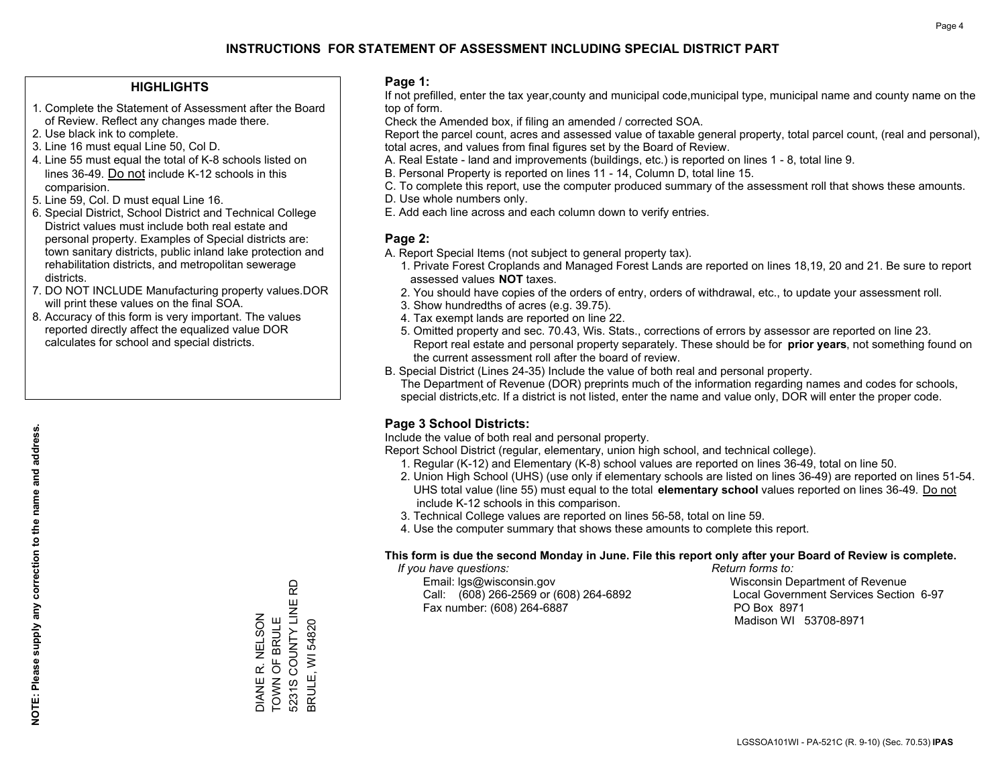#### **HIGHLIGHTS**

- 1. Complete the Statement of Assessment after the Board of Review. Reflect any changes made there.
- 2. Use black ink to complete.
- 3. Line 16 must equal Line 50, Col D.
- 4. Line 55 must equal the total of K-8 schools listed on lines 36-49. Do not include K-12 schools in this comparision.
- 5. Line 59, Col. D must equal Line 16.
- 6. Special District, School District and Technical College District values must include both real estate and personal property. Examples of Special districts are: town sanitary districts, public inland lake protection and rehabilitation districts, and metropolitan sewerage districts.
- 7. DO NOT INCLUDE Manufacturing property values.DOR will print these values on the final SOA.
- 8. Accuracy of this form is very important. The values reported directly affect the equalized value DOR calculates for school and special districts.

#### **Page 1:**

 If not prefilled, enter the tax year,county and municipal code,municipal type, municipal name and county name on the top of form.

Check the Amended box, if filing an amended / corrected SOA.

 Report the parcel count, acres and assessed value of taxable general property, total parcel count, (real and personal), total acres, and values from final figures set by the Board of Review.

- A. Real Estate land and improvements (buildings, etc.) is reported on lines 1 8, total line 9.
- B. Personal Property is reported on lines 11 14, Column D, total line 15.
- C. To complete this report, use the computer produced summary of the assessment roll that shows these amounts.
- D. Use whole numbers only.
- E. Add each line across and each column down to verify entries.

#### **Page 2:**

- A. Report Special Items (not subject to general property tax).
- 1. Private Forest Croplands and Managed Forest Lands are reported on lines 18,19, 20 and 21. Be sure to report assessed values **NOT** taxes.
- 2. You should have copies of the orders of entry, orders of withdrawal, etc., to update your assessment roll.
	- 3. Show hundredths of acres (e.g. 39.75).
- 4. Tax exempt lands are reported on line 22.
- 5. Omitted property and sec. 70.43, Wis. Stats., corrections of errors by assessor are reported on line 23. Report real estate and personal property separately. These should be for **prior years**, not something found on the current assessment roll after the board of review.
- B. Special District (Lines 24-35) Include the value of both real and personal property.
- The Department of Revenue (DOR) preprints much of the information regarding names and codes for schools, special districts,etc. If a district is not listed, enter the name and value only, DOR will enter the proper code.

### **Page 3 School Districts:**

Include the value of both real and personal property.

Report School District (regular, elementary, union high school, and technical college).

- 1. Regular (K-12) and Elementary (K-8) school values are reported on lines 36-49, total on line 50.
- 2. Union High School (UHS) (use only if elementary schools are listed on lines 36-49) are reported on lines 51-54. UHS total value (line 55) must equal to the total **elementary school** values reported on lines 36-49. Do notinclude K-12 schools in this comparison.
- 3. Technical College values are reported on lines 56-58, total on line 59.
- 4. Use the computer summary that shows these amounts to complete this report.

#### **This form is due the second Monday in June. File this report only after your Board of Review is complete.**

 *If you have questions: Return forms to:*

 Email: lgs@wisconsin.gov Wisconsin Department of RevenueCall:  $(608)$  266-2569 or  $(608)$  264-6892 Fax number: (608) 264-6887 PO Box 8971

Local Government Services Section 6-97 Madison WI 53708-8971

5231S COUNTY LINE RD 5231S COUNTY LINE RD DIANE R. NELSON<br>TOWN OF BRULE DIANE R. NELSON TOWN OF BRULE 3RULE, WI 54820 BRULE, WI 54820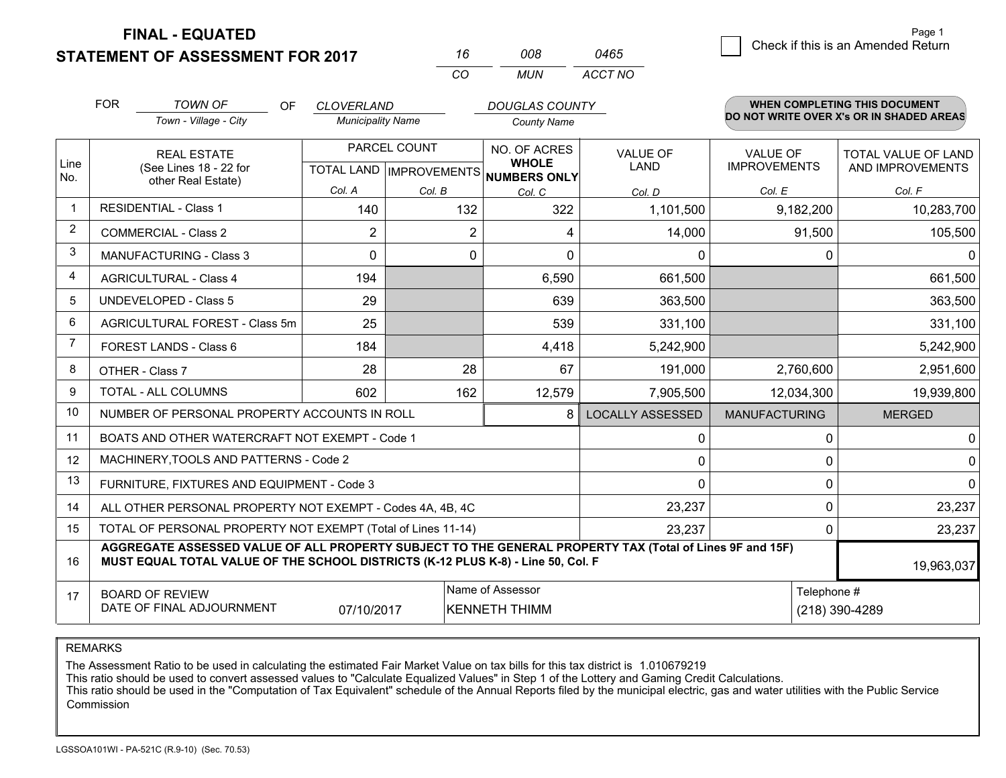**STATEMENT OF ASSESSMENT FOR 2017** 

**FINAL - EQUATED**

|                | <b>FOR</b>                                                                                                                                                                                   | <b>TOWN OF</b><br><b>OF</b>                               | <b>CLOVERLAND</b>        |              | <b>DOUGLAS COUNTY</b>                                |                         |                      | <b>WHEN COMPLETING THIS DOCUMENT</b>     |
|----------------|----------------------------------------------------------------------------------------------------------------------------------------------------------------------------------------------|-----------------------------------------------------------|--------------------------|--------------|------------------------------------------------------|-------------------------|----------------------|------------------------------------------|
|                |                                                                                                                                                                                              | Town - Village - City                                     | <b>Municipality Name</b> |              | <b>County Name</b>                                   |                         |                      | DO NOT WRITE OVER X's OR IN SHADED AREAS |
|                |                                                                                                                                                                                              | <b>REAL ESTATE</b>                                        |                          | PARCEL COUNT | NO. OF ACRES                                         | <b>VALUE OF</b>         | <b>VALUE OF</b>      | TOTAL VALUE OF LAND                      |
| Line<br>No.    |                                                                                                                                                                                              | (See Lines 18 - 22 for<br>other Real Estate)              |                          |              | <b>WHOLE</b><br>TOTAL LAND IMPROVEMENTS NUMBERS ONLY | <b>LAND</b>             | <b>IMPROVEMENTS</b>  | AND IMPROVEMENTS                         |
|                |                                                                                                                                                                                              |                                                           | Col. A                   | Col. B       | Col. C                                               | Col. D                  | Col. E               | Col. F                                   |
|                |                                                                                                                                                                                              | <b>RESIDENTIAL - Class 1</b>                              | 140                      | 132          | 322                                                  | 1,101,500               | 9,182,200            | 10,283,700                               |
| 2              |                                                                                                                                                                                              | <b>COMMERCIAL - Class 2</b>                               | $\overline{2}$           |              | 2<br>4                                               | 14,000                  | 91,500               | 105,500                                  |
| 3              |                                                                                                                                                                                              | <b>MANUFACTURING - Class 3</b>                            | $\Omega$                 |              | 0<br>$\Omega$                                        | $\Omega$                | 0                    | $\Omega$                                 |
| 4              |                                                                                                                                                                                              | <b>AGRICULTURAL - Class 4</b>                             | 194                      |              | 6,590                                                | 661,500                 |                      | 661,500                                  |
| 5              |                                                                                                                                                                                              | <b>UNDEVELOPED - Class 5</b>                              | 29                       |              | 639                                                  | 363,500                 |                      | 363,500                                  |
| 6              |                                                                                                                                                                                              | AGRICULTURAL FOREST - Class 5m                            | 25                       |              | 539                                                  | 331,100                 |                      | 331,100                                  |
| $\overline{7}$ |                                                                                                                                                                                              | FOREST LANDS - Class 6                                    | 184                      |              | 4,418                                                | 5,242,900               |                      | 5,242,900                                |
| 8              |                                                                                                                                                                                              | OTHER - Class 7                                           | 28                       | 28           | 67                                                   | 191,000                 | 2,760,600            | 2,951,600                                |
| 9              |                                                                                                                                                                                              | TOTAL - ALL COLUMNS                                       | 602                      | 162          | 12,579                                               | 7,905,500               | 12,034,300           | 19,939,800                               |
| 10             |                                                                                                                                                                                              | NUMBER OF PERSONAL PROPERTY ACCOUNTS IN ROLL              |                          |              | 8                                                    | <b>LOCALLY ASSESSED</b> | <b>MANUFACTURING</b> | <b>MERGED</b>                            |
| 11             |                                                                                                                                                                                              | BOATS AND OTHER WATERCRAFT NOT EXEMPT - Code 1            |                          |              |                                                      | 0                       | 0                    | 0                                        |
| 12             |                                                                                                                                                                                              | MACHINERY, TOOLS AND PATTERNS - Code 2                    |                          |              |                                                      | $\mathbf 0$             | $\Omega$             | 0                                        |
| 13             |                                                                                                                                                                                              | FURNITURE, FIXTURES AND EQUIPMENT - Code 3                |                          |              |                                                      | 0                       | 0                    | $\Omega$                                 |
| 14             |                                                                                                                                                                                              | ALL OTHER PERSONAL PROPERTY NOT EXEMPT - Codes 4A, 4B, 4C |                          |              |                                                      | 23,237                  | 0                    | 23,237                                   |
| 15             | TOTAL OF PERSONAL PROPERTY NOT EXEMPT (Total of Lines 11-14)<br>23,237                                                                                                                       |                                                           |                          |              |                                                      |                         | 0                    | 23,237                                   |
| 16             | AGGREGATE ASSESSED VALUE OF ALL PROPERTY SUBJECT TO THE GENERAL PROPERTY TAX (Total of Lines 9F and 15F)<br>MUST EQUAL TOTAL VALUE OF THE SCHOOL DISTRICTS (K-12 PLUS K-8) - Line 50, Col. F |                                                           |                          |              |                                                      |                         | 19,963,037           |                                          |
| 17             |                                                                                                                                                                                              | <b>BOARD OF REVIEW</b><br>DATE OF FINAL ADJOURNMENT       | 07/10/2017               |              | Name of Assessor<br><b>KENNETH THIMM</b>             |                         | Telephone #          | (218) 390-4289                           |

*CO*

*MUN*

*ACCT NO0465*

*<sup>16</sup> <sup>008</sup>*

REMARKS

The Assessment Ratio to be used in calculating the estimated Fair Market Value on tax bills for this tax district is 1.010679219<br>This ratio should be used to convert assessed values to "Calculate Equalized Values" in Step Commission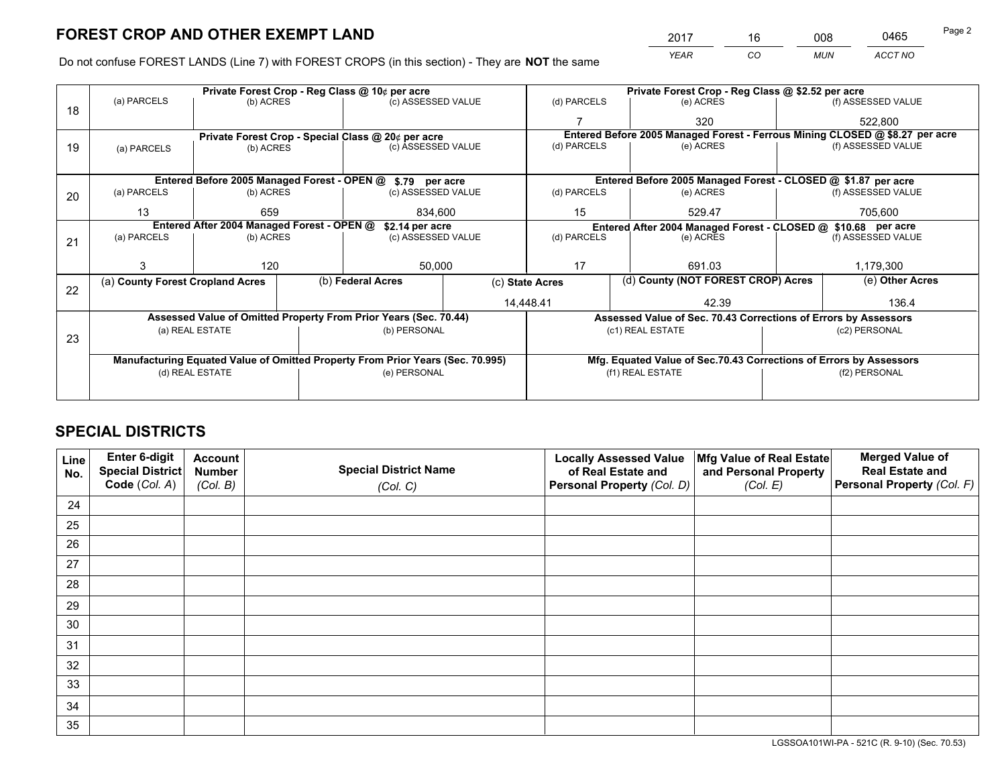*YEAR CO MUN ACCT NO* <sup>2017</sup> <sup>16</sup> <sup>008</sup> <sup>0465</sup> Page 2

Do not confuse FOREST LANDS (Line 7) with FOREST CROPS (in this section) - They are **NOT** the same

|    | Private Forest Crop - Reg Class @ 10¢ per acre                                 |                                                               |  |                                                                  |  |                                                                    | Private Forest Crop - Reg Class @ \$2.52 per acre                            |                                                                 |               |                    |
|----|--------------------------------------------------------------------------------|---------------------------------------------------------------|--|------------------------------------------------------------------|--|--------------------------------------------------------------------|------------------------------------------------------------------------------|-----------------------------------------------------------------|---------------|--------------------|
| 18 | (a) PARCELS                                                                    | (b) ACRES                                                     |  | (c) ASSESSED VALUE                                               |  | (d) PARCELS                                                        |                                                                              | (e) ACRES                                                       |               | (f) ASSESSED VALUE |
|    |                                                                                |                                                               |  |                                                                  |  |                                                                    |                                                                              | 320                                                             |               | 522,800            |
|    |                                                                                |                                                               |  | Private Forest Crop - Special Class @ 20¢ per acre               |  |                                                                    | Entered Before 2005 Managed Forest - Ferrous Mining CLOSED @ \$8.27 per acre |                                                                 |               |                    |
| 19 | (a) PARCELS                                                                    | (b) ACRES                                                     |  | (c) ASSESSED VALUE                                               |  | (d) PARCELS                                                        |                                                                              | (e) ACRES                                                       |               | (f) ASSESSED VALUE |
|    |                                                                                |                                                               |  |                                                                  |  |                                                                    |                                                                              |                                                                 |               |                    |
|    |                                                                                |                                                               |  | Entered Before 2005 Managed Forest - OPEN @ \$.79 per acre       |  |                                                                    |                                                                              | Entered Before 2005 Managed Forest - CLOSED @ \$1.87 per acre   |               |                    |
| 20 | (a) PARCELS                                                                    | (b) ACRES                                                     |  | (c) ASSESSED VALUE                                               |  | (d) PARCELS                                                        |                                                                              | (e) ACRES                                                       |               | (f) ASSESSED VALUE |
|    | 13                                                                             | 659                                                           |  | 834.600                                                          |  | 15                                                                 | 529.47                                                                       |                                                                 | 705.600       |                    |
|    |                                                                                | Entered After 2004 Managed Forest - OPEN @<br>\$2.14 per acre |  |                                                                  |  |                                                                    |                                                                              | Entered After 2004 Managed Forest - CLOSED @ \$10.68 per acre   |               |                    |
| 21 | (a) PARCELS                                                                    | (b) ACRES                                                     |  | (c) ASSESSED VALUE                                               |  | (d) PARCELS<br>(e) ACRES                                           |                                                                              | (f) ASSESSED VALUE                                              |               |                    |
|    |                                                                                |                                                               |  |                                                                  |  |                                                                    |                                                                              |                                                                 |               |                    |
|    | 3                                                                              | 120                                                           |  | 50,000                                                           |  | 17<br>691.03                                                       |                                                                              |                                                                 | 1,179,300     |                    |
| 22 | (a) County Forest Cropland Acres                                               |                                                               |  | (b) Federal Acres                                                |  | (c) State Acres                                                    |                                                                              | (d) County (NOT FOREST CROP) Acres                              |               | (e) Other Acres    |
|    |                                                                                |                                                               |  |                                                                  |  | 14,448.41                                                          |                                                                              | 42.39                                                           |               | 136.4              |
|    |                                                                                |                                                               |  | Assessed Value of Omitted Property From Prior Years (Sec. 70.44) |  |                                                                    |                                                                              | Assessed Value of Sec. 70.43 Corrections of Errors by Assessors |               |                    |
|    |                                                                                | (a) REAL ESTATE                                               |  | (b) PERSONAL                                                     |  |                                                                    |                                                                              | (c1) REAL ESTATE                                                |               | (c2) PERSONAL      |
| 23 |                                                                                |                                                               |  |                                                                  |  |                                                                    |                                                                              |                                                                 |               |                    |
|    | Manufacturing Equated Value of Omitted Property From Prior Years (Sec. 70.995) |                                                               |  |                                                                  |  | Mfg. Equated Value of Sec.70.43 Corrections of Errors by Assessors |                                                                              |                                                                 |               |                    |
|    | (d) REAL ESTATE                                                                |                                                               |  | (e) PERSONAL                                                     |  |                                                                    | (f1) REAL ESTATE                                                             |                                                                 | (f2) PERSONAL |                    |
|    |                                                                                |                                                               |  |                                                                  |  |                                                                    |                                                                              |                                                                 |               |                    |

## **SPECIAL DISTRICTS**

| Line<br>No. | Enter 6-digit<br>Special District<br>Code (Col. A) | <b>Account</b><br><b>Number</b> | <b>Special District Name</b> | <b>Locally Assessed Value</b><br>of Real Estate and | Mfg Value of Real Estate<br>and Personal Property | <b>Merged Value of</b><br><b>Real Estate and</b><br>Personal Property (Col. F) |
|-------------|----------------------------------------------------|---------------------------------|------------------------------|-----------------------------------------------------|---------------------------------------------------|--------------------------------------------------------------------------------|
|             |                                                    | (Col. B)                        | (Col. C)                     | Personal Property (Col. D)                          | (Col. E)                                          |                                                                                |
| 24          |                                                    |                                 |                              |                                                     |                                                   |                                                                                |
| 25          |                                                    |                                 |                              |                                                     |                                                   |                                                                                |
| 26          |                                                    |                                 |                              |                                                     |                                                   |                                                                                |
| 27          |                                                    |                                 |                              |                                                     |                                                   |                                                                                |
| 28          |                                                    |                                 |                              |                                                     |                                                   |                                                                                |
| 29          |                                                    |                                 |                              |                                                     |                                                   |                                                                                |
| 30          |                                                    |                                 |                              |                                                     |                                                   |                                                                                |
| 31          |                                                    |                                 |                              |                                                     |                                                   |                                                                                |
| 32          |                                                    |                                 |                              |                                                     |                                                   |                                                                                |
| 33          |                                                    |                                 |                              |                                                     |                                                   |                                                                                |
| 34          |                                                    |                                 |                              |                                                     |                                                   |                                                                                |
| 35          |                                                    |                                 |                              |                                                     |                                                   |                                                                                |

LGSSOA101WI-PA - 521C (R. 9-10) (Sec. 70.53)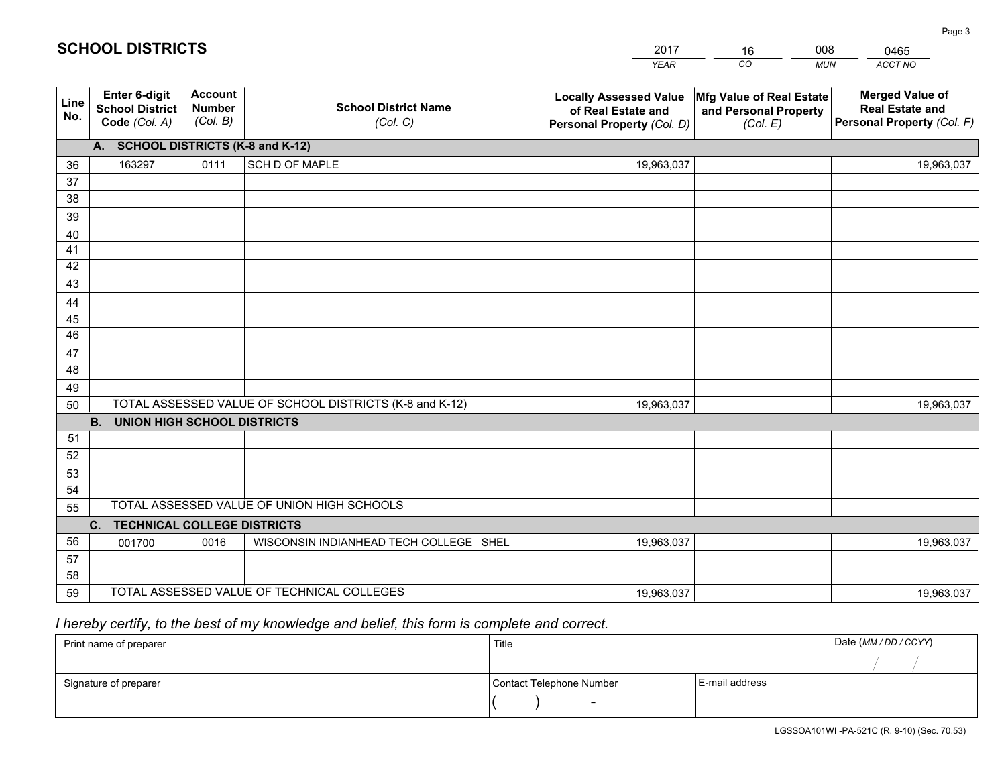|             |                                                          |                                             |                                                         | <b>YEAR</b>                                                                       | CO<br><b>MUN</b>                                              | ACCT NO                                                                        |
|-------------|----------------------------------------------------------|---------------------------------------------|---------------------------------------------------------|-----------------------------------------------------------------------------------|---------------------------------------------------------------|--------------------------------------------------------------------------------|
| Line<br>No. | Enter 6-digit<br><b>School District</b><br>Code (Col. A) | <b>Account</b><br><b>Number</b><br>(Col. B) | <b>School District Name</b><br>(Col. C)                 | <b>Locally Assessed Value</b><br>of Real Estate and<br>Personal Property (Col. D) | Mfg Value of Real Estate<br>and Personal Property<br>(Col. E) | <b>Merged Value of</b><br><b>Real Estate and</b><br>Personal Property (Col. F) |
|             | A. SCHOOL DISTRICTS (K-8 and K-12)                       |                                             |                                                         |                                                                                   |                                                               |                                                                                |
| 36          | 163297                                                   | 0111                                        | SCH D OF MAPLE                                          | 19,963,037                                                                        |                                                               | 19,963,037                                                                     |
| 37          |                                                          |                                             |                                                         |                                                                                   |                                                               |                                                                                |
| 38          |                                                          |                                             |                                                         |                                                                                   |                                                               |                                                                                |
| 39          |                                                          |                                             |                                                         |                                                                                   |                                                               |                                                                                |
| 40          |                                                          |                                             |                                                         |                                                                                   |                                                               |                                                                                |
| 41          |                                                          |                                             |                                                         |                                                                                   |                                                               |                                                                                |
| 42          |                                                          |                                             |                                                         |                                                                                   |                                                               |                                                                                |
| 43          |                                                          |                                             |                                                         |                                                                                   |                                                               |                                                                                |
| 44          |                                                          |                                             |                                                         |                                                                                   |                                                               |                                                                                |
| 45<br>46    |                                                          |                                             |                                                         |                                                                                   |                                                               |                                                                                |
|             |                                                          |                                             |                                                         |                                                                                   |                                                               |                                                                                |
| 47<br>48    |                                                          |                                             |                                                         |                                                                                   |                                                               |                                                                                |
| 49          |                                                          |                                             |                                                         |                                                                                   |                                                               |                                                                                |
| 50          |                                                          |                                             | TOTAL ASSESSED VALUE OF SCHOOL DISTRICTS (K-8 and K-12) | 19,963,037                                                                        |                                                               | 19,963,037                                                                     |
|             | <b>B.</b><br><b>UNION HIGH SCHOOL DISTRICTS</b>          |                                             |                                                         |                                                                                   |                                                               |                                                                                |
| 51          |                                                          |                                             |                                                         |                                                                                   |                                                               |                                                                                |
| 52          |                                                          |                                             |                                                         |                                                                                   |                                                               |                                                                                |
| 53          |                                                          |                                             |                                                         |                                                                                   |                                                               |                                                                                |
| 54          |                                                          |                                             |                                                         |                                                                                   |                                                               |                                                                                |
| 55          |                                                          |                                             | TOTAL ASSESSED VALUE OF UNION HIGH SCHOOLS              |                                                                                   |                                                               |                                                                                |
|             | C. TECHNICAL COLLEGE DISTRICTS                           |                                             |                                                         |                                                                                   |                                                               |                                                                                |
| 56          | 001700                                                   | 0016                                        | WISCONSIN INDIANHEAD TECH COLLEGE SHEL                  | 19,963,037                                                                        |                                                               | 19,963,037                                                                     |
| 57          |                                                          |                                             |                                                         |                                                                                   |                                                               |                                                                                |
| 58          |                                                          |                                             |                                                         |                                                                                   |                                                               |                                                                                |
| 59          |                                                          |                                             | TOTAL ASSESSED VALUE OF TECHNICAL COLLEGES              | 19,963,037                                                                        |                                                               | 19,963,037                                                                     |

16

008

0465

## *I hereby certify, to the best of my knowledge and belief, this form is complete and correct.*

**SCHOOL DISTRICTS**

| Print name of preparer | Title                    | Date (MM / DD / CCYY) |
|------------------------|--------------------------|-----------------------|
|                        |                          |                       |
| Signature of preparer  | Contact Telephone Number | E-mail address        |
|                        | $\overline{\phantom{0}}$ |                       |

Page 3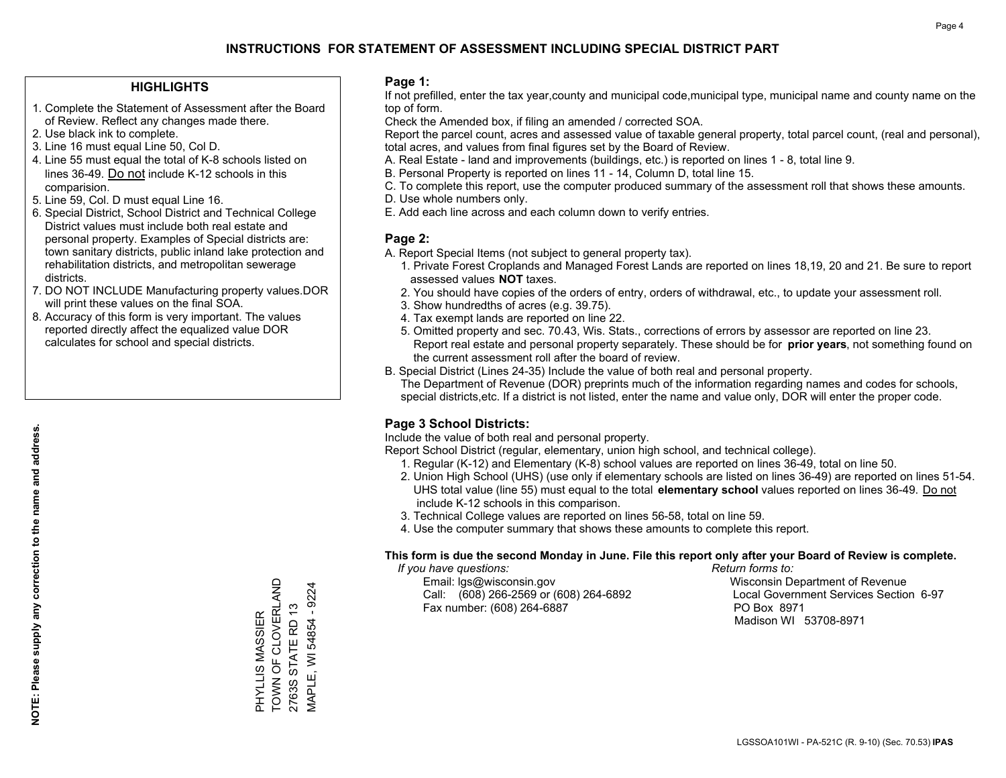#### **HIGHLIGHTS**

- 1. Complete the Statement of Assessment after the Board of Review. Reflect any changes made there.
- 2. Use black ink to complete.
- 3. Line 16 must equal Line 50, Col D.
- 4. Line 55 must equal the total of K-8 schools listed on lines 36-49. Do not include K-12 schools in this comparision.
- 5. Line 59, Col. D must equal Line 16.
- 6. Special District, School District and Technical College District values must include both real estate and personal property. Examples of Special districts are: town sanitary districts, public inland lake protection and rehabilitation districts, and metropolitan sewerage districts.
- 7. DO NOT INCLUDE Manufacturing property values.DOR will print these values on the final SOA.

PHYLLIS MASSIER TOWN OF CLOVERLAND 2763S STATE RD 13 MAPLE, WI 54854 - 9224

PHYLLIS MASSIER<br>TOWN OF CLOVERLAND

MAPLE, WI 54854 - 9224 2763S STATE RD 13

 8. Accuracy of this form is very important. The values reported directly affect the equalized value DOR calculates for school and special districts.

#### **Page 1:**

 If not prefilled, enter the tax year,county and municipal code,municipal type, municipal name and county name on the top of form.

Check the Amended box, if filing an amended / corrected SOA.

 Report the parcel count, acres and assessed value of taxable general property, total parcel count, (real and personal), total acres, and values from final figures set by the Board of Review.

- A. Real Estate land and improvements (buildings, etc.) is reported on lines 1 8, total line 9.
- B. Personal Property is reported on lines 11 14, Column D, total line 15.
- C. To complete this report, use the computer produced summary of the assessment roll that shows these amounts.
- D. Use whole numbers only.
- E. Add each line across and each column down to verify entries.

#### **Page 2:**

- A. Report Special Items (not subject to general property tax).
- 1. Private Forest Croplands and Managed Forest Lands are reported on lines 18,19, 20 and 21. Be sure to report assessed values **NOT** taxes.
- 2. You should have copies of the orders of entry, orders of withdrawal, etc., to update your assessment roll.
	- 3. Show hundredths of acres (e.g. 39.75).
- 4. Tax exempt lands are reported on line 22.
- 5. Omitted property and sec. 70.43, Wis. Stats., corrections of errors by assessor are reported on line 23. Report real estate and personal property separately. These should be for **prior years**, not something found on the current assessment roll after the board of review.
- B. Special District (Lines 24-35) Include the value of both real and personal property.

 The Department of Revenue (DOR) preprints much of the information regarding names and codes for schools, special districts,etc. If a district is not listed, enter the name and value only, DOR will enter the proper code.

### **Page 3 School Districts:**

Include the value of both real and personal property.

Report School District (regular, elementary, union high school, and technical college).

- 1. Regular (K-12) and Elementary (K-8) school values are reported on lines 36-49, total on line 50.
- 2. Union High School (UHS) (use only if elementary schools are listed on lines 36-49) are reported on lines 51-54. UHS total value (line 55) must equal to the total **elementary school** values reported on lines 36-49. Do notinclude K-12 schools in this comparison.
- 3. Technical College values are reported on lines 56-58, total on line 59.
- 4. Use the computer summary that shows these amounts to complete this report.

#### **This form is due the second Monday in June. File this report only after your Board of Review is complete.**

 *If you have questions: Return forms to:*

 Email: lgs@wisconsin.gov Wisconsin Department of RevenueCall:  $(608)$  266-2569 or  $(608)$  264-6892 Fax number: (608) 264-6887 PO Box 8971

Local Government Services Section 6-97 Madison WI 53708-8971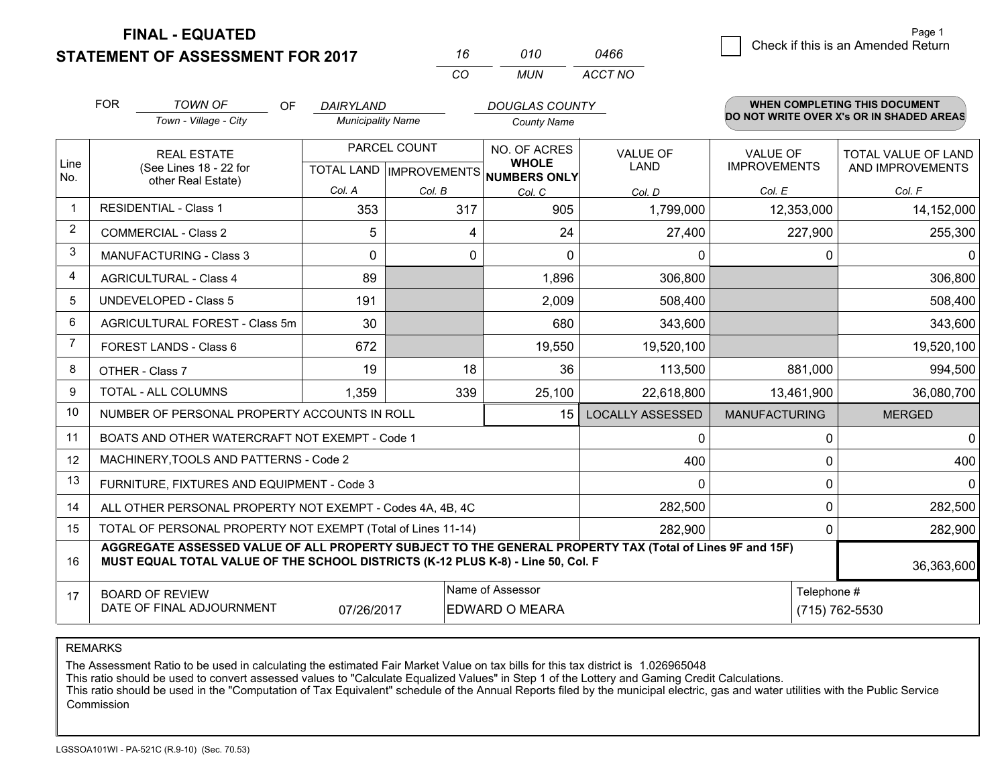**FINAL - EQUATED**

**STATEMENT OF ASSESSMENT FOR 2017** 

| 16  | 010 | 0466    |
|-----|-----|---------|
| CO. | MUN | ACCT NO |

|                | <b>FOR</b> | <b>TOWN OF</b><br><b>OF</b>                                                                                                                                                                  | DAIRYLAND                |              | <b>DOUGLAS COUNTY</b>                                    |                         |                      | <b>WHEN COMPLETING THIS DOCUMENT</b><br>DO NOT WRITE OVER X's OR IN SHADED AREAS |
|----------------|------------|----------------------------------------------------------------------------------------------------------------------------------------------------------------------------------------------|--------------------------|--------------|----------------------------------------------------------|-------------------------|----------------------|----------------------------------------------------------------------------------|
|                |            | Town - Village - City                                                                                                                                                                        | <b>Municipality Name</b> |              | <b>County Name</b>                                       |                         |                      |                                                                                  |
|                |            | <b>REAL ESTATE</b>                                                                                                                                                                           |                          | PARCEL COUNT | NO. OF ACRES                                             | VALUE OF                | VAI UF OF            | TOTAL VALUE OF LAND                                                              |
| Line<br>No.    |            | (See Lines 18 - 22 for<br>other Real Estate)                                                                                                                                                 |                          |              | <b>WHOLE</b><br>TOTAL LAND   IMPROVEMENTS   NUMBERS ONLY | <b>LAND</b>             | <b>IMPROVEMENTS</b>  | AND IMPROVEMENTS                                                                 |
|                |            |                                                                                                                                                                                              | Col. A                   | Col. B       | Col. C                                                   | Col. D                  | Col. E               | Col. F                                                                           |
| $\mathbf 1$    |            | <b>RESIDENTIAL - Class 1</b>                                                                                                                                                                 | 353                      | 317          | 905                                                      | 1,799,000               | 12,353,000           | 14,152,000                                                                       |
| $\overline{2}$ |            | <b>COMMERCIAL - Class 2</b>                                                                                                                                                                  | 5                        | 4            | 24                                                       | 27,400                  | 227,900              | 255,300                                                                          |
| 3              |            | <b>MANUFACTURING - Class 3</b>                                                                                                                                                               | $\Omega$                 | 0            | $\Omega$                                                 | 0                       |                      | 0<br>$\Omega$                                                                    |
| 4              |            | <b>AGRICULTURAL - Class 4</b>                                                                                                                                                                | 89                       |              | 1,896                                                    | 306,800                 |                      | 306,800                                                                          |
| 5              |            | <b>UNDEVELOPED - Class 5</b>                                                                                                                                                                 | 191                      |              | 2,009                                                    | 508,400                 |                      | 508,400                                                                          |
| 6              |            | AGRICULTURAL FOREST - Class 5m                                                                                                                                                               | 30                       |              | 680                                                      | 343,600                 |                      | 343,600                                                                          |
| 7              |            | FOREST LANDS - Class 6                                                                                                                                                                       | 672                      |              | 19,550                                                   | 19,520,100              |                      | 19,520,100                                                                       |
| 8              |            | OTHER - Class 7                                                                                                                                                                              | 19                       | 18           | 36                                                       | 113,500                 | 881,000              | 994,500                                                                          |
| 9              |            | TOTAL - ALL COLUMNS                                                                                                                                                                          | 1,359                    | 339          | 25,100                                                   | 22,618,800              | 13,461,900           | 36,080,700                                                                       |
| 10             |            | NUMBER OF PERSONAL PROPERTY ACCOUNTS IN ROLL                                                                                                                                                 |                          |              | 15                                                       | <b>LOCALLY ASSESSED</b> | <b>MANUFACTURING</b> | <b>MERGED</b>                                                                    |
| 11             |            | BOATS AND OTHER WATERCRAFT NOT EXEMPT - Code 1                                                                                                                                               |                          |              |                                                          | 0                       |                      | $\overline{0}$<br>0                                                              |
| 12             |            | MACHINERY, TOOLS AND PATTERNS - Code 2                                                                                                                                                       |                          |              |                                                          | 400                     |                      | 400<br>0                                                                         |
| 13             |            | FURNITURE, FIXTURES AND EQUIPMENT - Code 3                                                                                                                                                   |                          |              |                                                          | 0                       |                      | 0<br>0                                                                           |
| 14             |            | ALL OTHER PERSONAL PROPERTY NOT EXEMPT - Codes 4A, 4B, 4C                                                                                                                                    |                          |              |                                                          | 282,500                 |                      | 0<br>282,500                                                                     |
| 15             |            | TOTAL OF PERSONAL PROPERTY NOT EXEMPT (Total of Lines 11-14)                                                                                                                                 |                          |              | 282,900                                                  |                         | 282,900<br>0         |                                                                                  |
| 16             |            | AGGREGATE ASSESSED VALUE OF ALL PROPERTY SUBJECT TO THE GENERAL PROPERTY TAX (Total of Lines 9F and 15F)<br>MUST EQUAL TOTAL VALUE OF THE SCHOOL DISTRICTS (K-12 PLUS K-8) - Line 50, Col. F |                          |              |                                                          |                         |                      | 36,363,600                                                                       |
| 17             |            | <b>BOARD OF REVIEW</b>                                                                                                                                                                       |                          |              | Name of Assessor                                         |                         |                      | Telephone #                                                                      |
|                |            | DATE OF FINAL ADJOURNMENT                                                                                                                                                                    | 07/26/2017               |              | EDWARD O MEARA                                           |                         |                      | (715) 762-5530                                                                   |

REMARKS

The Assessment Ratio to be used in calculating the estimated Fair Market Value on tax bills for this tax district is 1.026965048

This ratio should be used to convert assessed values to "Calculate Equalized Values" in Step 1 of the Lottery and Gaming Credit Calculations.<br>This ratio should be used in the "Computation of Tax Equivalent" schedule of the Commission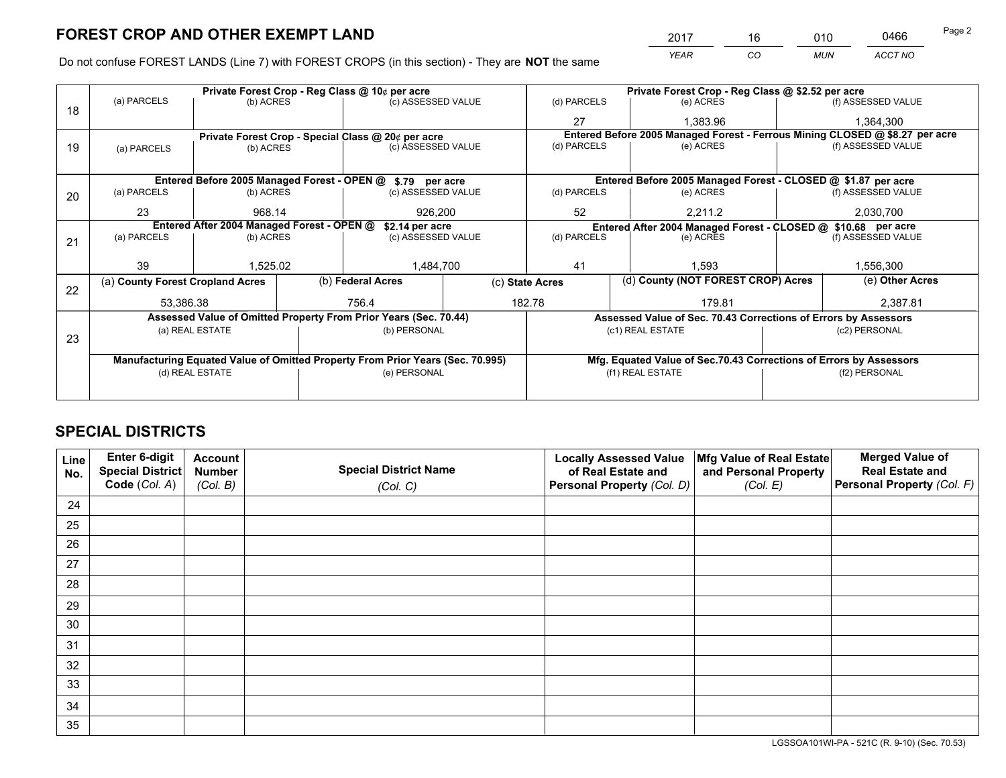*YEAR CO MUN ACCT NO* <sup>2017</sup> <sup>16</sup> <sup>010</sup> <sup>0466</sup>

Do not confuse FOREST LANDS (Line 7) with FOREST CROPS (in this section) - They are **NOT** the same

|    |                                                                                                                                |                                 |  | Private Forest Crop - Reg Class @ 10¢ per acre                                 |  | Private Forest Crop - Reg Class @ \$2.52 per acre |  |                                                                    |  |                                                                              |
|----|--------------------------------------------------------------------------------------------------------------------------------|---------------------------------|--|--------------------------------------------------------------------------------|--|---------------------------------------------------|--|--------------------------------------------------------------------|--|------------------------------------------------------------------------------|
| 18 | (a) PARCELS                                                                                                                    | (b) ACRES                       |  | (c) ASSESSED VALUE                                                             |  | (d) PARCELS                                       |  | (e) ACRES                                                          |  | (f) ASSESSED VALUE                                                           |
|    |                                                                                                                                |                                 |  |                                                                                |  | 27                                                |  | 1.383.96                                                           |  | 1,364,300                                                                    |
|    |                                                                                                                                |                                 |  | Private Forest Crop - Special Class @ 20¢ per acre                             |  |                                                   |  |                                                                    |  | Entered Before 2005 Managed Forest - Ferrous Mining CLOSED @ \$8.27 per acre |
| 19 | (a) PARCELS                                                                                                                    | (b) ACRES                       |  | (c) ASSESSED VALUE                                                             |  | (d) PARCELS                                       |  | (e) ACRES                                                          |  | (f) ASSESSED VALUE                                                           |
|    |                                                                                                                                |                                 |  |                                                                                |  |                                                   |  |                                                                    |  |                                                                              |
|    | Entered Before 2005 Managed Forest - OPEN @ \$.79 per acre                                                                     |                                 |  |                                                                                |  |                                                   |  | Entered Before 2005 Managed Forest - CLOSED @ \$1.87 per acre      |  |                                                                              |
| 20 | (a) PARCELS                                                                                                                    | (b) ACRES                       |  | (c) ASSESSED VALUE                                                             |  | (d) PARCELS                                       |  | (e) ACRES                                                          |  | (f) ASSESSED VALUE                                                           |
|    | 23                                                                                                                             | 968.14                          |  | 926.200                                                                        |  | 52                                                |  | 2,211.2                                                            |  | 2,030,700                                                                    |
|    | Entered After 2004 Managed Forest - OPEN @<br>\$2.14 per acre<br>Entered After 2004 Managed Forest - CLOSED @ \$10.68 per acre |                                 |  |                                                                                |  |                                                   |  |                                                                    |  |                                                                              |
| 21 | (a) PARCELS                                                                                                                    | (c) ASSESSED VALUE<br>(b) ACRES |  | (d) PARCELS                                                                    |  | (e) ACRES                                         |  | (f) ASSESSED VALUE                                                 |  |                                                                              |
|    |                                                                                                                                |                                 |  |                                                                                |  |                                                   |  |                                                                    |  |                                                                              |
|    | 39                                                                                                                             | 1,525.02                        |  | 1,484,700                                                                      |  | 41                                                |  | 1.593                                                              |  | 1,556,300                                                                    |
| 22 | (a) County Forest Cropland Acres                                                                                               |                                 |  | (b) Federal Acres                                                              |  | (c) State Acres                                   |  | (d) County (NOT FOREST CROP) Acres                                 |  | (e) Other Acres                                                              |
|    | 53,386.38                                                                                                                      |                                 |  | 756.4                                                                          |  | 182.78                                            |  | 179.81                                                             |  | 2,387.81                                                                     |
|    |                                                                                                                                |                                 |  | Assessed Value of Omitted Property From Prior Years (Sec. 70.44)               |  |                                                   |  | Assessed Value of Sec. 70.43 Corrections of Errors by Assessors    |  |                                                                              |
|    |                                                                                                                                | (a) REAL ESTATE                 |  | (b) PERSONAL                                                                   |  |                                                   |  | (c1) REAL ESTATE                                                   |  | (c2) PERSONAL                                                                |
| 23 |                                                                                                                                |                                 |  |                                                                                |  |                                                   |  |                                                                    |  |                                                                              |
|    |                                                                                                                                |                                 |  | Manufacturing Equated Value of Omitted Property From Prior Years (Sec. 70.995) |  |                                                   |  | Mfg. Equated Value of Sec.70.43 Corrections of Errors by Assessors |  |                                                                              |
|    |                                                                                                                                | (d) REAL ESTATE                 |  | (e) PERSONAL                                                                   |  |                                                   |  | (f1) REAL ESTATE                                                   |  | (f2) PERSONAL                                                                |
|    |                                                                                                                                |                                 |  |                                                                                |  |                                                   |  |                                                                    |  |                                                                              |

## **SPECIAL DISTRICTS**

| Line<br>No. | Enter 6-digit<br>Special District<br>Code (Col. A) | <b>Account</b><br><b>Number</b> | <b>Special District Name</b> | <b>Locally Assessed Value</b><br>of Real Estate and | Mfg Value of Real Estate<br>and Personal Property | <b>Merged Value of</b><br><b>Real Estate and</b><br>Personal Property (Col. F) |
|-------------|----------------------------------------------------|---------------------------------|------------------------------|-----------------------------------------------------|---------------------------------------------------|--------------------------------------------------------------------------------|
|             |                                                    | (Col. B)                        | (Col. C)                     | Personal Property (Col. D)                          | (Col. E)                                          |                                                                                |
| 24          |                                                    |                                 |                              |                                                     |                                                   |                                                                                |
| 25          |                                                    |                                 |                              |                                                     |                                                   |                                                                                |
| 26          |                                                    |                                 |                              |                                                     |                                                   |                                                                                |
| 27          |                                                    |                                 |                              |                                                     |                                                   |                                                                                |
| 28          |                                                    |                                 |                              |                                                     |                                                   |                                                                                |
| 29          |                                                    |                                 |                              |                                                     |                                                   |                                                                                |
| 30          |                                                    |                                 |                              |                                                     |                                                   |                                                                                |
| 31          |                                                    |                                 |                              |                                                     |                                                   |                                                                                |
| 32          |                                                    |                                 |                              |                                                     |                                                   |                                                                                |
| 33          |                                                    |                                 |                              |                                                     |                                                   |                                                                                |
| 34          |                                                    |                                 |                              |                                                     |                                                   |                                                                                |
| 35          |                                                    |                                 |                              |                                                     |                                                   |                                                                                |

LGSSOA101WI-PA - 521C (R. 9-10) (Sec. 70.53)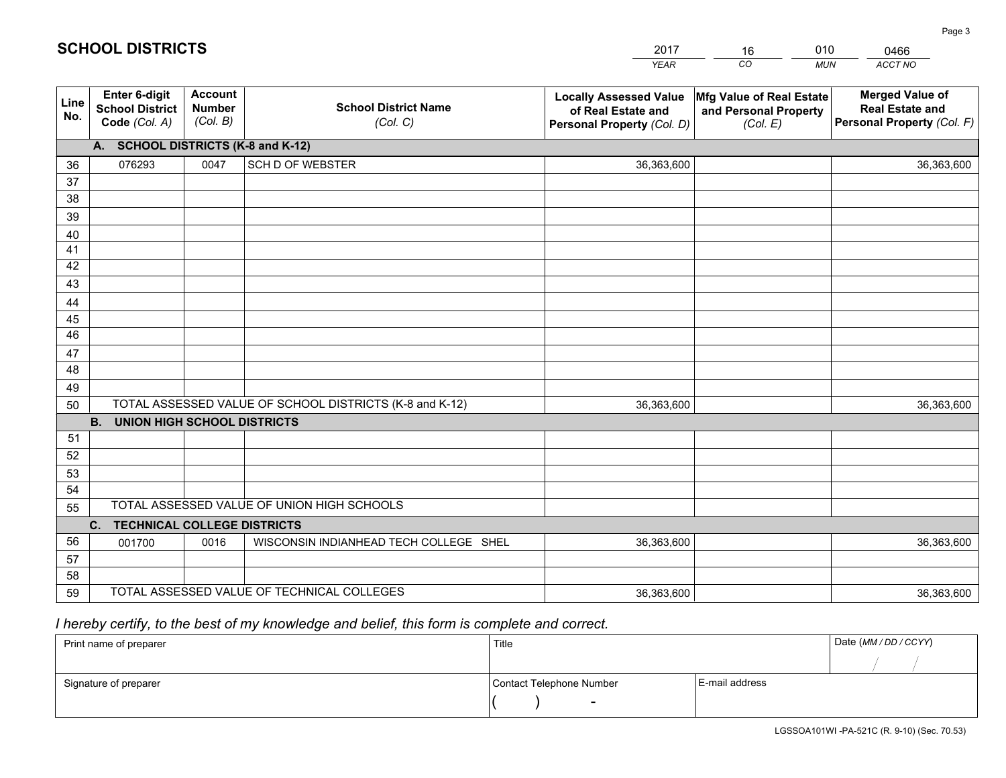|                 |                                                          |                                             |                                                         | <b>YEAR</b>                                                                       | CO<br><b>MUN</b>                                              | ACCT NO                                                                        |
|-----------------|----------------------------------------------------------|---------------------------------------------|---------------------------------------------------------|-----------------------------------------------------------------------------------|---------------------------------------------------------------|--------------------------------------------------------------------------------|
| Line<br>No.     | Enter 6-digit<br><b>School District</b><br>Code (Col. A) | <b>Account</b><br><b>Number</b><br>(Col. B) | <b>School District Name</b><br>(Col. C)                 | <b>Locally Assessed Value</b><br>of Real Estate and<br>Personal Property (Col. D) | Mfg Value of Real Estate<br>and Personal Property<br>(Col. E) | <b>Merged Value of</b><br><b>Real Estate and</b><br>Personal Property (Col. F) |
|                 | A. SCHOOL DISTRICTS (K-8 and K-12)                       |                                             |                                                         |                                                                                   |                                                               |                                                                                |
| 36              | 076293                                                   | 0047                                        | <b>SCH D OF WEBSTER</b>                                 | 36,363,600                                                                        |                                                               | 36,363,600                                                                     |
| 37              |                                                          |                                             |                                                         |                                                                                   |                                                               |                                                                                |
| 38              |                                                          |                                             |                                                         |                                                                                   |                                                               |                                                                                |
| 39              |                                                          |                                             |                                                         |                                                                                   |                                                               |                                                                                |
| 40              |                                                          |                                             |                                                         |                                                                                   |                                                               |                                                                                |
| 41              |                                                          |                                             |                                                         |                                                                                   |                                                               |                                                                                |
| 42              |                                                          |                                             |                                                         |                                                                                   |                                                               |                                                                                |
| 43              |                                                          |                                             |                                                         |                                                                                   |                                                               |                                                                                |
| 44<br>45        |                                                          |                                             |                                                         |                                                                                   |                                                               |                                                                                |
| $\overline{46}$ |                                                          |                                             |                                                         |                                                                                   |                                                               |                                                                                |
| 47              |                                                          |                                             |                                                         |                                                                                   |                                                               |                                                                                |
| 48              |                                                          |                                             |                                                         |                                                                                   |                                                               |                                                                                |
| 49              |                                                          |                                             |                                                         |                                                                                   |                                                               |                                                                                |
| 50              |                                                          |                                             | TOTAL ASSESSED VALUE OF SCHOOL DISTRICTS (K-8 and K-12) | 36,363,600                                                                        |                                                               | 36,363,600                                                                     |
|                 | <b>B.</b><br><b>UNION HIGH SCHOOL DISTRICTS</b>          |                                             |                                                         |                                                                                   |                                                               |                                                                                |
| 51              |                                                          |                                             |                                                         |                                                                                   |                                                               |                                                                                |
| 52              |                                                          |                                             |                                                         |                                                                                   |                                                               |                                                                                |
| 53              |                                                          |                                             |                                                         |                                                                                   |                                                               |                                                                                |
| 54              |                                                          |                                             |                                                         |                                                                                   |                                                               |                                                                                |
| 55              |                                                          |                                             | TOTAL ASSESSED VALUE OF UNION HIGH SCHOOLS              |                                                                                   |                                                               |                                                                                |
|                 | C. TECHNICAL COLLEGE DISTRICTS                           |                                             |                                                         |                                                                                   |                                                               |                                                                                |
| 56              | 001700                                                   | 0016                                        | WISCONSIN INDIANHEAD TECH COLLEGE SHEL                  | 36,363,600                                                                        |                                                               | 36,363,600                                                                     |
| 57              |                                                          |                                             |                                                         |                                                                                   |                                                               |                                                                                |
| 58              |                                                          |                                             |                                                         |                                                                                   |                                                               |                                                                                |
| 59              |                                                          |                                             | TOTAL ASSESSED VALUE OF TECHNICAL COLLEGES              | 36,363,600                                                                        |                                                               | 36,363,600                                                                     |

16

010

## *I hereby certify, to the best of my knowledge and belief, this form is complete and correct.*

**SCHOOL DISTRICTS**

| Print name of preparer | Title                    |                | Date (MM / DD / CCYY) |
|------------------------|--------------------------|----------------|-----------------------|
|                        |                          |                |                       |
| Signature of preparer  | Contact Telephone Number | E-mail address |                       |
|                        | $\overline{\phantom{0}}$ |                |                       |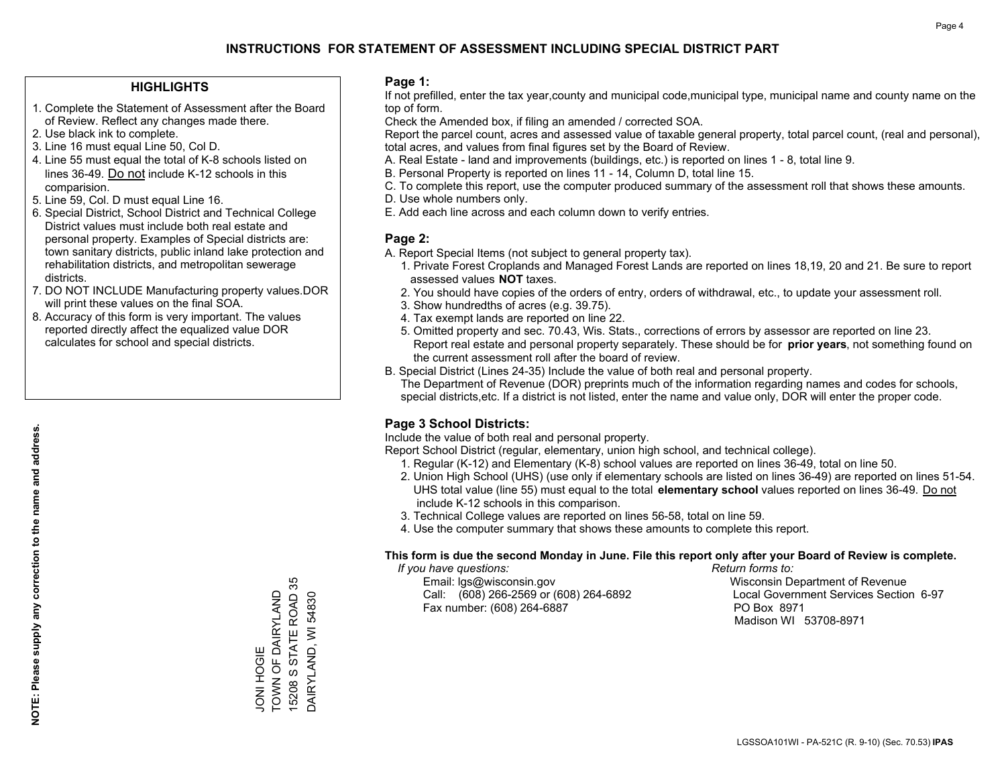#### **HIGHLIGHTS**

- 1. Complete the Statement of Assessment after the Board of Review. Reflect any changes made there.
- 2. Use black ink to complete.
- 3. Line 16 must equal Line 50, Col D.
- 4. Line 55 must equal the total of K-8 schools listed on lines 36-49. Do not include K-12 schools in this comparision.
- 5. Line 59, Col. D must equal Line 16.
- 6. Special District, School District and Technical College District values must include both real estate and personal property. Examples of Special districts are: town sanitary districts, public inland lake protection and rehabilitation districts, and metropolitan sewerage districts.
- 7. DO NOT INCLUDE Manufacturing property values.DOR will print these values on the final SOA.
- 8. Accuracy of this form is very important. The values reported directly affect the equalized value DOR calculates for school and special districts.

#### **Page 1:**

 If not prefilled, enter the tax year,county and municipal code,municipal type, municipal name and county name on the top of form.

Check the Amended box, if filing an amended / corrected SOA.

 Report the parcel count, acres and assessed value of taxable general property, total parcel count, (real and personal), total acres, and values from final figures set by the Board of Review.

- A. Real Estate land and improvements (buildings, etc.) is reported on lines 1 8, total line 9.
- B. Personal Property is reported on lines 11 14, Column D, total line 15.
- C. To complete this report, use the computer produced summary of the assessment roll that shows these amounts.
- D. Use whole numbers only.
- E. Add each line across and each column down to verify entries.

### **Page 2:**

- A. Report Special Items (not subject to general property tax).
- 1. Private Forest Croplands and Managed Forest Lands are reported on lines 18,19, 20 and 21. Be sure to report assessed values **NOT** taxes.
- 2. You should have copies of the orders of entry, orders of withdrawal, etc., to update your assessment roll.
	- 3. Show hundredths of acres (e.g. 39.75).
- 4. Tax exempt lands are reported on line 22.
- 5. Omitted property and sec. 70.43, Wis. Stats., corrections of errors by assessor are reported on line 23. Report real estate and personal property separately. These should be for **prior years**, not something found on the current assessment roll after the board of review.
- B. Special District (Lines 24-35) Include the value of both real and personal property.
- The Department of Revenue (DOR) preprints much of the information regarding names and codes for schools, special districts,etc. If a district is not listed, enter the name and value only, DOR will enter the proper code.

### **Page 3 School Districts:**

Include the value of both real and personal property.

Report School District (regular, elementary, union high school, and technical college).

- 1. Regular (K-12) and Elementary (K-8) school values are reported on lines 36-49, total on line 50.
- 2. Union High School (UHS) (use only if elementary schools are listed on lines 36-49) are reported on lines 51-54. UHS total value (line 55) must equal to the total **elementary school** values reported on lines 36-49. Do notinclude K-12 schools in this comparison.
- 3. Technical College values are reported on lines 56-58, total on line 59.
- 4. Use the computer summary that shows these amounts to complete this report.

#### **This form is due the second Monday in June. File this report only after your Board of Review is complete.**

 *If you have questions: Return forms to:*

 Email: lgs@wisconsin.gov Wisconsin Department of RevenueCall:  $(608)$  266-2569 or  $(608)$  264-6892 Fax number: (608) 264-6887 PO Box 8971

Local Government Services Section 6-97 Madison WI 53708-8971

15208 S STATE ROAD 35 15208 S STATE ROAD 35 TOWN OF DAIRYLAND JONI HOGIE<br>TOWN OF DAIRYLAND DAIRYLAND, WI 54830 DAIRYLAND, WI 54830 JONI HOGIE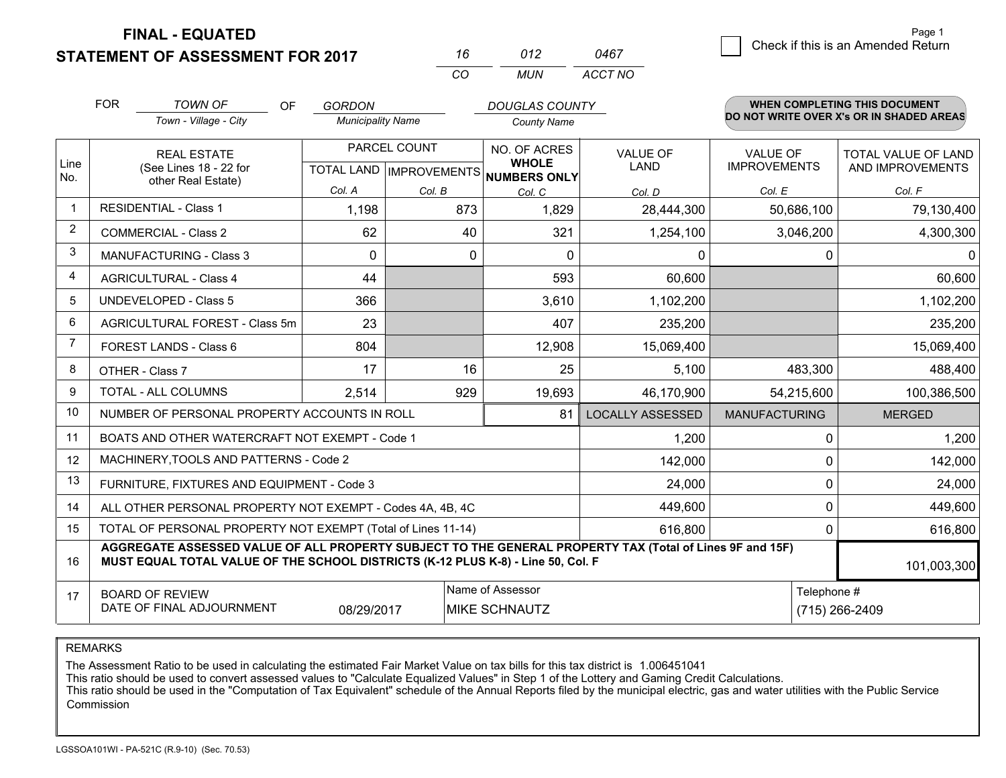**FINAL - EQUATED**

**STATEMENT OF ASSESSMENT FOR 2017** 

| 16  | 012 | 0467    |
|-----|-----|---------|
| CO. | MUN | ACCT NO |

|             | <b>FOR</b><br><b>TOWN OF</b><br><b>OF</b><br>Town - Village - City                                                                                                                           | <b>GORDON</b>            |                           | <b>DOUGLAS COUNTY</b>           |                         |                      | <b>WHEN COMPLETING THIS DOCUMENT</b><br>DO NOT WRITE OVER X's OR IN SHADED AREAS |
|-------------|----------------------------------------------------------------------------------------------------------------------------------------------------------------------------------------------|--------------------------|---------------------------|---------------------------------|-------------------------|----------------------|----------------------------------------------------------------------------------|
|             |                                                                                                                                                                                              | <b>Municipality Name</b> |                           | <b>County Name</b>              |                         |                      |                                                                                  |
|             | <b>REAL ESTATE</b>                                                                                                                                                                           |                          | PARCEL COUNT              | NO. OF ACRES<br><b>VALUE OF</b> |                         | <b>VALUE OF</b>      | <b>TOTAL VALUE OF LAND</b>                                                       |
| Line<br>No. | (See Lines 18 - 22 for<br>other Real Estate)                                                                                                                                                 |                          | TOTAL LAND   IMPROVEMENTS | <b>WHOLE</b><br>NUMBERS ONLY    | <b>LAND</b>             | <b>IMPROVEMENTS</b>  | AND IMPROVEMENTS                                                                 |
|             |                                                                                                                                                                                              | Col. A                   | Col. B                    | Col. C                          | Col. D                  | Col. E               | Col. F                                                                           |
| $\mathbf 1$ | <b>RESIDENTIAL - Class 1</b>                                                                                                                                                                 | 1,198                    | 873                       | 1,829                           | 28,444,300              | 50,686,100           | 79,130,400                                                                       |
| 2           | <b>COMMERCIAL - Class 2</b>                                                                                                                                                                  | 62                       | 40                        | 321                             | 1,254,100               | 3,046,200            | 4,300,300                                                                        |
| 3           | <b>MANUFACTURING - Class 3</b>                                                                                                                                                               | $\Omega$                 | 0                         | $\mathbf 0$                     | 0                       | 0                    | $\mathbf{0}$                                                                     |
| 4           | <b>AGRICULTURAL - Class 4</b>                                                                                                                                                                | 44                       |                           | 593                             | 60,600                  |                      | 60,600                                                                           |
| 5           | <b>UNDEVELOPED - Class 5</b>                                                                                                                                                                 | 366                      |                           | 3,610                           | 1,102,200               |                      | 1,102,200                                                                        |
| 6           | AGRICULTURAL FOREST - Class 5m                                                                                                                                                               | 23                       |                           | 407                             | 235,200                 |                      | 235,200                                                                          |
| 7           | FOREST LANDS - Class 6                                                                                                                                                                       | 804                      |                           | 12,908                          | 15,069,400              |                      | 15,069,400                                                                       |
| 8           | OTHER - Class 7                                                                                                                                                                              | 17                       | 16                        | 25                              | 5,100                   | 483,300              | 488,400                                                                          |
| 9           | TOTAL - ALL COLUMNS                                                                                                                                                                          | 2,514                    | 929                       | 19,693                          | 46,170,900              | 54,215,600           | 100,386,500                                                                      |
| 10          | NUMBER OF PERSONAL PROPERTY ACCOUNTS IN ROLL                                                                                                                                                 |                          |                           | 81                              | <b>LOCALLY ASSESSED</b> | <b>MANUFACTURING</b> | <b>MERGED</b>                                                                    |
| 11          | BOATS AND OTHER WATERCRAFT NOT EXEMPT - Code 1                                                                                                                                               |                          |                           |                                 | 1,200                   | 0                    | 1,200                                                                            |
| 12          | MACHINERY, TOOLS AND PATTERNS - Code 2                                                                                                                                                       |                          |                           |                                 | 142,000                 | $\Omega$             | 142,000                                                                          |
| 13          | FURNITURE, FIXTURES AND EQUIPMENT - Code 3                                                                                                                                                   |                          |                           |                                 | 24,000                  | 0                    | 24,000                                                                           |
| 14          | ALL OTHER PERSONAL PROPERTY NOT EXEMPT - Codes 4A, 4B, 4C                                                                                                                                    |                          |                           |                                 | 449,600                 | 0                    | 449,600                                                                          |
| 15          | TOTAL OF PERSONAL PROPERTY NOT EXEMPT (Total of Lines 11-14)                                                                                                                                 |                          |                           | 616,800                         | 0                       | 616,800              |                                                                                  |
| 16          | AGGREGATE ASSESSED VALUE OF ALL PROPERTY SUBJECT TO THE GENERAL PROPERTY TAX (Total of Lines 9F and 15F)<br>MUST EQUAL TOTAL VALUE OF THE SCHOOL DISTRICTS (K-12 PLUS K-8) - Line 50, Col. F |                          |                           |                                 |                         |                      | 101,003,300                                                                      |
| 17          | <b>BOARD OF REVIEW</b>                                                                                                                                                                       |                          |                           | Name of Assessor                |                         | Telephone #          |                                                                                  |
|             | DATE OF FINAL ADJOURNMENT                                                                                                                                                                    | 08/29/2017               |                           | MIKE SCHNAUTZ                   |                         |                      | (715) 266-2409                                                                   |

REMARKS

The Assessment Ratio to be used in calculating the estimated Fair Market Value on tax bills for this tax district is 1.006451041

This ratio should be used to convert assessed values to "Calculate Equalized Values" in Step 1 of the Lottery and Gaming Credit Calculations.<br>This ratio should be used in the "Computation of Tax Equivalent" schedule of the Commission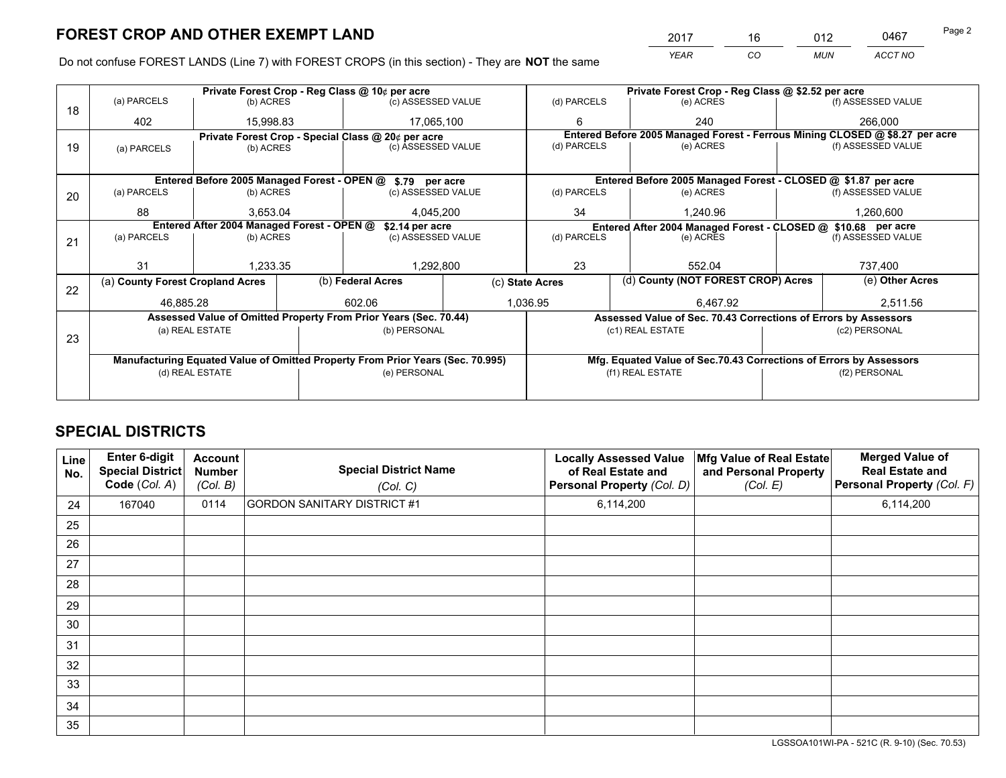*YEAR CO MUN ACCT NO* <sup>2017</sup> <sup>16</sup> <sup>012</sup> <sup>0467</sup> Page 2

Do not confuse FOREST LANDS (Line 7) with FOREST CROPS (in this section) - They are **NOT** the same

|    |                                                                                                                 |                 |             | Private Forest Crop - Reg Class @ 10¢ per acre                   |                                                                            | Private Forest Crop - Reg Class @ \$2.52 per acre                  |                                                                 |  |                                                                              |  |
|----|-----------------------------------------------------------------------------------------------------------------|-----------------|-------------|------------------------------------------------------------------|----------------------------------------------------------------------------|--------------------------------------------------------------------|-----------------------------------------------------------------|--|------------------------------------------------------------------------------|--|
| 18 | (a) PARCELS                                                                                                     | (b) ACRES       |             | (c) ASSESSED VALUE                                               | (d) PARCELS                                                                |                                                                    | (e) ACRES                                                       |  | (f) ASSESSED VALUE                                                           |  |
|    | 402                                                                                                             | 15,998.83       |             | 17,065,100                                                       | 6                                                                          |                                                                    | 240                                                             |  | 266,000                                                                      |  |
|    |                                                                                                                 |                 |             | Private Forest Crop - Special Class @ 20¢ per acre               |                                                                            |                                                                    |                                                                 |  | Entered Before 2005 Managed Forest - Ferrous Mining CLOSED @ \$8.27 per acre |  |
| 19 | (a) PARCELS                                                                                                     | (b) ACRES       |             | (c) ASSESSED VALUE                                               | (d) PARCELS                                                                |                                                                    | (e) ACRES                                                       |  | (f) ASSESSED VALUE                                                           |  |
|    |                                                                                                                 |                 |             |                                                                  |                                                                            |                                                                    |                                                                 |  |                                                                              |  |
|    |                                                                                                                 |                 |             | Entered Before 2005 Managed Forest - OPEN @ \$.79 per acre       |                                                                            |                                                                    | Entered Before 2005 Managed Forest - CLOSED @ \$1.87 per acre   |  |                                                                              |  |
| 20 | (a) PARCELS                                                                                                     | (b) ACRES       |             | (c) ASSESSED VALUE                                               | (d) PARCELS                                                                |                                                                    | (e) ACRES                                                       |  | (f) ASSESSED VALUE                                                           |  |
|    | 88                                                                                                              | 3,653.04        |             | 4,045,200                                                        | 34                                                                         |                                                                    | 1,240.96                                                        |  | 1,260,600                                                                    |  |
|    |                                                                                                                 |                 |             |                                                                  |                                                                            |                                                                    |                                                                 |  |                                                                              |  |
|    | Entered After 2004 Managed Forest - OPEN @<br>\$2.14 per acre<br>(a) PARCELS<br>(c) ASSESSED VALUE<br>(b) ACRES |                 | (d) PARCELS |                                                                  | Entered After 2004 Managed Forest - CLOSED @ \$10.68 per acre<br>(e) ACRES |                                                                    | (f) ASSESSED VALUE                                              |  |                                                                              |  |
| 21 |                                                                                                                 |                 |             |                                                                  |                                                                            |                                                                    |                                                                 |  |                                                                              |  |
|    |                                                                                                                 |                 |             |                                                                  |                                                                            |                                                                    |                                                                 |  |                                                                              |  |
|    | 31                                                                                                              | 1,233.35        |             | 1,292,800                                                        | 23                                                                         |                                                                    | 552.04                                                          |  | 737,400                                                                      |  |
|    | (a) County Forest Cropland Acres                                                                                |                 |             | (b) Federal Acres                                                | (c) State Acres                                                            |                                                                    | (d) County (NOT FOREST CROP) Acres                              |  | (e) Other Acres                                                              |  |
| 22 | 46,885.28                                                                                                       |                 |             | 602.06                                                           | 1,036.95                                                                   |                                                                    | 6,467.92                                                        |  | 2,511.56                                                                     |  |
|    |                                                                                                                 |                 |             |                                                                  |                                                                            |                                                                    |                                                                 |  |                                                                              |  |
|    |                                                                                                                 |                 |             | Assessed Value of Omitted Property From Prior Years (Sec. 70.44) |                                                                            |                                                                    | Assessed Value of Sec. 70.43 Corrections of Errors by Assessors |  |                                                                              |  |
| 23 |                                                                                                                 | (a) REAL ESTATE |             | (b) PERSONAL                                                     |                                                                            |                                                                    | (c1) REAL ESTATE                                                |  | (c2) PERSONAL                                                                |  |
|    |                                                                                                                 |                 |             |                                                                  |                                                                            |                                                                    |                                                                 |  |                                                                              |  |
|    | Manufacturing Equated Value of Omitted Property From Prior Years (Sec. 70.995)                                  |                 |             |                                                                  |                                                                            | Mfg. Equated Value of Sec.70.43 Corrections of Errors by Assessors |                                                                 |  |                                                                              |  |
|    |                                                                                                                 | (d) REAL ESTATE |             | (e) PERSONAL                                                     |                                                                            |                                                                    | (f1) REAL ESTATE                                                |  | (f2) PERSONAL                                                                |  |
|    |                                                                                                                 |                 |             |                                                                  |                                                                            |                                                                    |                                                                 |  |                                                                              |  |
|    |                                                                                                                 |                 |             |                                                                  |                                                                            |                                                                    |                                                                 |  |                                                                              |  |

## **SPECIAL DISTRICTS**

| Line<br>No. | Enter 6-digit<br>Special District<br>Code (Col. A) | <b>Account</b><br><b>Number</b><br>(Col. B) | <b>Special District Name</b><br>(Col. C) | <b>Locally Assessed Value</b><br>of Real Estate and<br>Personal Property (Col. D) | Mfg Value of Real Estate<br>and Personal Property<br>(Col. E) | <b>Merged Value of</b><br><b>Real Estate and</b><br>Personal Property (Col. F) |
|-------------|----------------------------------------------------|---------------------------------------------|------------------------------------------|-----------------------------------------------------------------------------------|---------------------------------------------------------------|--------------------------------------------------------------------------------|
| 24          | 167040                                             | 0114                                        | <b>GORDON SANITARY DISTRICT #1</b>       | 6,114,200                                                                         |                                                               | 6,114,200                                                                      |
| 25          |                                                    |                                             |                                          |                                                                                   |                                                               |                                                                                |
| 26          |                                                    |                                             |                                          |                                                                                   |                                                               |                                                                                |
| 27          |                                                    |                                             |                                          |                                                                                   |                                                               |                                                                                |
| 28          |                                                    |                                             |                                          |                                                                                   |                                                               |                                                                                |
| 29          |                                                    |                                             |                                          |                                                                                   |                                                               |                                                                                |
| 30          |                                                    |                                             |                                          |                                                                                   |                                                               |                                                                                |
| 31          |                                                    |                                             |                                          |                                                                                   |                                                               |                                                                                |
| 32          |                                                    |                                             |                                          |                                                                                   |                                                               |                                                                                |
| 33          |                                                    |                                             |                                          |                                                                                   |                                                               |                                                                                |
| 34          |                                                    |                                             |                                          |                                                                                   |                                                               |                                                                                |
| 35          |                                                    |                                             |                                          |                                                                                   |                                                               |                                                                                |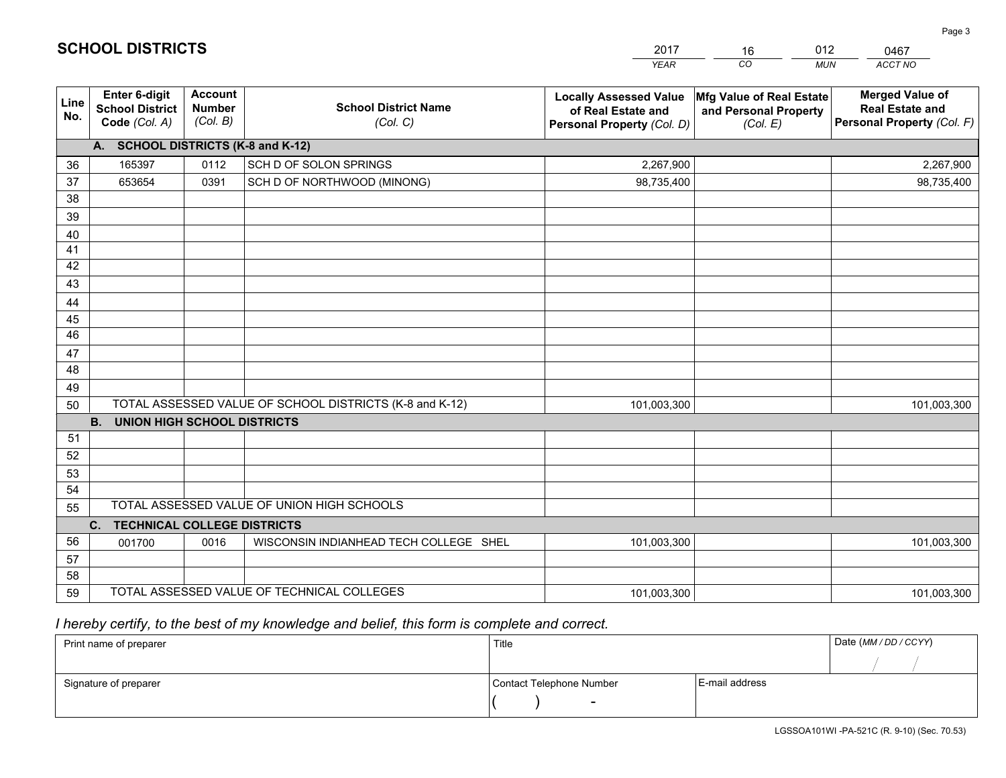|             |                                                          |                                             |                                                         | <b>YEAR</b>                                                                       | CO<br><b>MUN</b>                                                              | ACCT NO                                                                        |
|-------------|----------------------------------------------------------|---------------------------------------------|---------------------------------------------------------|-----------------------------------------------------------------------------------|-------------------------------------------------------------------------------|--------------------------------------------------------------------------------|
| Line<br>No. | Enter 6-digit<br><b>School District</b><br>Code (Col. A) | <b>Account</b><br><b>Number</b><br>(Col. B) | <b>School District Name</b><br>(Col. C)                 | <b>Locally Assessed Value</b><br>of Real Estate and<br>Personal Property (Col. D) | $ \mathsf{Mfg}$ Value of Real Estate $ $<br>and Personal Property<br>(Col. E) | <b>Merged Value of</b><br><b>Real Estate and</b><br>Personal Property (Col. F) |
|             | A. SCHOOL DISTRICTS (K-8 and K-12)                       |                                             |                                                         |                                                                                   |                                                                               |                                                                                |
| 36          | 165397                                                   | 0112                                        | SCH D OF SOLON SPRINGS                                  | 2,267,900                                                                         |                                                                               | 2,267,900                                                                      |
| 37          | 653654                                                   | 0391                                        | SCH D OF NORTHWOOD (MINONG)                             | 98,735,400                                                                        |                                                                               | 98,735,400                                                                     |
| 38          |                                                          |                                             |                                                         |                                                                                   |                                                                               |                                                                                |
| 39          |                                                          |                                             |                                                         |                                                                                   |                                                                               |                                                                                |
| 40          |                                                          |                                             |                                                         |                                                                                   |                                                                               |                                                                                |
| 41          |                                                          |                                             |                                                         |                                                                                   |                                                                               |                                                                                |
| 42          |                                                          |                                             |                                                         |                                                                                   |                                                                               |                                                                                |
| 43          |                                                          |                                             |                                                         |                                                                                   |                                                                               |                                                                                |
| 44          |                                                          |                                             |                                                         |                                                                                   |                                                                               |                                                                                |
| 45          |                                                          |                                             |                                                         |                                                                                   |                                                                               |                                                                                |
| 46          |                                                          |                                             |                                                         |                                                                                   |                                                                               |                                                                                |
| 47          |                                                          |                                             |                                                         |                                                                                   |                                                                               |                                                                                |
| 48          |                                                          |                                             |                                                         |                                                                                   |                                                                               |                                                                                |
| 49          |                                                          |                                             | TOTAL ASSESSED VALUE OF SCHOOL DISTRICTS (K-8 and K-12) |                                                                                   |                                                                               |                                                                                |
| 50          | <b>B.</b><br><b>UNION HIGH SCHOOL DISTRICTS</b>          |                                             |                                                         | 101,003,300                                                                       |                                                                               | 101,003,300                                                                    |
| 51          |                                                          |                                             |                                                         |                                                                                   |                                                                               |                                                                                |
| 52          |                                                          |                                             |                                                         |                                                                                   |                                                                               |                                                                                |
| 53          |                                                          |                                             |                                                         |                                                                                   |                                                                               |                                                                                |
| 54          |                                                          |                                             |                                                         |                                                                                   |                                                                               |                                                                                |
| 55          |                                                          |                                             | TOTAL ASSESSED VALUE OF UNION HIGH SCHOOLS              |                                                                                   |                                                                               |                                                                                |
|             | C. TECHNICAL COLLEGE DISTRICTS                           |                                             |                                                         |                                                                                   |                                                                               |                                                                                |
| 56          | 001700                                                   | 0016                                        | WISCONSIN INDIANHEAD TECH COLLEGE SHEL                  | 101,003,300                                                                       |                                                                               | 101,003,300                                                                    |
| 57          |                                                          |                                             |                                                         |                                                                                   |                                                                               |                                                                                |
| 58          |                                                          |                                             |                                                         |                                                                                   |                                                                               |                                                                                |
| 59          |                                                          |                                             | TOTAL ASSESSED VALUE OF TECHNICAL COLLEGES              | 101,003,300                                                                       |                                                                               | 101,003,300                                                                    |

16

012

 *I hereby certify, to the best of my knowledge and belief, this form is complete and correct.*

**SCHOOL DISTRICTS**

| Print name of preparer | Title                    |                | Date (MM / DD / CCYY) |
|------------------------|--------------------------|----------------|-----------------------|
|                        |                          |                |                       |
| Signature of preparer  | Contact Telephone Number | E-mail address |                       |
|                        | $\sim$                   |                |                       |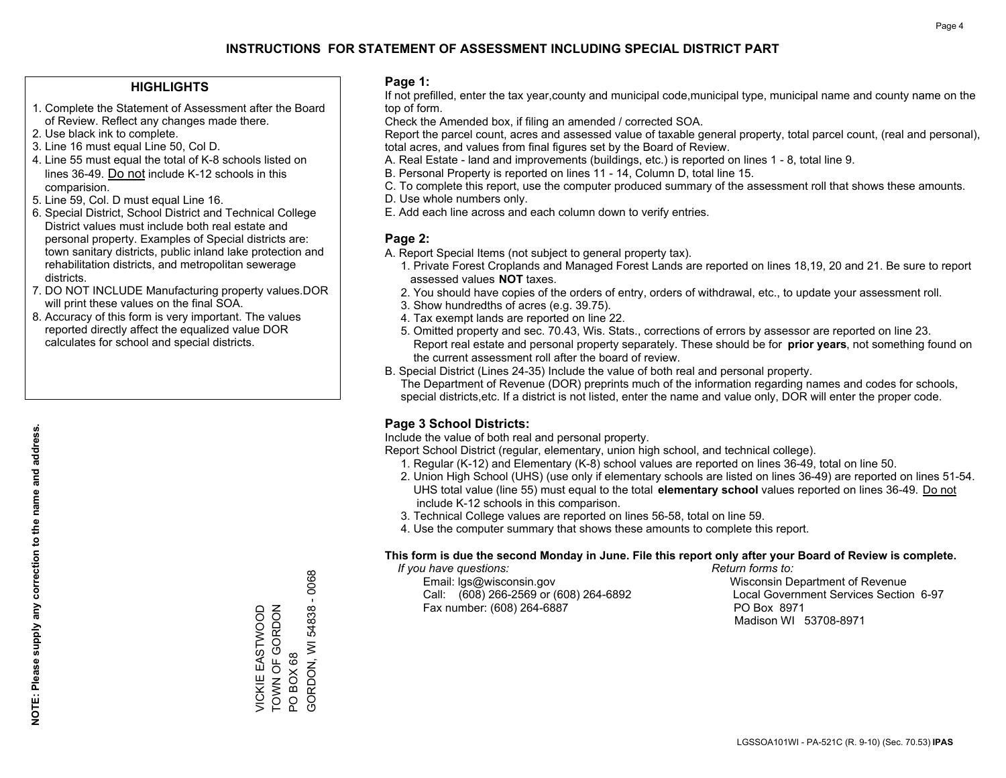#### **HIGHLIGHTS**

- 1. Complete the Statement of Assessment after the Board of Review. Reflect any changes made there.
- 2. Use black ink to complete.
- 3. Line 16 must equal Line 50, Col D.
- 4. Line 55 must equal the total of K-8 schools listed on lines 36-49. Do not include K-12 schools in this comparision.
- 5. Line 59, Col. D must equal Line 16.
- 6. Special District, School District and Technical College District values must include both real estate and personal property. Examples of Special districts are: town sanitary districts, public inland lake protection and rehabilitation districts, and metropolitan sewerage districts.
- 7. DO NOT INCLUDE Manufacturing property values.DOR will print these values on the final SOA.
- 8. Accuracy of this form is very important. The values reported directly affect the equalized value DOR calculates for school and special districts.

#### **Page 1:**

 If not prefilled, enter the tax year,county and municipal code,municipal type, municipal name and county name on the top of form.

Check the Amended box, if filing an amended / corrected SOA.

 Report the parcel count, acres and assessed value of taxable general property, total parcel count, (real and personal), total acres, and values from final figures set by the Board of Review.

- A. Real Estate land and improvements (buildings, etc.) is reported on lines 1 8, total line 9.
- B. Personal Property is reported on lines 11 14, Column D, total line 15.
- C. To complete this report, use the computer produced summary of the assessment roll that shows these amounts.
- D. Use whole numbers only.
- E. Add each line across and each column down to verify entries.

#### **Page 2:**

- A. Report Special Items (not subject to general property tax).
- 1. Private Forest Croplands and Managed Forest Lands are reported on lines 18,19, 20 and 21. Be sure to report assessed values **NOT** taxes.
- 2. You should have copies of the orders of entry, orders of withdrawal, etc., to update your assessment roll.
	- 3. Show hundredths of acres (e.g. 39.75).
- 4. Tax exempt lands are reported on line 22.
- 5. Omitted property and sec. 70.43, Wis. Stats., corrections of errors by assessor are reported on line 23. Report real estate and personal property separately. These should be for **prior years**, not something found on the current assessment roll after the board of review.
- B. Special District (Lines 24-35) Include the value of both real and personal property.

 The Department of Revenue (DOR) preprints much of the information regarding names and codes for schools, special districts,etc. If a district is not listed, enter the name and value only, DOR will enter the proper code.

### **Page 3 School Districts:**

Include the value of both real and personal property.

Report School District (regular, elementary, union high school, and technical college).

- 1. Regular (K-12) and Elementary (K-8) school values are reported on lines 36-49, total on line 50.
- 2. Union High School (UHS) (use only if elementary schools are listed on lines 36-49) are reported on lines 51-54. UHS total value (line 55) must equal to the total **elementary school** values reported on lines 36-49. Do notinclude K-12 schools in this comparison.
- 3. Technical College values are reported on lines 56-58, total on line 59.
- 4. Use the computer summary that shows these amounts to complete this report.

#### **This form is due the second Monday in June. File this report only after your Board of Review is complete.**

 *If you have questions: Return forms to:*

 Email: lgs@wisconsin.gov Wisconsin Department of RevenueCall:  $(608)$  266-2569 or  $(608)$  264-6892 Fax number: (608) 264-6887 PO Box 8971

Local Government Services Section 6-97 Madison WI 53708-8971

 $-0068$ GORDON, WI 54838 - 0068 TOWN OF GORDON VICKIE EASTWOOD<br>TOWN OF GORDON GORDON, WI 54838 VICKIE EASTWOOD PO BOX 68 PO BOX 68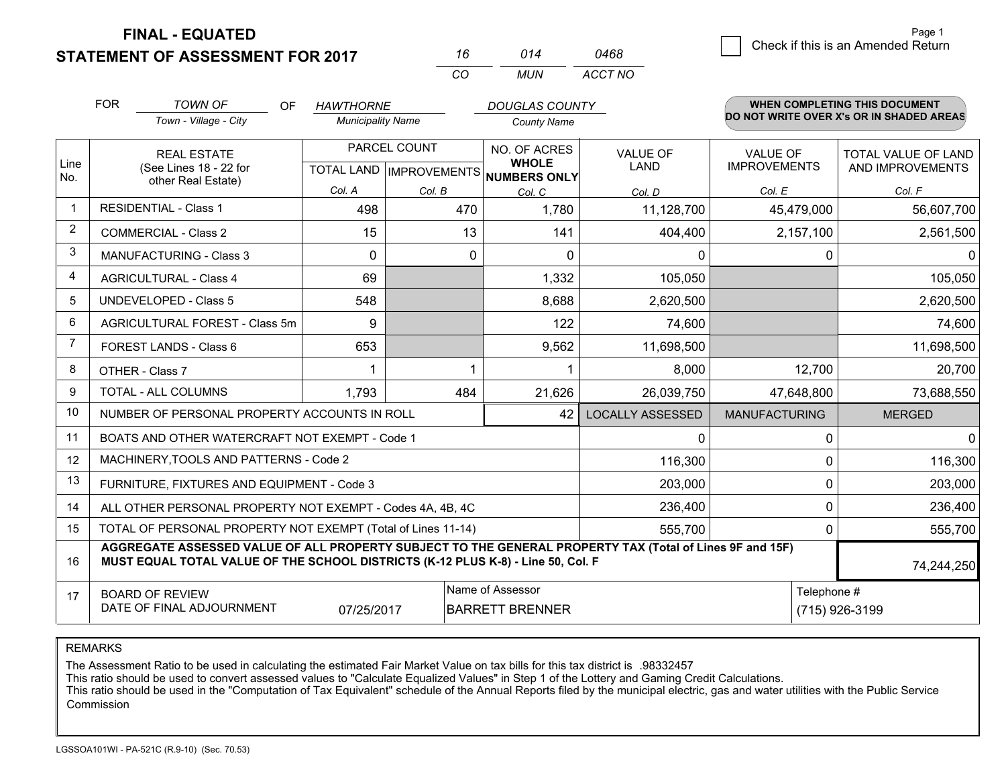**STATEMENT OF ASSESSMENT FOR 2017** 

**FINAL - EQUATED**

|   |                                    | Page 1 |
|---|------------------------------------|--------|
| 8 | Check if this is an Amended Return |        |

|                | <b>FOR</b> | <b>TOWN OF</b><br>OF.<br>Town - Village - City                                                                                                                                               | <b>HAWTHORNE</b><br><b>Municipality Name</b> |              | <b>DOUGLAS COUNTY</b><br><b>County Name</b>                                 |                                |                                        | <b>WHEN COMPLETING THIS DOCUMENT</b><br>DO NOT WRITE OVER X's OR IN SHADED AREAS |
|----------------|------------|----------------------------------------------------------------------------------------------------------------------------------------------------------------------------------------------|----------------------------------------------|--------------|-----------------------------------------------------------------------------|--------------------------------|----------------------------------------|----------------------------------------------------------------------------------|
| Line<br>No.    |            | <b>REAL ESTATE</b><br>(See Lines 18 - 22 for                                                                                                                                                 |                                              | PARCEL COUNT | <b>NO. OF ACRES</b><br><b>WHOLE</b><br>TOTAL LAND IMPROVEMENTS NUMBERS ONLY | <b>VALUE OF</b><br><b>LAND</b> | <b>VALUE OF</b><br><b>IMPROVEMENTS</b> | TOTAL VALUE OF LAND<br>AND IMPROVEMENTS                                          |
|                |            | other Real Estate)                                                                                                                                                                           | Col. A                                       | Col. B       | Col. C                                                                      | Col. D                         | Col. E                                 | Col. F                                                                           |
|                |            | <b>RESIDENTIAL - Class 1</b>                                                                                                                                                                 | 498                                          | 470          | 1,780                                                                       | 11,128,700                     | 45,479,000                             | 56,607,700                                                                       |
| $\overline{2}$ |            | <b>COMMERCIAL - Class 2</b>                                                                                                                                                                  | 15                                           |              | 13<br>141                                                                   | 404,400                        | 2,157,100                              | 2,561,500                                                                        |
| 3              |            | <b>MANUFACTURING - Class 3</b>                                                                                                                                                               | 0                                            |              | 0<br>0                                                                      | 0                              |                                        | 0<br>0                                                                           |
| 4              |            | <b>AGRICULTURAL - Class 4</b>                                                                                                                                                                | 69                                           |              | 1,332                                                                       | 105,050                        |                                        | 105,050                                                                          |
| 5              |            | <b>UNDEVELOPED - Class 5</b>                                                                                                                                                                 | 548                                          |              | 8,688                                                                       | 2,620,500                      |                                        | 2,620,500                                                                        |
| 6              |            | AGRICULTURAL FOREST - Class 5m                                                                                                                                                               | 9                                            |              | 122                                                                         | 74,600                         |                                        | 74,600                                                                           |
| 7              |            | FOREST LANDS - Class 6                                                                                                                                                                       | 653                                          |              | 9,562                                                                       | 11,698,500                     |                                        | 11,698,500                                                                       |
| 8              |            | OTHER - Class 7                                                                                                                                                                              |                                              |              |                                                                             | 8,000                          | 12,700                                 | 20,700                                                                           |
| 9              |            | TOTAL - ALL COLUMNS                                                                                                                                                                          | 1,793                                        | 484          | 21,626                                                                      | 26,039,750                     | 47,648,800                             | 73,688,550                                                                       |
| 10             |            | NUMBER OF PERSONAL PROPERTY ACCOUNTS IN ROLL                                                                                                                                                 |                                              |              | 42                                                                          | <b>LOCALLY ASSESSED</b>        | <b>MANUFACTURING</b>                   | <b>MERGED</b>                                                                    |
| 11             |            | BOATS AND OTHER WATERCRAFT NOT EXEMPT - Code 1                                                                                                                                               |                                              |              |                                                                             | 0                              |                                        | $\Omega$<br>$\Omega$                                                             |
| 12             |            | MACHINERY, TOOLS AND PATTERNS - Code 2                                                                                                                                                       |                                              |              |                                                                             | 116,300                        |                                        | 0<br>116,300                                                                     |
| 13             |            | FURNITURE, FIXTURES AND EQUIPMENT - Code 3                                                                                                                                                   |                                              |              |                                                                             | 203,000                        |                                        | $\Omega$<br>203,000                                                              |
| 14             |            | ALL OTHER PERSONAL PROPERTY NOT EXEMPT - Codes 4A, 4B, 4C                                                                                                                                    |                                              |              |                                                                             | 236,400                        |                                        | $\mathbf{0}$<br>236,400                                                          |
| 15             |            | TOTAL OF PERSONAL PROPERTY NOT EXEMPT (Total of Lines 11-14)                                                                                                                                 |                                              |              |                                                                             | 555,700                        |                                        | $\Omega$<br>555,700                                                              |
| 16             |            | AGGREGATE ASSESSED VALUE OF ALL PROPERTY SUBJECT TO THE GENERAL PROPERTY TAX (Total of Lines 9F and 15F)<br>MUST EQUAL TOTAL VALUE OF THE SCHOOL DISTRICTS (K-12 PLUS K-8) - Line 50, Col. F |                                              |              |                                                                             |                                |                                        | 74,244,250                                                                       |
| 17             |            | <b>BOARD OF REVIEW</b><br>DATE OF FINAL ADJOURNMENT                                                                                                                                          | 07/25/2017                                   |              | Name of Assessor<br><b>BARRETT BRENNER</b>                                  |                                |                                        | Telephone #<br>(715) 926-3199                                                    |

*CO*

*MUN*

*ACCT NO0468*

*<sup>16</sup> <sup>014</sup>*

REMARKS

The Assessment Ratio to be used in calculating the estimated Fair Market Value on tax bills for this tax district is .98332457<br>This ratio should be used to convert assessed values to "Calculate Equalized Values" in Step 1 Commission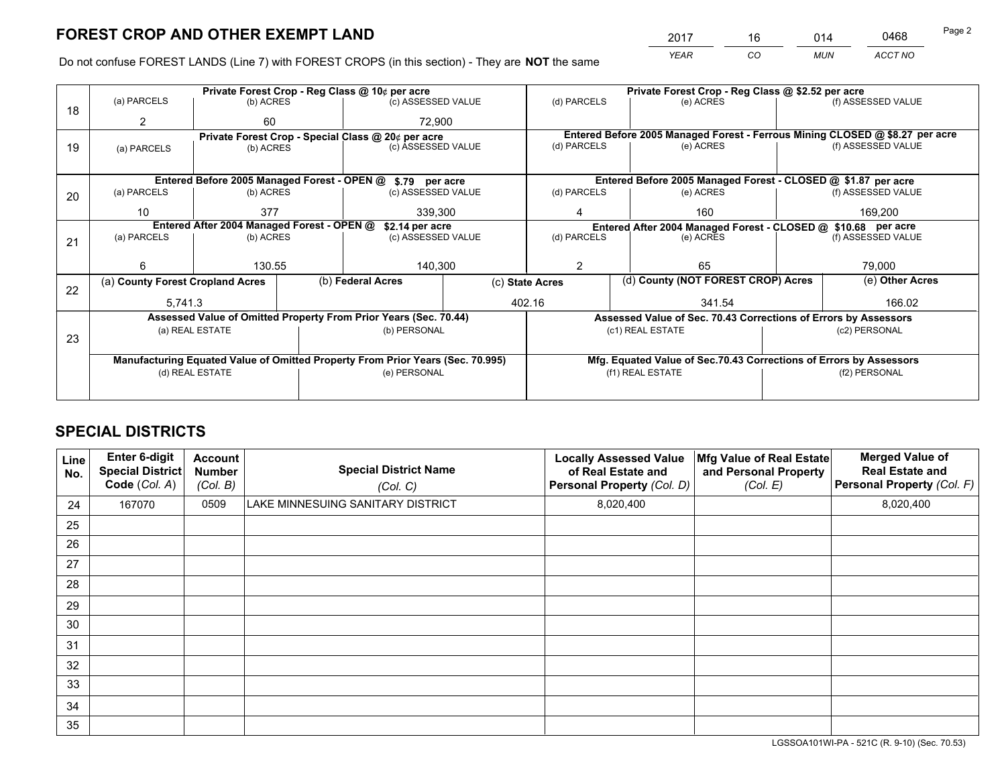*YEAR CO MUN ACCT NO* <sup>2017</sup> <sup>16</sup> <sup>014</sup> <sup>0468</sup>

Do not confuse FOREST LANDS (Line 7) with FOREST CROPS (in this section) - They are **NOT** the same

|    |                                                            |                                                    |  | Private Forest Crop - Reg Class @ 10¢ per acre                                 |                                                                              | Private Forest Crop - Reg Class @ \$2.52 per acre                  |                                                                 |                                    |               |                                                               |
|----|------------------------------------------------------------|----------------------------------------------------|--|--------------------------------------------------------------------------------|------------------------------------------------------------------------------|--------------------------------------------------------------------|-----------------------------------------------------------------|------------------------------------|---------------|---------------------------------------------------------------|
| 18 | (a) PARCELS                                                | (b) ACRES                                          |  | (c) ASSESSED VALUE                                                             |                                                                              | (d) PARCELS                                                        |                                                                 | (e) ACRES                          |               | (f) ASSESSED VALUE                                            |
|    | $\overline{2}$                                             | 60                                                 |  | 72.900                                                                         |                                                                              |                                                                    |                                                                 |                                    |               |                                                               |
|    |                                                            | Private Forest Crop - Special Class @ 20¢ per acre |  |                                                                                | Entered Before 2005 Managed Forest - Ferrous Mining CLOSED @ \$8.27 per acre |                                                                    |                                                                 |                                    |               |                                                               |
| 19 | (a) PARCELS                                                | (c) ASSESSED VALUE<br>(b) ACRES                    |  | (d) PARCELS                                                                    |                                                                              | (e) ACRES                                                          |                                                                 | (f) ASSESSED VALUE                 |               |                                                               |
|    |                                                            |                                                    |  |                                                                                |                                                                              |                                                                    |                                                                 |                                    |               |                                                               |
|    | Entered Before 2005 Managed Forest - OPEN @ \$.79 per acre |                                                    |  |                                                                                |                                                                              |                                                                    |                                                                 |                                    |               | Entered Before 2005 Managed Forest - CLOSED @ \$1.87 per acre |
| 20 | (a) PARCELS                                                | (b) ACRES                                          |  | (c) ASSESSED VALUE                                                             |                                                                              | (d) PARCELS                                                        |                                                                 | (e) ACRES                          |               | (f) ASSESSED VALUE                                            |
|    | 10                                                         | 377                                                |  | 339,300                                                                        |                                                                              | 4                                                                  |                                                                 | 160                                | 169,200       |                                                               |
|    |                                                            | Entered After 2004 Managed Forest - OPEN @         |  | \$2.14 per acre                                                                | Entered After 2004 Managed Forest - CLOSED @ \$10.68 per acre                |                                                                    |                                                                 |                                    |               |                                                               |
| 21 | (a) PARCELS                                                | (b) ACRES                                          |  | (c) ASSESSED VALUE                                                             |                                                                              | (d) PARCELS<br>(e) ACRES                                           |                                                                 | (f) ASSESSED VALUE                 |               |                                                               |
|    |                                                            |                                                    |  |                                                                                |                                                                              |                                                                    |                                                                 |                                    |               |                                                               |
|    | 6                                                          | 130.55                                             |  | 140,300                                                                        |                                                                              | 65<br>2                                                            |                                                                 |                                    | 79,000        |                                                               |
| 22 | (a) County Forest Cropland Acres                           |                                                    |  | (b) Federal Acres                                                              | (c) State Acres                                                              |                                                                    |                                                                 | (d) County (NOT FOREST CROP) Acres |               | (e) Other Acres                                               |
|    | 5,741.3                                                    |                                                    |  |                                                                                |                                                                              | 402.16<br>341.54                                                   |                                                                 |                                    | 166.02        |                                                               |
|    |                                                            |                                                    |  | Assessed Value of Omitted Property From Prior Years (Sec. 70.44)               |                                                                              |                                                                    | Assessed Value of Sec. 70.43 Corrections of Errors by Assessors |                                    |               |                                                               |
|    |                                                            | (a) REAL ESTATE                                    |  | (b) PERSONAL                                                                   |                                                                              |                                                                    | (c1) REAL ESTATE                                                |                                    |               | (c2) PERSONAL                                                 |
| 23 |                                                            |                                                    |  |                                                                                |                                                                              |                                                                    |                                                                 |                                    |               |                                                               |
|    |                                                            |                                                    |  | Manufacturing Equated Value of Omitted Property From Prior Years (Sec. 70.995) |                                                                              | Mfg. Equated Value of Sec.70.43 Corrections of Errors by Assessors |                                                                 |                                    |               |                                                               |
|    | (d) REAL ESTATE                                            |                                                    |  | (e) PERSONAL                                                                   |                                                                              | (f1) REAL ESTATE                                                   |                                                                 |                                    | (f2) PERSONAL |                                                               |
|    |                                                            |                                                    |  |                                                                                |                                                                              |                                                                    |                                                                 |                                    |               |                                                               |
|    |                                                            |                                                    |  |                                                                                |                                                                              |                                                                    |                                                                 |                                    |               |                                                               |

## **SPECIAL DISTRICTS**

| Line<br>No. | Enter 6-digit<br><b>Special District</b><br>Code (Col. A) | <b>Account</b><br><b>Number</b><br>(Col. B) | <b>Special District Name</b><br>(Col. C) | <b>Locally Assessed Value</b><br>of Real Estate and<br>Personal Property (Col. D) | Mfg Value of Real Estate<br>and Personal Property<br>(Col. E) | <b>Merged Value of</b><br><b>Real Estate and</b><br>Personal Property (Col. F) |
|-------------|-----------------------------------------------------------|---------------------------------------------|------------------------------------------|-----------------------------------------------------------------------------------|---------------------------------------------------------------|--------------------------------------------------------------------------------|
| 24          | 167070                                                    | 0509                                        | LAKE MINNESUING SANITARY DISTRICT        | 8,020,400                                                                         |                                                               | 8,020,400                                                                      |
| 25          |                                                           |                                             |                                          |                                                                                   |                                                               |                                                                                |
| 26          |                                                           |                                             |                                          |                                                                                   |                                                               |                                                                                |
| 27          |                                                           |                                             |                                          |                                                                                   |                                                               |                                                                                |
| 28          |                                                           |                                             |                                          |                                                                                   |                                                               |                                                                                |
| 29          |                                                           |                                             |                                          |                                                                                   |                                                               |                                                                                |
| 30          |                                                           |                                             |                                          |                                                                                   |                                                               |                                                                                |
| 31          |                                                           |                                             |                                          |                                                                                   |                                                               |                                                                                |
| 32          |                                                           |                                             |                                          |                                                                                   |                                                               |                                                                                |
| 33          |                                                           |                                             |                                          |                                                                                   |                                                               |                                                                                |
| 34          |                                                           |                                             |                                          |                                                                                   |                                                               |                                                                                |
| 35          |                                                           |                                             |                                          |                                                                                   |                                                               |                                                                                |

LGSSOA101WI-PA - 521C (R. 9-10) (Sec. 70.53)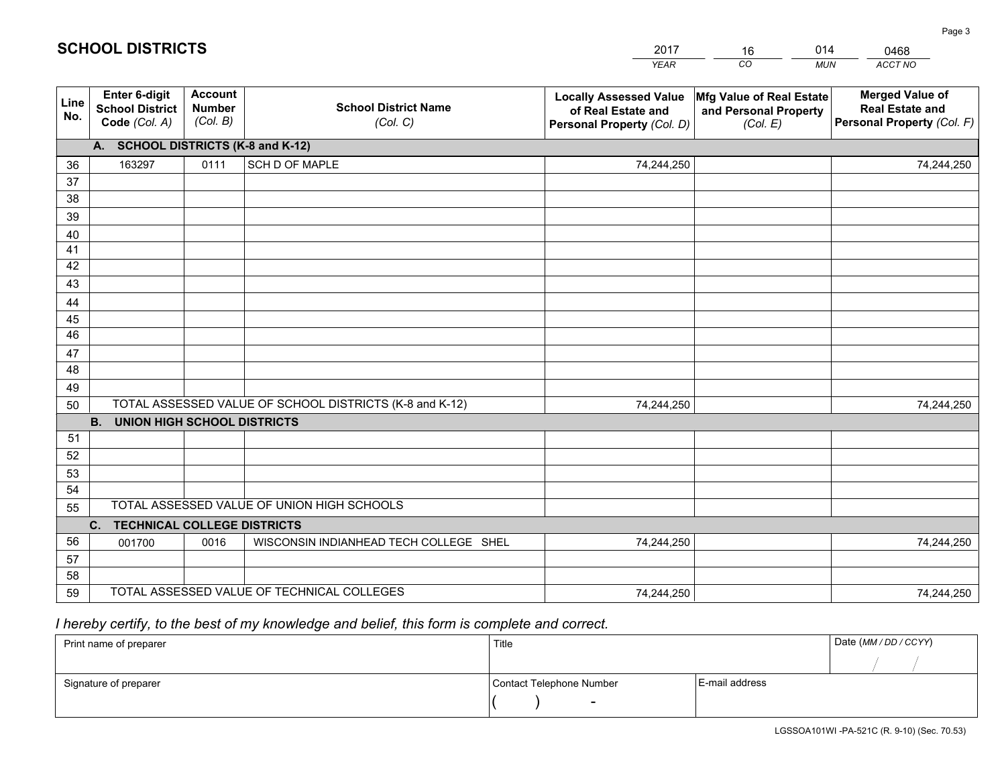|                 |                                                          |                                             |                                                         | <b>YEAR</b>                                                                       | CO<br><b>MUN</b>                                              | ACCT NO                                                                        |
|-----------------|----------------------------------------------------------|---------------------------------------------|---------------------------------------------------------|-----------------------------------------------------------------------------------|---------------------------------------------------------------|--------------------------------------------------------------------------------|
| Line<br>No.     | Enter 6-digit<br><b>School District</b><br>Code (Col. A) | <b>Account</b><br><b>Number</b><br>(Col. B) | <b>School District Name</b><br>(Col. C)                 | <b>Locally Assessed Value</b><br>of Real Estate and<br>Personal Property (Col. D) | Mfg Value of Real Estate<br>and Personal Property<br>(Col. E) | <b>Merged Value of</b><br><b>Real Estate and</b><br>Personal Property (Col. F) |
|                 | A. SCHOOL DISTRICTS (K-8 and K-12)                       |                                             |                                                         |                                                                                   |                                                               |                                                                                |
| 36              | 163297                                                   | 0111                                        | SCH D OF MAPLE                                          | 74,244,250                                                                        |                                                               | 74,244,250                                                                     |
| 37              |                                                          |                                             |                                                         |                                                                                   |                                                               |                                                                                |
| 38              |                                                          |                                             |                                                         |                                                                                   |                                                               |                                                                                |
| 39              |                                                          |                                             |                                                         |                                                                                   |                                                               |                                                                                |
| 40              |                                                          |                                             |                                                         |                                                                                   |                                                               |                                                                                |
| 41<br>42        |                                                          |                                             |                                                         |                                                                                   |                                                               |                                                                                |
| 43              |                                                          |                                             |                                                         |                                                                                   |                                                               |                                                                                |
| 44              |                                                          |                                             |                                                         |                                                                                   |                                                               |                                                                                |
| 45              |                                                          |                                             |                                                         |                                                                                   |                                                               |                                                                                |
| $\overline{46}$ |                                                          |                                             |                                                         |                                                                                   |                                                               |                                                                                |
| 47              |                                                          |                                             |                                                         |                                                                                   |                                                               |                                                                                |
| 48              |                                                          |                                             |                                                         |                                                                                   |                                                               |                                                                                |
| 49              |                                                          |                                             |                                                         |                                                                                   |                                                               |                                                                                |
| 50              |                                                          |                                             | TOTAL ASSESSED VALUE OF SCHOOL DISTRICTS (K-8 and K-12) | 74,244,250                                                                        |                                                               | 74,244,250                                                                     |
|                 | <b>B.</b><br><b>UNION HIGH SCHOOL DISTRICTS</b>          |                                             |                                                         |                                                                                   |                                                               |                                                                                |
| 51              |                                                          |                                             |                                                         |                                                                                   |                                                               |                                                                                |
| 52              |                                                          |                                             |                                                         |                                                                                   |                                                               |                                                                                |
| 53              |                                                          |                                             |                                                         |                                                                                   |                                                               |                                                                                |
| 54              |                                                          |                                             |                                                         |                                                                                   |                                                               |                                                                                |
| 55              |                                                          |                                             | TOTAL ASSESSED VALUE OF UNION HIGH SCHOOLS              |                                                                                   |                                                               |                                                                                |
|                 | C. TECHNICAL COLLEGE DISTRICTS                           |                                             |                                                         |                                                                                   |                                                               |                                                                                |
| 56              | 001700                                                   | 0016                                        | WISCONSIN INDIANHEAD TECH COLLEGE SHEL                  | 74,244,250                                                                        |                                                               | 74,244,250                                                                     |
| 57<br>58        |                                                          |                                             |                                                         |                                                                                   |                                                               |                                                                                |
| 59              |                                                          |                                             | TOTAL ASSESSED VALUE OF TECHNICAL COLLEGES              | 74,244,250                                                                        |                                                               | 74,244,250                                                                     |
|                 |                                                          |                                             |                                                         |                                                                                   |                                                               |                                                                                |

16

014

 *I hereby certify, to the best of my knowledge and belief, this form is complete and correct.*

**SCHOOL DISTRICTS**

| Print name of preparer | Title                    |                | Date (MM / DD / CCYY) |
|------------------------|--------------------------|----------------|-----------------------|
|                        |                          |                |                       |
| Signature of preparer  | Contact Telephone Number | E-mail address |                       |
|                        | $\overline{\phantom{0}}$ |                |                       |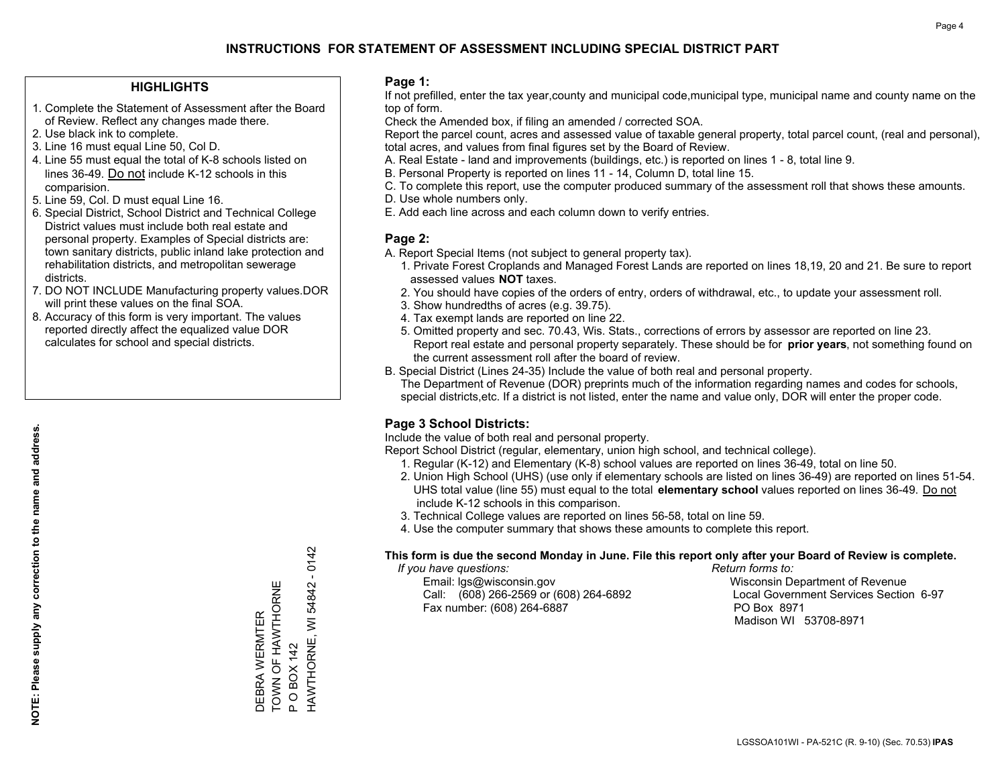#### **HIGHLIGHTS**

- 1. Complete the Statement of Assessment after the Board of Review. Reflect any changes made there.
- 2. Use black ink to complete.
- 3. Line 16 must equal Line 50, Col D.
- 4. Line 55 must equal the total of K-8 schools listed on lines 36-49. Do not include K-12 schools in this comparision.
- 5. Line 59, Col. D must equal Line 16.
- 6. Special District, School District and Technical College District values must include both real estate and personal property. Examples of Special districts are: town sanitary districts, public inland lake protection and rehabilitation districts, and metropolitan sewerage districts.
- 7. DO NOT INCLUDE Manufacturing property values.DOR will print these values on the final SOA.

DEBRA WERMTER TOWN OF HAWTHORNE

DEBRA WERMTER<br>TOWN OF HAWTHORNE

P O BOX 142

 $\Omega$ 

O BOX 142

HAWTHORNE, WI 54842 - 0142

HAWTHORNE, WI 54842 - 0142

 8. Accuracy of this form is very important. The values reported directly affect the equalized value DOR calculates for school and special districts.

#### **Page 1:**

 If not prefilled, enter the tax year,county and municipal code,municipal type, municipal name and county name on the top of form.

Check the Amended box, if filing an amended / corrected SOA.

 Report the parcel count, acres and assessed value of taxable general property, total parcel count, (real and personal), total acres, and values from final figures set by the Board of Review.

- A. Real Estate land and improvements (buildings, etc.) is reported on lines 1 8, total line 9.
- B. Personal Property is reported on lines 11 14, Column D, total line 15.
- C. To complete this report, use the computer produced summary of the assessment roll that shows these amounts.
- D. Use whole numbers only.
- E. Add each line across and each column down to verify entries.

#### **Page 2:**

- A. Report Special Items (not subject to general property tax).
- 1. Private Forest Croplands and Managed Forest Lands are reported on lines 18,19, 20 and 21. Be sure to report assessed values **NOT** taxes.
- 2. You should have copies of the orders of entry, orders of withdrawal, etc., to update your assessment roll.
	- 3. Show hundredths of acres (e.g. 39.75).
- 4. Tax exempt lands are reported on line 22.
- 5. Omitted property and sec. 70.43, Wis. Stats., corrections of errors by assessor are reported on line 23. Report real estate and personal property separately. These should be for **prior years**, not something found on the current assessment roll after the board of review.
- B. Special District (Lines 24-35) Include the value of both real and personal property.

 The Department of Revenue (DOR) preprints much of the information regarding names and codes for schools, special districts,etc. If a district is not listed, enter the name and value only, DOR will enter the proper code.

### **Page 3 School Districts:**

Include the value of both real and personal property.

Report School District (regular, elementary, union high school, and technical college).

- 1. Regular (K-12) and Elementary (K-8) school values are reported on lines 36-49, total on line 50.
- 2. Union High School (UHS) (use only if elementary schools are listed on lines 36-49) are reported on lines 51-54. UHS total value (line 55) must equal to the total **elementary school** values reported on lines 36-49. Do notinclude K-12 schools in this comparison.
- 3. Technical College values are reported on lines 56-58, total on line 59.
- 4. Use the computer summary that shows these amounts to complete this report.

#### **This form is due the second Monday in June. File this report only after your Board of Review is complete.**

 *If you have questions: Return forms to:*

 Email: lgs@wisconsin.gov Wisconsin Department of RevenueCall:  $(608)$  266-2569 or  $(608)$  264-6892 Fax number: (608) 264-6887 PO Box 8971

Local Government Services Section 6-97 Madison WI 53708-8971

LGSSOA101WI - PA-521C (R. 9-10) (Sec. 70.53) **IPAS**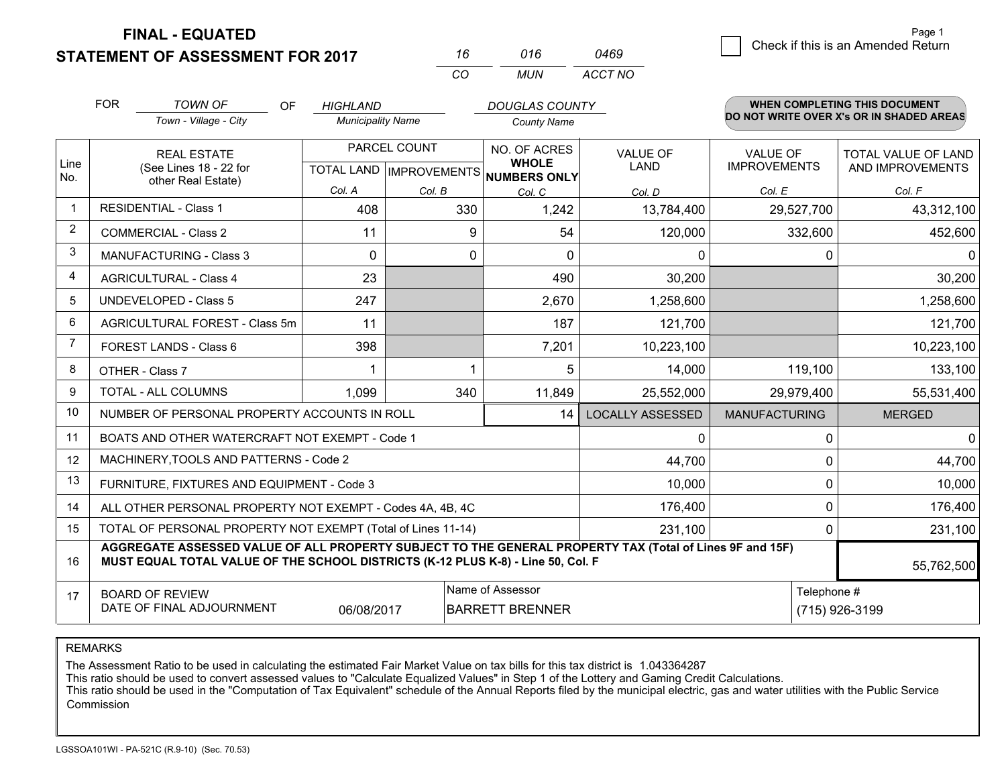**FINAL - EQUATED**

**STATEMENT OF ASSESSMENT FOR 2017** 

| 16  | 016 | 0469    |
|-----|-----|---------|
| CO. | MUN | ACCT NO |

|                | <b>FOR</b><br><b>TOWN OF</b><br><b>OF</b><br>Town - Village - City                                                                                                                                         | <b>HIGHLAND</b><br><b>Municipality Name</b> |              | <b>DOUGLAS COUNTY</b><br><b>County Name</b>                                     |                                |                                 | <b>WHEN COMPLETING THIS DOCUMENT</b><br>DO NOT WRITE OVER X's OR IN SHADED AREAS |
|----------------|------------------------------------------------------------------------------------------------------------------------------------------------------------------------------------------------------------|---------------------------------------------|--------------|---------------------------------------------------------------------------------|--------------------------------|---------------------------------|----------------------------------------------------------------------------------|
| Line<br>No.    | <b>REAL ESTATE</b><br>(See Lines 18 - 22 for<br>other Real Estate)                                                                                                                                         |                                             | PARCEL COUNT | <b>NO. OF ACRES</b><br><b>WHOLE</b><br>TOTAL LAND   IMPROVEMENTS   NUMBERS ONLY | <b>VALUE OF</b><br><b>LAND</b> | VALUE OF<br><b>IMPROVEMENTS</b> | TOTAL VALUE OF LAND<br>AND IMPROVEMENTS                                          |
|                |                                                                                                                                                                                                            | Col. A                                      | Col. B       | Col. C                                                                          | Col. D                         | Col. E                          | Col. F                                                                           |
| $\mathbf 1$    | <b>RESIDENTIAL - Class 1</b>                                                                                                                                                                               | 408                                         | 330          | 1,242                                                                           | 13,784,400                     | 29,527,700                      | 43,312,100                                                                       |
| $\overline{2}$ | <b>COMMERCIAL - Class 2</b>                                                                                                                                                                                | 11                                          | 9            | 54                                                                              | 120,000                        | 332,600                         | 452,600                                                                          |
| 3              | <b>MANUFACTURING - Class 3</b>                                                                                                                                                                             | $\Omega$                                    | 0            | 0                                                                               | 0                              | 0                               | $\mathbf{0}$                                                                     |
| 4              | <b>AGRICULTURAL - Class 4</b>                                                                                                                                                                              | 23                                          |              | 490                                                                             | 30,200                         |                                 | 30,200                                                                           |
| 5              | <b>UNDEVELOPED - Class 5</b>                                                                                                                                                                               | 247                                         |              | 2,670                                                                           | 1,258,600                      |                                 | 1,258,600                                                                        |
| 6              | AGRICULTURAL FOREST - Class 5m                                                                                                                                                                             | 11                                          |              | 187                                                                             | 121,700                        |                                 | 121,700                                                                          |
| $\overline{7}$ | FOREST LANDS - Class 6                                                                                                                                                                                     | 398                                         |              | 7,201                                                                           | 10,223,100                     |                                 | 10,223,100                                                                       |
| 8              | OTHER - Class 7                                                                                                                                                                                            |                                             |              | 5                                                                               | 14,000                         | 119,100                         | 133,100                                                                          |
| 9              | TOTAL - ALL COLUMNS                                                                                                                                                                                        | 1,099                                       | 340          | 11,849                                                                          | 25,552,000                     | 29,979,400                      | 55,531,400                                                                       |
| 10             | NUMBER OF PERSONAL PROPERTY ACCOUNTS IN ROLL                                                                                                                                                               |                                             |              | 14                                                                              | <b>LOCALLY ASSESSED</b>        | <b>MANUFACTURING</b>            | <b>MERGED</b>                                                                    |
| 11             | BOATS AND OTHER WATERCRAFT NOT EXEMPT - Code 1                                                                                                                                                             |                                             |              |                                                                                 | 0                              | 0                               | $\mathbf 0$                                                                      |
| 12             | MACHINERY, TOOLS AND PATTERNS - Code 2                                                                                                                                                                     |                                             |              |                                                                                 | 44,700                         | $\Omega$                        | 44,700                                                                           |
| 13             | FURNITURE, FIXTURES AND EQUIPMENT - Code 3                                                                                                                                                                 |                                             |              |                                                                                 | 10,000                         | $\Omega$                        | 10,000                                                                           |
| 14             | ALL OTHER PERSONAL PROPERTY NOT EXEMPT - Codes 4A, 4B, 4C                                                                                                                                                  |                                             |              |                                                                                 | 176,400                        | 0                               | 176,400                                                                          |
| 15             | TOTAL OF PERSONAL PROPERTY NOT EXEMPT (Total of Lines 11-14)                                                                                                                                               |                                             |              | 231,100                                                                         | 0                              | 231,100                         |                                                                                  |
| 16             | AGGREGATE ASSESSED VALUE OF ALL PROPERTY SUBJECT TO THE GENERAL PROPERTY TAX (Total of Lines 9F and 15F)<br>MUST EQUAL TOTAL VALUE OF THE SCHOOL DISTRICTS (K-12 PLUS K-8) - Line 50, Col. F<br>55,762,500 |                                             |              |                                                                                 |                                |                                 |                                                                                  |
| 17             | <b>BOARD OF REVIEW</b><br>DATE OF FINAL ADJOURNMENT                                                                                                                                                        | 06/08/2017                                  |              | Name of Assessor<br><b>BARRETT BRENNER</b>                                      |                                | Telephone #                     | (715) 926-3199                                                                   |

REMARKS

The Assessment Ratio to be used in calculating the estimated Fair Market Value on tax bills for this tax district is 1.043364287

This ratio should be used to convert assessed values to "Calculate Equalized Values" in Step 1 of the Lottery and Gaming Credit Calculations.<br>This ratio should be used in the "Computation of Tax Equivalent" schedule of the Commission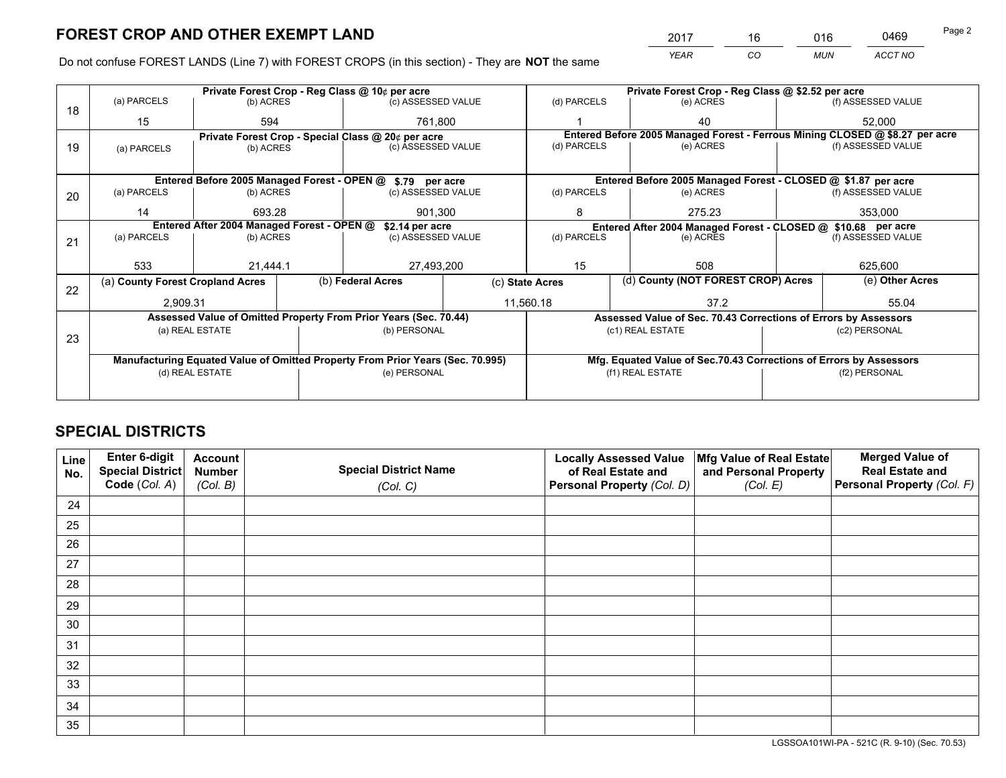*YEAR CO MUN ACCT NO* <sup>2017</sup> <sup>16</sup> <sup>016</sup> <sup>0469</sup>

Do not confuse FOREST LANDS (Line 7) with FOREST CROPS (in this section) - They are **NOT** the same

|    |                                  |                                                    |  | Private Forest Crop - Reg Class @ 10¢ per acre                                 |                                                                              | Private Forest Crop - Reg Class @ \$2.52 per acre                                                               |                  |                                                                    |         |                    |  |
|----|----------------------------------|----------------------------------------------------|--|--------------------------------------------------------------------------------|------------------------------------------------------------------------------|-----------------------------------------------------------------------------------------------------------------|------------------|--------------------------------------------------------------------|---------|--------------------|--|
| 18 | (a) PARCELS                      | (b) ACRES                                          |  | (c) ASSESSED VALUE                                                             |                                                                              | (d) PARCELS                                                                                                     |                  | (e) ACRES                                                          |         | (f) ASSESSED VALUE |  |
|    | 15                               | 594                                                |  | 761.800                                                                        |                                                                              |                                                                                                                 |                  | 40                                                                 |         | 52,000             |  |
|    |                                  | Private Forest Crop - Special Class @ 20¢ per acre |  |                                                                                | Entered Before 2005 Managed Forest - Ferrous Mining CLOSED @ \$8.27 per acre |                                                                                                                 |                  |                                                                    |         |                    |  |
| 19 | (a) PARCELS                      | (b) ACRES                                          |  | (c) ASSESSED VALUE                                                             |                                                                              | (d) PARCELS                                                                                                     |                  | (e) ACRES                                                          |         | (f) ASSESSED VALUE |  |
|    |                                  |                                                    |  |                                                                                |                                                                              |                                                                                                                 |                  |                                                                    |         |                    |  |
|    |                                  |                                                    |  | Entered Before 2005 Managed Forest - OPEN @ \$.79 per acre                     |                                                                              |                                                                                                                 |                  | Entered Before 2005 Managed Forest - CLOSED @ \$1.87 per acre      |         |                    |  |
| 20 | (a) PARCELS                      | (b) ACRES                                          |  | (c) ASSESSED VALUE                                                             |                                                                              | (d) PARCELS                                                                                                     |                  | (e) ACRES                                                          |         | (f) ASSESSED VALUE |  |
|    | 14                               | 693.28                                             |  | 901.300                                                                        |                                                                              | 8                                                                                                               |                  | 275.23                                                             | 353,000 |                    |  |
|    |                                  | Entered After 2004 Managed Forest - OPEN @         |  |                                                                                |                                                                              |                                                                                                                 |                  |                                                                    |         |                    |  |
|    | (a) PARCELS                      | (b) ACRES                                          |  | \$2.14 per acre<br>(c) ASSESSED VALUE                                          |                                                                              | Entered After 2004 Managed Forest - CLOSED @ \$10.68 per acre<br>(d) PARCELS<br>(f) ASSESSED VALUE<br>(e) ACRES |                  |                                                                    |         |                    |  |
| 21 |                                  |                                                    |  |                                                                                |                                                                              |                                                                                                                 |                  |                                                                    |         |                    |  |
|    |                                  |                                                    |  |                                                                                |                                                                              |                                                                                                                 |                  |                                                                    |         |                    |  |
|    | 533                              | 21.444.1                                           |  | 27,493,200                                                                     |                                                                              | 15                                                                                                              |                  | 508                                                                |         | 625,600            |  |
| 22 | (a) County Forest Cropland Acres |                                                    |  | (b) Federal Acres                                                              |                                                                              | (c) State Acres                                                                                                 |                  | (d) County (NOT FOREST CROP) Acres                                 |         | (e) Other Acres    |  |
|    | 2,909.31                         |                                                    |  |                                                                                |                                                                              | 11,560.18<br>37.2                                                                                               |                  |                                                                    | 55.04   |                    |  |
|    |                                  |                                                    |  | Assessed Value of Omitted Property From Prior Years (Sec. 70.44)               |                                                                              |                                                                                                                 |                  | Assessed Value of Sec. 70.43 Corrections of Errors by Assessors    |         |                    |  |
|    |                                  | (a) REAL ESTATE                                    |  | (b) PERSONAL                                                                   |                                                                              |                                                                                                                 | (c1) REAL ESTATE |                                                                    |         | (c2) PERSONAL      |  |
| 23 |                                  |                                                    |  |                                                                                |                                                                              |                                                                                                                 |                  |                                                                    |         |                    |  |
|    |                                  |                                                    |  | Manufacturing Equated Value of Omitted Property From Prior Years (Sec. 70.995) |                                                                              |                                                                                                                 |                  | Mfg. Equated Value of Sec.70.43 Corrections of Errors by Assessors |         |                    |  |
|    | (d) REAL ESTATE                  |                                                    |  | (e) PERSONAL                                                                   |                                                                              | (f1) REAL ESTATE                                                                                                |                  | (f2) PERSONAL                                                      |         |                    |  |
|    |                                  |                                                    |  |                                                                                |                                                                              |                                                                                                                 |                  |                                                                    |         |                    |  |
|    |                                  |                                                    |  |                                                                                |                                                                              |                                                                                                                 |                  |                                                                    |         |                    |  |

## **SPECIAL DISTRICTS**

| Line<br>No. | Enter 6-digit<br>Special District<br>Code (Col. A) | <b>Account</b><br><b>Number</b><br>(Col. B) | <b>Special District Name</b><br>(Col. C) | <b>Locally Assessed Value</b><br>of Real Estate and<br>Personal Property (Col. D) | Mfg Value of Real Estate<br>and Personal Property<br>(Col. E) | <b>Merged Value of</b><br><b>Real Estate and</b><br>Personal Property (Col. F) |
|-------------|----------------------------------------------------|---------------------------------------------|------------------------------------------|-----------------------------------------------------------------------------------|---------------------------------------------------------------|--------------------------------------------------------------------------------|
| 24          |                                                    |                                             |                                          |                                                                                   |                                                               |                                                                                |
| 25          |                                                    |                                             |                                          |                                                                                   |                                                               |                                                                                |
| 26          |                                                    |                                             |                                          |                                                                                   |                                                               |                                                                                |
| 27          |                                                    |                                             |                                          |                                                                                   |                                                               |                                                                                |
| 28          |                                                    |                                             |                                          |                                                                                   |                                                               |                                                                                |
| 29          |                                                    |                                             |                                          |                                                                                   |                                                               |                                                                                |
| 30          |                                                    |                                             |                                          |                                                                                   |                                                               |                                                                                |
| 31          |                                                    |                                             |                                          |                                                                                   |                                                               |                                                                                |
| 32          |                                                    |                                             |                                          |                                                                                   |                                                               |                                                                                |
| 33          |                                                    |                                             |                                          |                                                                                   |                                                               |                                                                                |
| 34          |                                                    |                                             |                                          |                                                                                   |                                                               |                                                                                |
| 35          |                                                    |                                             |                                          |                                                                                   |                                                               |                                                                                |

LGSSOA101WI-PA - 521C (R. 9-10) (Sec. 70.53)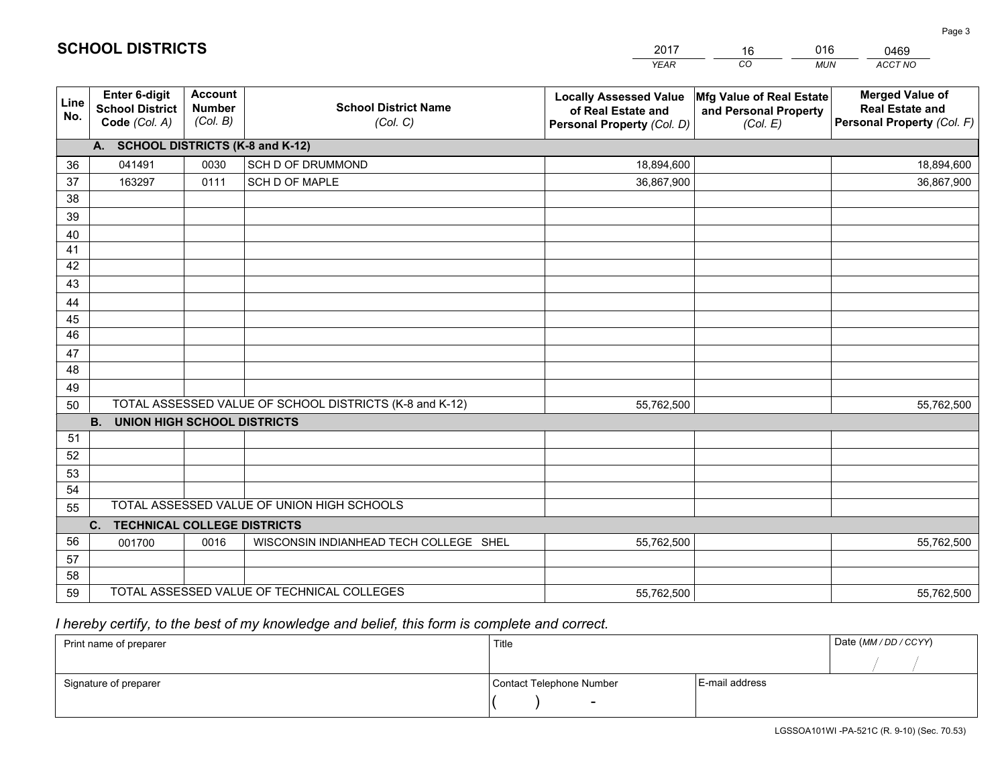|             |                                                          |                                             |                                                         | <b>YEAR</b>                                                                       | CO<br><b>MUN</b>                                              | ACCT NO                                                                        |
|-------------|----------------------------------------------------------|---------------------------------------------|---------------------------------------------------------|-----------------------------------------------------------------------------------|---------------------------------------------------------------|--------------------------------------------------------------------------------|
| Line<br>No. | Enter 6-digit<br><b>School District</b><br>Code (Col. A) | <b>Account</b><br><b>Number</b><br>(Col. B) | <b>School District Name</b><br>(Col. C)                 | <b>Locally Assessed Value</b><br>of Real Estate and<br>Personal Property (Col. D) | Mfg Value of Real Estate<br>and Personal Property<br>(Col. E) | <b>Merged Value of</b><br><b>Real Estate and</b><br>Personal Property (Col. F) |
|             | A. SCHOOL DISTRICTS (K-8 and K-12)                       |                                             |                                                         |                                                                                   |                                                               |                                                                                |
| 36          | 041491                                                   | 0030                                        | SCH D OF DRUMMOND                                       | 18,894,600                                                                        |                                                               | 18,894,600                                                                     |
| 37          | 163297                                                   | 0111                                        | SCH D OF MAPLE                                          | 36,867,900                                                                        |                                                               | 36,867,900                                                                     |
| 38          |                                                          |                                             |                                                         |                                                                                   |                                                               |                                                                                |
| 39          |                                                          |                                             |                                                         |                                                                                   |                                                               |                                                                                |
| 40          |                                                          |                                             |                                                         |                                                                                   |                                                               |                                                                                |
| 41          |                                                          |                                             |                                                         |                                                                                   |                                                               |                                                                                |
| 42          |                                                          |                                             |                                                         |                                                                                   |                                                               |                                                                                |
| 43          |                                                          |                                             |                                                         |                                                                                   |                                                               |                                                                                |
| 44          |                                                          |                                             |                                                         |                                                                                   |                                                               |                                                                                |
| 45          |                                                          |                                             |                                                         |                                                                                   |                                                               |                                                                                |
| 46          |                                                          |                                             |                                                         |                                                                                   |                                                               |                                                                                |
| 47          |                                                          |                                             |                                                         |                                                                                   |                                                               |                                                                                |
| 48          |                                                          |                                             |                                                         |                                                                                   |                                                               |                                                                                |
| 49          |                                                          |                                             |                                                         |                                                                                   |                                                               |                                                                                |
| 50          |                                                          |                                             | TOTAL ASSESSED VALUE OF SCHOOL DISTRICTS (K-8 and K-12) | 55,762,500                                                                        |                                                               | 55,762,500                                                                     |
|             | <b>B.</b><br><b>UNION HIGH SCHOOL DISTRICTS</b>          |                                             |                                                         |                                                                                   |                                                               |                                                                                |
| 51          |                                                          |                                             |                                                         |                                                                                   |                                                               |                                                                                |
| 52          |                                                          |                                             |                                                         |                                                                                   |                                                               |                                                                                |
| 53<br>54    |                                                          |                                             |                                                         |                                                                                   |                                                               |                                                                                |
| 55          |                                                          |                                             | TOTAL ASSESSED VALUE OF UNION HIGH SCHOOLS              |                                                                                   |                                                               |                                                                                |
|             | C. TECHNICAL COLLEGE DISTRICTS                           |                                             |                                                         |                                                                                   |                                                               |                                                                                |
| 56          | 001700                                                   | 0016                                        | WISCONSIN INDIANHEAD TECH COLLEGE SHEL                  | 55,762,500                                                                        |                                                               | 55,762,500                                                                     |
| 57          |                                                          |                                             |                                                         |                                                                                   |                                                               |                                                                                |
| 58          |                                                          |                                             |                                                         |                                                                                   |                                                               |                                                                                |
| 59          |                                                          |                                             | TOTAL ASSESSED VALUE OF TECHNICAL COLLEGES              | 55,762,500                                                                        |                                                               | 55,762,500                                                                     |

16

016

 *I hereby certify, to the best of my knowledge and belief, this form is complete and correct.*

**SCHOOL DISTRICTS**

| Print name of preparer | Title                    |                | Date (MM / DD / CCYY) |
|------------------------|--------------------------|----------------|-----------------------|
|                        |                          |                |                       |
| Signature of preparer  | Contact Telephone Number | E-mail address |                       |
|                        | $\sim$                   |                |                       |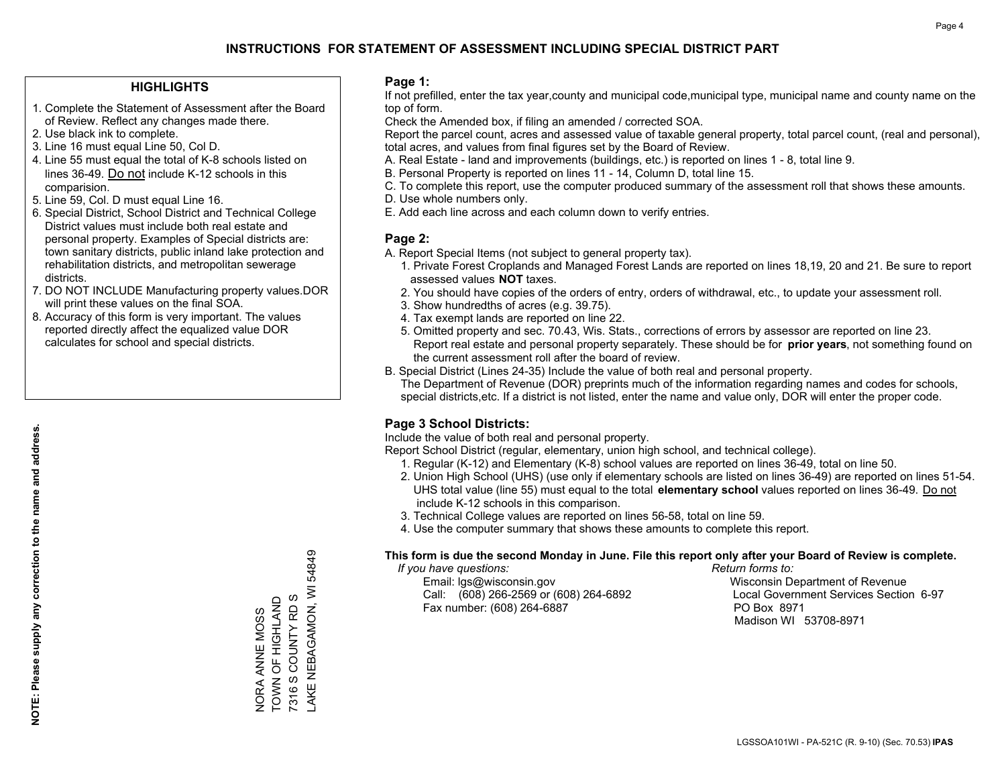#### **HIGHLIGHTS**

- 1. Complete the Statement of Assessment after the Board of Review. Reflect any changes made there.
- 2. Use black ink to complete.
- 3. Line 16 must equal Line 50, Col D.
- 4. Line 55 must equal the total of K-8 schools listed on lines 36-49. Do not include K-12 schools in this comparision.
- 5. Line 59, Col. D must equal Line 16.
- 6. Special District, School District and Technical College District values must include both real estate and personal property. Examples of Special districts are: town sanitary districts, public inland lake protection and rehabilitation districts, and metropolitan sewerage districts.
- 7. DO NOT INCLUDE Manufacturing property values.DOR will print these values on the final SOA.
- 8. Accuracy of this form is very important. The values reported directly affect the equalized value DOR calculates for school and special districts.

#### **Page 1:**

 If not prefilled, enter the tax year,county and municipal code,municipal type, municipal name and county name on the top of form.

Check the Amended box, if filing an amended / corrected SOA.

 Report the parcel count, acres and assessed value of taxable general property, total parcel count, (real and personal), total acres, and values from final figures set by the Board of Review.

- A. Real Estate land and improvements (buildings, etc.) is reported on lines 1 8, total line 9.
- B. Personal Property is reported on lines 11 14, Column D, total line 15.
- C. To complete this report, use the computer produced summary of the assessment roll that shows these amounts.
- D. Use whole numbers only.
- E. Add each line across and each column down to verify entries.

#### **Page 2:**

- A. Report Special Items (not subject to general property tax).
- 1. Private Forest Croplands and Managed Forest Lands are reported on lines 18,19, 20 and 21. Be sure to report assessed values **NOT** taxes.
- 2. You should have copies of the orders of entry, orders of withdrawal, etc., to update your assessment roll.
	- 3. Show hundredths of acres (e.g. 39.75).
- 4. Tax exempt lands are reported on line 22.
- 5. Omitted property and sec. 70.43, Wis. Stats., corrections of errors by assessor are reported on line 23. Report real estate and personal property separately. These should be for **prior years**, not something found on the current assessment roll after the board of review.
- B. Special District (Lines 24-35) Include the value of both real and personal property.
- The Department of Revenue (DOR) preprints much of the information regarding names and codes for schools, special districts,etc. If a district is not listed, enter the name and value only, DOR will enter the proper code.

### **Page 3 School Districts:**

Include the value of both real and personal property.

Report School District (regular, elementary, union high school, and technical college).

- 1. Regular (K-12) and Elementary (K-8) school values are reported on lines 36-49, total on line 50.
- 2. Union High School (UHS) (use only if elementary schools are listed on lines 36-49) are reported on lines 51-54. UHS total value (line 55) must equal to the total **elementary school** values reported on lines 36-49. Do notinclude K-12 schools in this comparison.
- 3. Technical College values are reported on lines 56-58, total on line 59.
- 4. Use the computer summary that shows these amounts to complete this report.

#### **This form is due the second Monday in June. File this report only after your Board of Review is complete.**

 *If you have questions: Return forms to:*

 Email: lgs@wisconsin.gov Wisconsin Department of RevenueCall:  $(608)$  266-2569 or  $(608)$  264-6892 Fax number: (608) 264-6887 PO Box 8971

Local Government Services Section 6-97 Madison WI 53708-8971

LGSSOA101WI - PA-521C (R. 9-10) (Sec. 70.53) **IPAS**

54849 LAKE NEBAGAMON, WI 54849 AKE NEBAGAMON, WI NORA ANNE MOSS<br>TOWN OF HIGHLAND<br>7316 S COUNTY RD S TOWN OF HIGHLAND 7316 S COUNTY RD S NORA ANNE MOSS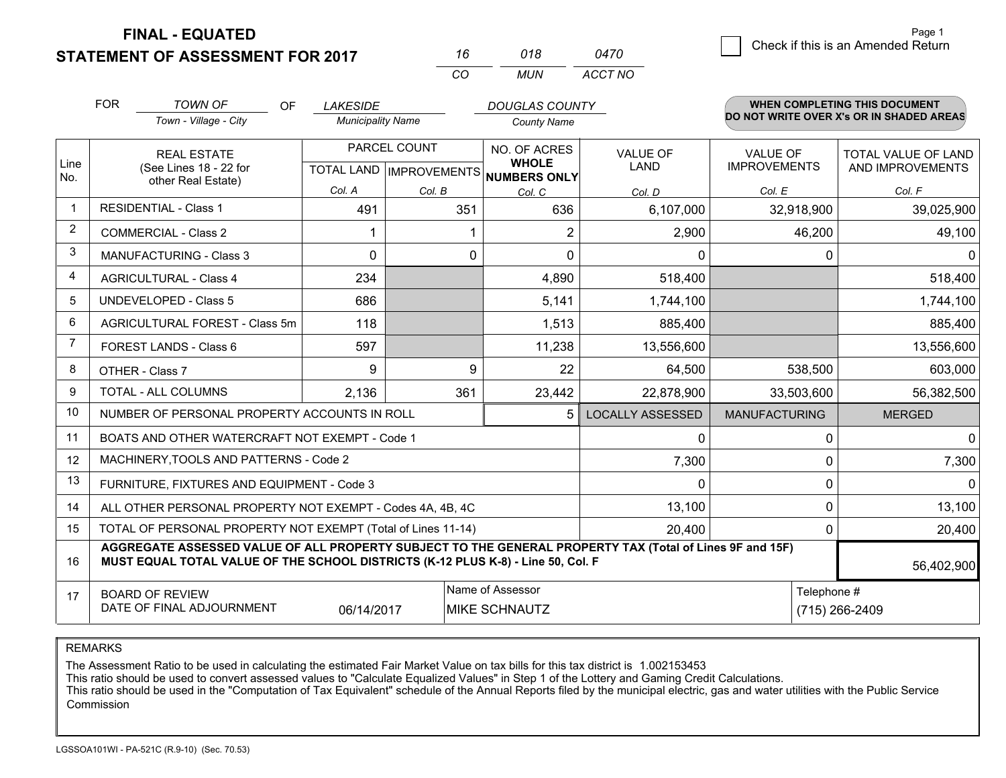**FINAL - EQUATED**

**STATEMENT OF ASSESSMENT FOR 2017** 

| 16  | 018  | <i>0470</i> |
|-----|------|-------------|
| CO. | MUN. | ACCT NO     |

|             | <b>FOR</b>                                                         | <b>TOWN OF</b><br><b>OF</b>                                                                                                                                                                                | <b>LAKESIDE</b>                                      |        | <b>DOUGLAS COUNTY</b>                    |                                |                                        | <b>WHEN COMPLETING THIS DOCUMENT</b>     |  |
|-------------|--------------------------------------------------------------------|------------------------------------------------------------------------------------------------------------------------------------------------------------------------------------------------------------|------------------------------------------------------|--------|------------------------------------------|--------------------------------|----------------------------------------|------------------------------------------|--|
|             |                                                                    | Town - Village - City                                                                                                                                                                                      | <b>Municipality Name</b>                             |        | <b>County Name</b>                       |                                |                                        | DO NOT WRITE OVER X's OR IN SHADED AREAS |  |
| Line        | <b>REAL ESTATE</b><br>(See Lines 18 - 22 for<br>other Real Estate) |                                                                                                                                                                                                            | PARCEL COUNT<br>TOTAL LAND IMPROVEMENTS NUMBERS ONLY |        | NO. OF ACRES<br><b>WHOLE</b>             | <b>VALUE OF</b><br><b>LAND</b> | <b>VALUE OF</b><br><b>IMPROVEMENTS</b> | TOTAL VALUE OF LAND<br>AND IMPROVEMENTS  |  |
| No.         |                                                                    |                                                                                                                                                                                                            | Col. A                                               | Col. B | Col. C                                   | Col. D                         | Col. E                                 | Col. F                                   |  |
| $\mathbf 1$ |                                                                    | <b>RESIDENTIAL - Class 1</b>                                                                                                                                                                               | 491                                                  | 351    | 636                                      | 6,107,000                      | 32,918,900                             | 39,025,900                               |  |
| 2           |                                                                    | <b>COMMERCIAL - Class 2</b>                                                                                                                                                                                |                                                      |        | 2                                        | 2,900                          | 46,200                                 | 49,100                                   |  |
| 3           |                                                                    | <b>MANUFACTURING - Class 3</b>                                                                                                                                                                             | $\Omega$                                             | 0      | $\Omega$                                 | 0                              | $\Omega$                               | $\mathbf{0}$                             |  |
| 4           |                                                                    | <b>AGRICULTURAL - Class 4</b>                                                                                                                                                                              | 234                                                  |        | 4,890                                    | 518,400                        |                                        | 518,400                                  |  |
| 5           |                                                                    | <b>UNDEVELOPED - Class 5</b>                                                                                                                                                                               | 686                                                  |        | 5,141                                    | 1,744,100                      |                                        | 1,744,100                                |  |
| 6           |                                                                    | AGRICULTURAL FOREST - Class 5m                                                                                                                                                                             | 118                                                  |        | 1,513                                    | 885,400                        |                                        | 885,400                                  |  |
| 7           |                                                                    | FOREST LANDS - Class 6                                                                                                                                                                                     | 597                                                  |        | 11,238                                   | 13,556,600                     |                                        | 13,556,600                               |  |
| 8           |                                                                    | OTHER - Class 7                                                                                                                                                                                            | 9                                                    | 9      | 22                                       | 64,500                         | 538,500                                | 603,000                                  |  |
| 9           |                                                                    | TOTAL - ALL COLUMNS                                                                                                                                                                                        | 2,136                                                | 361    | 23,442                                   | 22,878,900                     | 33,503,600                             | 56,382,500                               |  |
| 10          |                                                                    | NUMBER OF PERSONAL PROPERTY ACCOUNTS IN ROLL                                                                                                                                                               |                                                      |        | <b>LOCALLY ASSESSED</b>                  | <b>MANUFACTURING</b>           | <b>MERGED</b>                          |                                          |  |
| 11          |                                                                    | BOATS AND OTHER WATERCRAFT NOT EXEMPT - Code 1                                                                                                                                                             |                                                      |        | 0                                        | $\Omega$                       | 0                                      |                                          |  |
| 12          |                                                                    | MACHINERY, TOOLS AND PATTERNS - Code 2                                                                                                                                                                     |                                                      |        | 7,300                                    | $\Omega$                       | 7,300                                  |                                          |  |
| 13          |                                                                    | FURNITURE, FIXTURES AND EQUIPMENT - Code 3                                                                                                                                                                 |                                                      |        | 0                                        | 0                              | $\Omega$                               |                                          |  |
| 14          |                                                                    | ALL OTHER PERSONAL PROPERTY NOT EXEMPT - Codes 4A, 4B, 4C                                                                                                                                                  |                                                      |        | 13,100                                   | $\Omega$                       | 13,100                                 |                                          |  |
| 15          |                                                                    | TOTAL OF PERSONAL PROPERTY NOT EXEMPT (Total of Lines 11-14)                                                                                                                                               |                                                      |        | 20,400                                   | 0                              | 20,400                                 |                                          |  |
| 16          |                                                                    | AGGREGATE ASSESSED VALUE OF ALL PROPERTY SUBJECT TO THE GENERAL PROPERTY TAX (Total of Lines 9F and 15F)<br>MUST EQUAL TOTAL VALUE OF THE SCHOOL DISTRICTS (K-12 PLUS K-8) - Line 50, Col. F<br>56,402,900 |                                                      |        |                                          |                                |                                        |                                          |  |
| 17          |                                                                    | <b>BOARD OF REVIEW</b><br>DATE OF FINAL ADJOURNMENT                                                                                                                                                        | 06/14/2017                                           |        | Name of Assessor<br><b>MIKE SCHNAUTZ</b> | Telephone #<br>(715) 266-2409  |                                        |                                          |  |

REMARKS

The Assessment Ratio to be used in calculating the estimated Fair Market Value on tax bills for this tax district is 1.002153453

This ratio should be used to convert assessed values to "Calculate Equalized Values" in Step 1 of the Lottery and Gaming Credit Calculations.<br>This ratio should be used in the "Computation of Tax Equivalent" schedule of the Commission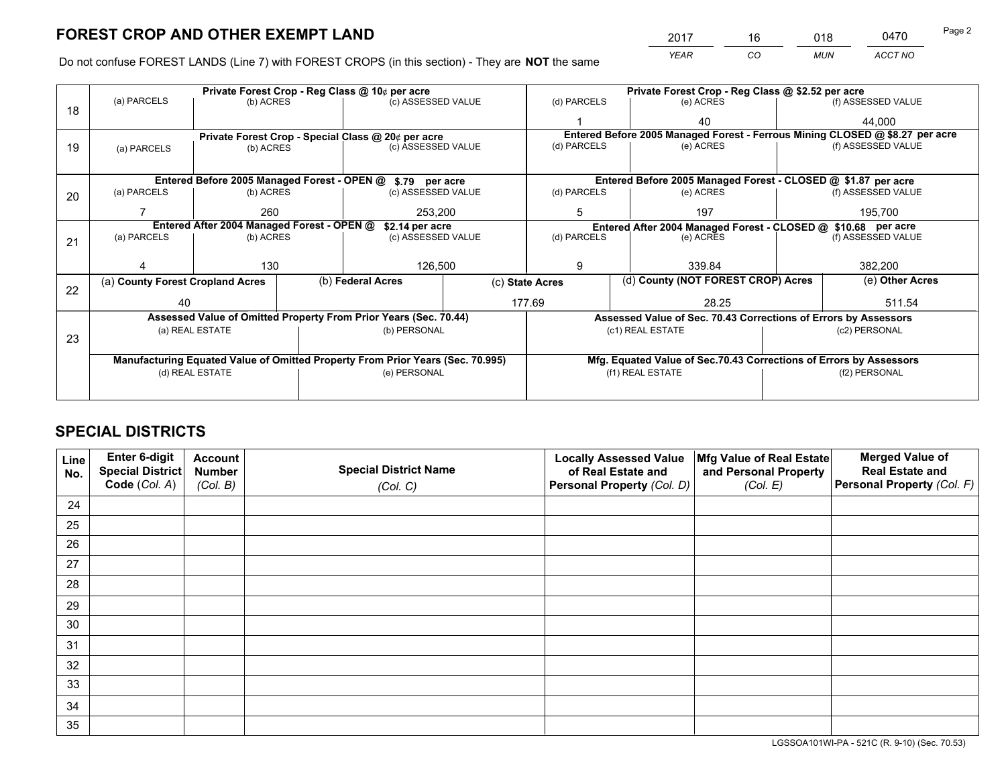*YEAR CO MUN ACCT NO* <sup>2017</sup> <sup>16</sup> <sup>018</sup> <sup>0470</sup>

Do not confuse FOREST LANDS (Line 7) with FOREST CROPS (in this section) - They are **NOT** the same

| Private Forest Crop - Reg Class @ 10¢ per acre                                 |             |                                                                 |                    |                   | Private Forest Crop - Reg Class @ \$2.52 per acre                                                                                                                                                                                                   |                  |             |                    |                                                                                                     |  |
|--------------------------------------------------------------------------------|-------------|-----------------------------------------------------------------|--------------------|-------------------|-----------------------------------------------------------------------------------------------------------------------------------------------------------------------------------------------------------------------------------------------------|------------------|-------------|--------------------|-----------------------------------------------------------------------------------------------------|--|
| (b) ACRES                                                                      |             |                                                                 | (c) ASSESSED VALUE |                   | (d) PARCELS                                                                                                                                                                                                                                         |                  | (e) ACRES   |                    | (f) ASSESSED VALUE                                                                                  |  |
|                                                                                |             |                                                                 |                    |                   |                                                                                                                                                                                                                                                     |                  | 40          |                    | 44,000                                                                                              |  |
|                                                                                |             |                                                                 |                    |                   | Entered Before 2005 Managed Forest - Ferrous Mining CLOSED @ \$8.27 per acre                                                                                                                                                                        |                  |             |                    |                                                                                                     |  |
| (a) PARCELS                                                                    | (b) ACRES   |                                                                 |                    |                   |                                                                                                                                                                                                                                                     |                  |             |                    | (f) ASSESSED VALUE                                                                                  |  |
|                                                                                |             |                                                                 |                    |                   |                                                                                                                                                                                                                                                     |                  |             |                    |                                                                                                     |  |
|                                                                                |             |                                                                 |                    |                   |                                                                                                                                                                                                                                                     |                  |             |                    |                                                                                                     |  |
| (a) PARCELS<br>(b) ACRES                                                       |             |                                                                 | (c) ASSESSED VALUE |                   | (d) PARCELS                                                                                                                                                                                                                                         |                  | (e) ACRES   |                    | (f) ASSESSED VALUE                                                                                  |  |
|                                                                                | 260         |                                                                 | 253.200            |                   | 5                                                                                                                                                                                                                                                   |                  | 197         |                    | 195,700                                                                                             |  |
| Entered After 2004 Managed Forest - OPEN @                                     |             |                                                                 |                    |                   | Entered After 2004 Managed Forest - CLOSED @ \$10.68 per acre                                                                                                                                                                                       |                  |             |                    |                                                                                                     |  |
| (a) PARCELS                                                                    | (b) ACRES   |                                                                 | (d) PARCELS        |                   |                                                                                                                                                                                                                                                     | (e) ACRES        |             | (f) ASSESSED VALUE |                                                                                                     |  |
|                                                                                |             |                                                                 |                    |                   |                                                                                                                                                                                                                                                     |                  |             |                    |                                                                                                     |  |
|                                                                                | 130         |                                                                 | 126,500            |                   | 9                                                                                                                                                                                                                                                   |                  | 339.84      |                    | 382,200                                                                                             |  |
| (a) County Forest Cropland Acres                                               |             |                                                                 |                    | (c) State Acres   |                                                                                                                                                                                                                                                     |                  |             |                    | (e) Other Acres                                                                                     |  |
| 40                                                                             |             |                                                                 |                    | 177.69<br>28.25   |                                                                                                                                                                                                                                                     |                  | 511.54      |                    |                                                                                                     |  |
|                                                                                |             | Assessed Value of Sec. 70.43 Corrections of Errors by Assessors |                    |                   |                                                                                                                                                                                                                                                     |                  |             |                    |                                                                                                     |  |
| (a) REAL ESTATE                                                                |             |                                                                 | (b) PERSONAL       |                   |                                                                                                                                                                                                                                                     | (c1) REAL ESTATE |             |                    | (c2) PERSONAL                                                                                       |  |
|                                                                                |             |                                                                 |                    |                   |                                                                                                                                                                                                                                                     |                  |             |                    |                                                                                                     |  |
| Manufacturing Equated Value of Omitted Property From Prior Years (Sec. 70.995) |             |                                                                 |                    |                   | Mfg. Equated Value of Sec.70.43 Corrections of Errors by Assessors                                                                                                                                                                                  |                  |             |                    |                                                                                                     |  |
|                                                                                |             | (e) PERSONAL                                                    |                    | (f1) REAL ESTATE  |                                                                                                                                                                                                                                                     | (f2) PERSONAL    |             |                    |                                                                                                     |  |
|                                                                                |             |                                                                 |                    |                   |                                                                                                                                                                                                                                                     |                  |             |                    |                                                                                                     |  |
|                                                                                | (a) PARCELS | (d) REAL ESTATE                                                 |                    | (b) Federal Acres | Private Forest Crop - Special Class @ 20¢ per acre<br>(c) ASSESSED VALUE<br>Entered Before 2005 Managed Forest - OPEN @ \$.79 per acre<br>\$2.14 per acre<br>(c) ASSESSED VALUE<br>Assessed Value of Omitted Property From Prior Years (Sec. 70.44) |                  | (d) PARCELS | (e) ACRES          | Entered Before 2005 Managed Forest - CLOSED @ \$1.87 per acre<br>(d) County (NOT FOREST CROP) Acres |  |

## **SPECIAL DISTRICTS**

| Line<br>No. | Enter 6-digit<br><b>Special District</b> | <b>Account</b><br><b>Number</b> | <b>Special District Name</b> | <b>Locally Assessed Value</b><br>of Real Estate and | Mfg Value of Real Estate<br>and Personal Property | <b>Merged Value of</b><br><b>Real Estate and</b> |
|-------------|------------------------------------------|---------------------------------|------------------------------|-----------------------------------------------------|---------------------------------------------------|--------------------------------------------------|
|             | Code (Col. A)                            | (Col. B)                        | (Col. C)                     | Personal Property (Col. D)                          | (Col. E)                                          | Personal Property (Col. F)                       |
| 24          |                                          |                                 |                              |                                                     |                                                   |                                                  |
| 25          |                                          |                                 |                              |                                                     |                                                   |                                                  |
| 26          |                                          |                                 |                              |                                                     |                                                   |                                                  |
| 27          |                                          |                                 |                              |                                                     |                                                   |                                                  |
| 28          |                                          |                                 |                              |                                                     |                                                   |                                                  |
| 29          |                                          |                                 |                              |                                                     |                                                   |                                                  |
| 30          |                                          |                                 |                              |                                                     |                                                   |                                                  |
| 31          |                                          |                                 |                              |                                                     |                                                   |                                                  |
| 32          |                                          |                                 |                              |                                                     |                                                   |                                                  |
| 33          |                                          |                                 |                              |                                                     |                                                   |                                                  |
| 34          |                                          |                                 |                              |                                                     |                                                   |                                                  |
| 35          |                                          |                                 |                              |                                                     |                                                   |                                                  |

LGSSOA101WI-PA - 521C (R. 9-10) (Sec. 70.53)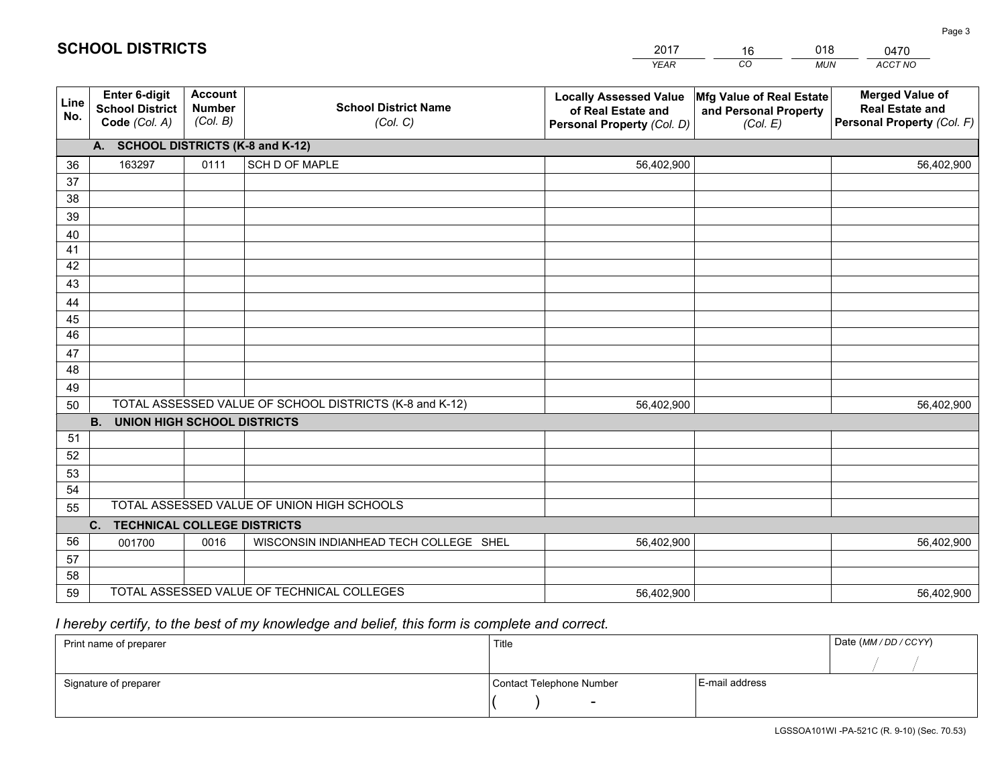|             |                                                          |                                             |                                                         | <b>YEAR</b>                                                                       | CO<br><b>MUN</b>                                              | ACCT NO                                                                        |  |  |
|-------------|----------------------------------------------------------|---------------------------------------------|---------------------------------------------------------|-----------------------------------------------------------------------------------|---------------------------------------------------------------|--------------------------------------------------------------------------------|--|--|
| Line<br>No. | Enter 6-digit<br><b>School District</b><br>Code (Col. A) | <b>Account</b><br><b>Number</b><br>(Col. B) | <b>School District Name</b><br>(Col. C)                 | <b>Locally Assessed Value</b><br>of Real Estate and<br>Personal Property (Col. D) | Mfg Value of Real Estate<br>and Personal Property<br>(Col. E) | <b>Merged Value of</b><br><b>Real Estate and</b><br>Personal Property (Col. F) |  |  |
|             | A. SCHOOL DISTRICTS (K-8 and K-12)                       |                                             |                                                         |                                                                                   |                                                               |                                                                                |  |  |
| 36          | 163297                                                   | 0111                                        | <b>SCH D OF MAPLE</b>                                   | 56,402,900                                                                        |                                                               | 56,402,900                                                                     |  |  |
| 37          |                                                          |                                             |                                                         |                                                                                   |                                                               |                                                                                |  |  |
| 38          |                                                          |                                             |                                                         |                                                                                   |                                                               |                                                                                |  |  |
| 39          |                                                          |                                             |                                                         |                                                                                   |                                                               |                                                                                |  |  |
| 40          |                                                          |                                             |                                                         |                                                                                   |                                                               |                                                                                |  |  |
| 41          |                                                          |                                             |                                                         |                                                                                   |                                                               |                                                                                |  |  |
| 42          |                                                          |                                             |                                                         |                                                                                   |                                                               |                                                                                |  |  |
| 43          |                                                          |                                             |                                                         |                                                                                   |                                                               |                                                                                |  |  |
| 44          |                                                          |                                             |                                                         |                                                                                   |                                                               |                                                                                |  |  |
| 45<br>46    |                                                          |                                             |                                                         |                                                                                   |                                                               |                                                                                |  |  |
|             |                                                          |                                             |                                                         |                                                                                   |                                                               |                                                                                |  |  |
| 47<br>48    |                                                          |                                             |                                                         |                                                                                   |                                                               |                                                                                |  |  |
| 49          |                                                          |                                             |                                                         |                                                                                   |                                                               |                                                                                |  |  |
| 50          |                                                          |                                             | TOTAL ASSESSED VALUE OF SCHOOL DISTRICTS (K-8 and K-12) | 56,402,900                                                                        |                                                               | 56,402,900                                                                     |  |  |
|             | <b>B.</b><br><b>UNION HIGH SCHOOL DISTRICTS</b>          |                                             |                                                         |                                                                                   |                                                               |                                                                                |  |  |
| 51          |                                                          |                                             |                                                         |                                                                                   |                                                               |                                                                                |  |  |
| 52          |                                                          |                                             |                                                         |                                                                                   |                                                               |                                                                                |  |  |
| 53          |                                                          |                                             |                                                         |                                                                                   |                                                               |                                                                                |  |  |
| 54          |                                                          |                                             |                                                         |                                                                                   |                                                               |                                                                                |  |  |
| 55          | TOTAL ASSESSED VALUE OF UNION HIGH SCHOOLS               |                                             |                                                         |                                                                                   |                                                               |                                                                                |  |  |
|             | C. TECHNICAL COLLEGE DISTRICTS                           |                                             |                                                         |                                                                                   |                                                               |                                                                                |  |  |
| 56          | 001700                                                   | 0016                                        | WISCONSIN INDIANHEAD TECH COLLEGE SHEL                  | 56,402,900                                                                        |                                                               | 56,402,900                                                                     |  |  |
| 57          |                                                          |                                             |                                                         |                                                                                   |                                                               |                                                                                |  |  |
| 58          |                                                          |                                             |                                                         |                                                                                   |                                                               |                                                                                |  |  |
| 59          |                                                          |                                             | TOTAL ASSESSED VALUE OF TECHNICAL COLLEGES              | 56,402,900                                                                        |                                                               | 56,402,900                                                                     |  |  |

16

018

## *I hereby certify, to the best of my knowledge and belief, this form is complete and correct.*

**SCHOOL DISTRICTS**

| Print name of preparer | Title                    | Date (MM / DD / CCYY) |  |
|------------------------|--------------------------|-----------------------|--|
|                        |                          |                       |  |
| Signature of preparer  | Contact Telephone Number | E-mail address        |  |
|                        | $\overline{\phantom{0}}$ |                       |  |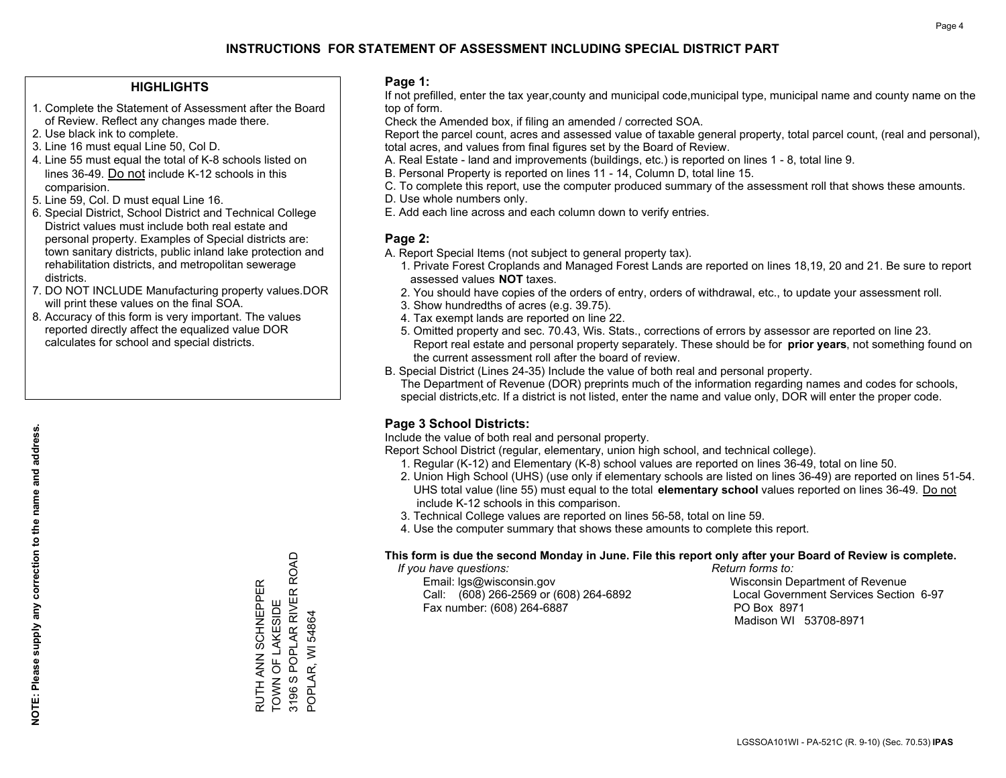#### **HIGHLIGHTS**

- 1. Complete the Statement of Assessment after the Board of Review. Reflect any changes made there.
- 2. Use black ink to complete.
- 3. Line 16 must equal Line 50, Col D.
- 4. Line 55 must equal the total of K-8 schools listed on lines 36-49. Do not include K-12 schools in this comparision.
- 5. Line 59, Col. D must equal Line 16.
- 6. Special District, School District and Technical College District values must include both real estate and personal property. Examples of Special districts are: town sanitary districts, public inland lake protection and rehabilitation districts, and metropolitan sewerage districts.
- 7. DO NOT INCLUDE Manufacturing property values.DOR will print these values on the final SOA.
- 8. Accuracy of this form is very important. The values reported directly affect the equalized value DOR calculates for school and special districts.

#### **Page 1:**

 If not prefilled, enter the tax year,county and municipal code,municipal type, municipal name and county name on the top of form.

Check the Amended box, if filing an amended / corrected SOA.

 Report the parcel count, acres and assessed value of taxable general property, total parcel count, (real and personal), total acres, and values from final figures set by the Board of Review.

- A. Real Estate land and improvements (buildings, etc.) is reported on lines 1 8, total line 9.
- B. Personal Property is reported on lines 11 14, Column D, total line 15.
- C. To complete this report, use the computer produced summary of the assessment roll that shows these amounts.
- D. Use whole numbers only.
- E. Add each line across and each column down to verify entries.

#### **Page 2:**

- A. Report Special Items (not subject to general property tax).
- 1. Private Forest Croplands and Managed Forest Lands are reported on lines 18,19, 20 and 21. Be sure to report assessed values **NOT** taxes.
- 2. You should have copies of the orders of entry, orders of withdrawal, etc., to update your assessment roll.
	- 3. Show hundredths of acres (e.g. 39.75).
- 4. Tax exempt lands are reported on line 22.
- 5. Omitted property and sec. 70.43, Wis. Stats., corrections of errors by assessor are reported on line 23. Report real estate and personal property separately. These should be for **prior years**, not something found on the current assessment roll after the board of review.
- B. Special District (Lines 24-35) Include the value of both real and personal property.

 The Department of Revenue (DOR) preprints much of the information regarding names and codes for schools, special districts,etc. If a district is not listed, enter the name and value only, DOR will enter the proper code.

### **Page 3 School Districts:**

Include the value of both real and personal property.

Report School District (regular, elementary, union high school, and technical college).

- 1. Regular (K-12) and Elementary (K-8) school values are reported on lines 36-49, total on line 50.
- 2. Union High School (UHS) (use only if elementary schools are listed on lines 36-49) are reported on lines 51-54. UHS total value (line 55) must equal to the total **elementary school** values reported on lines 36-49. Do notinclude K-12 schools in this comparison.
- 3. Technical College values are reported on lines 56-58, total on line 59.
- 4. Use the computer summary that shows these amounts to complete this report.

#### **This form is due the second Monday in June. File this report only after your Board of Review is complete.**

 *If you have questions: Return forms to:*

 Email: lgs@wisconsin.gov Wisconsin Department of RevenueCall:  $(608)$  266-2569 or  $(608)$  264-6892 Fax number: (608) 264-6887 PO Box 8971

Local Government Services Section 6-97 Madison WI 53708-8971

RUTH ANN SCHNEPPER<br>TOWN OF LAKESIDE<br>3196 S POPLAR RIVER ROAD 3196 S POPLAR RIVER ROAD RUTH ANN SCHNEPPER TOWN OF LAKESIDE POPLAR, WI 54864 POPLAR, WI 54864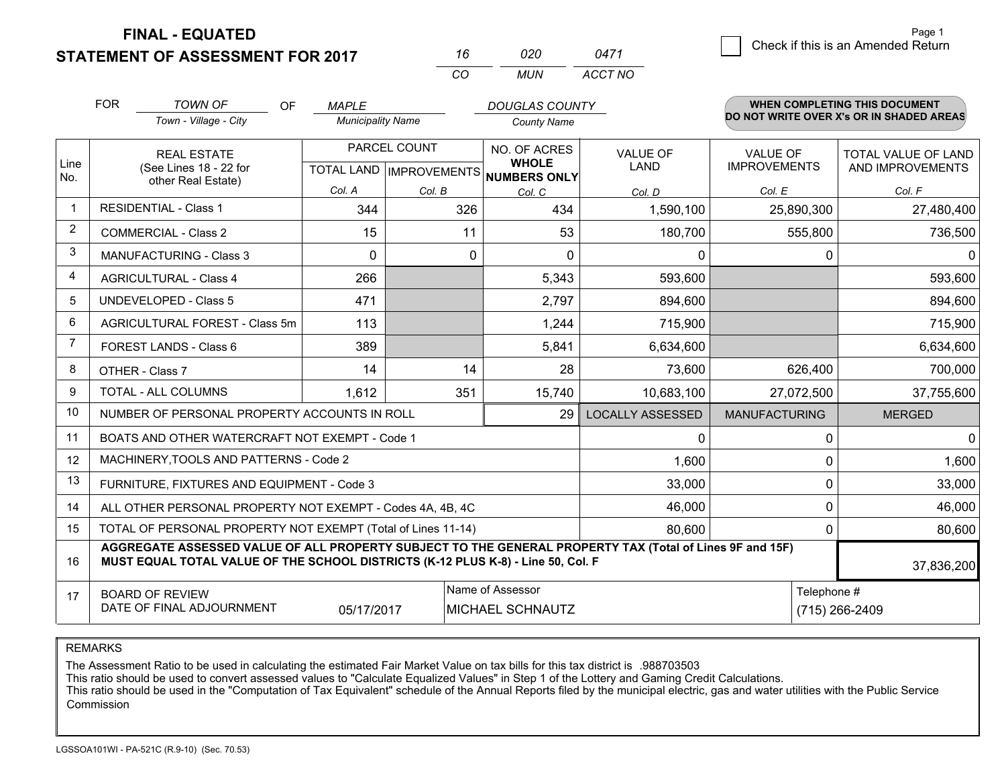**FINAL - EQUATED**

**STATEMENT OF ASSESSMENT FOR 2017** 

| 16       | กวก   | 0471    |
|----------|-------|---------|
| $\cdots$ | MI IN | ACCT NO |

|                | <b>FOR</b><br><b>TOWN OF</b><br>OF<br><b>DOUGLAS COUNTY</b><br><b>MAPLE</b><br>Town - Village - City<br><b>Municipality Name</b><br><b>County Name</b>                                                     |                                           |                | <b>WHEN COMPLETING THIS DOCUMENT</b><br>DO NOT WRITE OVER X's OR IN SHADED AREAS |                                |                                        |                                         |
|----------------|------------------------------------------------------------------------------------------------------------------------------------------------------------------------------------------------------------|-------------------------------------------|----------------|----------------------------------------------------------------------------------|--------------------------------|----------------------------------------|-----------------------------------------|
| Line<br>No.    | <b>REAL ESTATE</b><br>(See Lines 18 - 22 for                                                                                                                                                               | PARCEL COUNT<br>TOTAL LAND   IMPROVEMENTS |                | NO. OF ACRES<br><b>WHOLE</b><br><b>NUMBERS ONLY</b>                              | <b>VALUE OF</b><br><b>LAND</b> | <b>VALUE OF</b><br><b>IMPROVEMENTS</b> | TOTAL VALUE OF LAND<br>AND IMPROVEMENTS |
|                | other Real Estate)                                                                                                                                                                                         | Col. A                                    | Col. B         | Col. C                                                                           | Col. D                         | Col. E                                 | Col. F                                  |
| -1             | <b>RESIDENTIAL - Class 1</b>                                                                                                                                                                               | 344                                       | 326            | 434                                                                              | 1,590,100                      | 25,890,300                             | 27,480,400                              |
| $\overline{2}$ | <b>COMMERCIAL - Class 2</b>                                                                                                                                                                                | 15                                        | 11             | 53                                                                               | 180,700                        | 555,800                                | 736,500                                 |
| 3              | <b>MANUFACTURING - Class 3</b>                                                                                                                                                                             | $\Omega$                                  | 0              | $\Omega$                                                                         | 0                              | 0                                      | $\mathbf{0}$                            |
| 4              | <b>AGRICULTURAL - Class 4</b>                                                                                                                                                                              | 266                                       |                | 5,343                                                                            | 593,600                        |                                        | 593,600                                 |
| 5              | <b>UNDEVELOPED - Class 5</b>                                                                                                                                                                               | 471                                       |                | 2,797                                                                            | 894,600                        |                                        | 894,600                                 |
| 6              | AGRICULTURAL FOREST - Class 5m                                                                                                                                                                             | 113                                       |                | 1,244                                                                            | 715,900                        |                                        | 715,900                                 |
| 7              | FOREST LANDS - Class 6                                                                                                                                                                                     | 389                                       |                | 5,841                                                                            | 6,634,600                      |                                        | 6,634,600                               |
| 8              | OTHER - Class 7                                                                                                                                                                                            | 14                                        | 14             | 28                                                                               | 73,600                         | 626,400                                | 700,000                                 |
| 9              | TOTAL - ALL COLUMNS                                                                                                                                                                                        | 1,612                                     | 351            | 15,740                                                                           | 10,683,100                     | 27,072,500                             | 37,755,600                              |
| 10             | NUMBER OF PERSONAL PROPERTY ACCOUNTS IN ROLL                                                                                                                                                               |                                           |                | 29                                                                               | <b>LOCALLY ASSESSED</b>        | <b>MANUFACTURING</b>                   | <b>MERGED</b>                           |
| 11             | BOATS AND OTHER WATERCRAFT NOT EXEMPT - Code 1                                                                                                                                                             |                                           |                |                                                                                  | 0                              | 0                                      | $\Omega$                                |
| 12             | MACHINERY, TOOLS AND PATTERNS - Code 2                                                                                                                                                                     |                                           |                |                                                                                  | 1,600                          | $\mathbf{0}$                           | 1,600                                   |
| 13             | FURNITURE, FIXTURES AND EQUIPMENT - Code 3                                                                                                                                                                 |                                           |                |                                                                                  | 33,000                         | 0                                      | 33,000                                  |
| 14             | ALL OTHER PERSONAL PROPERTY NOT EXEMPT - Codes 4A, 4B, 4C                                                                                                                                                  |                                           |                |                                                                                  | 46,000                         | 0                                      | 46,000                                  |
| 15             | TOTAL OF PERSONAL PROPERTY NOT EXEMPT (Total of Lines 11-14)                                                                                                                                               |                                           | 80,600         | 0                                                                                | 80,600                         |                                        |                                         |
| 16             | AGGREGATE ASSESSED VALUE OF ALL PROPERTY SUBJECT TO THE GENERAL PROPERTY TAX (Total of Lines 9F and 15F)<br>MUST EQUAL TOTAL VALUE OF THE SCHOOL DISTRICTS (K-12 PLUS K-8) - Line 50, Col. F<br>37,836,200 |                                           |                |                                                                                  |                                |                                        |                                         |
| 17             | <b>BOARD OF REVIEW</b><br>DATE OF FINAL ADJOURNMENT                                                                                                                                                        | Telephone #                               | (715) 266-2409 |                                                                                  |                                |                                        |                                         |

REMARKS

The Assessment Ratio to be used in calculating the estimated Fair Market Value on tax bills for this tax district is .988703503

This ratio should be used to convert assessed values to "Calculate Equalized Values" in Step 1 of the Lottery and Gaming Credit Calculations.<br>This ratio should be used in the "Computation of Tax Equivalent" schedule of the Commission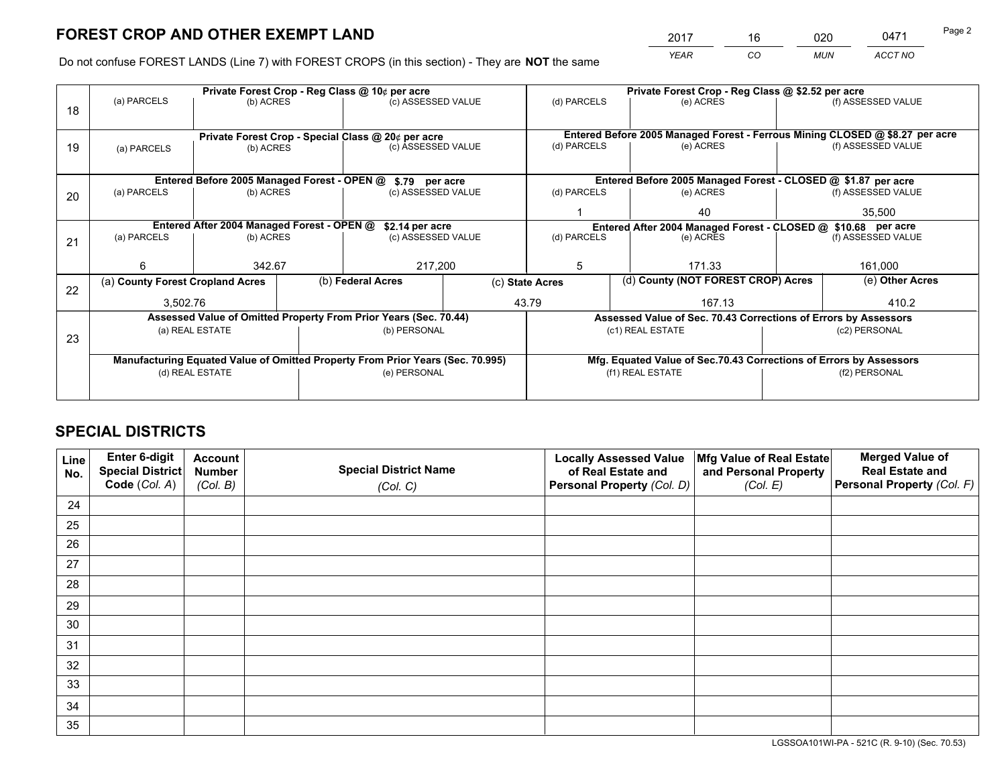*YEAR CO MUN ACCT NO* 2017 16 020 0471 Page 2

Do not confuse FOREST LANDS (Line 7) with FOREST CROPS (in this section) - They are **NOT** the same

| (f) ASSESSED VALUE<br>Entered Before 2005 Managed Forest - Ferrous Mining CLOSED @ \$8.27 per acre<br>(f) ASSESSED VALUE |  |
|--------------------------------------------------------------------------------------------------------------------------|--|
|                                                                                                                          |  |
|                                                                                                                          |  |
|                                                                                                                          |  |
|                                                                                                                          |  |
|                                                                                                                          |  |
| Entered Before 2005 Managed Forest - CLOSED @ \$1.87 per acre                                                            |  |
| (f) ASSESSED VALUE                                                                                                       |  |
| 35,500                                                                                                                   |  |
| Entered After 2004 Managed Forest - CLOSED @ \$10.68 per acre                                                            |  |
| (f) ASSESSED VALUE                                                                                                       |  |
|                                                                                                                          |  |
| 161,000                                                                                                                  |  |
| (d) County (NOT FOREST CROP) Acres<br>(e) Other Acres                                                                    |  |
| 410.2                                                                                                                    |  |
| Assessed Value of Sec. 70.43 Corrections of Errors by Assessors                                                          |  |
| (c2) PERSONAL                                                                                                            |  |
|                                                                                                                          |  |
| Mfg. Equated Value of Sec.70.43 Corrections of Errors by Assessors                                                       |  |
| (f2) PERSONAL                                                                                                            |  |
|                                                                                                                          |  |
|                                                                                                                          |  |

## **SPECIAL DISTRICTS**

| Line<br>No. | Enter 6-digit<br><b>Special District</b> | <b>Account</b><br><b>Number</b> | <b>Special District Name</b> | <b>Locally Assessed Value</b><br>of Real Estate and | Mfg Value of Real Estate<br>and Personal Property | <b>Merged Value of</b><br><b>Real Estate and</b> |
|-------------|------------------------------------------|---------------------------------|------------------------------|-----------------------------------------------------|---------------------------------------------------|--------------------------------------------------|
|             | Code (Col. A)                            | (Col. B)                        | (Col. C)                     | Personal Property (Col. D)                          | (Col. E)                                          | Personal Property (Col. F)                       |
| 24          |                                          |                                 |                              |                                                     |                                                   |                                                  |
| 25          |                                          |                                 |                              |                                                     |                                                   |                                                  |
| 26          |                                          |                                 |                              |                                                     |                                                   |                                                  |
| 27          |                                          |                                 |                              |                                                     |                                                   |                                                  |
| 28          |                                          |                                 |                              |                                                     |                                                   |                                                  |
| 29          |                                          |                                 |                              |                                                     |                                                   |                                                  |
| 30          |                                          |                                 |                              |                                                     |                                                   |                                                  |
| 31          |                                          |                                 |                              |                                                     |                                                   |                                                  |
| 32          |                                          |                                 |                              |                                                     |                                                   |                                                  |
| 33          |                                          |                                 |                              |                                                     |                                                   |                                                  |
| 34          |                                          |                                 |                              |                                                     |                                                   |                                                  |
| 35          |                                          |                                 |                              |                                                     |                                                   |                                                  |

LGSSOA101WI-PA - 521C (R. 9-10) (Sec. 70.53)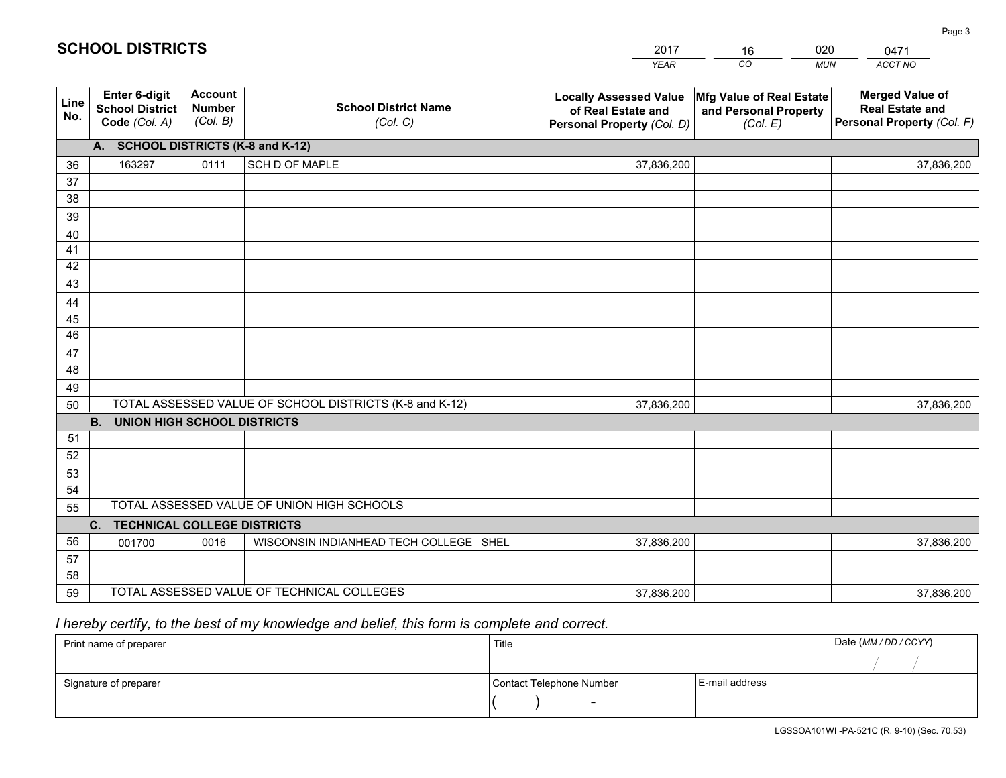|             |                                                          |                                             |                                                         | <b>YEAR</b>                                                                       | CO<br><b>MUN</b>                                              | ACCT NO                                                                        |
|-------------|----------------------------------------------------------|---------------------------------------------|---------------------------------------------------------|-----------------------------------------------------------------------------------|---------------------------------------------------------------|--------------------------------------------------------------------------------|
| Line<br>No. | Enter 6-digit<br><b>School District</b><br>Code (Col. A) | <b>Account</b><br><b>Number</b><br>(Col. B) | <b>School District Name</b><br>(Col. C)                 | <b>Locally Assessed Value</b><br>of Real Estate and<br>Personal Property (Col. D) | Mfg Value of Real Estate<br>and Personal Property<br>(Col. E) | <b>Merged Value of</b><br><b>Real Estate and</b><br>Personal Property (Col. F) |
|             | A. SCHOOL DISTRICTS (K-8 and K-12)                       |                                             |                                                         |                                                                                   |                                                               |                                                                                |
| 36          | 163297                                                   | 0111                                        | SCH D OF MAPLE                                          | 37,836,200                                                                        |                                                               | 37,836,200                                                                     |
| 37          |                                                          |                                             |                                                         |                                                                                   |                                                               |                                                                                |
| 38          |                                                          |                                             |                                                         |                                                                                   |                                                               |                                                                                |
| 39          |                                                          |                                             |                                                         |                                                                                   |                                                               |                                                                                |
| 40          |                                                          |                                             |                                                         |                                                                                   |                                                               |                                                                                |
| 41<br>42    |                                                          |                                             |                                                         |                                                                                   |                                                               |                                                                                |
| 43          |                                                          |                                             |                                                         |                                                                                   |                                                               |                                                                                |
| 44          |                                                          |                                             |                                                         |                                                                                   |                                                               |                                                                                |
| 45          |                                                          |                                             |                                                         |                                                                                   |                                                               |                                                                                |
| 46          |                                                          |                                             |                                                         |                                                                                   |                                                               |                                                                                |
| 47          |                                                          |                                             |                                                         |                                                                                   |                                                               |                                                                                |
| 48          |                                                          |                                             |                                                         |                                                                                   |                                                               |                                                                                |
| 49          |                                                          |                                             |                                                         |                                                                                   |                                                               |                                                                                |
| 50          |                                                          |                                             | TOTAL ASSESSED VALUE OF SCHOOL DISTRICTS (K-8 and K-12) | 37,836,200                                                                        |                                                               | 37,836,200                                                                     |
|             | <b>B.</b><br><b>UNION HIGH SCHOOL DISTRICTS</b>          |                                             |                                                         |                                                                                   |                                                               |                                                                                |
| 51          |                                                          |                                             |                                                         |                                                                                   |                                                               |                                                                                |
| 52          |                                                          |                                             |                                                         |                                                                                   |                                                               |                                                                                |
| 53          |                                                          |                                             |                                                         |                                                                                   |                                                               |                                                                                |
| 54          |                                                          |                                             |                                                         |                                                                                   |                                                               |                                                                                |
| 55          |                                                          |                                             | TOTAL ASSESSED VALUE OF UNION HIGH SCHOOLS              |                                                                                   |                                                               |                                                                                |
|             | C. TECHNICAL COLLEGE DISTRICTS                           |                                             |                                                         |                                                                                   |                                                               |                                                                                |
| 56          | 001700                                                   | 0016                                        | WISCONSIN INDIANHEAD TECH COLLEGE SHEL                  | 37,836,200                                                                        |                                                               | 37,836,200                                                                     |
| 57<br>58    |                                                          |                                             |                                                         |                                                                                   |                                                               |                                                                                |
| 59          |                                                          |                                             | TOTAL ASSESSED VALUE OF TECHNICAL COLLEGES              | 37,836,200                                                                        |                                                               | 37,836,200                                                                     |
|             |                                                          |                                             |                                                         |                                                                                   |                                                               |                                                                                |

16

020

 *I hereby certify, to the best of my knowledge and belief, this form is complete and correct.*

**SCHOOL DISTRICTS**

| Print name of preparer | Title                    |                | Date (MM/DD/CCYY) |
|------------------------|--------------------------|----------------|-------------------|
|                        |                          |                |                   |
| Signature of preparer  | Contact Telephone Number | E-mail address |                   |
|                        | $\overline{\phantom{0}}$ |                |                   |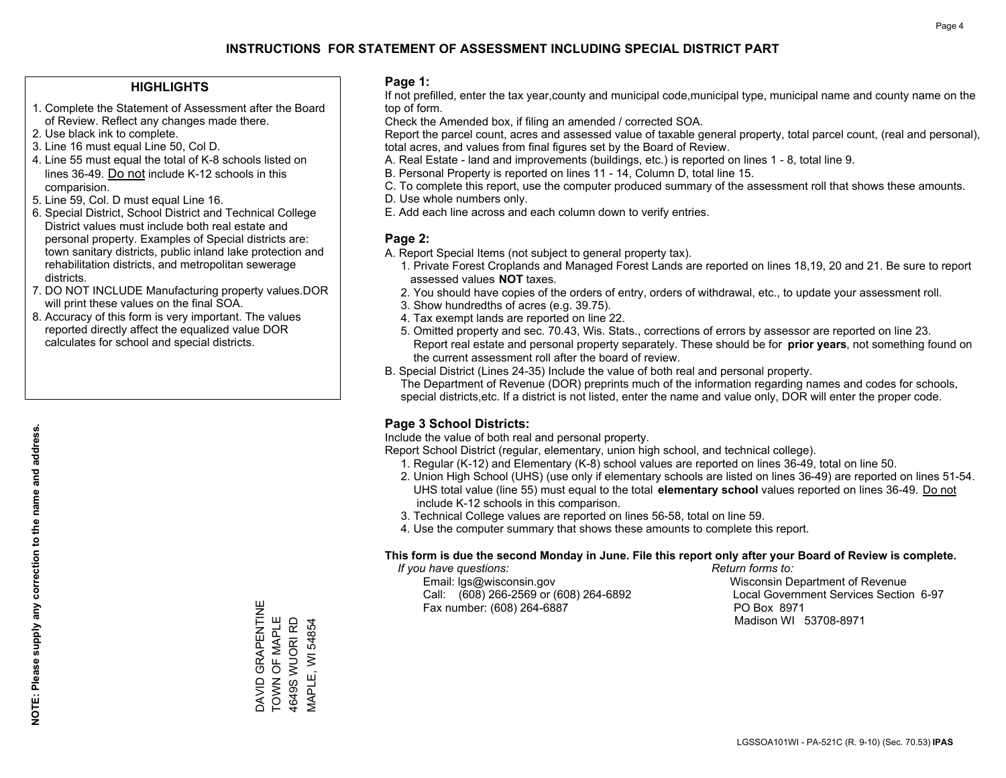### **HIGHLIGHTS**

- 1. Complete the Statement of Assessment after the Board of Review. Reflect any changes made there.
- 2. Use black ink to complete.
- 3. Line 16 must equal Line 50, Col D.
- 4. Line 55 must equal the total of K-8 schools listed on lines 36-49. Do not include K-12 schools in this comparision.
- 5. Line 59, Col. D must equal Line 16.
- 6. Special District, School District and Technical College District values must include both real estate and personal property. Examples of Special districts are: town sanitary districts, public inland lake protection and rehabilitation districts, and metropolitan sewerage districts.
- 7. DO NOT INCLUDE Manufacturing property values.DOR will print these values on the final SOA.
- 8. Accuracy of this form is very important. The values reported directly affect the equalized value DOR calculates for school and special districts.

### **Page 1:**

 If not prefilled, enter the tax year,county and municipal code,municipal type, municipal name and county name on the top of form.

Check the Amended box, if filing an amended / corrected SOA.

 Report the parcel count, acres and assessed value of taxable general property, total parcel count, (real and personal), total acres, and values from final figures set by the Board of Review.

- A. Real Estate land and improvements (buildings, etc.) is reported on lines 1 8, total line 9.
- B. Personal Property is reported on lines 11 14, Column D, total line 15.
- C. To complete this report, use the computer produced summary of the assessment roll that shows these amounts.
- D. Use whole numbers only.
- E. Add each line across and each column down to verify entries.

### **Page 2:**

- A. Report Special Items (not subject to general property tax).
- 1. Private Forest Croplands and Managed Forest Lands are reported on lines 18,19, 20 and 21. Be sure to report assessed values **NOT** taxes.
- 2. You should have copies of the orders of entry, orders of withdrawal, etc., to update your assessment roll.
	- 3. Show hundredths of acres (e.g. 39.75).
- 4. Tax exempt lands are reported on line 22.
- 5. Omitted property and sec. 70.43, Wis. Stats., corrections of errors by assessor are reported on line 23. Report real estate and personal property separately. These should be for **prior years**, not something found on the current assessment roll after the board of review.
- B. Special District (Lines 24-35) Include the value of both real and personal property.

 The Department of Revenue (DOR) preprints much of the information regarding names and codes for schools, special districts,etc. If a district is not listed, enter the name and value only, DOR will enter the proper code.

### **Page 3 School Districts:**

Include the value of both real and personal property.

Report School District (regular, elementary, union high school, and technical college).

- 1. Regular (K-12) and Elementary (K-8) school values are reported on lines 36-49, total on line 50.
- 2. Union High School (UHS) (use only if elementary schools are listed on lines 36-49) are reported on lines 51-54. UHS total value (line 55) must equal to the total **elementary school** values reported on lines 36-49. Do notinclude K-12 schools in this comparison.
- 3. Technical College values are reported on lines 56-58, total on line 59.
- 4. Use the computer summary that shows these amounts to complete this report.

#### **This form is due the second Monday in June. File this report only after your Board of Review is complete.**

 *If you have questions: Return forms to:*

 Email: lgs@wisconsin.gov Wisconsin Department of RevenueCall:  $(608)$  266-2569 or  $(608)$  264-6892 Fax number: (608) 264-6887 PO Box 8971

Local Government Services Section 6-97 Madison WI 53708-8971

DAVID GRAPENTINE<br>TOWN OF MAPLE<br>4649S WUORI RD DAVID GRAPENTINE TOWN OF MAPLE 4649S WUORI RD VIAPLE, WI 54854 MAPLE, WI 54854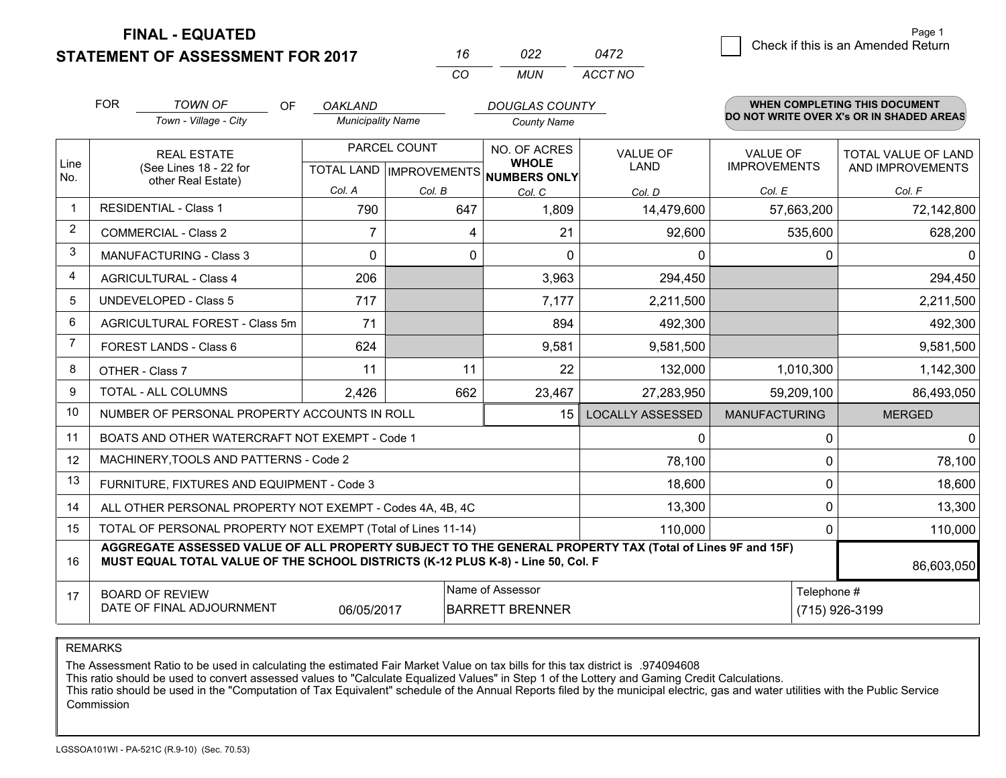**FINAL - EQUATED**

**STATEMENT OF ASSESSMENT FOR 2017** 

| 16 | 022   | 0472    |
|----|-------|---------|
| cо | MI IN | ACCT NO |

|                         | <b>FOR</b><br><b>TOWN OF</b><br>Town - Village - City                                                                                                                                                      | OF | <b>OAKLAND</b><br><b>Municipality Name</b> |              | <b>DOUGLAS COUNTY</b><br><b>County Name</b>                         |                                |                                 | WHEN COMPLETING THIS DOCUMENT<br>DO NOT WRITE OVER X's OR IN SHADED AREAS |
|-------------------------|------------------------------------------------------------------------------------------------------------------------------------------------------------------------------------------------------------|----|--------------------------------------------|--------------|---------------------------------------------------------------------|--------------------------------|---------------------------------|---------------------------------------------------------------------------|
| Line<br>No.             | <b>REAL ESTATE</b><br>(See Lines 18 - 22 for<br>other Real Estate)                                                                                                                                         |    |                                            | PARCEL COUNT | NO. OF ACRES<br><b>WHOLE</b><br>TOTAL LAND MPROVEMENTS NUMBERS ONLY | <b>VALUE OF</b><br><b>LAND</b> | VALUE OF<br><b>IMPROVEMENTS</b> | <b>TOTAL VALUE OF LAND</b><br>AND IMPROVEMENTS                            |
|                         |                                                                                                                                                                                                            |    | Col. A                                     | Col. B       | Col. C                                                              | Col. D                         | Col. E                          | Col. F                                                                    |
| $\overline{\mathbf{1}}$ | <b>RESIDENTIAL - Class 1</b>                                                                                                                                                                               |    | 790                                        | 647          | 1,809                                                               | 14,479,600                     | 57,663,200                      | 72,142,800                                                                |
| 2                       | <b>COMMERCIAL - Class 2</b>                                                                                                                                                                                |    |                                            | 4            | 21                                                                  | 92,600                         | 535,600                         | 628,200                                                                   |
| 3                       | MANUFACTURING - Class 3                                                                                                                                                                                    |    | $\Omega$                                   | 0            | $\Omega$                                                            | 0                              | 0                               | $\Omega$                                                                  |
| 4                       | <b>AGRICULTURAL - Class 4</b>                                                                                                                                                                              |    | 206                                        |              | 3,963                                                               | 294,450                        |                                 | 294,450                                                                   |
| 5                       | UNDEVELOPED - Class 5                                                                                                                                                                                      |    | 717                                        |              | 7,177                                                               | 2,211,500                      |                                 | 2,211,500                                                                 |
| 6                       | AGRICULTURAL FOREST - Class 5m                                                                                                                                                                             |    | 71                                         |              | 894                                                                 | 492,300                        |                                 | 492,300                                                                   |
| $\overline{7}$          | FOREST LANDS - Class 6                                                                                                                                                                                     |    | 624                                        |              | 9,581                                                               | 9,581,500                      |                                 | 9,581,500                                                                 |
| 8                       | OTHER - Class 7                                                                                                                                                                                            |    | 11                                         | 11           | 22                                                                  | 132,000                        | 1,010,300                       | 1,142,300                                                                 |
| 9                       | TOTAL - ALL COLUMNS                                                                                                                                                                                        |    | 2,426                                      | 662          | 23,467                                                              | 27,283,950                     | 59,209,100                      | 86,493,050                                                                |
| 10                      | NUMBER OF PERSONAL PROPERTY ACCOUNTS IN ROLL                                                                                                                                                               |    |                                            |              | 15                                                                  | <b>LOCALLY ASSESSED</b>        | <b>MANUFACTURING</b>            | <b>MERGED</b>                                                             |
| 11                      | BOATS AND OTHER WATERCRAFT NOT EXEMPT - Code 1                                                                                                                                                             |    |                                            |              |                                                                     | 0                              | 0                               | $\Omega$                                                                  |
| 12                      | MACHINERY, TOOLS AND PATTERNS - Code 2                                                                                                                                                                     |    |                                            |              |                                                                     | 78,100                         | $\Omega$                        | 78,100                                                                    |
| 13                      | FURNITURE, FIXTURES AND EQUIPMENT - Code 3                                                                                                                                                                 |    |                                            |              |                                                                     | 18,600                         | $\Omega$                        | 18,600                                                                    |
| 14                      | ALL OTHER PERSONAL PROPERTY NOT EXEMPT - Codes 4A, 4B, 4C                                                                                                                                                  |    |                                            | 13,300       | $\mathbf 0$                                                         | 13,300                         |                                 |                                                                           |
| 15                      | TOTAL OF PERSONAL PROPERTY NOT EXEMPT (Total of Lines 11-14)                                                                                                                                               |    |                                            |              | 110,000                                                             | $\Omega$                       | 110,000                         |                                                                           |
| 16                      | AGGREGATE ASSESSED VALUE OF ALL PROPERTY SUBJECT TO THE GENERAL PROPERTY TAX (Total of Lines 9F and 15F)<br>MUST EQUAL TOTAL VALUE OF THE SCHOOL DISTRICTS (K-12 PLUS K-8) - Line 50, Col. F<br>86,603,050 |    |                                            |              |                                                                     |                                |                                 |                                                                           |
| 17                      | Name of Assessor<br>Telephone #<br><b>BOARD OF REVIEW</b><br>DATE OF FINAL ADJOURNMENT<br><b>BARRETT BRENNER</b><br>06/05/2017                                                                             |    |                                            |              |                                                                     |                                |                                 | (715) 926-3199                                                            |

REMARKS

The Assessment Ratio to be used in calculating the estimated Fair Market Value on tax bills for this tax district is .974094608

This ratio should be used to convert assessed values to "Calculate Equalized Values" in Step 1 of the Lottery and Gaming Credit Calculations.<br>This ratio should be used in the "Computation of Tax Equivalent" schedule of the Commission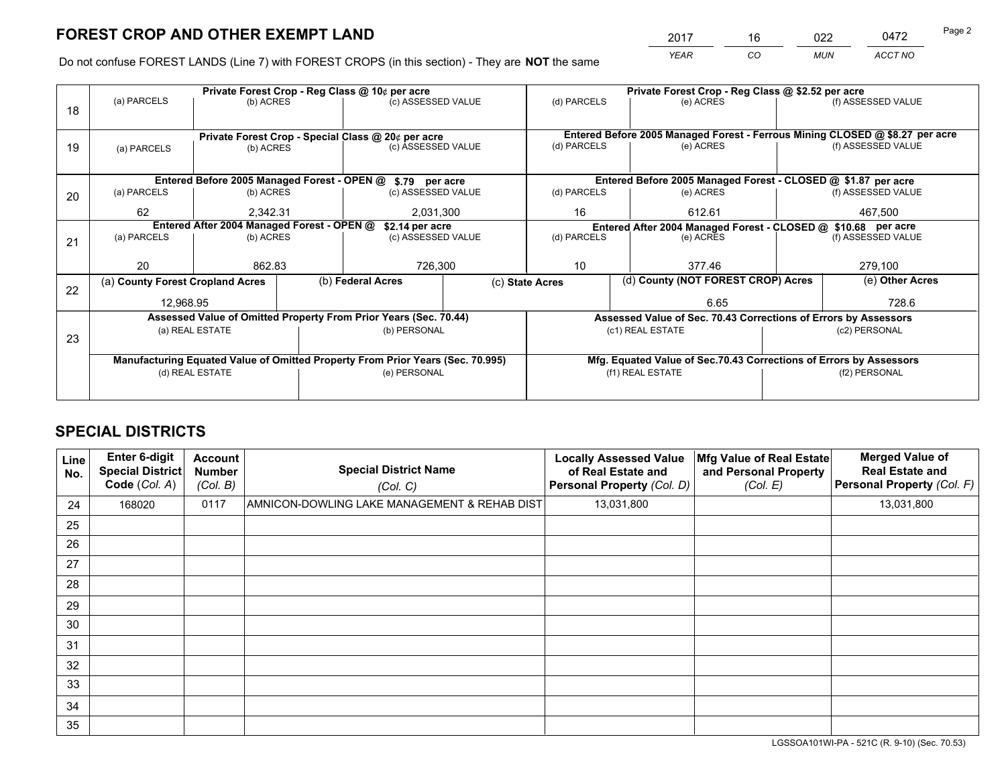*YEAR CO MUN ACCT NO* 2017 16 022 0472 Page 2

Do not confuse FOREST LANDS (Line 7) with FOREST CROPS (in this section) - They are **NOT** the same

|    | Private Forest Crop - Reg Class @ 10¢ per acre                                 |                 |  |                                                                  |             |                                                                              | Private Forest Crop - Reg Class @ \$2.52 per acre                  |               |                                                                 |  |
|----|--------------------------------------------------------------------------------|-----------------|--|------------------------------------------------------------------|-------------|------------------------------------------------------------------------------|--------------------------------------------------------------------|---------------|-----------------------------------------------------------------|--|
| 18 | (a) PARCELS                                                                    | (b) ACRES       |  | (c) ASSESSED VALUE                                               |             | (d) PARCELS                                                                  | (e) ACRES                                                          |               | (f) ASSESSED VALUE                                              |  |
|    |                                                                                |                 |  |                                                                  |             |                                                                              |                                                                    |               |                                                                 |  |
|    |                                                                                |                 |  | Private Forest Crop - Special Class @ 20¢ per acre               |             | Entered Before 2005 Managed Forest - Ferrous Mining CLOSED @ \$8.27 per acre |                                                                    |               |                                                                 |  |
| 19 | (a) PARCELS                                                                    | (b) ACRES       |  | (c) ASSESSED VALUE                                               |             | (d) PARCELS                                                                  | (e) ACRES                                                          |               | (f) ASSESSED VALUE                                              |  |
|    |                                                                                |                 |  |                                                                  |             |                                                                              |                                                                    |               |                                                                 |  |
|    |                                                                                |                 |  | Entered Before 2005 Managed Forest - OPEN @ \$.79 per acre       |             |                                                                              | Entered Before 2005 Managed Forest - CLOSED @ \$1.87 per acre      |               |                                                                 |  |
| 20 | (a) PARCELS                                                                    | (b) ACRES       |  | (c) ASSESSED VALUE                                               |             | (d) PARCELS                                                                  | (e) ACRES                                                          |               | (f) ASSESSED VALUE                                              |  |
|    | 62                                                                             | 2.342.31        |  | 2,031,300                                                        |             | 16                                                                           | 612.61                                                             |               | 467,500                                                         |  |
|    | Entered After 2004 Managed Forest - OPEN @                                     |                 |  | \$2.14 per acre                                                  |             | Entered After 2004 Managed Forest - CLOSED @ \$10.68 per acre                |                                                                    |               |                                                                 |  |
| 21 | (a) PARCELS                                                                    | (b) ACRES       |  | (c) ASSESSED VALUE                                               | (d) PARCELS |                                                                              | (e) ACRES                                                          |               |                                                                 |  |
|    |                                                                                |                 |  |                                                                  |             |                                                                              |                                                                    |               |                                                                 |  |
|    | 20                                                                             | 862.83          |  | 726,300                                                          |             | 10<br>377.46                                                                 |                                                                    |               | 279,100                                                         |  |
| 22 | (a) County Forest Cropland Acres                                               |                 |  | (b) Federal Acres                                                |             | (c) State Acres                                                              | (d) County (NOT FOREST CROP) Acres                                 |               | (e) Other Acres                                                 |  |
|    | 12,968.95                                                                      |                 |  |                                                                  |             | 6.65                                                                         |                                                                    |               | 728.6                                                           |  |
|    |                                                                                |                 |  | Assessed Value of Omitted Property From Prior Years (Sec. 70.44) |             |                                                                              |                                                                    |               | Assessed Value of Sec. 70.43 Corrections of Errors by Assessors |  |
| 23 |                                                                                | (a) REAL ESTATE |  | (b) PERSONAL                                                     |             |                                                                              | (c1) REAL ESTATE                                                   |               | (c2) PERSONAL                                                   |  |
|    |                                                                                |                 |  |                                                                  |             |                                                                              |                                                                    |               |                                                                 |  |
|    | Manufacturing Equated Value of Omitted Property From Prior Years (Sec. 70.995) |                 |  |                                                                  |             |                                                                              | Mfg. Equated Value of Sec.70.43 Corrections of Errors by Assessors |               |                                                                 |  |
|    | (d) REAL ESTATE                                                                |                 |  | (e) PERSONAL                                                     |             |                                                                              | (f1) REAL ESTATE                                                   | (f2) PERSONAL |                                                                 |  |
|    |                                                                                |                 |  |                                                                  |             |                                                                              |                                                                    |               |                                                                 |  |

## **SPECIAL DISTRICTS**

| Line<br>No. | Enter 6-digit<br>Special District<br>Code (Col. A) | <b>Account</b><br><b>Number</b><br>(Col. B) | <b>Special District Name</b><br>(Col. C)     | <b>Locally Assessed Value</b><br>of Real Estate and<br>Personal Property (Col. D) | Mfg Value of Real Estate<br>and Personal Property<br>(Col. E) | <b>Merged Value of</b><br><b>Real Estate and</b><br>Personal Property (Col. F) |
|-------------|----------------------------------------------------|---------------------------------------------|----------------------------------------------|-----------------------------------------------------------------------------------|---------------------------------------------------------------|--------------------------------------------------------------------------------|
| 24          | 168020                                             | 0117                                        | AMNICON-DOWLING LAKE MANAGEMENT & REHAB DIST | 13,031,800                                                                        |                                                               | 13,031,800                                                                     |
| 25          |                                                    |                                             |                                              |                                                                                   |                                                               |                                                                                |
| 26          |                                                    |                                             |                                              |                                                                                   |                                                               |                                                                                |
| 27          |                                                    |                                             |                                              |                                                                                   |                                                               |                                                                                |
| 28          |                                                    |                                             |                                              |                                                                                   |                                                               |                                                                                |
| 29          |                                                    |                                             |                                              |                                                                                   |                                                               |                                                                                |
| 30          |                                                    |                                             |                                              |                                                                                   |                                                               |                                                                                |
| 31          |                                                    |                                             |                                              |                                                                                   |                                                               |                                                                                |
| 32          |                                                    |                                             |                                              |                                                                                   |                                                               |                                                                                |
| 33          |                                                    |                                             |                                              |                                                                                   |                                                               |                                                                                |
| 34          |                                                    |                                             |                                              |                                                                                   |                                                               |                                                                                |
| 35          |                                                    |                                             |                                              |                                                                                   |                                                               |                                                                                |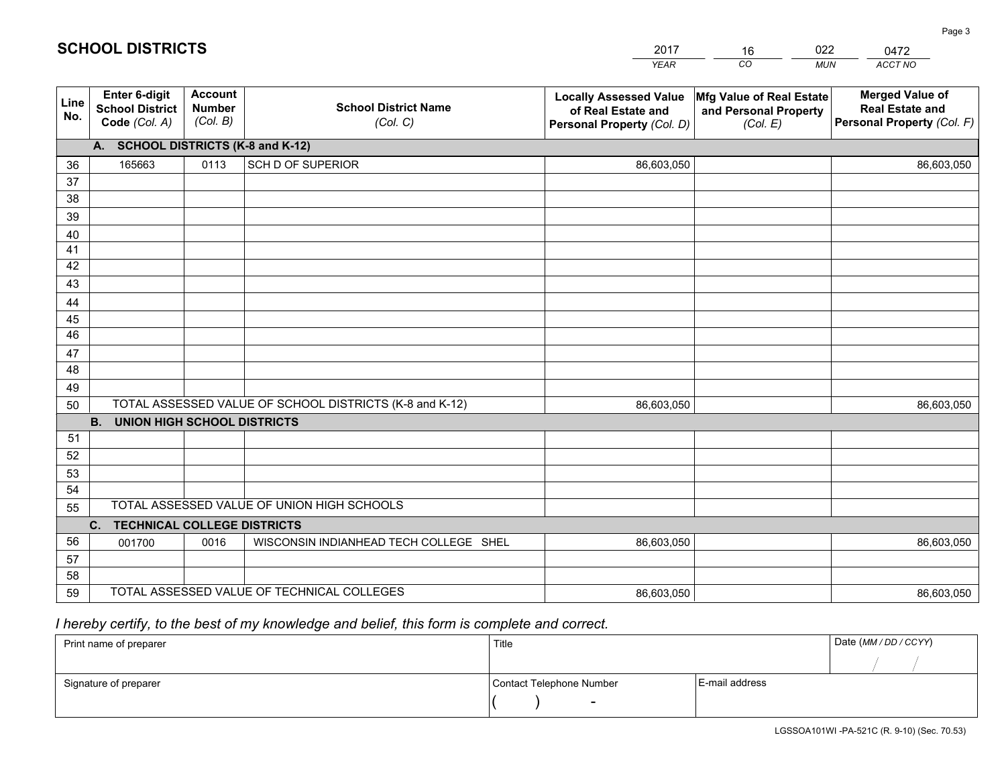|             |                                                                 |                                             |                                                         | <b>YEAR</b>                                                                       | CO<br><b>MUN</b>                                              | ACCT NO                                                                        |
|-------------|-----------------------------------------------------------------|---------------------------------------------|---------------------------------------------------------|-----------------------------------------------------------------------------------|---------------------------------------------------------------|--------------------------------------------------------------------------------|
| Line<br>No. | <b>Enter 6-digit</b><br><b>School District</b><br>Code (Col. A) | <b>Account</b><br><b>Number</b><br>(Col. B) | <b>School District Name</b><br>(Col. C)                 | <b>Locally Assessed Value</b><br>of Real Estate and<br>Personal Property (Col. D) | Mfg Value of Real Estate<br>and Personal Property<br>(Col. E) | <b>Merged Value of</b><br><b>Real Estate and</b><br>Personal Property (Col. F) |
|             | A. SCHOOL DISTRICTS (K-8 and K-12)                              |                                             |                                                         |                                                                                   |                                                               |                                                                                |
| 36          | 165663                                                          | 0113                                        | SCH D OF SUPERIOR                                       | 86,603,050                                                                        |                                                               | 86,603,050                                                                     |
| 37          |                                                                 |                                             |                                                         |                                                                                   |                                                               |                                                                                |
| 38          |                                                                 |                                             |                                                         |                                                                                   |                                                               |                                                                                |
| 39          |                                                                 |                                             |                                                         |                                                                                   |                                                               |                                                                                |
| 40          |                                                                 |                                             |                                                         |                                                                                   |                                                               |                                                                                |
| 41          |                                                                 |                                             |                                                         |                                                                                   |                                                               |                                                                                |
| 42          |                                                                 |                                             |                                                         |                                                                                   |                                                               |                                                                                |
| 43          |                                                                 |                                             |                                                         |                                                                                   |                                                               |                                                                                |
| 44<br>45    |                                                                 |                                             |                                                         |                                                                                   |                                                               |                                                                                |
| 46          |                                                                 |                                             |                                                         |                                                                                   |                                                               |                                                                                |
| 47          |                                                                 |                                             |                                                         |                                                                                   |                                                               |                                                                                |
| 48          |                                                                 |                                             |                                                         |                                                                                   |                                                               |                                                                                |
| 49          |                                                                 |                                             |                                                         |                                                                                   |                                                               |                                                                                |
| 50          |                                                                 |                                             | TOTAL ASSESSED VALUE OF SCHOOL DISTRICTS (K-8 and K-12) | 86,603,050                                                                        |                                                               | 86,603,050                                                                     |
|             | <b>B.</b><br><b>UNION HIGH SCHOOL DISTRICTS</b>                 |                                             |                                                         |                                                                                   |                                                               |                                                                                |
| 51          |                                                                 |                                             |                                                         |                                                                                   |                                                               |                                                                                |
| 52          |                                                                 |                                             |                                                         |                                                                                   |                                                               |                                                                                |
| 53          |                                                                 |                                             |                                                         |                                                                                   |                                                               |                                                                                |
| 54          |                                                                 |                                             |                                                         |                                                                                   |                                                               |                                                                                |
| 55          |                                                                 |                                             | TOTAL ASSESSED VALUE OF UNION HIGH SCHOOLS              |                                                                                   |                                                               |                                                                                |
|             | C.<br><b>TECHNICAL COLLEGE DISTRICTS</b>                        |                                             |                                                         |                                                                                   |                                                               |                                                                                |
| 56          | 001700                                                          | 0016                                        | WISCONSIN INDIANHEAD TECH COLLEGE SHEL                  | 86,603,050                                                                        |                                                               | 86,603,050                                                                     |
| 57          |                                                                 |                                             |                                                         |                                                                                   |                                                               |                                                                                |
| 58          |                                                                 |                                             |                                                         |                                                                                   |                                                               |                                                                                |
| 59          |                                                                 |                                             | TOTAL ASSESSED VALUE OF TECHNICAL COLLEGES              | 86,603,050                                                                        |                                                               | 86,603,050                                                                     |

16

022

 *I hereby certify, to the best of my knowledge and belief, this form is complete and correct.*

**SCHOOL DISTRICTS**

| Print name of preparer | Title                    | Date (MM/DD/CCYY) |  |
|------------------------|--------------------------|-------------------|--|
|                        |                          |                   |  |
| Signature of preparer  | Contact Telephone Number | E-mail address    |  |
|                        | $\overline{\phantom{0}}$ |                   |  |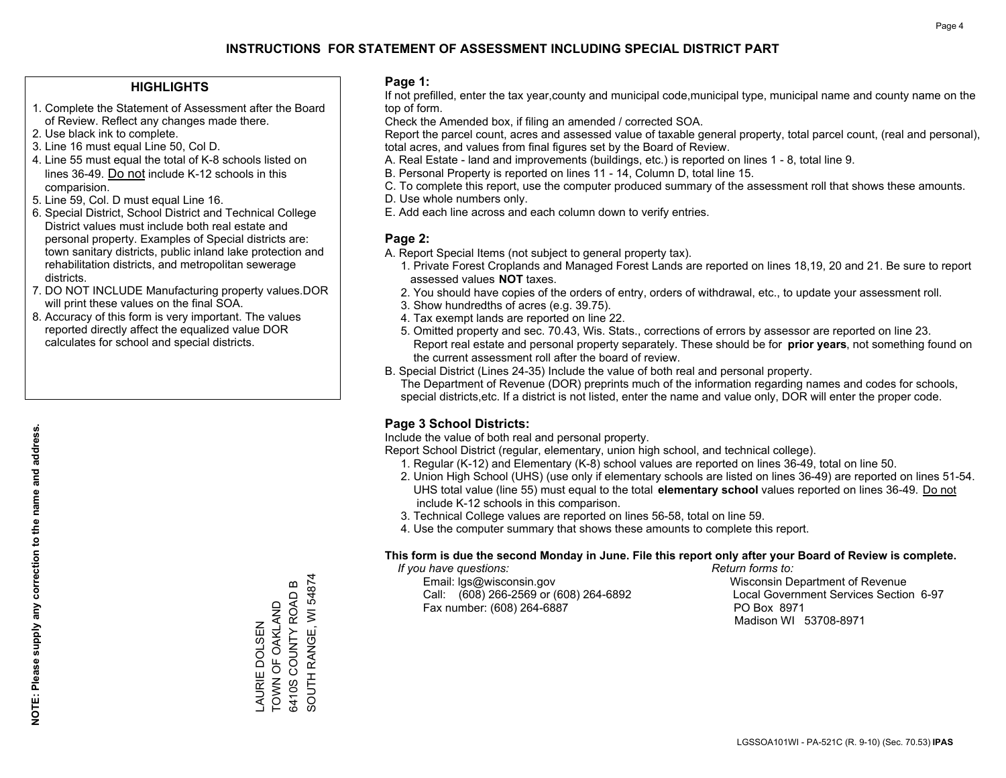### **HIGHLIGHTS**

- 1. Complete the Statement of Assessment after the Board of Review. Reflect any changes made there.
- 2. Use black ink to complete.
- 3. Line 16 must equal Line 50, Col D.
- 4. Line 55 must equal the total of K-8 schools listed on lines 36-49. Do not include K-12 schools in this comparision.
- 5. Line 59, Col. D must equal Line 16.
- 6. Special District, School District and Technical College District values must include both real estate and personal property. Examples of Special districts are: town sanitary districts, public inland lake protection and rehabilitation districts, and metropolitan sewerage districts.
- 7. DO NOT INCLUDE Manufacturing property values.DOR will print these values on the final SOA.
- 8. Accuracy of this form is very important. The values reported directly affect the equalized value DOR calculates for school and special districts.

### **Page 1:**

 If not prefilled, enter the tax year,county and municipal code,municipal type, municipal name and county name on the top of form.

Check the Amended box, if filing an amended / corrected SOA.

 Report the parcel count, acres and assessed value of taxable general property, total parcel count, (real and personal), total acres, and values from final figures set by the Board of Review.

- A. Real Estate land and improvements (buildings, etc.) is reported on lines 1 8, total line 9.
- B. Personal Property is reported on lines 11 14, Column D, total line 15.
- C. To complete this report, use the computer produced summary of the assessment roll that shows these amounts.
- D. Use whole numbers only.
- E. Add each line across and each column down to verify entries.

### **Page 2:**

- A. Report Special Items (not subject to general property tax).
- 1. Private Forest Croplands and Managed Forest Lands are reported on lines 18,19, 20 and 21. Be sure to report assessed values **NOT** taxes.
- 2. You should have copies of the orders of entry, orders of withdrawal, etc., to update your assessment roll.
	- 3. Show hundredths of acres (e.g. 39.75).
- 4. Tax exempt lands are reported on line 22.
- 5. Omitted property and sec. 70.43, Wis. Stats., corrections of errors by assessor are reported on line 23. Report real estate and personal property separately. These should be for **prior years**, not something found on the current assessment roll after the board of review.
- B. Special District (Lines 24-35) Include the value of both real and personal property.
- The Department of Revenue (DOR) preprints much of the information regarding names and codes for schools, special districts,etc. If a district is not listed, enter the name and value only, DOR will enter the proper code.

## **Page 3 School Districts:**

Include the value of both real and personal property.

Report School District (regular, elementary, union high school, and technical college).

- 1. Regular (K-12) and Elementary (K-8) school values are reported on lines 36-49, total on line 50.
- 2. Union High School (UHS) (use only if elementary schools are listed on lines 36-49) are reported on lines 51-54. UHS total value (line 55) must equal to the total **elementary school** values reported on lines 36-49. Do notinclude K-12 schools in this comparison.
- 3. Technical College values are reported on lines 56-58, total on line 59.
- 4. Use the computer summary that shows these amounts to complete this report.

### **This form is due the second Monday in June. File this report only after your Board of Review is complete.**

 *If you have questions: Return forms to:*

 Email: lgs@wisconsin.gov Wisconsin Department of RevenueCall:  $(608)$  266-2569 or  $(608)$  264-6892 Fax number: (608) 264-6887 PO Box 8971

Local Government Services Section 6-97 Madison WI 53708-8971

SOUTH RANGE, WI 54874 SOUTH RANGE, WI 54874  $\bf{m}$ 6410S COUNTY ROAD B 6410S COUNTY ROAD TOWN OF OAKLAND TOWN OF OAKLAND AURIE DOLSEN LAURIE DOLSEN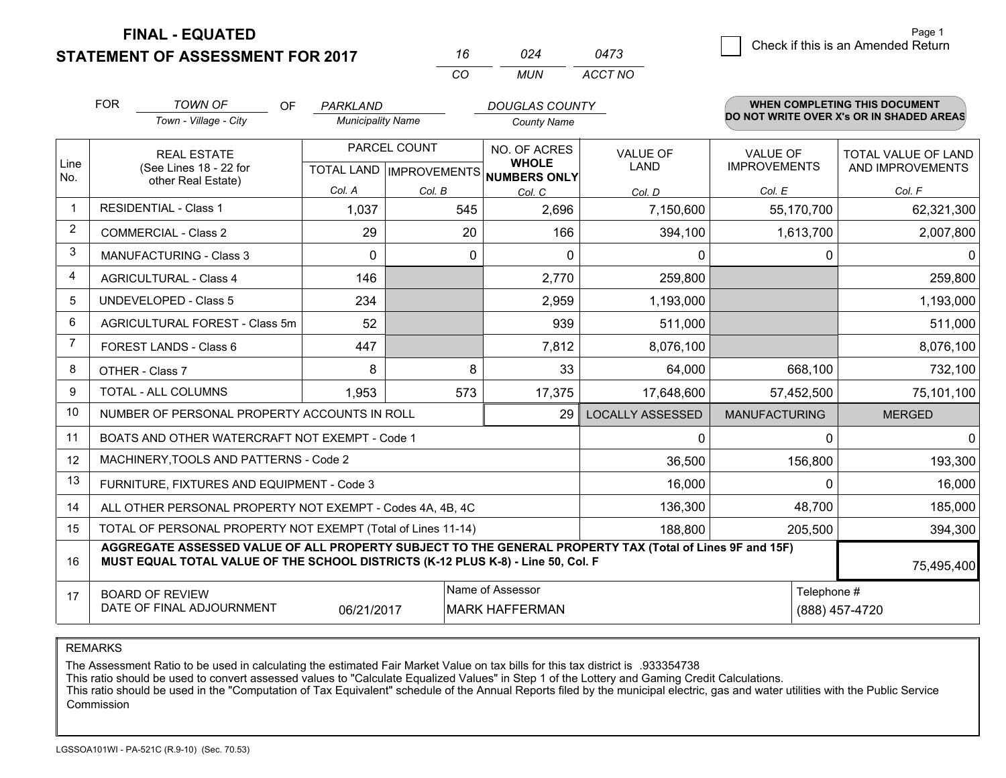**FINAL - EQUATED**

**STATEMENT OF ASSESSMENT FOR 2017** 

| 16       | በ24  | 0473    |
|----------|------|---------|
| $\alpha$ | MUN. | ACCT NO |

|                         | <b>FOR</b><br><b>TOWN OF</b><br>OF<br>Town - Village - City                                                                                                                                  | PARKLAND<br><b>Municipality Name</b> |                                                      | <b>DOUGLAS COUNTY</b><br><b>County Name</b> |                                |                                        | WHEN COMPLETING THIS DOCUMENT<br>DO NOT WRITE OVER X's OR IN SHADED AREAS |
|-------------------------|----------------------------------------------------------------------------------------------------------------------------------------------------------------------------------------------|--------------------------------------|------------------------------------------------------|---------------------------------------------|--------------------------------|----------------------------------------|---------------------------------------------------------------------------|
| Line<br>No.             | <b>REAL ESTATE</b><br>(See Lines 18 - 22 for<br>other Real Estate)                                                                                                                           |                                      | PARCEL COUNT<br>TOTAL LAND IMPROVEMENTS NUMBERS ONLY |                                             | <b>VALUE OF</b><br><b>LAND</b> | <b>VALUE OF</b><br><b>IMPROVEMENTS</b> | TOTAL VALUE OF LAND<br>AND IMPROVEMENTS                                   |
|                         |                                                                                                                                                                                              | Col. A                               | Col. B                                               | Col. C                                      | Col. D                         | Col. E                                 | Col. F                                                                    |
| $\overline{\mathbf{1}}$ | <b>RESIDENTIAL - Class 1</b>                                                                                                                                                                 | 1,037                                | 545                                                  | 2,696                                       | 7,150,600                      | 55,170,700                             | 62,321,300                                                                |
| 2                       | <b>COMMERCIAL - Class 2</b>                                                                                                                                                                  | 29                                   | 20                                                   | 166                                         | 394,100                        | 1,613,700                              | 2,007,800                                                                 |
| 3                       | MANUFACTURING - Class 3                                                                                                                                                                      | $\Omega$                             | 0                                                    | $\Omega$                                    | 0                              | 0                                      | $\Omega$                                                                  |
| 4                       | <b>AGRICULTURAL - Class 4</b>                                                                                                                                                                | 146                                  |                                                      | 2,770                                       | 259,800                        |                                        | 259,800                                                                   |
| 5                       | UNDEVELOPED - Class 5                                                                                                                                                                        | 234                                  |                                                      | 2,959                                       | 1,193,000                      |                                        | 1,193,000                                                                 |
| 6                       | AGRICULTURAL FOREST - Class 5m                                                                                                                                                               | 52                                   |                                                      | 939                                         | 511,000                        |                                        | 511,000                                                                   |
| $\overline{7}$          | FOREST LANDS - Class 6                                                                                                                                                                       | 447                                  |                                                      | 7,812                                       | 8,076,100                      |                                        | 8,076,100                                                                 |
| 8                       | OTHER - Class 7                                                                                                                                                                              | 8                                    | 8                                                    | 33                                          | 64,000                         | 668,100                                | 732,100                                                                   |
| 9                       | TOTAL - ALL COLUMNS                                                                                                                                                                          | 1,953                                | 573                                                  | 17,375                                      | 17,648,600                     | 57,452,500                             | 75,101,100                                                                |
| 10                      | NUMBER OF PERSONAL PROPERTY ACCOUNTS IN ROLL                                                                                                                                                 |                                      |                                                      | 29                                          | <b>LOCALLY ASSESSED</b>        | <b>MANUFACTURING</b>                   | <b>MERGED</b>                                                             |
| 11                      | BOATS AND OTHER WATERCRAFT NOT EXEMPT - Code 1                                                                                                                                               |                                      |                                                      |                                             | 0                              | 0                                      | $\Omega$                                                                  |
| 12                      | MACHINERY, TOOLS AND PATTERNS - Code 2                                                                                                                                                       |                                      |                                                      |                                             | 36,500                         | 156,800                                | 193,300                                                                   |
| 13                      | FURNITURE, FIXTURES AND EQUIPMENT - Code 3                                                                                                                                                   |                                      |                                                      |                                             | 16,000                         | $\Omega$                               | 16,000                                                                    |
| 14                      | ALL OTHER PERSONAL PROPERTY NOT EXEMPT - Codes 4A, 4B, 4C                                                                                                                                    |                                      |                                                      |                                             | 136,300                        | 48,700                                 | 185,000                                                                   |
| 15                      | TOTAL OF PERSONAL PROPERTY NOT EXEMPT (Total of Lines 11-14)                                                                                                                                 |                                      |                                                      |                                             | 188,800                        | 205,500                                | 394,300                                                                   |
| 16                      | AGGREGATE ASSESSED VALUE OF ALL PROPERTY SUBJECT TO THE GENERAL PROPERTY TAX (Total of Lines 9F and 15F)<br>MUST EQUAL TOTAL VALUE OF THE SCHOOL DISTRICTS (K-12 PLUS K-8) - Line 50, Col. F |                                      |                                                      |                                             |                                |                                        | 75,495,400                                                                |
| 17                      | <b>BOARD OF REVIEW</b><br>DATE OF FINAL ADJOURNMENT                                                                                                                                          | Telephone #                          | (888) 457-4720                                       |                                             |                                |                                        |                                                                           |

REMARKS

The Assessment Ratio to be used in calculating the estimated Fair Market Value on tax bills for this tax district is .933354738

This ratio should be used to convert assessed values to "Calculate Equalized Values" in Step 1 of the Lottery and Gaming Credit Calculations.<br>This ratio should be used in the "Computation of Tax Equivalent" schedule of the Commission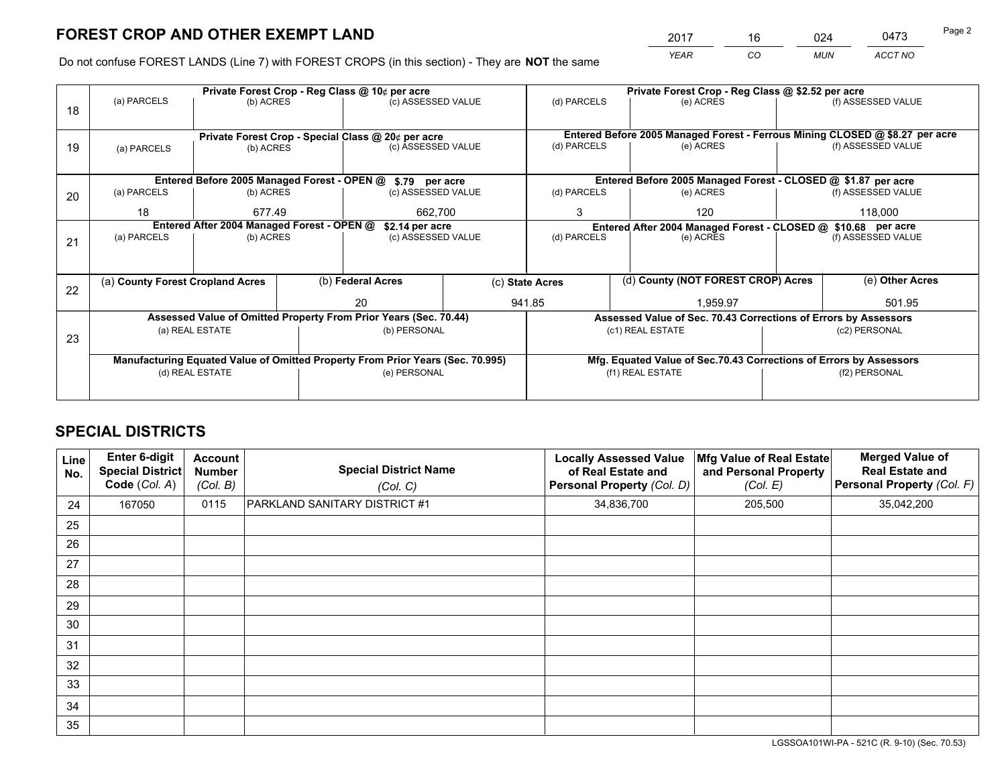*YEAR CO MUN ACCT NO* <u>2017 - 16 024 0473</u>

Do not confuse FOREST LANDS (Line 7) with FOREST CROPS (in this section) - They are **NOT** the same

|    | Private Forest Crop - Reg Class @ 10¢ per acre                |                                                    |  |                                                                                |  |                          | Private Forest Crop - Reg Class @ \$2.52 per acre             |                                                                              |                    |                    |
|----|---------------------------------------------------------------|----------------------------------------------------|--|--------------------------------------------------------------------------------|--|--------------------------|---------------------------------------------------------------|------------------------------------------------------------------------------|--------------------|--------------------|
| 18 | (a) PARCELS                                                   | (b) ACRES                                          |  | (c) ASSESSED VALUE                                                             |  | (d) PARCELS              |                                                               | (e) ACRES                                                                    |                    | (f) ASSESSED VALUE |
|    |                                                               |                                                    |  |                                                                                |  |                          |                                                               |                                                                              |                    |                    |
|    |                                                               | Private Forest Crop - Special Class @ 20¢ per acre |  |                                                                                |  |                          |                                                               | Entered Before 2005 Managed Forest - Ferrous Mining CLOSED @ \$8.27 per acre |                    |                    |
| 19 | (a) PARCELS                                                   | (b) ACRES                                          |  | (c) ASSESSED VALUE                                                             |  | (d) PARCELS              |                                                               | (e) ACRES                                                                    |                    | (f) ASSESSED VALUE |
|    |                                                               |                                                    |  |                                                                                |  |                          |                                                               |                                                                              |                    |                    |
|    |                                                               |                                                    |  | Entered Before 2005 Managed Forest - OPEN @ \$.79 per acre                     |  |                          |                                                               | Entered Before 2005 Managed Forest - CLOSED @ \$1.87 per acre                |                    |                    |
| 20 | (a) PARCELS                                                   | (b) ACRES                                          |  | (c) ASSESSED VALUE                                                             |  | (d) PARCELS              |                                                               | (e) ACRES                                                                    |                    | (f) ASSESSED VALUE |
|    | 18                                                            | 677.49                                             |  | 662,700                                                                        |  | 3                        | 120                                                           |                                                                              |                    | 118.000            |
|    | Entered After 2004 Managed Forest - OPEN @<br>\$2.14 per acre |                                                    |  |                                                                                |  |                          | Entered After 2004 Managed Forest - CLOSED @ \$10.68 per acre |                                                                              |                    |                    |
| 21 | (a) PARCELS                                                   | (b) ACRES                                          |  | (c) ASSESSED VALUE                                                             |  | (d) PARCELS<br>(e) ACRES |                                                               |                                                                              | (f) ASSESSED VALUE |                    |
|    |                                                               |                                                    |  |                                                                                |  |                          |                                                               |                                                                              |                    |                    |
|    |                                                               |                                                    |  |                                                                                |  |                          |                                                               |                                                                              |                    |                    |
|    | (a) County Forest Cropland Acres                              |                                                    |  | (b) Federal Acres                                                              |  | (c) State Acres          |                                                               | (d) County (NOT FOREST CROP) Acres                                           |                    | (e) Other Acres    |
| 22 |                                                               |                                                    |  | 20                                                                             |  | 941.85                   |                                                               | 1,959.97                                                                     |                    | 501.95             |
|    |                                                               |                                                    |  | Assessed Value of Omitted Property From Prior Years (Sec. 70.44)               |  |                          |                                                               | Assessed Value of Sec. 70.43 Corrections of Errors by Assessors              |                    |                    |
|    |                                                               | (a) REAL ESTATE                                    |  | (b) PERSONAL                                                                   |  |                          |                                                               | (c1) REAL ESTATE                                                             |                    | (c2) PERSONAL      |
| 23 |                                                               |                                                    |  |                                                                                |  |                          |                                                               |                                                                              |                    |                    |
|    |                                                               |                                                    |  | Manufacturing Equated Value of Omitted Property From Prior Years (Sec. 70.995) |  |                          |                                                               | Mfg. Equated Value of Sec.70.43 Corrections of Errors by Assessors           |                    |                    |
|    |                                                               | (d) REAL ESTATE                                    |  | (e) PERSONAL                                                                   |  | (f1) REAL ESTATE         |                                                               |                                                                              | (f2) PERSONAL      |                    |
|    |                                                               |                                                    |  |                                                                                |  |                          |                                                               |                                                                              |                    |                    |

## **SPECIAL DISTRICTS**

| <b>Line</b><br>No. | Enter 6-digit<br><b>Special District</b><br>Code (Col. A) | Account<br><b>Number</b><br>(Col. B) | <b>Special District Name</b><br>(Col. C) | <b>Locally Assessed Value</b><br>of Real Estate and<br>Personal Property (Col. D) | Mfg Value of Real Estate<br>and Personal Property<br>(Col. E) | <b>Merged Value of</b><br><b>Real Estate and</b><br>Personal Property (Col. F) |
|--------------------|-----------------------------------------------------------|--------------------------------------|------------------------------------------|-----------------------------------------------------------------------------------|---------------------------------------------------------------|--------------------------------------------------------------------------------|
| 24                 | 167050                                                    | 0115                                 | PARKLAND SANITARY DISTRICT #1            | 34,836,700                                                                        | 205,500                                                       | 35,042,200                                                                     |
| 25                 |                                                           |                                      |                                          |                                                                                   |                                                               |                                                                                |
| 26                 |                                                           |                                      |                                          |                                                                                   |                                                               |                                                                                |
| 27                 |                                                           |                                      |                                          |                                                                                   |                                                               |                                                                                |
| 28                 |                                                           |                                      |                                          |                                                                                   |                                                               |                                                                                |
| 29                 |                                                           |                                      |                                          |                                                                                   |                                                               |                                                                                |
| 30                 |                                                           |                                      |                                          |                                                                                   |                                                               |                                                                                |
| 31                 |                                                           |                                      |                                          |                                                                                   |                                                               |                                                                                |
| 32                 |                                                           |                                      |                                          |                                                                                   |                                                               |                                                                                |
| 33                 |                                                           |                                      |                                          |                                                                                   |                                                               |                                                                                |
| 34                 |                                                           |                                      |                                          |                                                                                   |                                                               |                                                                                |
| 35                 |                                                           |                                      |                                          |                                                                                   |                                                               |                                                                                |

LGSSOA101WI-PA - 521C (R. 9-10) (Sec. 70.53)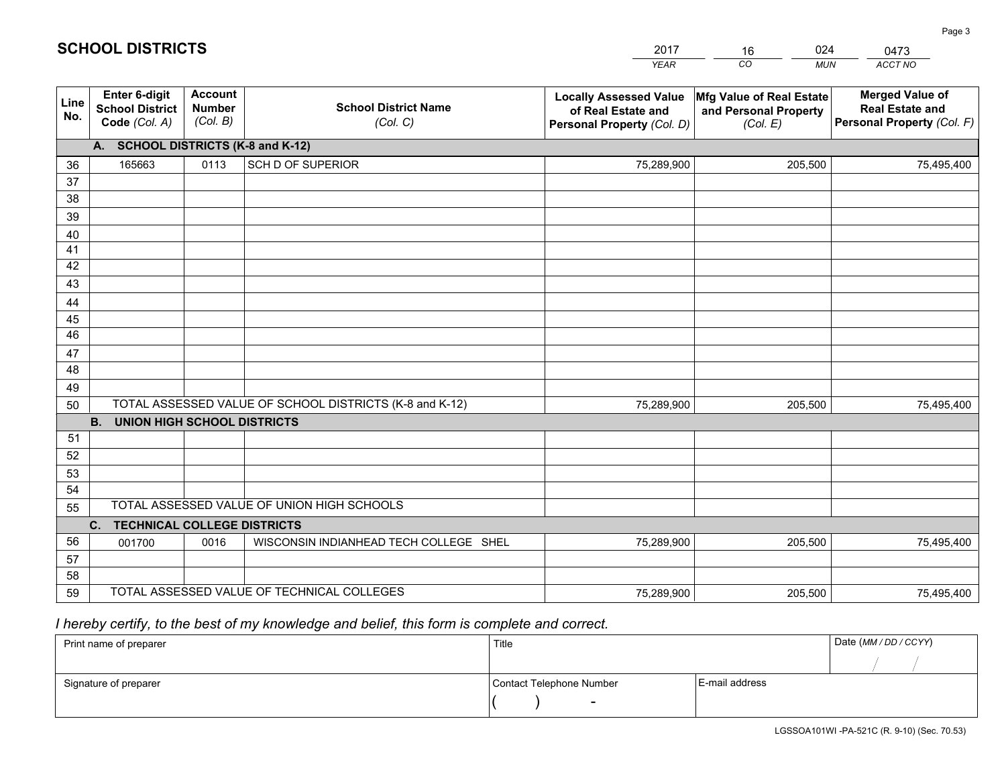|             |                                                                 |                                             |                                                         | <b>YEAR</b>                                                                       | CO<br><b>MUN</b>                                              | ACCT NO                                                                        |
|-------------|-----------------------------------------------------------------|---------------------------------------------|---------------------------------------------------------|-----------------------------------------------------------------------------------|---------------------------------------------------------------|--------------------------------------------------------------------------------|
| Line<br>No. | <b>Enter 6-digit</b><br><b>School District</b><br>Code (Col. A) | <b>Account</b><br><b>Number</b><br>(Col. B) | <b>School District Name</b><br>(Col. C)                 | <b>Locally Assessed Value</b><br>of Real Estate and<br>Personal Property (Col. D) | Mfg Value of Real Estate<br>and Personal Property<br>(Col. E) | <b>Merged Value of</b><br><b>Real Estate and</b><br>Personal Property (Col. F) |
|             | A. SCHOOL DISTRICTS (K-8 and K-12)                              |                                             |                                                         |                                                                                   |                                                               |                                                                                |
| 36          | 165663                                                          | 0113                                        | SCH D OF SUPERIOR                                       | 75,289,900                                                                        | 205,500                                                       | 75,495,400                                                                     |
| 37          |                                                                 |                                             |                                                         |                                                                                   |                                                               |                                                                                |
| 38          |                                                                 |                                             |                                                         |                                                                                   |                                                               |                                                                                |
| 39          |                                                                 |                                             |                                                         |                                                                                   |                                                               |                                                                                |
| 40          |                                                                 |                                             |                                                         |                                                                                   |                                                               |                                                                                |
| 41<br>42    |                                                                 |                                             |                                                         |                                                                                   |                                                               |                                                                                |
| 43          |                                                                 |                                             |                                                         |                                                                                   |                                                               |                                                                                |
| 44          |                                                                 |                                             |                                                         |                                                                                   |                                                               |                                                                                |
| 45          |                                                                 |                                             |                                                         |                                                                                   |                                                               |                                                                                |
| 46          |                                                                 |                                             |                                                         |                                                                                   |                                                               |                                                                                |
| 47          |                                                                 |                                             |                                                         |                                                                                   |                                                               |                                                                                |
| 48          |                                                                 |                                             |                                                         |                                                                                   |                                                               |                                                                                |
| 49          |                                                                 |                                             |                                                         |                                                                                   |                                                               |                                                                                |
| 50          |                                                                 |                                             | TOTAL ASSESSED VALUE OF SCHOOL DISTRICTS (K-8 and K-12) | 75,289,900                                                                        | 205,500                                                       | 75,495,400                                                                     |
|             | <b>B. UNION HIGH SCHOOL DISTRICTS</b>                           |                                             |                                                         |                                                                                   |                                                               |                                                                                |
| 51          |                                                                 |                                             |                                                         |                                                                                   |                                                               |                                                                                |
| 52          |                                                                 |                                             |                                                         |                                                                                   |                                                               |                                                                                |
| 53<br>54    |                                                                 |                                             |                                                         |                                                                                   |                                                               |                                                                                |
| 55          |                                                                 |                                             | TOTAL ASSESSED VALUE OF UNION HIGH SCHOOLS              |                                                                                   |                                                               |                                                                                |
|             | C.<br><b>TECHNICAL COLLEGE DISTRICTS</b>                        |                                             |                                                         |                                                                                   |                                                               |                                                                                |
| 56          | 001700                                                          | 0016                                        | WISCONSIN INDIANHEAD TECH COLLEGE SHEL                  | 75,289,900                                                                        | 205,500                                                       | 75,495,400                                                                     |
| 57          |                                                                 |                                             |                                                         |                                                                                   |                                                               |                                                                                |
| 58          |                                                                 |                                             |                                                         |                                                                                   |                                                               |                                                                                |
| 59          |                                                                 |                                             | TOTAL ASSESSED VALUE OF TECHNICAL COLLEGES              | 75,289,900                                                                        | 205,500                                                       | 75,495,400                                                                     |

16

024

 *I hereby certify, to the best of my knowledge and belief, this form is complete and correct.*

**SCHOOL DISTRICTS**

| Print name of preparer | Title                    |                | Date (MM/DD/CCYY) |
|------------------------|--------------------------|----------------|-------------------|
|                        |                          |                |                   |
| Signature of preparer  | Contact Telephone Number | E-mail address |                   |
|                        | $\overline{\phantom{0}}$ |                |                   |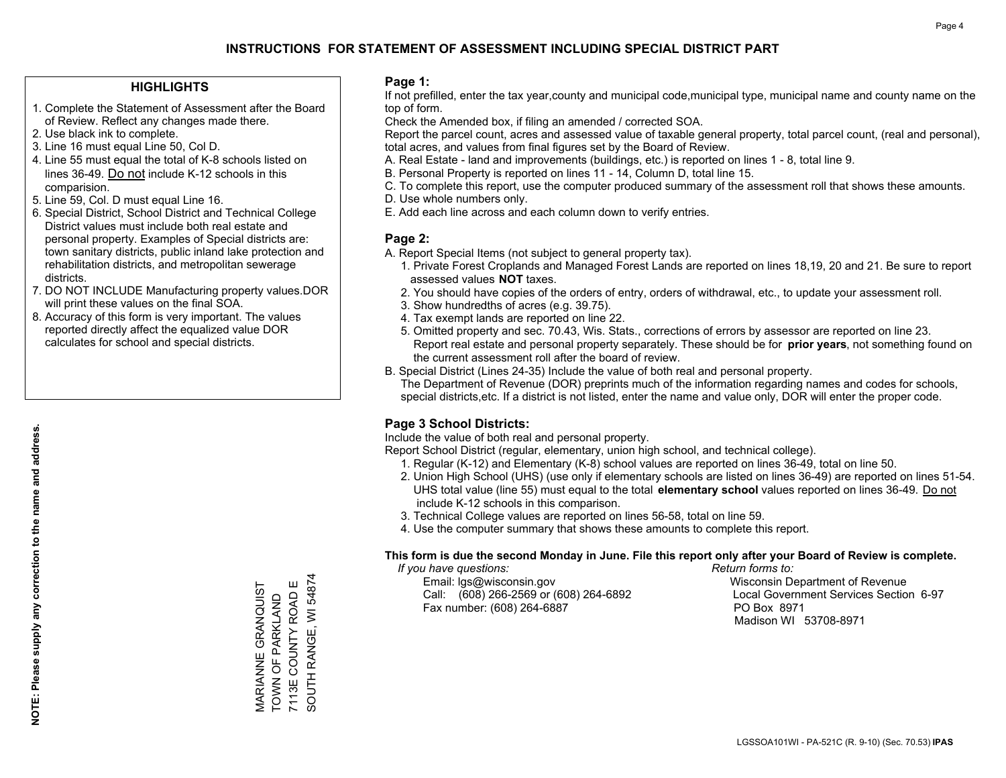### **HIGHLIGHTS**

- 1. Complete the Statement of Assessment after the Board of Review. Reflect any changes made there.
- 2. Use black ink to complete.
- 3. Line 16 must equal Line 50, Col D.
- 4. Line 55 must equal the total of K-8 schools listed on lines 36-49. Do not include K-12 schools in this comparision.
- 5. Line 59, Col. D must equal Line 16.
- 6. Special District, School District and Technical College District values must include both real estate and personal property. Examples of Special districts are: town sanitary districts, public inland lake protection and rehabilitation districts, and metropolitan sewerage districts.
- 7. DO NOT INCLUDE Manufacturing property values.DOR will print these values on the final SOA.
- 8. Accuracy of this form is very important. The values reported directly affect the equalized value DOR calculates for school and special districts.

### **Page 1:**

 If not prefilled, enter the tax year,county and municipal code,municipal type, municipal name and county name on the top of form.

Check the Amended box, if filing an amended / corrected SOA.

 Report the parcel count, acres and assessed value of taxable general property, total parcel count, (real and personal), total acres, and values from final figures set by the Board of Review.

- A. Real Estate land and improvements (buildings, etc.) is reported on lines 1 8, total line 9.
- B. Personal Property is reported on lines 11 14, Column D, total line 15.
- C. To complete this report, use the computer produced summary of the assessment roll that shows these amounts.
- D. Use whole numbers only.
- E. Add each line across and each column down to verify entries.

### **Page 2:**

- A. Report Special Items (not subject to general property tax).
- 1. Private Forest Croplands and Managed Forest Lands are reported on lines 18,19, 20 and 21. Be sure to report assessed values **NOT** taxes.
- 2. You should have copies of the orders of entry, orders of withdrawal, etc., to update your assessment roll.
	- 3. Show hundredths of acres (e.g. 39.75).
- 4. Tax exempt lands are reported on line 22.
- 5. Omitted property and sec. 70.43, Wis. Stats., corrections of errors by assessor are reported on line 23. Report real estate and personal property separately. These should be for **prior years**, not something found on the current assessment roll after the board of review.
- B. Special District (Lines 24-35) Include the value of both real and personal property.
- The Department of Revenue (DOR) preprints much of the information regarding names and codes for schools, special districts,etc. If a district is not listed, enter the name and value only, DOR will enter the proper code.

## **Page 3 School Districts:**

Include the value of both real and personal property.

Report School District (regular, elementary, union high school, and technical college).

- 1. Regular (K-12) and Elementary (K-8) school values are reported on lines 36-49, total on line 50.
- 2. Union High School (UHS) (use only if elementary schools are listed on lines 36-49) are reported on lines 51-54. UHS total value (line 55) must equal to the total **elementary school** values reported on lines 36-49. Do notinclude K-12 schools in this comparison.
- 3. Technical College values are reported on lines 56-58, total on line 59.
- 4. Use the computer summary that shows these amounts to complete this report.

### **This form is due the second Monday in June. File this report only after your Board of Review is complete.**

 *If you have questions: Return forms to:*

 Email: lgs@wisconsin.gov Wisconsin Department of RevenueCall:  $(608)$  266-2569 or  $(608)$  264-6892 Fax number: (608) 264-6887 PO Box 8971

Local Government Services Section 6-97 Madison WI 53708-8971

MARIANNE GRANQUIST<br>TOWN OF PARKLAND<br>7113E COUNTY ROAD E SOUTH RANGE, WI 54874 SOUTH RANGE, WI 54874 MARIANNE GRANQUIST 7113E COUNTY ROAD E TOWN OF PARKLAND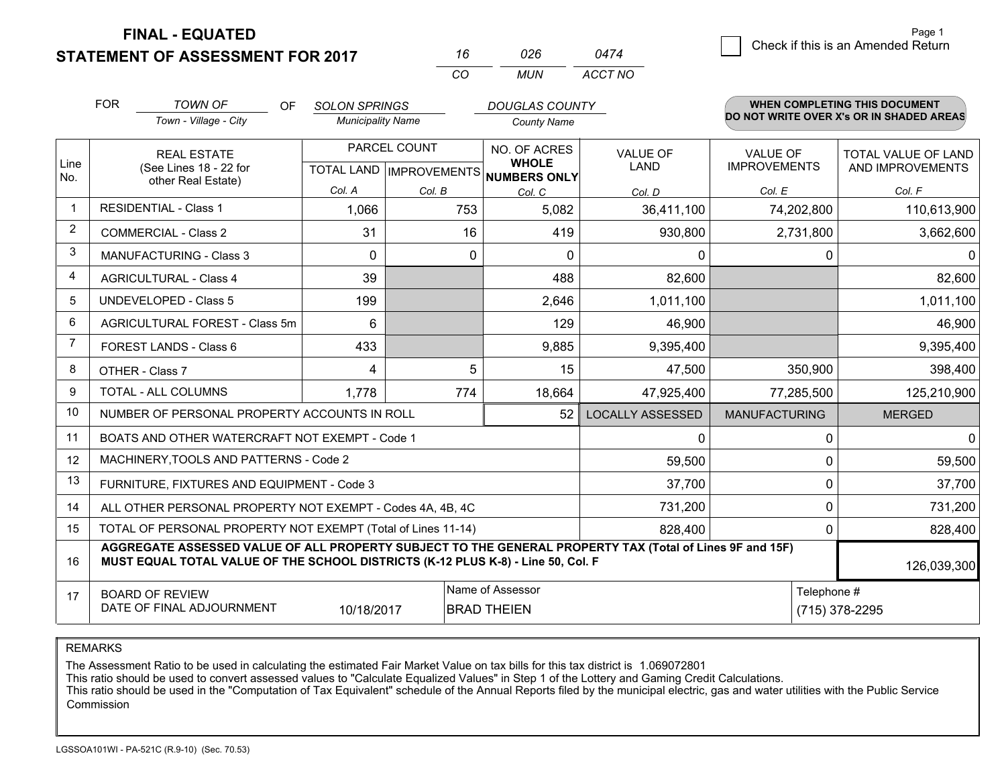**STATEMENT OF ASSESSMENT FOR 2017** 

**FINAL - EQUATED**

|                | <b>FOR</b> | <b>TOWN OF</b><br>OF<br>Town - Village - City                                                                                                                                                | <b>SOLON SPRINGS</b><br><b>Municipality Name</b> |                           | <b>DOUGLAS COUNTY</b><br><b>County Name</b> |                                |                                        | <b>WHEN COMPLETING THIS DOCUMENT</b><br>DO NOT WRITE OVER X's OR IN SHADED AREAS |
|----------------|------------|----------------------------------------------------------------------------------------------------------------------------------------------------------------------------------------------|--------------------------------------------------|---------------------------|---------------------------------------------|--------------------------------|----------------------------------------|----------------------------------------------------------------------------------|
| Line           |            | <b>REAL ESTATE</b><br>(See Lines 18 - 22 for                                                                                                                                                 |                                                  | PARCEL COUNT              | NO. OF ACRES<br><b>WHOLE</b>                | <b>VALUE OF</b><br><b>LAND</b> | <b>VALUE OF</b><br><b>IMPROVEMENTS</b> | TOTAL VALUE OF LAND<br>AND IMPROVEMENTS                                          |
| No.            |            | other Real Estate)                                                                                                                                                                           | Col. A                                           | TOTAL LAND   IMPROVEMENTS | NUMBERS ONLY                                |                                |                                        |                                                                                  |
| $\mathbf 1$    |            | <b>RESIDENTIAL - Class 1</b>                                                                                                                                                                 | 1,066                                            | Col. B<br>753             | Col. C<br>5,082                             | Col. D<br>36,411,100           | Col. E<br>74,202,800                   | Col. F<br>110,613,900                                                            |
| $\overline{2}$ |            | <b>COMMERCIAL - Class 2</b>                                                                                                                                                                  | 31                                               | 16                        | 419                                         | 930,800                        | 2,731,800                              | 3,662,600                                                                        |
| 3              |            | <b>MANUFACTURING - Class 3</b>                                                                                                                                                               | $\Omega$                                         | 0                         | 0                                           | $\Omega$                       | 0                                      | 0                                                                                |
| 4              |            | <b>AGRICULTURAL - Class 4</b>                                                                                                                                                                | 39                                               |                           | 488                                         | 82,600                         |                                        | 82,600                                                                           |
| 5              |            | <b>UNDEVELOPED - Class 5</b>                                                                                                                                                                 | 199                                              |                           | 2,646                                       | 1,011,100                      |                                        | 1,011,100                                                                        |
| 6              |            | AGRICULTURAL FOREST - Class 5m                                                                                                                                                               | 6                                                |                           | 129                                         | 46,900                         |                                        | 46,900                                                                           |
| $\overline{7}$ |            | FOREST LANDS - Class 6                                                                                                                                                                       | 433                                              |                           | 9,885                                       | 9,395,400                      |                                        | 9,395,400                                                                        |
| 8              |            | OTHER - Class 7                                                                                                                                                                              | 4                                                | 5                         | 15                                          | 47,500                         | 350,900                                | 398,400                                                                          |
| 9              |            | <b>TOTAL - ALL COLUMNS</b>                                                                                                                                                                   | 1,778                                            | 774                       | 18,664                                      | 47,925,400                     | 77,285,500                             | 125,210,900                                                                      |
| 10             |            | NUMBER OF PERSONAL PROPERTY ACCOUNTS IN ROLL                                                                                                                                                 |                                                  |                           | 52                                          | <b>LOCALLY ASSESSED</b>        | <b>MANUFACTURING</b>                   | <b>MERGED</b>                                                                    |
| 11             |            | BOATS AND OTHER WATERCRAFT NOT EXEMPT - Code 1                                                                                                                                               |                                                  |                           |                                             | 0                              | 0                                      | $\mathbf 0$                                                                      |
| 12             |            | MACHINERY, TOOLS AND PATTERNS - Code 2                                                                                                                                                       |                                                  |                           |                                             | 59,500                         | 0                                      | 59,500                                                                           |
| 13             |            | FURNITURE, FIXTURES AND EQUIPMENT - Code 3                                                                                                                                                   |                                                  |                           |                                             | 37,700                         | 0                                      | 37,700                                                                           |
| 14             |            | ALL OTHER PERSONAL PROPERTY NOT EXEMPT - Codes 4A, 4B, 4C                                                                                                                                    |                                                  |                           |                                             | 731,200                        | $\Omega$                               | 731,200                                                                          |
| 15             |            | TOTAL OF PERSONAL PROPERTY NOT EXEMPT (Total of Lines 11-14)                                                                                                                                 |                                                  |                           |                                             | 828,400                        | 0                                      | 828,400                                                                          |
| 16             |            | AGGREGATE ASSESSED VALUE OF ALL PROPERTY SUBJECT TO THE GENERAL PROPERTY TAX (Total of Lines 9F and 15F)<br>MUST EQUAL TOTAL VALUE OF THE SCHOOL DISTRICTS (K-12 PLUS K-8) - Line 50, Col. F |                                                  |                           |                                             |                                |                                        | 126,039,300                                                                      |
| 17             |            | <b>BOARD OF REVIEW</b><br>DATE OF FINAL ADJOURNMENT                                                                                                                                          | 10/18/2017                                       |                           | Name of Assessor<br><b>BRAD THEIEN</b>      |                                | Telephone #                            | (715) 378-2295                                                                   |

*CO*

*MUN*

*ACCT NO0474*

*<sup>16</sup> <sup>026</sup>*

REMARKS

The Assessment Ratio to be used in calculating the estimated Fair Market Value on tax bills for this tax district is 1.069072801<br>This ratio should be used to convert assessed values to "Calculate Equalized Values" in Step Commission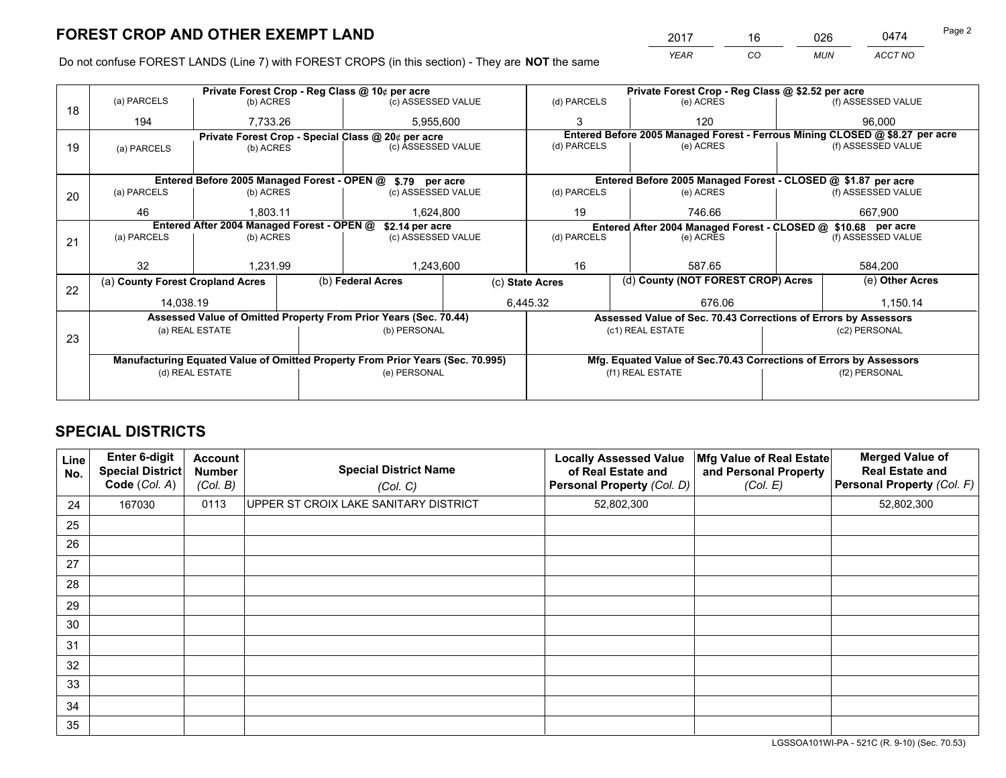*YEAR CO MUN ACCT NO* 2017 <u>\_\_\_\_ 16 \_\_\_\_ 026 \_\_</u>\_ \_\_\_0474

Do not confuse FOREST LANDS (Line 7) with FOREST CROPS (in this section) - They are **NOT** the same

|    |                                  |                                            | Private Forest Crop - Reg Class @ \$2.52 per acre                              |                 |                                                                                           |        |                                                                    |                    |                                                                              |
|----|----------------------------------|--------------------------------------------|--------------------------------------------------------------------------------|-----------------|-------------------------------------------------------------------------------------------|--------|--------------------------------------------------------------------|--------------------|------------------------------------------------------------------------------|
| 18 | (a) PARCELS                      | (b) ACRES                                  | (c) ASSESSED VALUE                                                             |                 | (d) PARCELS                                                                               |        | (e) ACRES                                                          |                    | (f) ASSESSED VALUE                                                           |
|    | 194                              | 7,733.26                                   | 5,955,600                                                                      |                 |                                                                                           |        | 120                                                                |                    | 96.000                                                                       |
|    |                                  |                                            | Private Forest Crop - Special Class @ 20¢ per acre                             |                 |                                                                                           |        |                                                                    |                    | Entered Before 2005 Managed Forest - Ferrous Mining CLOSED @ \$8.27 per acre |
| 19 | (a) PARCELS                      | (b) ACRES                                  | (c) ASSESSED VALUE                                                             |                 | (d) PARCELS                                                                               |        | (e) ACRES                                                          |                    | (f) ASSESSED VALUE                                                           |
|    |                                  |                                            |                                                                                |                 |                                                                                           |        |                                                                    |                    |                                                                              |
|    |                                  |                                            | Entered Before 2005 Managed Forest - OPEN @ \$.79 per acre                     |                 |                                                                                           |        | Entered Before 2005 Managed Forest - CLOSED @ \$1.87 per acre      |                    |                                                                              |
| 20 | (a) PARCELS                      | (b) ACRES                                  | (c) ASSESSED VALUE                                                             |                 | (d) PARCELS                                                                               |        | (e) ACRES                                                          |                    | (f) ASSESSED VALUE                                                           |
|    | 46                               | 1,803.11                                   | 1,624,800                                                                      |                 | 19                                                                                        |        | 746.66                                                             |                    | 667,900                                                                      |
|    |                                  | Entered After 2004 Managed Forest - OPEN @ |                                                                                |                 |                                                                                           |        |                                                                    |                    |                                                                              |
|    | (a) PARCELS                      | (b) ACRES                                  | \$2.14 per acre<br>(c) ASSESSED VALUE                                          |                 | Entered After 2004 Managed Forest - CLOSED @ \$10.68 per acre<br>(d) PARCELS<br>(e) ACRES |        |                                                                    | (f) ASSESSED VALUE |                                                                              |
| 21 |                                  |                                            |                                                                                |                 |                                                                                           |        |                                                                    |                    |                                                                              |
|    | 32                               | 1,231.99                                   | 1,243,600                                                                      |                 | 16<br>587.65                                                                              |        |                                                                    | 584,200            |                                                                              |
|    |                                  |                                            |                                                                                |                 |                                                                                           |        | (d) County (NOT FOREST CROP) Acres                                 |                    | (e) Other Acres                                                              |
| 22 | (a) County Forest Cropland Acres |                                            | (b) Federal Acres                                                              | (c) State Acres |                                                                                           |        |                                                                    |                    |                                                                              |
|    | 14,038.19                        |                                            | 6,445.32                                                                       |                 |                                                                                           | 676.06 |                                                                    | 1,150.14           |                                                                              |
|    |                                  |                                            | Assessed Value of Omitted Property From Prior Years (Sec. 70.44)               |                 |                                                                                           |        | Assessed Value of Sec. 70.43 Corrections of Errors by Assessors    |                    |                                                                              |
|    |                                  | (a) REAL ESTATE                            | (b) PERSONAL                                                                   |                 |                                                                                           |        | (c1) REAL ESTATE                                                   |                    | (c2) PERSONAL                                                                |
| 23 |                                  |                                            |                                                                                |                 |                                                                                           |        |                                                                    |                    |                                                                              |
|    |                                  |                                            | Manufacturing Equated Value of Omitted Property From Prior Years (Sec. 70.995) |                 |                                                                                           |        | Mfg. Equated Value of Sec.70.43 Corrections of Errors by Assessors |                    |                                                                              |
|    |                                  | (d) REAL ESTATE                            | (e) PERSONAL                                                                   |                 | (f1) REAL ESTATE                                                                          |        | (f2) PERSONAL                                                      |                    |                                                                              |
|    |                                  |                                            |                                                                                |                 |                                                                                           |        |                                                                    |                    |                                                                              |

## **SPECIAL DISTRICTS**

| Line<br>No. | Enter 6-digit<br><b>Special District</b><br>Code (Col. A) | <b>Account</b><br><b>Number</b><br>(Col. B) | <b>Special District Name</b><br>(Col. C) | <b>Locally Assessed Value</b><br>of Real Estate and<br>Personal Property (Col. D) | Mfg Value of Real Estate<br>and Personal Property<br>(Col. E) | <b>Merged Value of</b><br><b>Real Estate and</b><br>Personal Property (Col. F) |
|-------------|-----------------------------------------------------------|---------------------------------------------|------------------------------------------|-----------------------------------------------------------------------------------|---------------------------------------------------------------|--------------------------------------------------------------------------------|
| 24          | 167030                                                    | 0113                                        | UPPER ST CROIX LAKE SANITARY DISTRICT    | 52,802,300                                                                        |                                                               | 52,802,300                                                                     |
| 25          |                                                           |                                             |                                          |                                                                                   |                                                               |                                                                                |
| 26          |                                                           |                                             |                                          |                                                                                   |                                                               |                                                                                |
| 27          |                                                           |                                             |                                          |                                                                                   |                                                               |                                                                                |
| 28          |                                                           |                                             |                                          |                                                                                   |                                                               |                                                                                |
| 29          |                                                           |                                             |                                          |                                                                                   |                                                               |                                                                                |
| 30          |                                                           |                                             |                                          |                                                                                   |                                                               |                                                                                |
| 31          |                                                           |                                             |                                          |                                                                                   |                                                               |                                                                                |
| 32          |                                                           |                                             |                                          |                                                                                   |                                                               |                                                                                |
| 33          |                                                           |                                             |                                          |                                                                                   |                                                               |                                                                                |
| 34          |                                                           |                                             |                                          |                                                                                   |                                                               |                                                                                |
| 35          |                                                           |                                             |                                          |                                                                                   |                                                               |                                                                                |

LGSSOA101WI-PA - 521C (R. 9-10) (Sec. 70.53)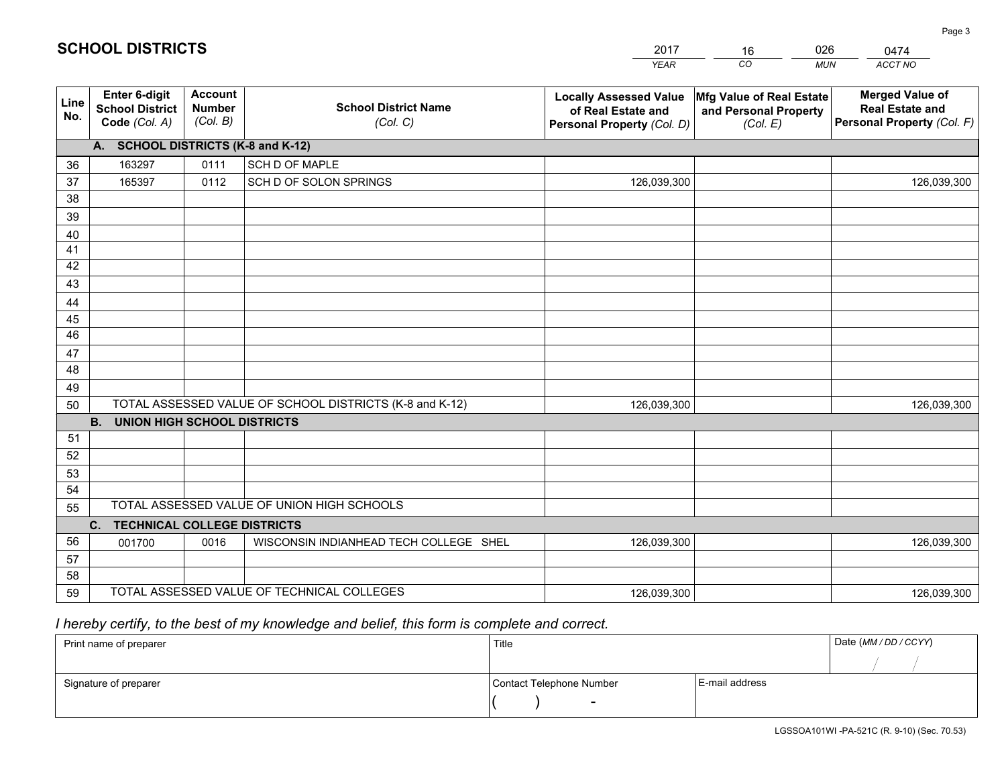|                       |                                                                 |                                             |                                                         | <b>YEAR</b>                                                                       | CO<br><b>MUN</b>                                              | ACCT NO                                                                        |
|-----------------------|-----------------------------------------------------------------|---------------------------------------------|---------------------------------------------------------|-----------------------------------------------------------------------------------|---------------------------------------------------------------|--------------------------------------------------------------------------------|
| Line<br>No.           | <b>Enter 6-digit</b><br><b>School District</b><br>Code (Col. A) | <b>Account</b><br><b>Number</b><br>(Col. B) | <b>School District Name</b><br>(Col. C)                 | <b>Locally Assessed Value</b><br>of Real Estate and<br>Personal Property (Col. D) | Mfg Value of Real Estate<br>and Personal Property<br>(Col. E) | <b>Merged Value of</b><br><b>Real Estate and</b><br>Personal Property (Col. F) |
|                       | A. SCHOOL DISTRICTS (K-8 and K-12)                              |                                             |                                                         |                                                                                   |                                                               |                                                                                |
| 36                    | 163297                                                          | 0111                                        | SCH D OF MAPLE                                          |                                                                                   |                                                               |                                                                                |
| 37                    | 165397                                                          | 0112                                        | SCH D OF SOLON SPRINGS                                  | 126,039,300                                                                       |                                                               | 126,039,300                                                                    |
| 38                    |                                                                 |                                             |                                                         |                                                                                   |                                                               |                                                                                |
| 39                    |                                                                 |                                             |                                                         |                                                                                   |                                                               |                                                                                |
| 40                    |                                                                 |                                             |                                                         |                                                                                   |                                                               |                                                                                |
| 41                    |                                                                 |                                             |                                                         |                                                                                   |                                                               |                                                                                |
| 42                    |                                                                 |                                             |                                                         |                                                                                   |                                                               |                                                                                |
| 43                    |                                                                 |                                             |                                                         |                                                                                   |                                                               |                                                                                |
| 44                    |                                                                 |                                             |                                                         |                                                                                   |                                                               |                                                                                |
| 45<br>$\overline{46}$ |                                                                 |                                             |                                                         |                                                                                   |                                                               |                                                                                |
| 47                    |                                                                 |                                             |                                                         |                                                                                   |                                                               |                                                                                |
| 48                    |                                                                 |                                             |                                                         |                                                                                   |                                                               |                                                                                |
| 49                    |                                                                 |                                             |                                                         |                                                                                   |                                                               |                                                                                |
| 50                    |                                                                 |                                             | TOTAL ASSESSED VALUE OF SCHOOL DISTRICTS (K-8 and K-12) | 126,039,300                                                                       |                                                               | 126,039,300                                                                    |
|                       | <b>B.</b><br><b>UNION HIGH SCHOOL DISTRICTS</b>                 |                                             |                                                         |                                                                                   |                                                               |                                                                                |
| 51                    |                                                                 |                                             |                                                         |                                                                                   |                                                               |                                                                                |
| 52                    |                                                                 |                                             |                                                         |                                                                                   |                                                               |                                                                                |
| 53                    |                                                                 |                                             |                                                         |                                                                                   |                                                               |                                                                                |
| 54                    |                                                                 |                                             |                                                         |                                                                                   |                                                               |                                                                                |
| 55                    |                                                                 |                                             | TOTAL ASSESSED VALUE OF UNION HIGH SCHOOLS              |                                                                                   |                                                               |                                                                                |
|                       | C.<br><b>TECHNICAL COLLEGE DISTRICTS</b>                        |                                             |                                                         |                                                                                   |                                                               |                                                                                |
| 56                    | 001700                                                          | 0016                                        | WISCONSIN INDIANHEAD TECH COLLEGE SHEL                  | 126,039,300                                                                       |                                                               | 126,039,300                                                                    |
| 57                    |                                                                 |                                             |                                                         |                                                                                   |                                                               |                                                                                |
| 58                    |                                                                 |                                             |                                                         |                                                                                   |                                                               |                                                                                |
| 59                    |                                                                 |                                             | TOTAL ASSESSED VALUE OF TECHNICAL COLLEGES              | 126,039,300                                                                       |                                                               | 126,039,300                                                                    |

16

026

 *I hereby certify, to the best of my knowledge and belief, this form is complete and correct.*

**SCHOOL DISTRICTS**

| Print name of preparer | Title                    |                | Date (MM / DD / CCYY) |
|------------------------|--------------------------|----------------|-----------------------|
|                        |                          |                |                       |
| Signature of preparer  | Contact Telephone Number | E-mail address |                       |
|                        | $\sim$                   |                |                       |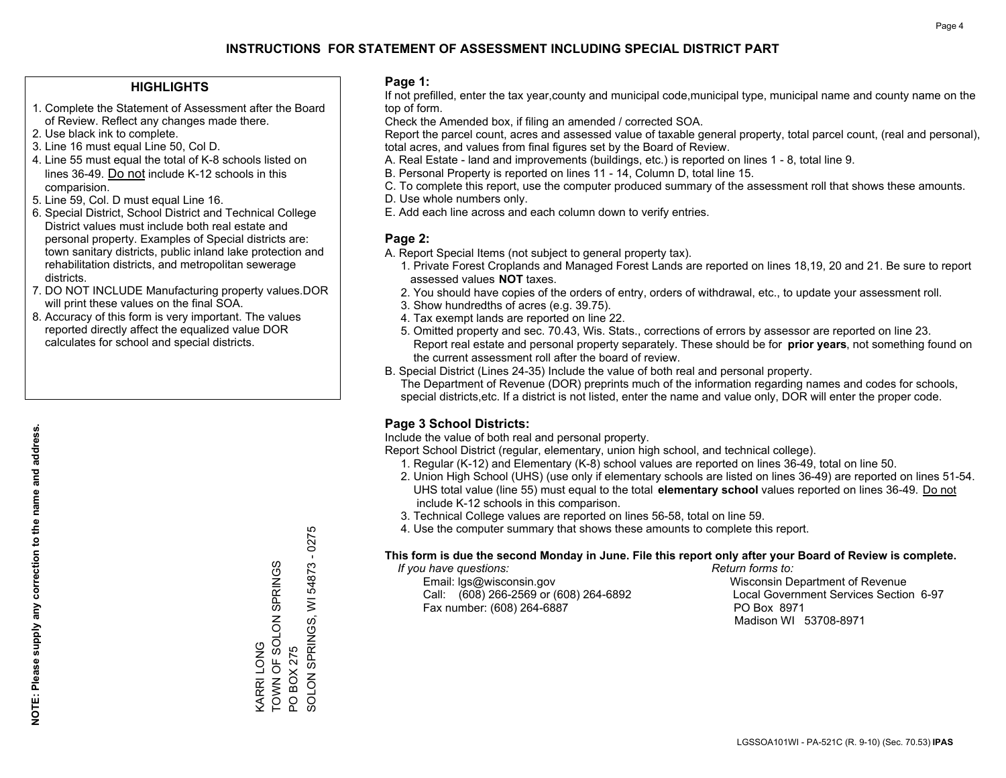### **HIGHLIGHTS**

- 1. Complete the Statement of Assessment after the Board of Review. Reflect any changes made there.
- 2. Use black ink to complete.
- 3. Line 16 must equal Line 50, Col D.
- 4. Line 55 must equal the total of K-8 schools listed on lines 36-49. Do not include K-12 schools in this comparision.
- 5. Line 59, Col. D must equal Line 16.
- 6. Special District, School District and Technical College District values must include both real estate and personal property. Examples of Special districts are: town sanitary districts, public inland lake protection and rehabilitation districts, and metropolitan sewerage districts.
- 7. DO NOT INCLUDE Manufacturing property values.DOR will print these values on the final SOA.

KARRI LONG

**CARRILONG** 

TOWN OF SOLON SPRINGS

TOWN OF SOLON SPRINGS

PO BOX 275

PO BOX 275

SOLON SPRINGS, WI 54873 - 0275

SOLON SPRINGS,

 $\overline{5}$ 

54873 - 0275

 8. Accuracy of this form is very important. The values reported directly affect the equalized value DOR calculates for school and special districts.

### **Page 1:**

 If not prefilled, enter the tax year,county and municipal code,municipal type, municipal name and county name on the top of form.

Check the Amended box, if filing an amended / corrected SOA.

 Report the parcel count, acres and assessed value of taxable general property, total parcel count, (real and personal), total acres, and values from final figures set by the Board of Review.

- A. Real Estate land and improvements (buildings, etc.) is reported on lines 1 8, total line 9.
- B. Personal Property is reported on lines 11 14, Column D, total line 15.
- C. To complete this report, use the computer produced summary of the assessment roll that shows these amounts.
- D. Use whole numbers only.
- E. Add each line across and each column down to verify entries.

### **Page 2:**

- A. Report Special Items (not subject to general property tax).
- 1. Private Forest Croplands and Managed Forest Lands are reported on lines 18,19, 20 and 21. Be sure to report assessed values **NOT** taxes.
- 2. You should have copies of the orders of entry, orders of withdrawal, etc., to update your assessment roll.
	- 3. Show hundredths of acres (e.g. 39.75).
- 4. Tax exempt lands are reported on line 22.
- 5. Omitted property and sec. 70.43, Wis. Stats., corrections of errors by assessor are reported on line 23. Report real estate and personal property separately. These should be for **prior years**, not something found on the current assessment roll after the board of review.
- B. Special District (Lines 24-35) Include the value of both real and personal property.
- The Department of Revenue (DOR) preprints much of the information regarding names and codes for schools, special districts,etc. If a district is not listed, enter the name and value only, DOR will enter the proper code.

### **Page 3 School Districts:**

Include the value of both real and personal property.

Report School District (regular, elementary, union high school, and technical college).

- 1. Regular (K-12) and Elementary (K-8) school values are reported on lines 36-49, total on line 50.
- 2. Union High School (UHS) (use only if elementary schools are listed on lines 36-49) are reported on lines 51-54. UHS total value (line 55) must equal to the total **elementary school** values reported on lines 36-49. Do notinclude K-12 schools in this comparison.
- 3. Technical College values are reported on lines 56-58, total on line 59.
- 4. Use the computer summary that shows these amounts to complete this report.

#### **This form is due the second Monday in June. File this report only after your Board of Review is complete.**

 *If you have questions: Return forms to:*

 Email: lgs@wisconsin.gov Wisconsin Department of RevenueCall:  $(608)$  266-2569 or  $(608)$  264-6892 Fax number: (608) 264-6887 PO Box 8971

Local Government Services Section 6-97 Madison WI 53708-8971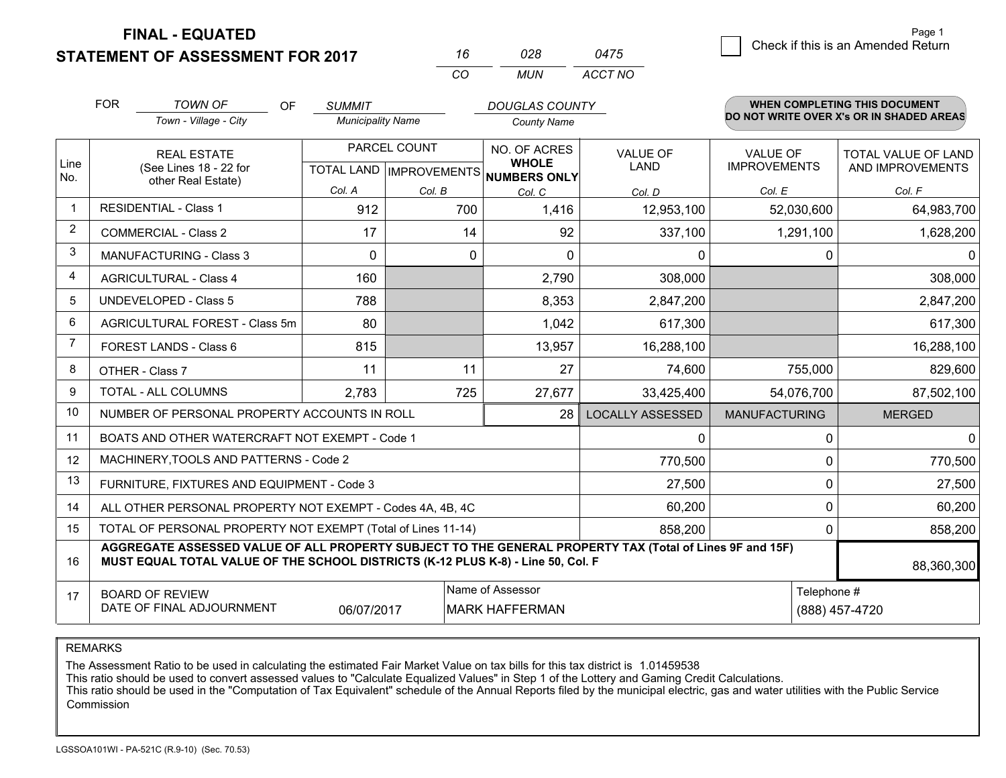**FINAL - EQUATED**

**STATEMENT OF ASSESSMENT FOR 2017** 

| 16 | กวล   | 0475    |
|----|-------|---------|
| cо | MI IN | ACCT NO |

|                | <b>FOR</b><br><b>TOWN OF</b><br>Town - Village - City                                                                                                                                        | <b>OF</b> | <b>SUMMIT</b><br><b>Municipality Name</b>           |         | <b>DOUGLAS COUNTY</b><br><b>County Name</b> |                              |                                | <b>WHEN COMPLETING THIS DOCUMENT</b><br>DO NOT WRITE OVER X's OR IN SHADED AREAS |                                                |
|----------------|----------------------------------------------------------------------------------------------------------------------------------------------------------------------------------------------|-----------|-----------------------------------------------------|---------|---------------------------------------------|------------------------------|--------------------------------|----------------------------------------------------------------------------------|------------------------------------------------|
| Line<br>No.    | <b>REAL ESTATE</b><br>(See Lines 18 - 22 for<br>other Real Estate)                                                                                                                           |           | PARCEL COUNT<br>TOTAL LAND MPROVEMENTS NUMBERS ONLY |         |                                             | NO. OF ACRES<br><b>WHOLE</b> | <b>VALUE OF</b><br><b>LAND</b> | <b>VALUE OF</b><br><b>IMPROVEMENTS</b>                                           | <b>TOTAL VALUE OF LAND</b><br>AND IMPROVEMENTS |
|                |                                                                                                                                                                                              |           | Col. A                                              | Col. B  | Col. C                                      | Col. D                       | Col. E                         | Col. F                                                                           |                                                |
| $\mathbf{1}$   | <b>RESIDENTIAL - Class 1</b>                                                                                                                                                                 |           | 912                                                 | 700     | 1,416                                       | 12,953,100                   | 52,030,600                     | 64,983,700                                                                       |                                                |
| 2              | <b>COMMERCIAL - Class 2</b>                                                                                                                                                                  |           | 17                                                  |         | 14<br>92                                    | 337,100                      | 1,291,100                      | 1,628,200                                                                        |                                                |
| 3              | <b>MANUFACTURING - Class 3</b>                                                                                                                                                               |           | $\Omega$                                            |         | 0<br>$\mathbf{0}$                           | 0                            | $\mathbf{0}$                   | $\Omega$                                                                         |                                                |
| 4              | <b>AGRICULTURAL - Class 4</b>                                                                                                                                                                |           | 160                                                 |         | 2,790                                       | 308,000                      |                                | 308,000                                                                          |                                                |
| 5              | <b>UNDEVELOPED - Class 5</b>                                                                                                                                                                 |           | 788                                                 |         | 8,353                                       | 2,847,200                    |                                | 2,847,200                                                                        |                                                |
| 6              | AGRICULTURAL FOREST - Class 5m                                                                                                                                                               |           | 80                                                  |         | 1,042                                       | 617,300                      |                                | 617,300                                                                          |                                                |
| $\overline{7}$ | FOREST LANDS - Class 6                                                                                                                                                                       |           | 815                                                 |         | 13,957                                      | 16,288,100                   |                                | 16,288,100                                                                       |                                                |
| 8              | OTHER - Class 7                                                                                                                                                                              |           | 11                                                  | 11      | 27                                          | 74,600                       | 755,000                        | 829,600                                                                          |                                                |
| 9              | TOTAL - ALL COLUMNS                                                                                                                                                                          |           | 2,783                                               | 725     | 27,677                                      | 33,425,400                   | 54,076,700                     | 87,502,100                                                                       |                                                |
| 10             | NUMBER OF PERSONAL PROPERTY ACCOUNTS IN ROLL                                                                                                                                                 |           |                                                     |         | 28                                          | <b>LOCALLY ASSESSED</b>      | <b>MANUFACTURING</b>           | <b>MERGED</b>                                                                    |                                                |
| 11             | BOATS AND OTHER WATERCRAFT NOT EXEMPT - Code 1                                                                                                                                               |           |                                                     |         |                                             | 0                            | $\mathbf{0}$                   | $\mathbf{0}$                                                                     |                                                |
| 12             | MACHINERY, TOOLS AND PATTERNS - Code 2                                                                                                                                                       |           |                                                     |         |                                             | 770,500                      | $\Omega$                       | 770,500                                                                          |                                                |
| 13             | FURNITURE, FIXTURES AND EQUIPMENT - Code 3                                                                                                                                                   |           |                                                     |         |                                             | 27,500                       | $\mathbf 0$                    | 27,500                                                                           |                                                |
| 14             | ALL OTHER PERSONAL PROPERTY NOT EXEMPT - Codes 4A, 4B, 4C                                                                                                                                    |           |                                                     |         |                                             | 60,200                       | $\mathbf 0$                    | 60,200                                                                           |                                                |
| 15             | TOTAL OF PERSONAL PROPERTY NOT EXEMPT (Total of Lines 11-14)                                                                                                                                 |           |                                                     | 858,200 | $\mathbf{0}$                                | 858,200                      |                                |                                                                                  |                                                |
| 16             | AGGREGATE ASSESSED VALUE OF ALL PROPERTY SUBJECT TO THE GENERAL PROPERTY TAX (Total of Lines 9F and 15F)<br>MUST EQUAL TOTAL VALUE OF THE SCHOOL DISTRICTS (K-12 PLUS K-8) - Line 50, Col. F |           |                                                     |         |                                             |                              |                                | 88,360,300                                                                       |                                                |
| 17             | <b>BOARD OF REVIEW</b>                                                                                                                                                                       |           |                                                     |         | Name of Assessor                            |                              | Telephone #                    |                                                                                  |                                                |
|                | DATE OF FINAL ADJOURNMENT<br>06/07/2017<br><b>MARK HAFFERMAN</b>                                                                                                                             |           |                                                     |         |                                             |                              |                                | (888) 457-4720                                                                   |                                                |

REMARKS

The Assessment Ratio to be used in calculating the estimated Fair Market Value on tax bills for this tax district is 1.01459538

This ratio should be used to convert assessed values to "Calculate Equalized Values" in Step 1 of the Lottery and Gaming Credit Calculations.<br>This ratio should be used in the "Computation of Tax Equivalent" schedule of the Commission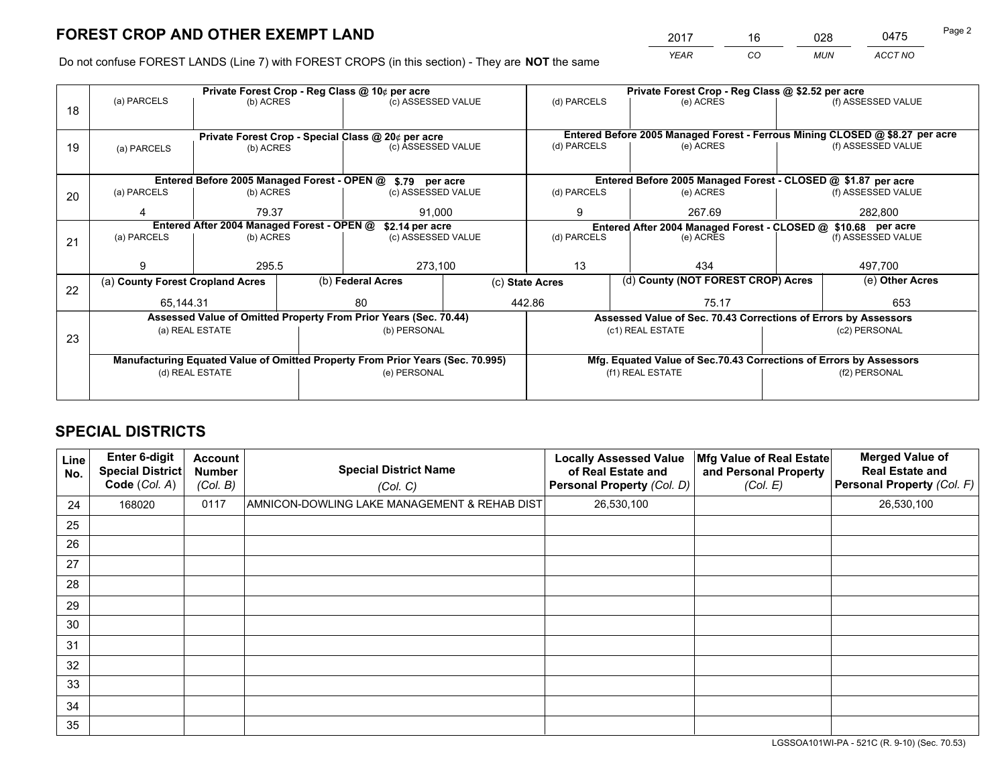*YEAR CO MUN ACCT NO* 2017 <u>\_\_\_\_ 16 \_\_\_\_ 028 \_\_</u>\_ \_\_\_0475 Page 2

Do not confuse FOREST LANDS (Line 7) with FOREST CROPS (in this section) - They are **NOT** the same

|    |                                                               |                                             |  | Private Forest Crop - Reg Class @ 10¢ per acre                                 |  | Private Forest Crop - Reg Class @ \$2.52 per acre |                                                               |                                    |                                                                 |                                                                              |  |
|----|---------------------------------------------------------------|---------------------------------------------|--|--------------------------------------------------------------------------------|--|---------------------------------------------------|---------------------------------------------------------------|------------------------------------|-----------------------------------------------------------------|------------------------------------------------------------------------------|--|
| 18 | (a) PARCELS                                                   | (b) ACRES                                   |  | (c) ASSESSED VALUE                                                             |  | (d) PARCELS                                       |                                                               | (e) ACRES                          |                                                                 | (f) ASSESSED VALUE                                                           |  |
|    |                                                               |                                             |  |                                                                                |  |                                                   |                                                               |                                    |                                                                 |                                                                              |  |
|    |                                                               |                                             |  | Private Forest Crop - Special Class @ 20¢ per acre                             |  |                                                   |                                                               |                                    |                                                                 | Entered Before 2005 Managed Forest - Ferrous Mining CLOSED @ \$8.27 per acre |  |
| 19 | (a) PARCELS                                                   | (b) ACRES                                   |  | (c) ASSESSED VALUE                                                             |  | (d) PARCELS                                       |                                                               | (e) ACRES                          |                                                                 | (f) ASSESSED VALUE                                                           |  |
|    |                                                               |                                             |  |                                                                                |  |                                                   |                                                               |                                    |                                                                 |                                                                              |  |
|    |                                                               | Entered Before 2005 Managed Forest - OPEN @ |  | \$.79 per acre                                                                 |  |                                                   |                                                               |                                    |                                                                 | Entered Before 2005 Managed Forest - CLOSED @ \$1.87 per acre                |  |
| 20 | (a) PARCELS                                                   | (b) ACRES                                   |  | (c) ASSESSED VALUE                                                             |  | (d) PARCELS                                       |                                                               | (e) ACRES                          |                                                                 | (f) ASSESSED VALUE                                                           |  |
|    |                                                               | 79.37                                       |  | 91.000                                                                         |  | 9                                                 |                                                               | 267.69                             |                                                                 | 282,800                                                                      |  |
|    | Entered After 2004 Managed Forest - OPEN @<br>\$2.14 per acre |                                             |  |                                                                                |  |                                                   | Entered After 2004 Managed Forest - CLOSED @ \$10.68 per acre |                                    |                                                                 |                                                                              |  |
| 21 | (a) PARCELS                                                   | (b) ACRES                                   |  | (c) ASSESSED VALUE                                                             |  | (d) PARCELS                                       | (e) ACRES                                                     |                                    |                                                                 | (f) ASSESSED VALUE                                                           |  |
|    |                                                               |                                             |  |                                                                                |  |                                                   |                                                               |                                    |                                                                 |                                                                              |  |
|    |                                                               | 295.5                                       |  | 273,100                                                                        |  | 13                                                | 434                                                           |                                    |                                                                 |                                                                              |  |
| 22 | (a) County Forest Cropland Acres                              |                                             |  | (b) Federal Acres                                                              |  | (c) State Acres                                   |                                                               | (d) County (NOT FOREST CROP) Acres |                                                                 | (e) Other Acres                                                              |  |
|    | 65,144.31                                                     |                                             |  | 80                                                                             |  | 442.86                                            |                                                               | 75.17                              |                                                                 | 497,700<br>653                                                               |  |
|    |                                                               |                                             |  | Assessed Value of Omitted Property From Prior Years (Sec. 70.44)               |  |                                                   |                                                               |                                    | Assessed Value of Sec. 70.43 Corrections of Errors by Assessors |                                                                              |  |
| 23 |                                                               | (a) REAL ESTATE                             |  | (b) PERSONAL                                                                   |  |                                                   | (c1) REAL ESTATE                                              |                                    |                                                                 | (c2) PERSONAL                                                                |  |
|    |                                                               |                                             |  |                                                                                |  |                                                   |                                                               |                                    |                                                                 |                                                                              |  |
|    |                                                               |                                             |  | Manufacturing Equated Value of Omitted Property From Prior Years (Sec. 70.995) |  |                                                   |                                                               |                                    |                                                                 | Mfg. Equated Value of Sec.70.43 Corrections of Errors by Assessors           |  |
|    | (d) REAL ESTATE                                               |                                             |  | (e) PERSONAL                                                                   |  |                                                   | (f1) REAL ESTATE                                              |                                    | (f2) PERSONAL                                                   |                                                                              |  |
|    |                                                               |                                             |  |                                                                                |  |                                                   |                                                               |                                    |                                                                 |                                                                              |  |

## **SPECIAL DISTRICTS**

| Line<br>No. | Enter 6-digit<br>Special District<br>Code (Col. A) | <b>Account</b><br><b>Number</b><br>(Col. B) | <b>Special District Name</b><br>(Col. C)     | <b>Locally Assessed Value</b><br>of Real Estate and<br>Personal Property (Col. D) | Mfg Value of Real Estate<br>and Personal Property<br>(Col. E) | <b>Merged Value of</b><br><b>Real Estate and</b><br>Personal Property (Col. F) |
|-------------|----------------------------------------------------|---------------------------------------------|----------------------------------------------|-----------------------------------------------------------------------------------|---------------------------------------------------------------|--------------------------------------------------------------------------------|
| 24          | 168020                                             | 0117                                        | AMNICON-DOWLING LAKE MANAGEMENT & REHAB DIST | 26,530,100                                                                        |                                                               | 26,530,100                                                                     |
| 25          |                                                    |                                             |                                              |                                                                                   |                                                               |                                                                                |
| 26          |                                                    |                                             |                                              |                                                                                   |                                                               |                                                                                |
| 27          |                                                    |                                             |                                              |                                                                                   |                                                               |                                                                                |
| 28          |                                                    |                                             |                                              |                                                                                   |                                                               |                                                                                |
| 29          |                                                    |                                             |                                              |                                                                                   |                                                               |                                                                                |
| 30          |                                                    |                                             |                                              |                                                                                   |                                                               |                                                                                |
| 31          |                                                    |                                             |                                              |                                                                                   |                                                               |                                                                                |
| 32          |                                                    |                                             |                                              |                                                                                   |                                                               |                                                                                |
| 33          |                                                    |                                             |                                              |                                                                                   |                                                               |                                                                                |
| 34          |                                                    |                                             |                                              |                                                                                   |                                                               |                                                                                |
| 35          |                                                    |                                             |                                              |                                                                                   |                                                               |                                                                                |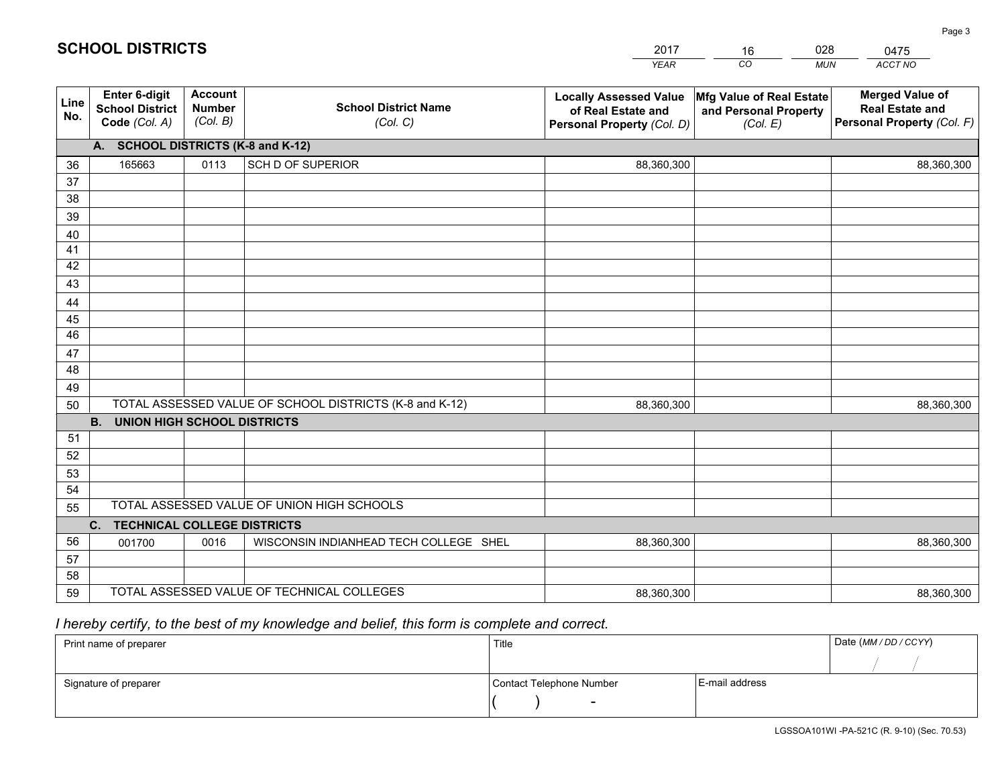|             |                                                                 |                                             |                                                         | <b>YEAR</b>                                                                       | CO<br><b>MUN</b>                                              | ACCT NO                                                                        |
|-------------|-----------------------------------------------------------------|---------------------------------------------|---------------------------------------------------------|-----------------------------------------------------------------------------------|---------------------------------------------------------------|--------------------------------------------------------------------------------|
| Line<br>No. | <b>Enter 6-digit</b><br><b>School District</b><br>Code (Col. A) | <b>Account</b><br><b>Number</b><br>(Col. B) | <b>School District Name</b><br>(Col. C)                 | <b>Locally Assessed Value</b><br>of Real Estate and<br>Personal Property (Col. D) | Mfg Value of Real Estate<br>and Personal Property<br>(Col. E) | <b>Merged Value of</b><br><b>Real Estate and</b><br>Personal Property (Col. F) |
|             | A. SCHOOL DISTRICTS (K-8 and K-12)                              |                                             |                                                         |                                                                                   |                                                               |                                                                                |
| 36          | 165663                                                          | 0113                                        | SCH D OF SUPERIOR                                       | 88,360,300                                                                        |                                                               | 88,360,300                                                                     |
| 37          |                                                                 |                                             |                                                         |                                                                                   |                                                               |                                                                                |
| 38          |                                                                 |                                             |                                                         |                                                                                   |                                                               |                                                                                |
| 39          |                                                                 |                                             |                                                         |                                                                                   |                                                               |                                                                                |
| 40          |                                                                 |                                             |                                                         |                                                                                   |                                                               |                                                                                |
| 41          |                                                                 |                                             |                                                         |                                                                                   |                                                               |                                                                                |
| 42          |                                                                 |                                             |                                                         |                                                                                   |                                                               |                                                                                |
| 43          |                                                                 |                                             |                                                         |                                                                                   |                                                               |                                                                                |
| 44<br>45    |                                                                 |                                             |                                                         |                                                                                   |                                                               |                                                                                |
| 46          |                                                                 |                                             |                                                         |                                                                                   |                                                               |                                                                                |
| 47          |                                                                 |                                             |                                                         |                                                                                   |                                                               |                                                                                |
| 48          |                                                                 |                                             |                                                         |                                                                                   |                                                               |                                                                                |
| 49          |                                                                 |                                             |                                                         |                                                                                   |                                                               |                                                                                |
| 50          |                                                                 |                                             | TOTAL ASSESSED VALUE OF SCHOOL DISTRICTS (K-8 and K-12) | 88,360,300                                                                        |                                                               | 88,360,300                                                                     |
|             | <b>B.</b><br><b>UNION HIGH SCHOOL DISTRICTS</b>                 |                                             |                                                         |                                                                                   |                                                               |                                                                                |
| 51          |                                                                 |                                             |                                                         |                                                                                   |                                                               |                                                                                |
| 52          |                                                                 |                                             |                                                         |                                                                                   |                                                               |                                                                                |
| 53          |                                                                 |                                             |                                                         |                                                                                   |                                                               |                                                                                |
| 54          |                                                                 |                                             |                                                         |                                                                                   |                                                               |                                                                                |
| 55          |                                                                 |                                             | TOTAL ASSESSED VALUE OF UNION HIGH SCHOOLS              |                                                                                   |                                                               |                                                                                |
|             | C.<br><b>TECHNICAL COLLEGE DISTRICTS</b>                        |                                             |                                                         |                                                                                   |                                                               |                                                                                |
| 56          | 001700                                                          | 0016                                        | WISCONSIN INDIANHEAD TECH COLLEGE SHEL                  | 88,360,300                                                                        |                                                               | 88,360,300                                                                     |
| 57          |                                                                 |                                             |                                                         |                                                                                   |                                                               |                                                                                |
| 58          |                                                                 |                                             |                                                         |                                                                                   |                                                               |                                                                                |
| 59          |                                                                 |                                             | TOTAL ASSESSED VALUE OF TECHNICAL COLLEGES              | 88,360,300                                                                        |                                                               | 88,360,300                                                                     |

16

028

# *I hereby certify, to the best of my knowledge and belief, this form is complete and correct.*

**SCHOOL DISTRICTS**

| Print name of preparer | Title                    |                | Date (MM / DD / CCYY) |
|------------------------|--------------------------|----------------|-----------------------|
|                        |                          |                |                       |
| Signature of preparer  | Contact Telephone Number | E-mail address |                       |
|                        | $\overline{\phantom{0}}$ |                |                       |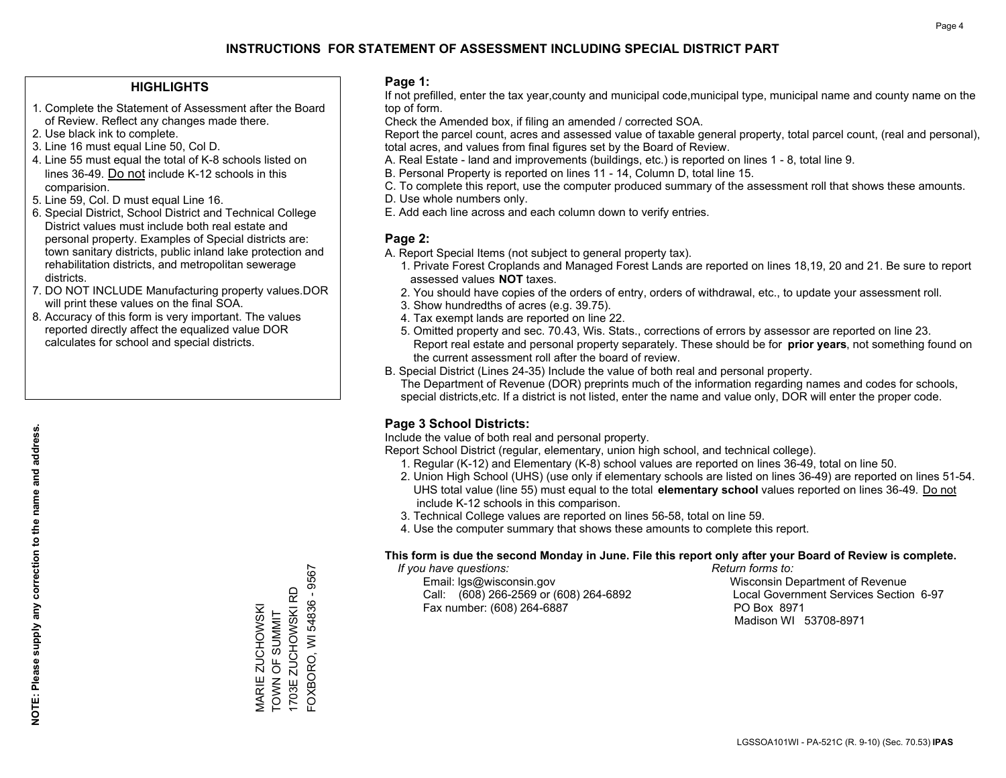### **HIGHLIGHTS**

- 1. Complete the Statement of Assessment after the Board of Review. Reflect any changes made there.
- 2. Use black ink to complete.
- 3. Line 16 must equal Line 50, Col D.
- 4. Line 55 must equal the total of K-8 schools listed on lines 36-49. Do not include K-12 schools in this comparision.
- 5. Line 59, Col. D must equal Line 16.
- 6. Special District, School District and Technical College District values must include both real estate and personal property. Examples of Special districts are: town sanitary districts, public inland lake protection and rehabilitation districts, and metropolitan sewerage districts.
- 7. DO NOT INCLUDE Manufacturing property values.DOR will print these values on the final SOA.
- 8. Accuracy of this form is very important. The values reported directly affect the equalized value DOR calculates for school and special districts.

### **Page 1:**

 If not prefilled, enter the tax year,county and municipal code,municipal type, municipal name and county name on the top of form.

Check the Amended box, if filing an amended / corrected SOA.

 Report the parcel count, acres and assessed value of taxable general property, total parcel count, (real and personal), total acres, and values from final figures set by the Board of Review.

- A. Real Estate land and improvements (buildings, etc.) is reported on lines 1 8, total line 9.
- B. Personal Property is reported on lines 11 14, Column D, total line 15.
- C. To complete this report, use the computer produced summary of the assessment roll that shows these amounts.
- D. Use whole numbers only.
- E. Add each line across and each column down to verify entries.

### **Page 2:**

- A. Report Special Items (not subject to general property tax).
- 1. Private Forest Croplands and Managed Forest Lands are reported on lines 18,19, 20 and 21. Be sure to report assessed values **NOT** taxes.
- 2. You should have copies of the orders of entry, orders of withdrawal, etc., to update your assessment roll.
	- 3. Show hundredths of acres (e.g. 39.75).
- 4. Tax exempt lands are reported on line 22.
- 5. Omitted property and sec. 70.43, Wis. Stats., corrections of errors by assessor are reported on line 23. Report real estate and personal property separately. These should be for **prior years**, not something found on the current assessment roll after the board of review.
- B. Special District (Lines 24-35) Include the value of both real and personal property.

 The Department of Revenue (DOR) preprints much of the information regarding names and codes for schools, special districts,etc. If a district is not listed, enter the name and value only, DOR will enter the proper code.

### **Page 3 School Districts:**

Include the value of both real and personal property.

Report School District (regular, elementary, union high school, and technical college).

- 1. Regular (K-12) and Elementary (K-8) school values are reported on lines 36-49, total on line 50.
- 2. Union High School (UHS) (use only if elementary schools are listed on lines 36-49) are reported on lines 51-54. UHS total value (line 55) must equal to the total **elementary school** values reported on lines 36-49. Do notinclude K-12 schools in this comparison.
- 3. Technical College values are reported on lines 56-58, total on line 59.
- 4. Use the computer summary that shows these amounts to complete this report.

#### **This form is due the second Monday in June. File this report only after your Board of Review is complete.**

 *If you have questions: Return forms to:*

 Email: lgs@wisconsin.gov Wisconsin Department of RevenueCall:  $(608)$  266-2569 or  $(608)$  264-6892 Fax number: (608) 264-6887 PO Box 8971

Local Government Services Section 6-97 Madison WI 53708-8971

-OXBORO, WI 54836 - 9567 FOXBORO, WI 54836 - 9567 1703E ZUCHOWSKI RD 1703E ZUCHOWSKI RD VIARIE ZUCHOWSKI<br>TOWN OF SUMMIT MARIE ZUCHOWSKI TOWN OF SUMMIT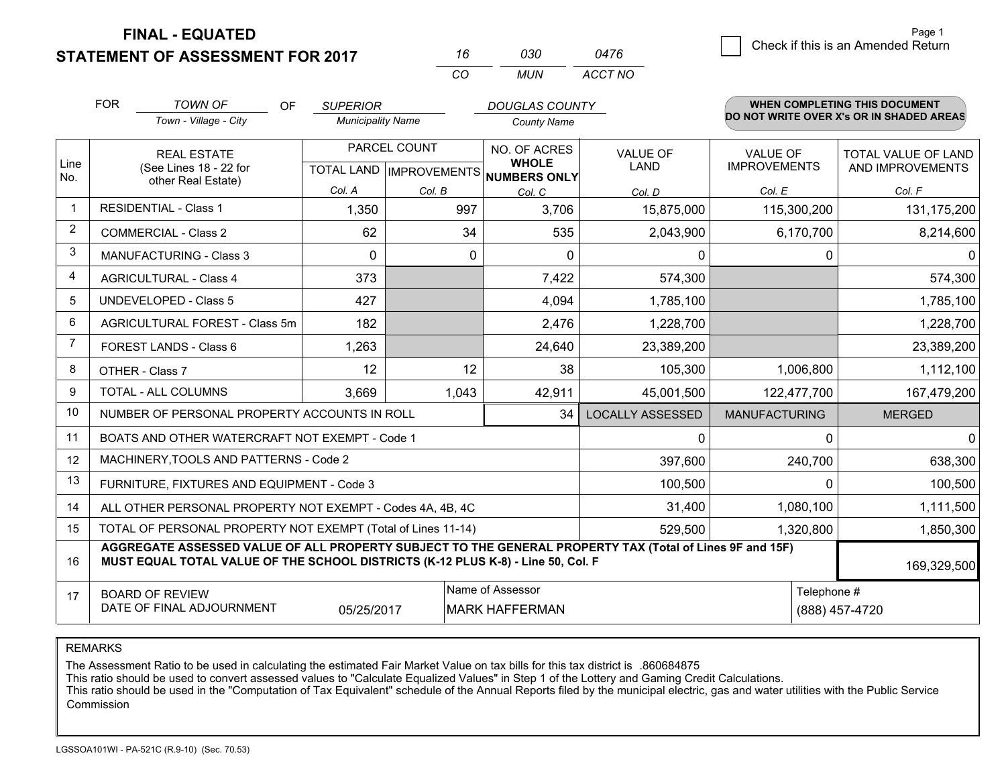**FINAL - EQUATED**

**STATEMENT OF ASSESSMENT FOR 2017** 

| 16       | กจก   | 0476    |
|----------|-------|---------|
| $\cdots$ | MI IN | ACCT NO |

|              | <b>FOR</b>                                                                                                                                                                                                  | <b>TOWN OF</b><br><b>OF</b><br>Town - Village - City         | <b>SUPERIOR</b><br><b>Municipality Name</b> |              | <b>DOUGLAS COUNTY</b><br><b>County Name</b>                          |                                |                                        | <b>WHEN COMPLETING THIS DOCUMENT</b><br>DO NOT WRITE OVER X's OR IN SHADED AREAS |
|--------------|-------------------------------------------------------------------------------------------------------------------------------------------------------------------------------------------------------------|--------------------------------------------------------------|---------------------------------------------|--------------|----------------------------------------------------------------------|--------------------------------|----------------------------------------|----------------------------------------------------------------------------------|
| Line<br>No.  |                                                                                                                                                                                                             | <b>REAL ESTATE</b><br>(See Lines 18 - 22 for                 |                                             | PARCEL COUNT | NO. OF ACRES<br><b>WHOLE</b><br>TOTAL LAND IMPROVEMENTS NUMBERS ONLY | <b>VALUE OF</b><br><b>LAND</b> | <b>VALUE OF</b><br><b>IMPROVEMENTS</b> | <b>TOTAL VALUE OF LAND</b><br>AND IMPROVEMENTS                                   |
|              |                                                                                                                                                                                                             | other Real Estate)                                           | Col. A                                      | Col. B       | Col. C                                                               | Col. D                         | Col. E                                 | Col. F                                                                           |
| $\mathbf{1}$ |                                                                                                                                                                                                             | <b>RESIDENTIAL - Class 1</b>                                 | 1,350                                       | 997          | 3,706                                                                | 15,875,000                     | 115,300,200                            | 131,175,200                                                                      |
| 2            |                                                                                                                                                                                                             | <b>COMMERCIAL - Class 2</b>                                  | 62                                          | 34           | 535                                                                  | 2,043,900                      | 6,170,700                              | 8,214,600                                                                        |
| 3            |                                                                                                                                                                                                             | MANUFACTURING - Class 3                                      | $\Omega$                                    | 0            | $\Omega$                                                             | 0                              | $\Omega$                               | 0                                                                                |
| 4            |                                                                                                                                                                                                             | <b>AGRICULTURAL - Class 4</b>                                | 373                                         |              | 7,422                                                                | 574,300                        |                                        | 574,300                                                                          |
| 5            |                                                                                                                                                                                                             | <b>UNDEVELOPED - Class 5</b>                                 | 427                                         |              | 4,094                                                                | 1,785,100                      |                                        | 1,785,100                                                                        |
| 6            |                                                                                                                                                                                                             | AGRICULTURAL FOREST - Class 5m                               | 182                                         |              | 2,476                                                                | 1,228,700                      |                                        | 1,228,700                                                                        |
| 7            |                                                                                                                                                                                                             | FOREST LANDS - Class 6                                       | 1,263                                       |              | 24,640                                                               | 23,389,200                     |                                        | 23,389,200                                                                       |
| 8            |                                                                                                                                                                                                             | OTHER - Class 7                                              | 12                                          | 12           | 38                                                                   | 105,300                        | 1,006,800                              | 1,112,100                                                                        |
| 9            |                                                                                                                                                                                                             | TOTAL - ALL COLUMNS                                          | 3,669                                       | 1,043        | 42,911                                                               | 45,001,500                     | 122,477,700                            | 167,479,200                                                                      |
| 10           |                                                                                                                                                                                                             | NUMBER OF PERSONAL PROPERTY ACCOUNTS IN ROLL                 |                                             |              | 34                                                                   | <b>LOCALLY ASSESSED</b>        | <b>MANUFACTURING</b>                   | <b>MERGED</b>                                                                    |
| 11           |                                                                                                                                                                                                             | BOATS AND OTHER WATERCRAFT NOT EXEMPT - Code 1               |                                             |              |                                                                      | 0                              | 0                                      | 0                                                                                |
| 12           |                                                                                                                                                                                                             | MACHINERY, TOOLS AND PATTERNS - Code 2                       |                                             |              |                                                                      | 397,600                        | 240,700                                | 638,300                                                                          |
| 13           |                                                                                                                                                                                                             | FURNITURE, FIXTURES AND EQUIPMENT - Code 3                   |                                             |              |                                                                      | 100,500                        | $\Omega$                               | 100,500                                                                          |
| 14           |                                                                                                                                                                                                             | ALL OTHER PERSONAL PROPERTY NOT EXEMPT - Codes 4A, 4B, 4C    |                                             |              |                                                                      | 31,400                         | 1,080,100                              | 1,111,500                                                                        |
| 15           |                                                                                                                                                                                                             | TOTAL OF PERSONAL PROPERTY NOT EXEMPT (Total of Lines 11-14) |                                             |              | 529,500                                                              | 1,320,800                      | 1,850,300                              |                                                                                  |
| 16           | AGGREGATE ASSESSED VALUE OF ALL PROPERTY SUBJECT TO THE GENERAL PROPERTY TAX (Total of Lines 9F and 15F)<br>MUST EQUAL TOTAL VALUE OF THE SCHOOL DISTRICTS (K-12 PLUS K-8) - Line 50, Col. F<br>169,329,500 |                                                              |                                             |              |                                                                      |                                |                                        |                                                                                  |
| 17           | Name of Assessor<br><b>BOARD OF REVIEW</b><br>DATE OF FINAL ADJOURNMENT<br>05/25/2017<br><b>MARK HAFFERMAN</b>                                                                                              |                                                              |                                             |              |                                                                      |                                | Telephone #                            | (888) 457-4720                                                                   |

REMARKS

The Assessment Ratio to be used in calculating the estimated Fair Market Value on tax bills for this tax district is .860684875<br>This ratio should be used to convert assessed values to "Calculate Equalized Values" in Step 1 Commission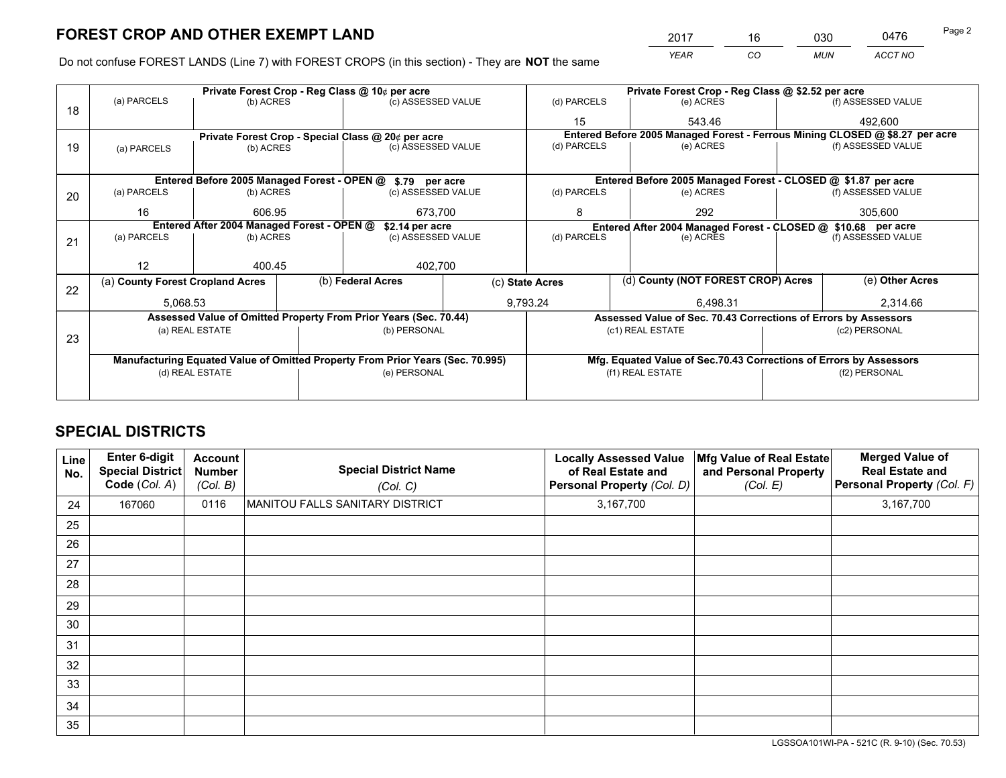*YEAR CO MUN ACCT NO* 2017 16 030 0476 Page 2

Do not confuse FOREST LANDS (Line 7) with FOREST CROPS (in this section) - They are **NOT** the same

|    |                                                               |                 |  | Private Forest Crop - Reg Class @ 10¢ per acre                                 |  | Private Forest Crop - Reg Class @ \$2.52 per acre             |                                                                              |  |                    |
|----|---------------------------------------------------------------|-----------------|--|--------------------------------------------------------------------------------|--|---------------------------------------------------------------|------------------------------------------------------------------------------|--|--------------------|
| 18 | (a) PARCELS                                                   | (b) ACRES       |  | (c) ASSESSED VALUE                                                             |  | (d) PARCELS                                                   | (e) ACRES                                                                    |  | (f) ASSESSED VALUE |
|    |                                                               |                 |  |                                                                                |  | 15                                                            | 543.46                                                                       |  | 492.600            |
|    |                                                               |                 |  | Private Forest Crop - Special Class @ 20¢ per acre                             |  |                                                               | Entered Before 2005 Managed Forest - Ferrous Mining CLOSED @ \$8.27 per acre |  |                    |
| 19 | (a) PARCELS                                                   | (b) ACRES       |  | (c) ASSESSED VALUE                                                             |  | (d) PARCELS                                                   | (e) ACRES                                                                    |  | (f) ASSESSED VALUE |
|    |                                                               |                 |  |                                                                                |  |                                                               |                                                                              |  |                    |
|    |                                                               |                 |  | Entered Before 2005 Managed Forest - OPEN @ \$.79 per acre                     |  |                                                               | Entered Before 2005 Managed Forest - CLOSED @ \$1.87 per acre                |  |                    |
| 20 | (a) PARCELS                                                   | (b) ACRES       |  | (c) ASSESSED VALUE                                                             |  | (d) PARCELS                                                   | (e) ACRES                                                                    |  | (f) ASSESSED VALUE |
|    | 16                                                            | 606.95          |  | 673,700                                                                        |  | 8                                                             | 292                                                                          |  | 305,600            |
|    | Entered After 2004 Managed Forest - OPEN @<br>\$2.14 per acre |                 |  |                                                                                |  | Entered After 2004 Managed Forest - CLOSED @ \$10.68 per acre |                                                                              |  |                    |
| 21 | (a) PARCELS                                                   | (b) ACRES       |  | (c) ASSESSED VALUE                                                             |  | (d) PARCELS<br>(e) ACRES                                      |                                                                              |  | (f) ASSESSED VALUE |
|    |                                                               |                 |  |                                                                                |  |                                                               |                                                                              |  |                    |
|    | 12                                                            | 400.45          |  | 402,700                                                                        |  |                                                               |                                                                              |  |                    |
| 22 | (a) County Forest Cropland Acres                              |                 |  | (b) Federal Acres                                                              |  | (c) State Acres                                               | (d) County (NOT FOREST CROP) Acres                                           |  | (e) Other Acres    |
|    | 5,068.53                                                      |                 |  |                                                                                |  | 9,793.24                                                      | 6.498.31                                                                     |  | 2,314.66           |
|    |                                                               |                 |  | Assessed Value of Omitted Property From Prior Years (Sec. 70.44)               |  |                                                               | Assessed Value of Sec. 70.43 Corrections of Errors by Assessors              |  |                    |
|    |                                                               | (a) REAL ESTATE |  | (b) PERSONAL                                                                   |  |                                                               | (c1) REAL ESTATE                                                             |  | (c2) PERSONAL      |
| 23 |                                                               |                 |  |                                                                                |  |                                                               |                                                                              |  |                    |
|    |                                                               |                 |  | Manufacturing Equated Value of Omitted Property From Prior Years (Sec. 70.995) |  |                                                               | Mfg. Equated Value of Sec.70.43 Corrections of Errors by Assessors           |  |                    |
|    | (d) REAL ESTATE                                               |                 |  | (e) PERSONAL                                                                   |  |                                                               | (f1) REAL ESTATE                                                             |  | (f2) PERSONAL      |
|    |                                                               |                 |  |                                                                                |  |                                                               |                                                                              |  |                    |

## **SPECIAL DISTRICTS**

| Line<br>No. | Enter 6-digit<br>Special District<br>Code (Col. A) | <b>Account</b><br><b>Number</b><br>(Col. B) | <b>Special District Name</b><br>(Col. C) | <b>Locally Assessed Value</b><br>of Real Estate and<br>Personal Property (Col. D) | Mfg Value of Real Estate<br>and Personal Property<br>(Col. E) | <b>Merged Value of</b><br><b>Real Estate and</b><br>Personal Property (Col. F) |
|-------------|----------------------------------------------------|---------------------------------------------|------------------------------------------|-----------------------------------------------------------------------------------|---------------------------------------------------------------|--------------------------------------------------------------------------------|
| 24          | 167060                                             | 0116                                        | MANITOU FALLS SANITARY DISTRICT          | 3,167,700                                                                         |                                                               | 3,167,700                                                                      |
| 25          |                                                    |                                             |                                          |                                                                                   |                                                               |                                                                                |
| 26          |                                                    |                                             |                                          |                                                                                   |                                                               |                                                                                |
| 27          |                                                    |                                             |                                          |                                                                                   |                                                               |                                                                                |
| 28          |                                                    |                                             |                                          |                                                                                   |                                                               |                                                                                |
| 29          |                                                    |                                             |                                          |                                                                                   |                                                               |                                                                                |
| 30          |                                                    |                                             |                                          |                                                                                   |                                                               |                                                                                |
| 31          |                                                    |                                             |                                          |                                                                                   |                                                               |                                                                                |
| 32          |                                                    |                                             |                                          |                                                                                   |                                                               |                                                                                |
| 33          |                                                    |                                             |                                          |                                                                                   |                                                               |                                                                                |
| 34          |                                                    |                                             |                                          |                                                                                   |                                                               |                                                                                |
| 35          |                                                    |                                             |                                          |                                                                                   |                                                               |                                                                                |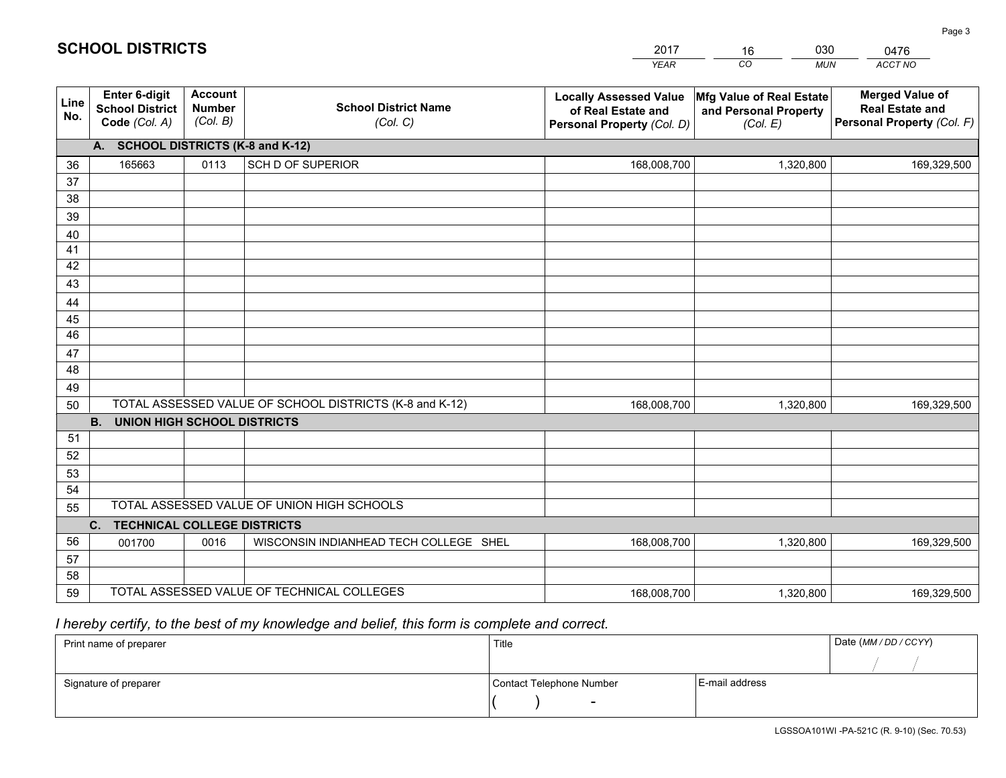|             |                                                          |                                             |                                                         | YEAR                                                                              | CO.<br><b>MUN</b>                                             | ACCT NO                                                                        |
|-------------|----------------------------------------------------------|---------------------------------------------|---------------------------------------------------------|-----------------------------------------------------------------------------------|---------------------------------------------------------------|--------------------------------------------------------------------------------|
| Line<br>No. | Enter 6-digit<br><b>School District</b><br>Code (Col. A) | <b>Account</b><br><b>Number</b><br>(Col. B) | <b>School District Name</b><br>(Col. C)                 | <b>Locally Assessed Value</b><br>of Real Estate and<br>Personal Property (Col. D) | Mfg Value of Real Estate<br>and Personal Property<br>(Col. E) | <b>Merged Value of</b><br><b>Real Estate and</b><br>Personal Property (Col. F) |
|             | A. SCHOOL DISTRICTS (K-8 and K-12)                       |                                             |                                                         |                                                                                   |                                                               |                                                                                |
| 36          | 165663                                                   | 0113                                        | <b>SCH D OF SUPERIOR</b>                                | 168,008,700                                                                       | 1,320,800                                                     | 169,329,500                                                                    |
| 37          |                                                          |                                             |                                                         |                                                                                   |                                                               |                                                                                |
| 38          |                                                          |                                             |                                                         |                                                                                   |                                                               |                                                                                |
| 39          |                                                          |                                             |                                                         |                                                                                   |                                                               |                                                                                |
| 40          |                                                          |                                             |                                                         |                                                                                   |                                                               |                                                                                |
| 41<br>42    |                                                          |                                             |                                                         |                                                                                   |                                                               |                                                                                |
| 43          |                                                          |                                             |                                                         |                                                                                   |                                                               |                                                                                |
| 44          |                                                          |                                             |                                                         |                                                                                   |                                                               |                                                                                |
| 45          |                                                          |                                             |                                                         |                                                                                   |                                                               |                                                                                |
| 46          |                                                          |                                             |                                                         |                                                                                   |                                                               |                                                                                |
| 47          |                                                          |                                             |                                                         |                                                                                   |                                                               |                                                                                |
| 48          |                                                          |                                             |                                                         |                                                                                   |                                                               |                                                                                |
| 49          |                                                          |                                             |                                                         |                                                                                   |                                                               |                                                                                |
| 50          |                                                          |                                             | TOTAL ASSESSED VALUE OF SCHOOL DISTRICTS (K-8 and K-12) | 168,008,700                                                                       | 1,320,800                                                     | 169,329,500                                                                    |
|             | <b>B.</b><br>UNION HIGH SCHOOL DISTRICTS                 |                                             |                                                         |                                                                                   |                                                               |                                                                                |
| 51          |                                                          |                                             |                                                         |                                                                                   |                                                               |                                                                                |
| 52          |                                                          |                                             |                                                         |                                                                                   |                                                               |                                                                                |
| 53<br>54    |                                                          |                                             |                                                         |                                                                                   |                                                               |                                                                                |
| 55          |                                                          |                                             | TOTAL ASSESSED VALUE OF UNION HIGH SCHOOLS              |                                                                                   |                                                               |                                                                                |
|             | C.<br><b>TECHNICAL COLLEGE DISTRICTS</b>                 |                                             |                                                         |                                                                                   |                                                               |                                                                                |
| 56          | 001700                                                   | 0016                                        | WISCONSIN INDIANHEAD TECH COLLEGE SHEL                  | 168,008,700                                                                       | 1,320,800                                                     | 169,329,500                                                                    |
| 57          |                                                          |                                             |                                                         |                                                                                   |                                                               |                                                                                |
| 58          |                                                          |                                             |                                                         |                                                                                   |                                                               |                                                                                |
| 59          |                                                          |                                             | TOTAL ASSESSED VALUE OF TECHNICAL COLLEGES              | 168,008,700                                                                       | 1,320,800                                                     | 169,329,500                                                                    |

16

030

 *I hereby certify, to the best of my knowledge and belief, this form is complete and correct.*

**SCHOOL DISTRICTS**

| Print name of preparer | Title                    |                | Date (MM / DD / CCYY) |
|------------------------|--------------------------|----------------|-----------------------|
|                        |                          |                |                       |
| Signature of preparer  | Contact Telephone Number | E-mail address |                       |
|                        | $\sim$                   |                |                       |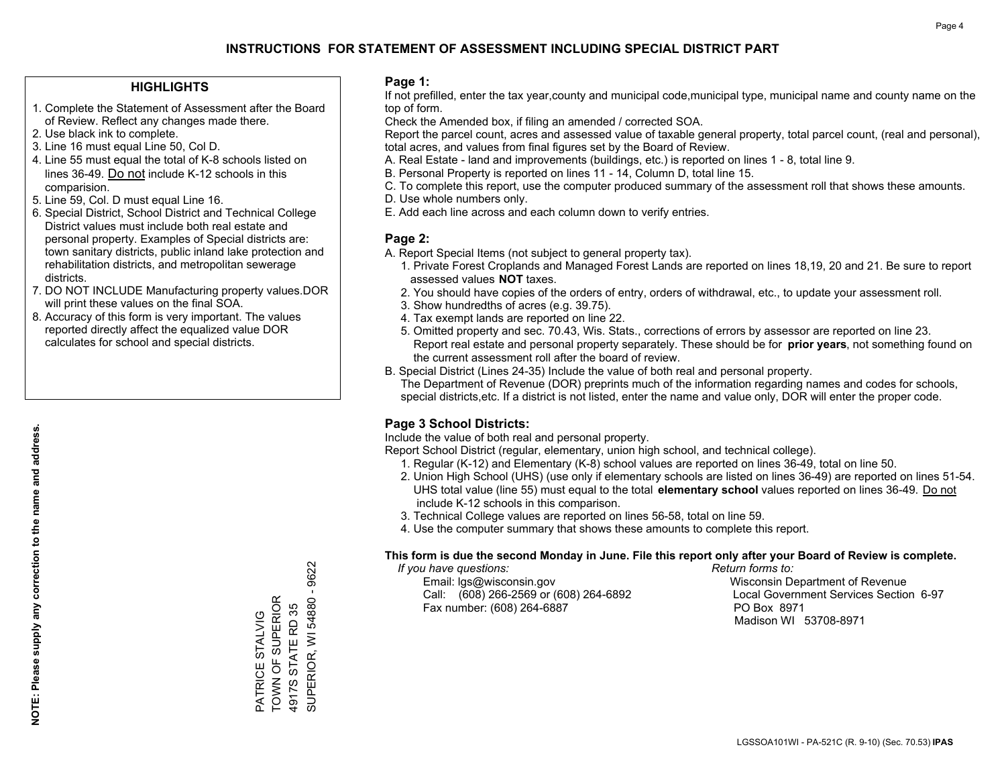### **HIGHLIGHTS**

- 1. Complete the Statement of Assessment after the Board of Review. Reflect any changes made there.
- 2. Use black ink to complete.
- 3. Line 16 must equal Line 50, Col D.
- 4. Line 55 must equal the total of K-8 schools listed on lines 36-49. Do not include K-12 schools in this comparision.
- 5. Line 59, Col. D must equal Line 16.
- 6. Special District, School District and Technical College District values must include both real estate and personal property. Examples of Special districts are: town sanitary districts, public inland lake protection and rehabilitation districts, and metropolitan sewerage districts.
- 7. DO NOT INCLUDE Manufacturing property values.DOR will print these values on the final SOA.

PATRICE STALVIG TOWN OF SUPERIOR 4917S STATE RD 35

PATRICE STALVIG<br>TOWN OF SUPERIOR 4917S STATE RD 35 SUPERIOR, WI 54880 - 9622

SUPERIOR, WI 54880 -

9622

 8. Accuracy of this form is very important. The values reported directly affect the equalized value DOR calculates for school and special districts.

### **Page 1:**

 If not prefilled, enter the tax year,county and municipal code,municipal type, municipal name and county name on the top of form.

Check the Amended box, if filing an amended / corrected SOA.

 Report the parcel count, acres and assessed value of taxable general property, total parcel count, (real and personal), total acres, and values from final figures set by the Board of Review.

- A. Real Estate land and improvements (buildings, etc.) is reported on lines 1 8, total line 9.
- B. Personal Property is reported on lines 11 14, Column D, total line 15.
- C. To complete this report, use the computer produced summary of the assessment roll that shows these amounts.
- D. Use whole numbers only.
- E. Add each line across and each column down to verify entries.

### **Page 2:**

- A. Report Special Items (not subject to general property tax).
- 1. Private Forest Croplands and Managed Forest Lands are reported on lines 18,19, 20 and 21. Be sure to report assessed values **NOT** taxes.
- 2. You should have copies of the orders of entry, orders of withdrawal, etc., to update your assessment roll.
	- 3. Show hundredths of acres (e.g. 39.75).
- 4. Tax exempt lands are reported on line 22.
- 5. Omitted property and sec. 70.43, Wis. Stats., corrections of errors by assessor are reported on line 23. Report real estate and personal property separately. These should be for **prior years**, not something found on the current assessment roll after the board of review.
- B. Special District (Lines 24-35) Include the value of both real and personal property.

 The Department of Revenue (DOR) preprints much of the information regarding names and codes for schools, special districts,etc. If a district is not listed, enter the name and value only, DOR will enter the proper code.

### **Page 3 School Districts:**

Include the value of both real and personal property.

Report School District (regular, elementary, union high school, and technical college).

- 1. Regular (K-12) and Elementary (K-8) school values are reported on lines 36-49, total on line 50.
- 2. Union High School (UHS) (use only if elementary schools are listed on lines 36-49) are reported on lines 51-54. UHS total value (line 55) must equal to the total **elementary school** values reported on lines 36-49. Do notinclude K-12 schools in this comparison.
- 3. Technical College values are reported on lines 56-58, total on line 59.
- 4. Use the computer summary that shows these amounts to complete this report.

#### **This form is due the second Monday in June. File this report only after your Board of Review is complete.**

 *If you have questions: Return forms to:*

 Email: lgs@wisconsin.gov Wisconsin Department of RevenueCall:  $(608)$  266-2569 or  $(608)$  264-6892 Fax number: (608) 264-6887 PO Box 8971

Local Government Services Section 6-97 Madison WI 53708-8971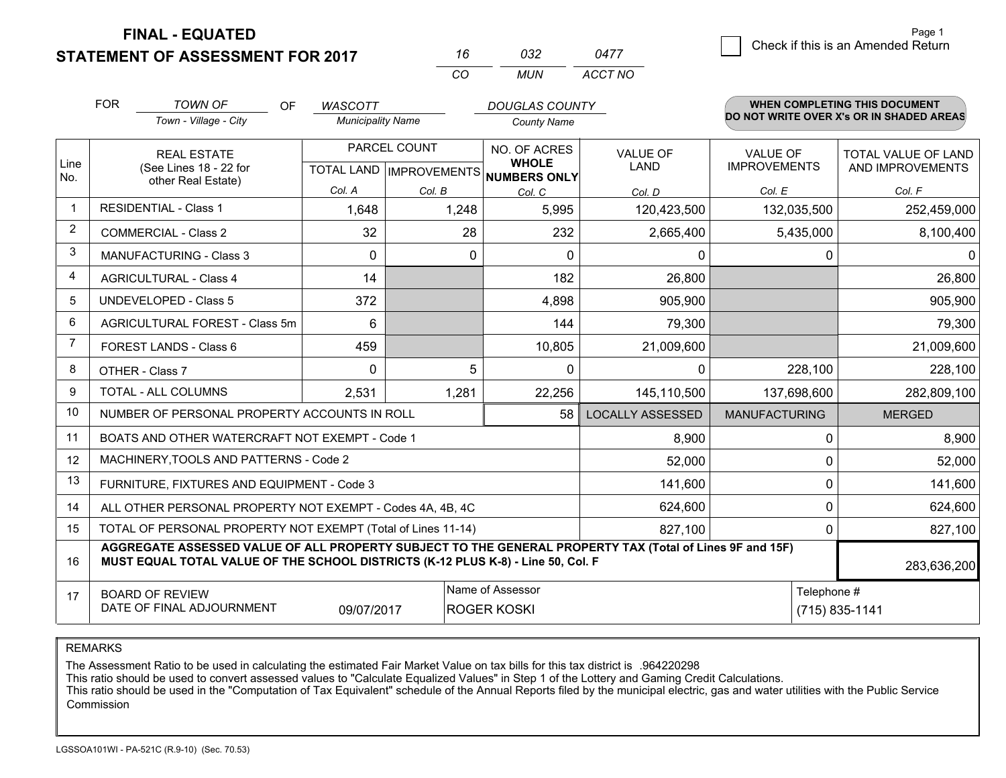**FINAL - EQUATED**

**STATEMENT OF ASSESSMENT FOR 2017** 

| 16  | กาว | 0477    |
|-----|-----|---------|
| CO. | MUN | ACCT NO |

|                | <b>FOR</b>                                                                                                                                                                                   | <b>TOWN OF</b><br>OF                                         | <b>WASCOTT</b>           |                           | <b>DOUGLAS COUNTY</b>               |                         |                      | <b>WHEN COMPLETING THIS DOCUMENT</b>     |  |
|----------------|----------------------------------------------------------------------------------------------------------------------------------------------------------------------------------------------|--------------------------------------------------------------|--------------------------|---------------------------|-------------------------------------|-------------------------|----------------------|------------------------------------------|--|
|                |                                                                                                                                                                                              | Town - Village - City                                        | <b>Municipality Name</b> |                           | <b>County Name</b>                  |                         |                      | DO NOT WRITE OVER X's OR IN SHADED AREAS |  |
|                |                                                                                                                                                                                              | <b>REAL ESTATE</b>                                           |                          | PARCEL COUNT              | NO. OF ACRES                        | <b>VALUE OF</b>         | <b>VALUE OF</b>      | TOTAL VALUE OF LAND                      |  |
| Line<br>No.    |                                                                                                                                                                                              | (See Lines 18 - 22 for<br>other Real Estate)                 |                          | TOTAL LAND   IMPROVEMENTS | <b>WHOLE</b><br><b>NUMBERS ONLY</b> | <b>LAND</b>             | <b>IMPROVEMENTS</b>  | AND IMPROVEMENTS                         |  |
|                |                                                                                                                                                                                              |                                                              | Col. A                   | Col. B                    | Col. C                              | Col. D                  | Col. E               | Col. F                                   |  |
| $\mathbf 1$    |                                                                                                                                                                                              | <b>RESIDENTIAL - Class 1</b>                                 | 1,648                    | 1,248                     | 5,995                               | 120,423,500             | 132,035,500          | 252,459,000                              |  |
| $\overline{2}$ |                                                                                                                                                                                              | <b>COMMERCIAL - Class 2</b>                                  | 32                       | 28                        | 232                                 | 2,665,400               | 5,435,000            | 8,100,400                                |  |
| 3              |                                                                                                                                                                                              | <b>MANUFACTURING - Class 3</b>                               | $\Omega$                 | $\Omega$                  | $\Omega$                            | 0                       | $\Omega$             | $\Omega$                                 |  |
| 4              |                                                                                                                                                                                              | <b>AGRICULTURAL - Class 4</b>                                | 14                       |                           | 182                                 | 26,800                  |                      | 26,800                                   |  |
| 5              |                                                                                                                                                                                              | <b>UNDEVELOPED - Class 5</b>                                 | 372                      |                           | 4,898                               | 905,900                 |                      | 905,900                                  |  |
| 6              |                                                                                                                                                                                              | AGRICULTURAL FOREST - Class 5m                               | 6                        |                           | 144                                 | 79,300                  |                      | 79,300                                   |  |
| $\overline{7}$ |                                                                                                                                                                                              | FOREST LANDS - Class 6                                       | 459                      |                           | 10,805                              | 21,009,600              |                      | 21,009,600                               |  |
| 8              |                                                                                                                                                                                              | OTHER - Class 7                                              | $\Omega$                 | 5                         | $\Omega$                            | $\mathbf{0}$            | 228,100              | 228,100                                  |  |
| 9              |                                                                                                                                                                                              | TOTAL - ALL COLUMNS                                          | 2,531                    | 1,281                     | 22,256                              | 145,110,500             | 137,698,600          | 282,809,100                              |  |
| 10             |                                                                                                                                                                                              | NUMBER OF PERSONAL PROPERTY ACCOUNTS IN ROLL                 |                          |                           | 58                                  | <b>LOCALLY ASSESSED</b> | <b>MANUFACTURING</b> | <b>MERGED</b>                            |  |
| 11             |                                                                                                                                                                                              | BOATS AND OTHER WATERCRAFT NOT EXEMPT - Code 1               |                          |                           |                                     | 8,900                   | 0                    | 8,900                                    |  |
| 12             |                                                                                                                                                                                              | MACHINERY, TOOLS AND PATTERNS - Code 2                       |                          |                           |                                     | 52,000                  | 0                    | 52,000                                   |  |
| 13             |                                                                                                                                                                                              | FURNITURE, FIXTURES AND EQUIPMENT - Code 3                   |                          |                           |                                     | 141,600                 | 0                    | 141,600                                  |  |
| 14             |                                                                                                                                                                                              | ALL OTHER PERSONAL PROPERTY NOT EXEMPT - Codes 4A, 4B, 4C    |                          |                           |                                     | 624,600                 | 0                    | 624,600                                  |  |
| 15             |                                                                                                                                                                                              | TOTAL OF PERSONAL PROPERTY NOT EXEMPT (Total of Lines 11-14) |                          |                           | 827,100                             | 0                       | 827,100              |                                          |  |
| 16             | AGGREGATE ASSESSED VALUE OF ALL PROPERTY SUBJECT TO THE GENERAL PROPERTY TAX (Total of Lines 9F and 15F)<br>MUST EQUAL TOTAL VALUE OF THE SCHOOL DISTRICTS (K-12 PLUS K-8) - Line 50, Col. F |                                                              |                          |                           |                                     |                         |                      | 283,636,200                              |  |
| 17             |                                                                                                                                                                                              | <b>BOARD OF REVIEW</b>                                       |                          |                           | Name of Assessor                    |                         | Telephone #          |                                          |  |
|                |                                                                                                                                                                                              | DATE OF FINAL ADJOURNMENT                                    | 09/07/2017               |                           | <b>ROGER KOSKI</b>                  |                         | (715) 835-1141       |                                          |  |

REMARKS

The Assessment Ratio to be used in calculating the estimated Fair Market Value on tax bills for this tax district is .964220298

This ratio should be used to convert assessed values to "Calculate Equalized Values" in Step 1 of the Lottery and Gaming Credit Calculations.<br>This ratio should be used in the "Computation of Tax Equivalent" schedule of the Commission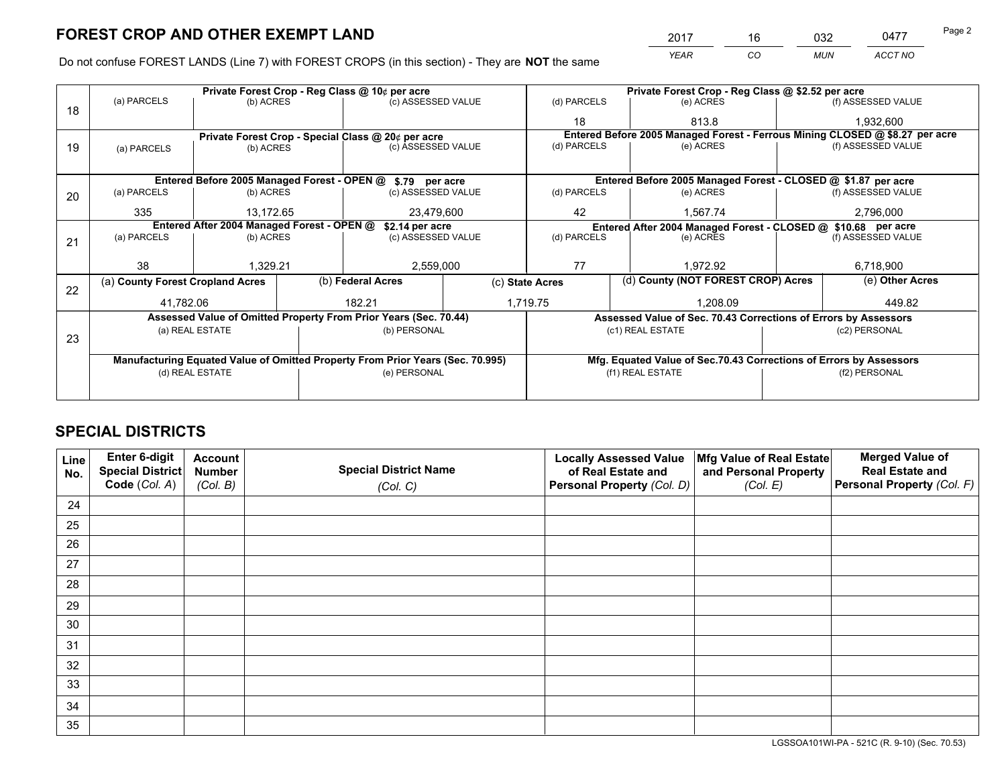*YEAR CO MUN ACCT NO* 2017 16 032 0477 Page 2

Do not confuse FOREST LANDS (Line 7) with FOREST CROPS (in this section) - They are **NOT** the same

|    | Private Forest Crop - Reg Class @ 10¢ per acre                                 |                 |  |                                                                  |  | Private Forest Crop - Reg Class @ \$2.52 per acre               |                                                               |                                                                    |                                                                              |  |
|----|--------------------------------------------------------------------------------|-----------------|--|------------------------------------------------------------------|--|-----------------------------------------------------------------|---------------------------------------------------------------|--------------------------------------------------------------------|------------------------------------------------------------------------------|--|
| 18 | (a) PARCELS                                                                    | (b) ACRES       |  | (c) ASSESSED VALUE                                               |  | (d) PARCELS                                                     | (e) ACRES                                                     |                                                                    | (f) ASSESSED VALUE                                                           |  |
|    |                                                                                |                 |  |                                                                  |  | 18                                                              | 813.8                                                         |                                                                    | 1,932,600                                                                    |  |
|    |                                                                                |                 |  | Private Forest Crop - Special Class @ 20¢ per acre               |  |                                                                 |                                                               |                                                                    | Entered Before 2005 Managed Forest - Ferrous Mining CLOSED @ \$8.27 per acre |  |
| 19 | (a) PARCELS                                                                    | (b) ACRES       |  | (c) ASSESSED VALUE                                               |  | (d) PARCELS                                                     | (e) ACRES                                                     |                                                                    | (f) ASSESSED VALUE                                                           |  |
|    |                                                                                |                 |  |                                                                  |  |                                                                 |                                                               |                                                                    |                                                                              |  |
|    |                                                                                |                 |  | Entered Before 2005 Managed Forest - OPEN @ \$.79 per acre       |  |                                                                 | Entered Before 2005 Managed Forest - CLOSED @ \$1.87 per acre |                                                                    |                                                                              |  |
| 20 | (a) PARCELS                                                                    | (b) ACRES       |  | (c) ASSESSED VALUE                                               |  | (d) PARCELS                                                     | (e) ACRES                                                     |                                                                    | (f) ASSESSED VALUE                                                           |  |
|    | 335                                                                            | 13.172.65       |  | 23,479,600                                                       |  | 42                                                              | 1.567.74                                                      |                                                                    | 2,796,000                                                                    |  |
|    | Entered After 2004 Managed Forest - OPEN @<br>\$2.14 per acre                  |                 |  | Entered After 2004 Managed Forest - CLOSED @ \$10.68 per acre    |  |                                                                 |                                                               |                                                                    |                                                                              |  |
| 21 | (a) PARCELS                                                                    | (b) ACRES       |  | (c) ASSESSED VALUE                                               |  | (d) PARCELS                                                     | (e) ACRES                                                     |                                                                    | (f) ASSESSED VALUE                                                           |  |
|    |                                                                                |                 |  |                                                                  |  |                                                                 |                                                               |                                                                    |                                                                              |  |
|    | 38                                                                             | 1,329.21        |  | 2,559,000                                                        |  | 77                                                              | 1,972.92                                                      |                                                                    | 6,718,900                                                                    |  |
| 22 | (a) County Forest Cropland Acres                                               |                 |  | (b) Federal Acres                                                |  | (c) State Acres                                                 | (d) County (NOT FOREST CROP) Acres                            |                                                                    | (e) Other Acres                                                              |  |
|    | 41,782.06                                                                      |                 |  | 182.21                                                           |  | 1,719.75<br>1.208.09                                            |                                                               |                                                                    | 449.82                                                                       |  |
|    |                                                                                |                 |  | Assessed Value of Omitted Property From Prior Years (Sec. 70.44) |  | Assessed Value of Sec. 70.43 Corrections of Errors by Assessors |                                                               |                                                                    |                                                                              |  |
| 23 |                                                                                | (a) REAL ESTATE |  | (b) PERSONAL                                                     |  |                                                                 | (c1) REAL ESTATE                                              |                                                                    | (c2) PERSONAL                                                                |  |
|    |                                                                                |                 |  |                                                                  |  |                                                                 |                                                               |                                                                    |                                                                              |  |
|    | Manufacturing Equated Value of Omitted Property From Prior Years (Sec. 70.995) |                 |  |                                                                  |  |                                                                 |                                                               | Mfg. Equated Value of Sec.70.43 Corrections of Errors by Assessors |                                                                              |  |
|    | (d) REAL ESTATE                                                                |                 |  | (e) PERSONAL                                                     |  | (f1) REAL ESTATE                                                |                                                               |                                                                    | (f2) PERSONAL                                                                |  |
|    |                                                                                |                 |  |                                                                  |  |                                                                 |                                                               |                                                                    |                                                                              |  |

## **SPECIAL DISTRICTS**

| Line<br>No. | Enter 6-digit<br>Special District<br>Code (Col. A) | <b>Account</b><br><b>Number</b> | <b>Special District Name</b> | <b>Locally Assessed Value</b><br>of Real Estate and | Mfg Value of Real Estate<br>and Personal Property | <b>Merged Value of</b><br><b>Real Estate and</b><br>Personal Property (Col. F) |
|-------------|----------------------------------------------------|---------------------------------|------------------------------|-----------------------------------------------------|---------------------------------------------------|--------------------------------------------------------------------------------|
|             |                                                    | (Col. B)                        | (Col. C)                     | Personal Property (Col. D)                          | (Col. E)                                          |                                                                                |
| 24          |                                                    |                                 |                              |                                                     |                                                   |                                                                                |
| 25          |                                                    |                                 |                              |                                                     |                                                   |                                                                                |
| 26          |                                                    |                                 |                              |                                                     |                                                   |                                                                                |
| 27          |                                                    |                                 |                              |                                                     |                                                   |                                                                                |
| 28          |                                                    |                                 |                              |                                                     |                                                   |                                                                                |
| 29          |                                                    |                                 |                              |                                                     |                                                   |                                                                                |
| 30          |                                                    |                                 |                              |                                                     |                                                   |                                                                                |
| 31          |                                                    |                                 |                              |                                                     |                                                   |                                                                                |
| 32          |                                                    |                                 |                              |                                                     |                                                   |                                                                                |
| 33          |                                                    |                                 |                              |                                                     |                                                   |                                                                                |
| 34          |                                                    |                                 |                              |                                                     |                                                   |                                                                                |
| 35          |                                                    |                                 |                              |                                                     |                                                   |                                                                                |

LGSSOA101WI-PA - 521C (R. 9-10) (Sec. 70.53)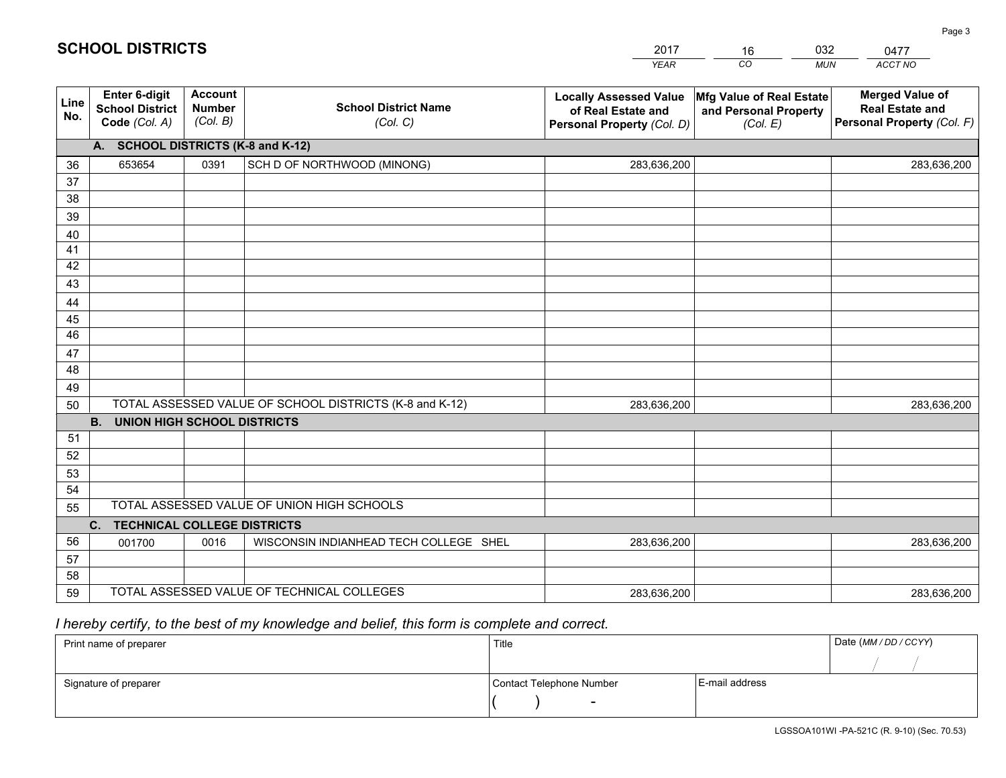|             |                                                          |                                             |                                                         | <b>YEAR</b>                                                                       | CO<br><b>MUN</b>                                              | ACCT NO                                                                        |  |
|-------------|----------------------------------------------------------|---------------------------------------------|---------------------------------------------------------|-----------------------------------------------------------------------------------|---------------------------------------------------------------|--------------------------------------------------------------------------------|--|
| Line<br>No. | Enter 6-digit<br><b>School District</b><br>Code (Col. A) | <b>Account</b><br><b>Number</b><br>(Col. B) | <b>School District Name</b><br>(Col. C)                 | <b>Locally Assessed Value</b><br>of Real Estate and<br>Personal Property (Col. D) | Mfg Value of Real Estate<br>and Personal Property<br>(Col. E) | <b>Merged Value of</b><br><b>Real Estate and</b><br>Personal Property (Col. F) |  |
|             | A. SCHOOL DISTRICTS (K-8 and K-12)                       |                                             |                                                         |                                                                                   |                                                               |                                                                                |  |
| 36          | 653654                                                   | 0391                                        | SCH D OF NORTHWOOD (MINONG)                             | 283,636,200                                                                       |                                                               | 283,636,200                                                                    |  |
| 37          |                                                          |                                             |                                                         |                                                                                   |                                                               |                                                                                |  |
| 38          |                                                          |                                             |                                                         |                                                                                   |                                                               |                                                                                |  |
| 39          |                                                          |                                             |                                                         |                                                                                   |                                                               |                                                                                |  |
| 40          |                                                          |                                             |                                                         |                                                                                   |                                                               |                                                                                |  |
| 41          |                                                          |                                             |                                                         |                                                                                   |                                                               |                                                                                |  |
| 42          |                                                          |                                             |                                                         |                                                                                   |                                                               |                                                                                |  |
| 43          |                                                          |                                             |                                                         |                                                                                   |                                                               |                                                                                |  |
| 44<br>45    |                                                          |                                             |                                                         |                                                                                   |                                                               |                                                                                |  |
| 46          |                                                          |                                             |                                                         |                                                                                   |                                                               |                                                                                |  |
| 47          |                                                          |                                             |                                                         |                                                                                   |                                                               |                                                                                |  |
| 48          |                                                          |                                             |                                                         |                                                                                   |                                                               |                                                                                |  |
| 49          |                                                          |                                             |                                                         |                                                                                   |                                                               |                                                                                |  |
| 50          |                                                          |                                             | TOTAL ASSESSED VALUE OF SCHOOL DISTRICTS (K-8 and K-12) | 283,636,200                                                                       |                                                               | 283,636,200                                                                    |  |
|             | <b>B.</b><br><b>UNION HIGH SCHOOL DISTRICTS</b>          |                                             |                                                         |                                                                                   |                                                               |                                                                                |  |
| 51          |                                                          |                                             |                                                         |                                                                                   |                                                               |                                                                                |  |
| 52          |                                                          |                                             |                                                         |                                                                                   |                                                               |                                                                                |  |
| 53          |                                                          |                                             |                                                         |                                                                                   |                                                               |                                                                                |  |
| 54          |                                                          |                                             |                                                         |                                                                                   |                                                               |                                                                                |  |
|             | TOTAL ASSESSED VALUE OF UNION HIGH SCHOOLS<br>55         |                                             |                                                         |                                                                                   |                                                               |                                                                                |  |
|             | C. TECHNICAL COLLEGE DISTRICTS                           |                                             |                                                         |                                                                                   |                                                               |                                                                                |  |
| 56          | 001700                                                   | 0016                                        | WISCONSIN INDIANHEAD TECH COLLEGE SHEL                  | 283,636,200                                                                       |                                                               | 283,636,200                                                                    |  |
| 57          |                                                          |                                             |                                                         |                                                                                   |                                                               |                                                                                |  |
| 58          |                                                          |                                             | TOTAL ASSESSED VALUE OF TECHNICAL COLLEGES              |                                                                                   |                                                               |                                                                                |  |
| 59          |                                                          |                                             |                                                         | 283,636,200                                                                       |                                                               | 283,636,200                                                                    |  |

16

032

# *I hereby certify, to the best of my knowledge and belief, this form is complete and correct.*

**SCHOOL DISTRICTS**

| Print name of preparer | Title                    |                | Date (MM / DD / CCYY) |
|------------------------|--------------------------|----------------|-----------------------|
|                        |                          |                |                       |
| Signature of preparer  | Contact Telephone Number | E-mail address |                       |
|                        | $\overline{\phantom{0}}$ |                |                       |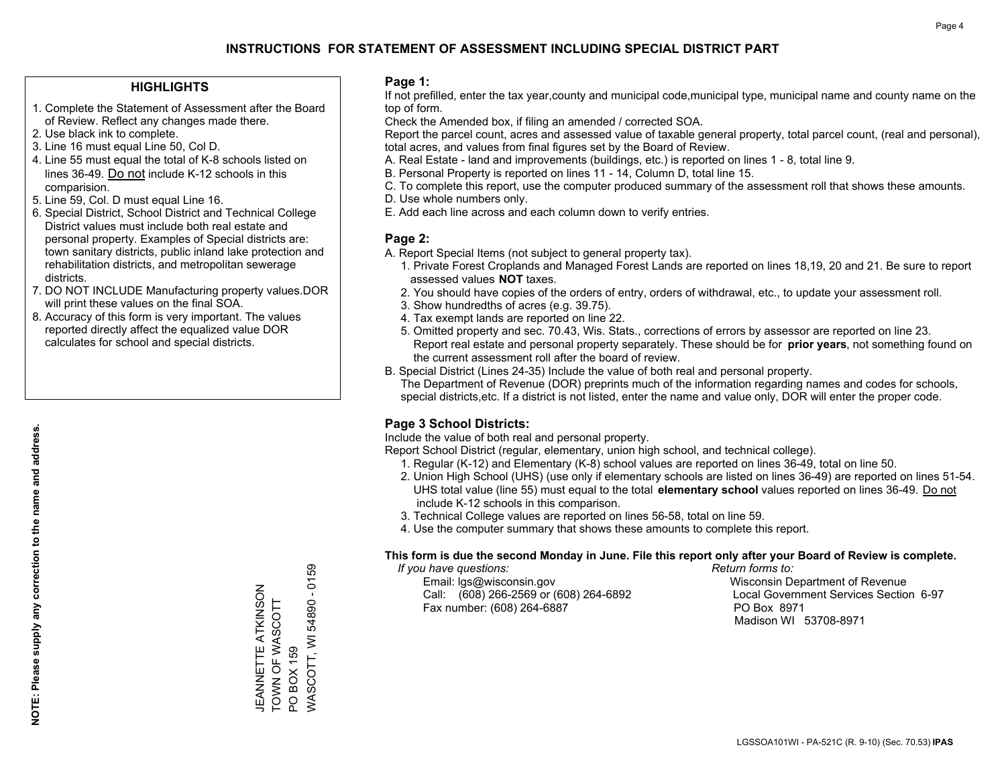### **HIGHLIGHTS**

- 1. Complete the Statement of Assessment after the Board of Review. Reflect any changes made there.
- 2. Use black ink to complete.
- 3. Line 16 must equal Line 50, Col D.
- 4. Line 55 must equal the total of K-8 schools listed on lines 36-49. Do not include K-12 schools in this comparision.
- 5. Line 59, Col. D must equal Line 16.
- 6. Special District, School District and Technical College District values must include both real estate and personal property. Examples of Special districts are: town sanitary districts, public inland lake protection and rehabilitation districts, and metropolitan sewerage districts.
- 7. DO NOT INCLUDE Manufacturing property values.DOR will print these values on the final SOA.

JEANNETTE ATKINSON TOWN OF WASCOTT

JEANNETTE ATKINSON TOWN OF WASCOTT

PO BOX 159

PO BOX 159

WASCOTT, WI 54890 - 0159

/VASCOTT, WI 54890 - 0159

 8. Accuracy of this form is very important. The values reported directly affect the equalized value DOR calculates for school and special districts.

### **Page 1:**

 If not prefilled, enter the tax year,county and municipal code,municipal type, municipal name and county name on the top of form.

Check the Amended box, if filing an amended / corrected SOA.

 Report the parcel count, acres and assessed value of taxable general property, total parcel count, (real and personal), total acres, and values from final figures set by the Board of Review.

- A. Real Estate land and improvements (buildings, etc.) is reported on lines 1 8, total line 9.
- B. Personal Property is reported on lines 11 14, Column D, total line 15.
- C. To complete this report, use the computer produced summary of the assessment roll that shows these amounts.
- D. Use whole numbers only.
- E. Add each line across and each column down to verify entries.

### **Page 2:**

- A. Report Special Items (not subject to general property tax).
- 1. Private Forest Croplands and Managed Forest Lands are reported on lines 18,19, 20 and 21. Be sure to report assessed values **NOT** taxes.
- 2. You should have copies of the orders of entry, orders of withdrawal, etc., to update your assessment roll.
	- 3. Show hundredths of acres (e.g. 39.75).
- 4. Tax exempt lands are reported on line 22.
- 5. Omitted property and sec. 70.43, Wis. Stats., corrections of errors by assessor are reported on line 23. Report real estate and personal property separately. These should be for **prior years**, not something found on the current assessment roll after the board of review.
- B. Special District (Lines 24-35) Include the value of both real and personal property.

 The Department of Revenue (DOR) preprints much of the information regarding names and codes for schools, special districts,etc. If a district is not listed, enter the name and value only, DOR will enter the proper code.

### **Page 3 School Districts:**

Include the value of both real and personal property.

Report School District (regular, elementary, union high school, and technical college).

- 1. Regular (K-12) and Elementary (K-8) school values are reported on lines 36-49, total on line 50.
- 2. Union High School (UHS) (use only if elementary schools are listed on lines 36-49) are reported on lines 51-54. UHS total value (line 55) must equal to the total **elementary school** values reported on lines 36-49. Do notinclude K-12 schools in this comparison.
- 3. Technical College values are reported on lines 56-58, total on line 59.
- 4. Use the computer summary that shows these amounts to complete this report.

#### **This form is due the second Monday in June. File this report only after your Board of Review is complete.**

 *If you have questions: Return forms to:*

 Email: lgs@wisconsin.gov Wisconsin Department of RevenueCall:  $(608)$  266-2569 or  $(608)$  264-6892 Fax number: (608) 264-6887 PO Box 8971

Local Government Services Section 6-97 Madison WI 53708-8971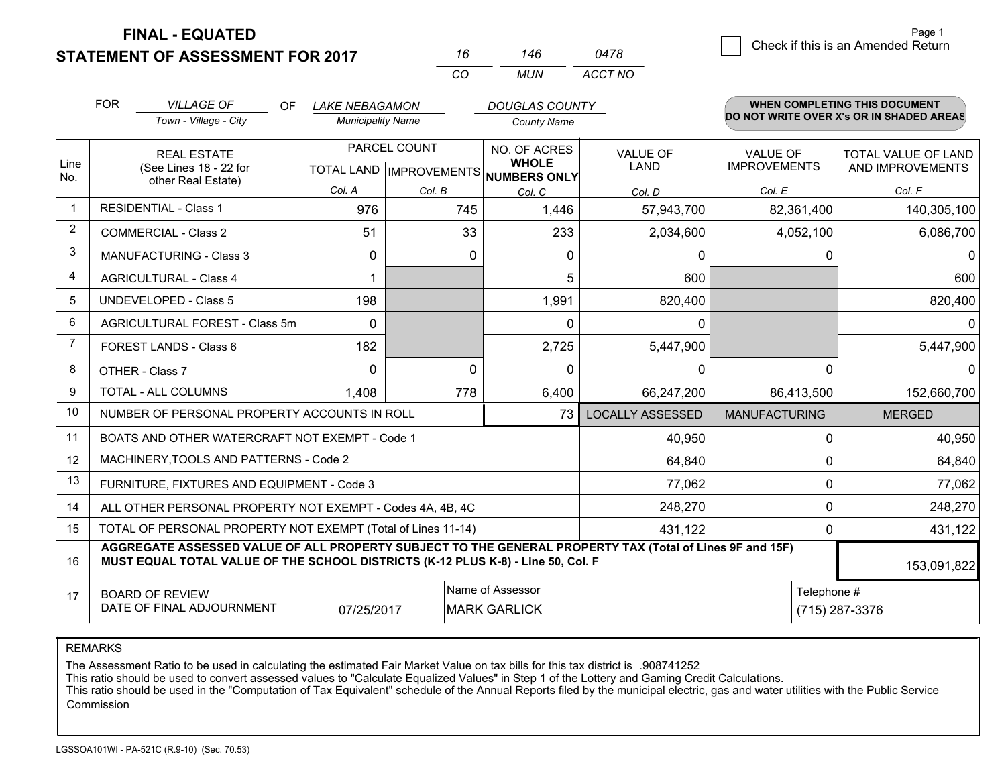**STATEMENT OF ASSESSMENT FOR 2017** 

**FINAL - EQUATED**

|   | Page 1                             |
|---|------------------------------------|
| 8 | Check if this is an Amended Return |

Page 1

|             | <b>FOR</b>                                                                                                                                                                                   | <b>VILLAGE OF</b><br><b>OF</b><br>Town - Village - City      | <b>LAKE NEBAGAMON</b><br><b>Municipality Name</b> |                                                      | <b>DOUGLAS COUNTY</b><br><b>County Name</b> |                                |                                        | <b>WHEN COMPLETING THIS DOCUMENT</b><br>DO NOT WRITE OVER X's OR IN SHADED AREAS |
|-------------|----------------------------------------------------------------------------------------------------------------------------------------------------------------------------------------------|--------------------------------------------------------------|---------------------------------------------------|------------------------------------------------------|---------------------------------------------|--------------------------------|----------------------------------------|----------------------------------------------------------------------------------|
| Line<br>No. | <b>REAL ESTATE</b><br>(See Lines 18 - 22 for                                                                                                                                                 |                                                              |                                                   | PARCEL COUNT<br>TOTAL LAND IMPROVEMENTS NUMBERS ONLY |                                             | <b>VALUE OF</b><br><b>LAND</b> | <b>VALUE OF</b><br><b>IMPROVEMENTS</b> | TOTAL VALUE OF LAND<br>AND IMPROVEMENTS                                          |
|             |                                                                                                                                                                                              | other Real Estate)                                           | Col. A                                            | Col. B                                               | Col. C                                      | Col. D                         | Col. E                                 | Col. F                                                                           |
| $\mathbf 1$ |                                                                                                                                                                                              | <b>RESIDENTIAL - Class 1</b>                                 | 976                                               | 745                                                  | 1,446                                       | 57,943,700                     | 82,361,400                             | 140,305,100                                                                      |
| 2           |                                                                                                                                                                                              | <b>COMMERCIAL - Class 2</b>                                  | 51                                                |                                                      | 33<br>233                                   | 2,034,600                      | 4,052,100                              | 6,086,700                                                                        |
| 3           |                                                                                                                                                                                              | <b>MANUFACTURING - Class 3</b>                               | 0                                                 |                                                      | 0<br>0                                      | $\mathbf{0}$                   | 0                                      | 0                                                                                |
| 4           |                                                                                                                                                                                              | <b>AGRICULTURAL - Class 4</b>                                |                                                   |                                                      | 5                                           | 600                            |                                        | 600                                                                              |
| 5           |                                                                                                                                                                                              | <b>UNDEVELOPED - Class 5</b>                                 | 198                                               |                                                      | 1,991                                       | 820,400                        |                                        | 820,400                                                                          |
| 6           |                                                                                                                                                                                              | AGRICULTURAL FOREST - Class 5m                               | $\Omega$                                          |                                                      | $\Omega$                                    | $\mathbf 0$                    |                                        | 0                                                                                |
| 7           |                                                                                                                                                                                              | FOREST LANDS - Class 6                                       | 182                                               |                                                      | 2,725                                       | 5,447,900                      |                                        | 5,447,900                                                                        |
| 8           | OTHER - Class 7                                                                                                                                                                              |                                                              | $\Omega$                                          |                                                      | 0<br>$\Omega$                               | $\mathbf{0}$                   | $\Omega$                               |                                                                                  |
| 9           |                                                                                                                                                                                              | <b>TOTAL - ALL COLUMNS</b>                                   | 1,408                                             | 778                                                  | 6,400                                       | 66,247,200                     | 86,413,500                             | 152,660,700                                                                      |
| 10          |                                                                                                                                                                                              | NUMBER OF PERSONAL PROPERTY ACCOUNTS IN ROLL                 |                                                   |                                                      | 73                                          | <b>LOCALLY ASSESSED</b>        | <b>MANUFACTURING</b>                   | <b>MERGED</b>                                                                    |
| 11          |                                                                                                                                                                                              | BOATS AND OTHER WATERCRAFT NOT EXEMPT - Code 1               |                                                   |                                                      |                                             | 40,950                         | $\Omega$                               | 40,950                                                                           |
| 12          |                                                                                                                                                                                              | MACHINERY, TOOLS AND PATTERNS - Code 2                       |                                                   |                                                      |                                             | 64,840                         | 0                                      | 64,840                                                                           |
| 13          |                                                                                                                                                                                              | FURNITURE, FIXTURES AND EQUIPMENT - Code 3                   |                                                   |                                                      |                                             | 77,062                         | 0                                      | 77,062                                                                           |
| 14          |                                                                                                                                                                                              | ALL OTHER PERSONAL PROPERTY NOT EXEMPT - Codes 4A, 4B, 4C    |                                                   |                                                      |                                             | 248,270                        | $\Omega$                               | 248,270                                                                          |
| 15          |                                                                                                                                                                                              | TOTAL OF PERSONAL PROPERTY NOT EXEMPT (Total of Lines 11-14) |                                                   |                                                      | 431,122                                     | 0                              | 431,122                                |                                                                                  |
| 16          | AGGREGATE ASSESSED VALUE OF ALL PROPERTY SUBJECT TO THE GENERAL PROPERTY TAX (Total of Lines 9F and 15F)<br>MUST EQUAL TOTAL VALUE OF THE SCHOOL DISTRICTS (K-12 PLUS K-8) - Line 50, Col. F |                                                              |                                                   |                                                      |                                             |                                |                                        | 153,091,822                                                                      |
| 17          | <b>BOARD OF REVIEW</b>                                                                                                                                                                       | DATE OF FINAL ADJOURNMENT                                    | 07/25/2017                                        | Name of Assessor<br><b>MARK GARLICK</b>              |                                             | Telephone #                    | (715) 287-3376                         |                                                                                  |

*CO*

*MUN*

*ACCT NO0478*

*<sup>16</sup> <sup>146</sup>*

REMARKS

The Assessment Ratio to be used in calculating the estimated Fair Market Value on tax bills for this tax district is .908741252<br>This ratio should be used to convert assessed values to "Calculate Equalized Values" in Step 1 Commission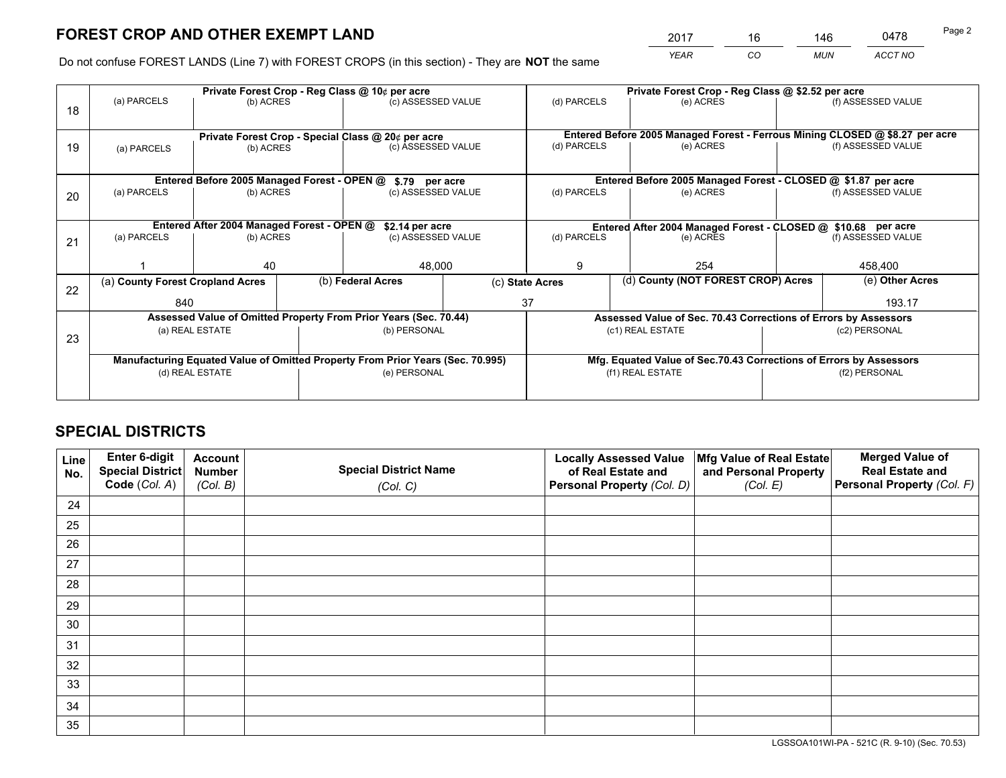*YEAR CO MUN ACCT NO* <sup>2017</sup> <sup>16</sup> <sup>146</sup> <sup>0478</sup>

Do not confuse FOREST LANDS (Line 7) with FOREST CROPS (in this section) - They are **NOT** the same

|    |                                                                                |                                             |  | Private Forest Crop - Reg Class @ 10¢ per acre                   |  | Private Forest Crop - Reg Class @ \$2.52 per acre     |                                                                              |                                                               |                    |  |
|----|--------------------------------------------------------------------------------|---------------------------------------------|--|------------------------------------------------------------------|--|-------------------------------------------------------|------------------------------------------------------------------------------|---------------------------------------------------------------|--------------------|--|
| 18 | (a) PARCELS                                                                    | (b) ACRES                                   |  | (c) ASSESSED VALUE                                               |  | (d) PARCELS                                           | (e) ACRES                                                                    |                                                               | (f) ASSESSED VALUE |  |
|    |                                                                                |                                             |  |                                                                  |  |                                                       |                                                                              |                                                               |                    |  |
|    |                                                                                |                                             |  | Private Forest Crop - Special Class @ 20¢ per acre               |  |                                                       | Entered Before 2005 Managed Forest - Ferrous Mining CLOSED @ \$8.27 per acre |                                                               |                    |  |
| 19 | (a) PARCELS                                                                    | (b) ACRES                                   |  | (c) ASSESSED VALUE                                               |  | (d) PARCELS                                           | (e) ACRES                                                                    |                                                               | (f) ASSESSED VALUE |  |
|    |                                                                                |                                             |  |                                                                  |  |                                                       |                                                                              |                                                               |                    |  |
|    |                                                                                | Entered Before 2005 Managed Forest - OPEN @ |  | \$.79 per acre                                                   |  |                                                       | Entered Before 2005 Managed Forest - CLOSED @ \$1.87 per acre                |                                                               |                    |  |
| 20 | (a) PARCELS                                                                    | (b) ACRES                                   |  | (c) ASSESSED VALUE                                               |  | (d) PARCELS                                           | (e) ACRES                                                                    |                                                               | (f) ASSESSED VALUE |  |
|    | Entered After 2004 Managed Forest - OPEN @<br>\$2.14 per acre                  |                                             |  |                                                                  |  |                                                       |                                                                              | Entered After 2004 Managed Forest - CLOSED @ \$10.68 per acre |                    |  |
| 21 | (a) PARCELS                                                                    | (b) ACRES                                   |  | (c) ASSESSED VALUE                                               |  | (d) PARCELS<br>(e) ACRES                              |                                                                              | (f) ASSESSED VALUE                                            |                    |  |
|    |                                                                                |                                             |  |                                                                  |  |                                                       |                                                                              |                                                               |                    |  |
|    |                                                                                | 40                                          |  | 48,000                                                           |  | 9                                                     | 254                                                                          |                                                               | 458,400            |  |
| 22 | (a) County Forest Cropland Acres                                               |                                             |  | (b) Federal Acres                                                |  | (d) County (NOT FOREST CROP) Acres<br>(c) State Acres |                                                                              |                                                               | (e) Other Acres    |  |
|    | 840                                                                            |                                             |  |                                                                  |  | 37                                                    |                                                                              |                                                               | 193.17             |  |
|    |                                                                                |                                             |  | Assessed Value of Omitted Property From Prior Years (Sec. 70.44) |  |                                                       | Assessed Value of Sec. 70.43 Corrections of Errors by Assessors              |                                                               |                    |  |
| 23 |                                                                                | (a) REAL ESTATE                             |  | (b) PERSONAL                                                     |  |                                                       | (c1) REAL ESTATE                                                             |                                                               | (c2) PERSONAL      |  |
|    |                                                                                |                                             |  |                                                                  |  |                                                       |                                                                              |                                                               |                    |  |
|    | Manufacturing Equated Value of Omitted Property From Prior Years (Sec. 70.995) |                                             |  |                                                                  |  |                                                       | Mfg. Equated Value of Sec.70.43 Corrections of Errors by Assessors           |                                                               |                    |  |
|    | (d) REAL ESTATE                                                                |                                             |  | (e) PERSONAL                                                     |  | (f1) REAL ESTATE                                      |                                                                              | (f2) PERSONAL                                                 |                    |  |
|    |                                                                                |                                             |  |                                                                  |  |                                                       |                                                                              |                                                               |                    |  |

## **SPECIAL DISTRICTS**

| Line<br>No. | Enter 6-digit<br>Special District<br>Code (Col. A) | <b>Account</b><br><b>Number</b> | <b>Special District Name</b> | <b>Locally Assessed Value</b><br>of Real Estate and | Mfg Value of Real Estate<br>and Personal Property | <b>Merged Value of</b><br><b>Real Estate and</b><br>Personal Property (Col. F) |
|-------------|----------------------------------------------------|---------------------------------|------------------------------|-----------------------------------------------------|---------------------------------------------------|--------------------------------------------------------------------------------|
|             |                                                    | (Col. B)                        | (Col. C)                     | Personal Property (Col. D)                          | (Col. E)                                          |                                                                                |
| 24          |                                                    |                                 |                              |                                                     |                                                   |                                                                                |
| 25          |                                                    |                                 |                              |                                                     |                                                   |                                                                                |
| 26          |                                                    |                                 |                              |                                                     |                                                   |                                                                                |
| 27          |                                                    |                                 |                              |                                                     |                                                   |                                                                                |
| 28          |                                                    |                                 |                              |                                                     |                                                   |                                                                                |
| 29          |                                                    |                                 |                              |                                                     |                                                   |                                                                                |
| 30          |                                                    |                                 |                              |                                                     |                                                   |                                                                                |
| 31          |                                                    |                                 |                              |                                                     |                                                   |                                                                                |
| 32          |                                                    |                                 |                              |                                                     |                                                   |                                                                                |
| 33          |                                                    |                                 |                              |                                                     |                                                   |                                                                                |
| 34          |                                                    |                                 |                              |                                                     |                                                   |                                                                                |
| 35          |                                                    |                                 |                              |                                                     |                                                   |                                                                                |

LGSSOA101WI-PA - 521C (R. 9-10) (Sec. 70.53)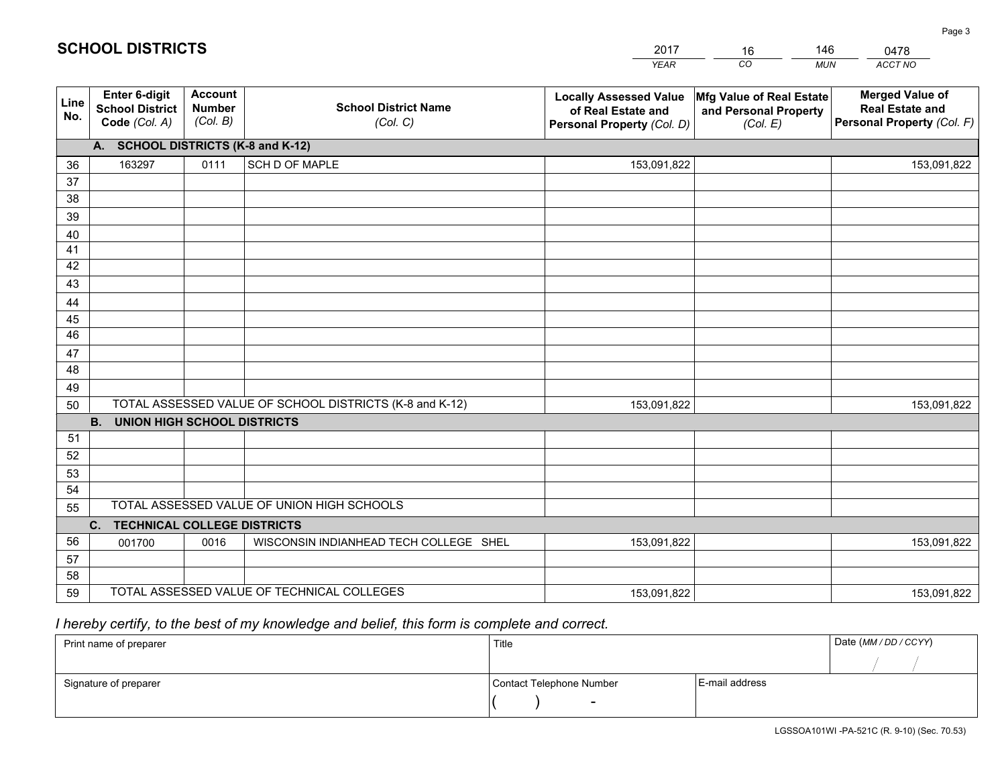|             |                                                          |                                             |                                                         | <b>YEAR</b>                                                                       | CO<br><b>MUN</b>                                              | ACCT NO                                                                        |
|-------------|----------------------------------------------------------|---------------------------------------------|---------------------------------------------------------|-----------------------------------------------------------------------------------|---------------------------------------------------------------|--------------------------------------------------------------------------------|
| Line<br>No. | Enter 6-digit<br><b>School District</b><br>Code (Col. A) | <b>Account</b><br><b>Number</b><br>(Col. B) | <b>School District Name</b><br>(Col. C)                 | <b>Locally Assessed Value</b><br>of Real Estate and<br>Personal Property (Col. D) | Mfg Value of Real Estate<br>and Personal Property<br>(Col. E) | <b>Merged Value of</b><br><b>Real Estate and</b><br>Personal Property (Col. F) |
|             | A. SCHOOL DISTRICTS (K-8 and K-12)                       |                                             |                                                         |                                                                                   |                                                               |                                                                                |
| 36          | 163297                                                   | 0111                                        | <b>SCH D OF MAPLE</b>                                   | 153,091,822                                                                       |                                                               | 153,091,822                                                                    |
| 37          |                                                          |                                             |                                                         |                                                                                   |                                                               |                                                                                |
| 38          |                                                          |                                             |                                                         |                                                                                   |                                                               |                                                                                |
| 39          |                                                          |                                             |                                                         |                                                                                   |                                                               |                                                                                |
| 40          |                                                          |                                             |                                                         |                                                                                   |                                                               |                                                                                |
| 41          |                                                          |                                             |                                                         |                                                                                   |                                                               |                                                                                |
| 42          |                                                          |                                             |                                                         |                                                                                   |                                                               |                                                                                |
| 43          |                                                          |                                             |                                                         |                                                                                   |                                                               |                                                                                |
| 44          |                                                          |                                             |                                                         |                                                                                   |                                                               |                                                                                |
| 45          |                                                          |                                             |                                                         |                                                                                   |                                                               |                                                                                |
| 46          |                                                          |                                             |                                                         |                                                                                   |                                                               |                                                                                |
| 47<br>48    |                                                          |                                             |                                                         |                                                                                   |                                                               |                                                                                |
| 49          |                                                          |                                             |                                                         |                                                                                   |                                                               |                                                                                |
| 50          |                                                          |                                             | TOTAL ASSESSED VALUE OF SCHOOL DISTRICTS (K-8 and K-12) | 153,091,822                                                                       |                                                               | 153,091,822                                                                    |
|             | <b>B.</b><br><b>UNION HIGH SCHOOL DISTRICTS</b>          |                                             |                                                         |                                                                                   |                                                               |                                                                                |
| 51          |                                                          |                                             |                                                         |                                                                                   |                                                               |                                                                                |
| 52          |                                                          |                                             |                                                         |                                                                                   |                                                               |                                                                                |
| 53          |                                                          |                                             |                                                         |                                                                                   |                                                               |                                                                                |
| 54          |                                                          |                                             |                                                         |                                                                                   |                                                               |                                                                                |
| 55          |                                                          |                                             | TOTAL ASSESSED VALUE OF UNION HIGH SCHOOLS              |                                                                                   |                                                               |                                                                                |
|             | C. TECHNICAL COLLEGE DISTRICTS                           |                                             |                                                         |                                                                                   |                                                               |                                                                                |
| 56          | 001700                                                   | 0016                                        | WISCONSIN INDIANHEAD TECH COLLEGE SHEL                  | 153,091,822                                                                       |                                                               | 153,091,822                                                                    |
| 57          |                                                          |                                             |                                                         |                                                                                   |                                                               |                                                                                |
| 58          |                                                          |                                             |                                                         |                                                                                   |                                                               |                                                                                |
| 59          |                                                          |                                             | TOTAL ASSESSED VALUE OF TECHNICAL COLLEGES              | 153,091,822                                                                       |                                                               | 153,091,822                                                                    |

16

146

# *I hereby certify, to the best of my knowledge and belief, this form is complete and correct.*

**SCHOOL DISTRICTS**

| Print name of preparer | Title                    |                | Date (MM / DD / CCYY) |
|------------------------|--------------------------|----------------|-----------------------|
|                        |                          |                |                       |
| Signature of preparer  | Contact Telephone Number | E-mail address |                       |
|                        | $\sim$                   |                |                       |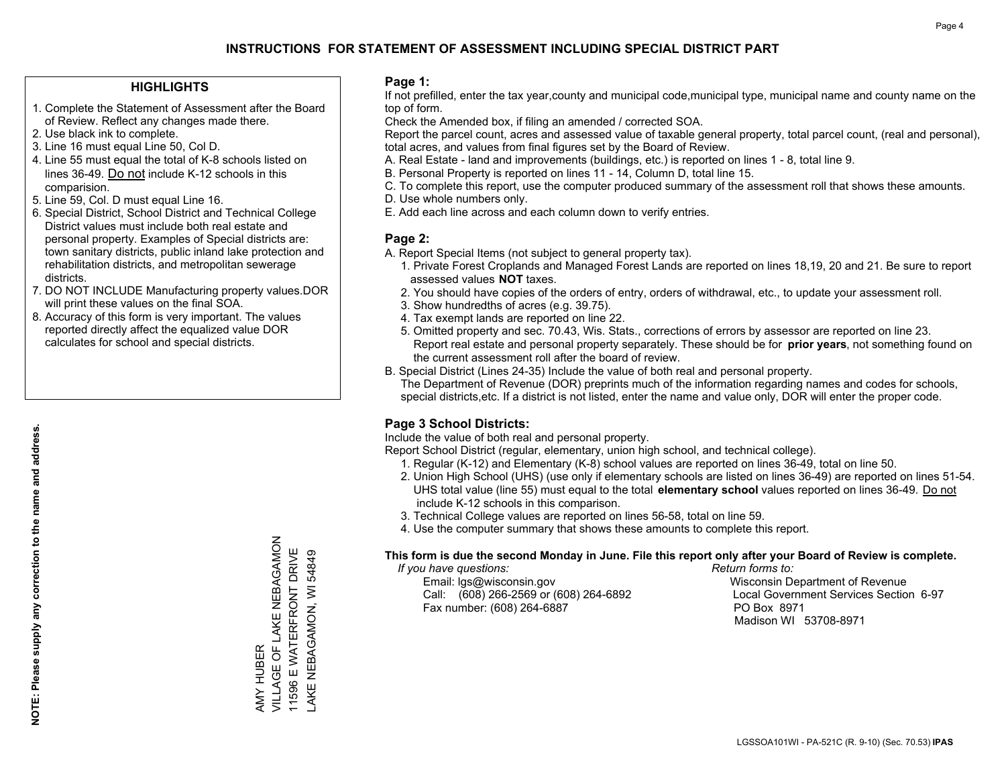### **HIGHLIGHTS**

- 1. Complete the Statement of Assessment after the Board of Review. Reflect any changes made there.
- 2. Use black ink to complete.
- 3. Line 16 must equal Line 50, Col D.
- 4. Line 55 must equal the total of K-8 schools listed on lines 36-49. Do not include K-12 schools in this comparision.
- 5. Line 59, Col. D must equal Line 16.
- 6. Special District, School District and Technical College District values must include both real estate and personal property. Examples of Special districts are: town sanitary districts, public inland lake protection and rehabilitation districts, and metropolitan sewerage districts.
- 7. DO NOT INCLUDE Manufacturing property values.DOR will print these values on the final SOA.

AMY HUBER

VILLAGE OF LAKE NEBAGAMON 11596 E WATERFRONT DRIVE LAKE NEBAGAMON, WI 54849

AMY HUBER<br>VILLAGE OF LAKE NEBAGAMON 11596 E WATERFRONT DRIVE AKE NEBAGAMON, WI 54849

 8. Accuracy of this form is very important. The values reported directly affect the equalized value DOR calculates for school and special districts.

### **Page 1:**

 If not prefilled, enter the tax year,county and municipal code,municipal type, municipal name and county name on the top of form.

Check the Amended box, if filing an amended / corrected SOA.

 Report the parcel count, acres and assessed value of taxable general property, total parcel count, (real and personal), total acres, and values from final figures set by the Board of Review.

- A. Real Estate land and improvements (buildings, etc.) is reported on lines 1 8, total line 9.
- B. Personal Property is reported on lines 11 14, Column D, total line 15.
- C. To complete this report, use the computer produced summary of the assessment roll that shows these amounts.
- D. Use whole numbers only.
- E. Add each line across and each column down to verify entries.

### **Page 2:**

- A. Report Special Items (not subject to general property tax).
- 1. Private Forest Croplands and Managed Forest Lands are reported on lines 18,19, 20 and 21. Be sure to report assessed values **NOT** taxes.
- 2. You should have copies of the orders of entry, orders of withdrawal, etc., to update your assessment roll.
	- 3. Show hundredths of acres (e.g. 39.75).
- 4. Tax exempt lands are reported on line 22.
- 5. Omitted property and sec. 70.43, Wis. Stats., corrections of errors by assessor are reported on line 23. Report real estate and personal property separately. These should be for **prior years**, not something found on the current assessment roll after the board of review.
- B. Special District (Lines 24-35) Include the value of both real and personal property.
- The Department of Revenue (DOR) preprints much of the information regarding names and codes for schools, special districts,etc. If a district is not listed, enter the name and value only, DOR will enter the proper code.

### **Page 3 School Districts:**

Include the value of both real and personal property.

Report School District (regular, elementary, union high school, and technical college).

- 1. Regular (K-12) and Elementary (K-8) school values are reported on lines 36-49, total on line 50.
- 2. Union High School (UHS) (use only if elementary schools are listed on lines 36-49) are reported on lines 51-54. UHS total value (line 55) must equal to the total **elementary school** values reported on lines 36-49. Do notinclude K-12 schools in this comparison.
- 3. Technical College values are reported on lines 56-58, total on line 59.
- 4. Use the computer summary that shows these amounts to complete this report.

#### **This form is due the second Monday in June. File this report only after your Board of Review is complete.**

 *If you have questions: Return forms to:*

 Email: lgs@wisconsin.gov Wisconsin Department of RevenueCall:  $(608)$  266-2569 or  $(608)$  264-6892 Fax number: (608) 264-6887 PO Box 8971

Local Government Services Section 6-97 Madison WI 53708-8971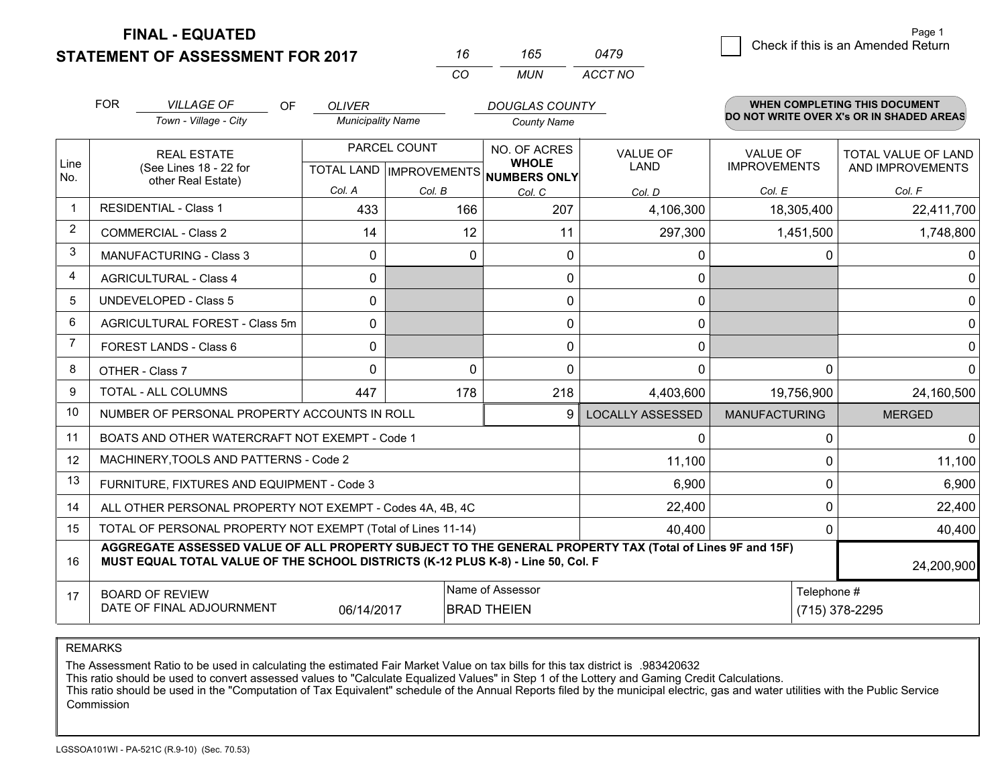**FINAL - EQUATED**

**STATEMENT OF ASSESSMENT FOR 2017** 

| 16  | 165 | 0479    |
|-----|-----|---------|
| CO. | MUN | ACCT NO |

|             | <b>FOR</b>                                                                                                                                                                                                 | <b>VILLAGE OF</b><br><b>OF</b>                            | <b>OLIVER</b>            |          | <b>DOUGLAS COUNTY</b>                               |                      |                     | <b>WHEN COMPLETING THIS DOCUMENT</b><br>DO NOT WRITE OVER X's OR IN SHADED AREAS |
|-------------|------------------------------------------------------------------------------------------------------------------------------------------------------------------------------------------------------------|-----------------------------------------------------------|--------------------------|----------|-----------------------------------------------------|----------------------|---------------------|----------------------------------------------------------------------------------|
|             |                                                                                                                                                                                                            | Town - Village - City                                     | <b>Municipality Name</b> |          | <b>County Name</b>                                  |                      |                     |                                                                                  |
|             | <b>REAL ESTATE</b>                                                                                                                                                                                         |                                                           | PARCEL COUNT             |          | NO. OF ACRES                                        | <b>VALUE OF</b>      | <b>VALUE OF</b>     | <b>TOTAL VALUE OF LAND</b>                                                       |
| Line<br>No. |                                                                                                                                                                                                            | (See Lines 18 - 22 for<br>other Real Estate)              |                          |          | <b>WHOLE</b><br>TOTAL LAND MPROVEMENTS NUMBERS ONLY | <b>LAND</b>          | <b>IMPROVEMENTS</b> | AND IMPROVEMENTS                                                                 |
|             |                                                                                                                                                                                                            |                                                           | Col. A                   | Col. B   | Col. C                                              | Col. D               | Col. E              | Col. F                                                                           |
| $\mathbf 1$ |                                                                                                                                                                                                            | <b>RESIDENTIAL - Class 1</b>                              | 433                      | 166      | 207                                                 | 4,106,300            | 18,305,400          | 22,411,700                                                                       |
| 2           |                                                                                                                                                                                                            | <b>COMMERCIAL - Class 2</b>                               | 14                       | 12       | 11                                                  | 297,300              | 1,451,500           | 1,748,800                                                                        |
| 3           |                                                                                                                                                                                                            | <b>MANUFACTURING - Class 3</b>                            | $\Omega$                 | $\Omega$ | $\Omega$                                            | 0                    | $\Omega$            | 0                                                                                |
| 4           |                                                                                                                                                                                                            | <b>AGRICULTURAL - Class 4</b>                             | $\Omega$                 |          | $\Omega$                                            | 0                    |                     | $\Omega$                                                                         |
| 5           |                                                                                                                                                                                                            | <b>UNDEVELOPED - Class 5</b>                              | $\Omega$                 |          | $\Omega$                                            | 0                    |                     | $\mathbf{0}$                                                                     |
| 6           |                                                                                                                                                                                                            | AGRICULTURAL FOREST - Class 5m                            | $\Omega$                 |          | $\Omega$                                            | 0                    |                     | $\mathbf{0}$                                                                     |
| 7           |                                                                                                                                                                                                            | FOREST LANDS - Class 6                                    | 0                        |          | $\Omega$                                            | 0                    |                     | $\mathbf 0$                                                                      |
| 8           |                                                                                                                                                                                                            | OTHER - Class 7                                           | $\Omega$                 | $\Omega$ | $\Omega$                                            | $\Omega$             | $\Omega$            | $\Omega$                                                                         |
| 9           | TOTAL - ALL COLUMNS                                                                                                                                                                                        |                                                           | 447                      | 178      | 218                                                 | 4,403,600            | 19,756,900          | 24,160,500                                                                       |
| 10          |                                                                                                                                                                                                            | NUMBER OF PERSONAL PROPERTY ACCOUNTS IN ROLL              |                          |          | <b>LOCALLY ASSESSED</b>                             | <b>MANUFACTURING</b> | <b>MERGED</b>       |                                                                                  |
| 11          |                                                                                                                                                                                                            | BOATS AND OTHER WATERCRAFT NOT EXEMPT - Code 1            |                          |          |                                                     | 0                    | 0                   | $\mathbf{0}$                                                                     |
| 12          |                                                                                                                                                                                                            | MACHINERY, TOOLS AND PATTERNS - Code 2                    |                          |          |                                                     | 11,100               | 0                   | 11,100                                                                           |
| 13          |                                                                                                                                                                                                            | FURNITURE, FIXTURES AND EQUIPMENT - Code 3                |                          |          |                                                     | 6,900                | 0                   | 6,900                                                                            |
| 14          |                                                                                                                                                                                                            | ALL OTHER PERSONAL PROPERTY NOT EXEMPT - Codes 4A, 4B, 4C |                          |          | 22,400                                              | 0                    | 22,400              |                                                                                  |
| 15          | TOTAL OF PERSONAL PROPERTY NOT EXEMPT (Total of Lines 11-14)<br>40,400                                                                                                                                     |                                                           |                          |          |                                                     |                      |                     | 40,400<br>$\Omega$                                                               |
| 16          | AGGREGATE ASSESSED VALUE OF ALL PROPERTY SUBJECT TO THE GENERAL PROPERTY TAX (Total of Lines 9F and 15F)<br>MUST EQUAL TOTAL VALUE OF THE SCHOOL DISTRICTS (K-12 PLUS K-8) - Line 50, Col. F<br>24,200,900 |                                                           |                          |          |                                                     |                      |                     |                                                                                  |
| 17          |                                                                                                                                                                                                            | <b>BOARD OF REVIEW</b>                                    |                          |          | Name of Assessor                                    | Telephone #          |                     |                                                                                  |
|             | DATE OF FINAL ADJOURNMENT<br>06/14/2017<br><b>BRAD THEIEN</b><br>(715) 378-2295                                                                                                                            |                                                           |                          |          |                                                     |                      |                     |                                                                                  |

REMARKS

The Assessment Ratio to be used in calculating the estimated Fair Market Value on tax bills for this tax district is .983420632<br>This ratio should be used to convert assessed values to "Calculate Equalized Values" in Step 1 Commission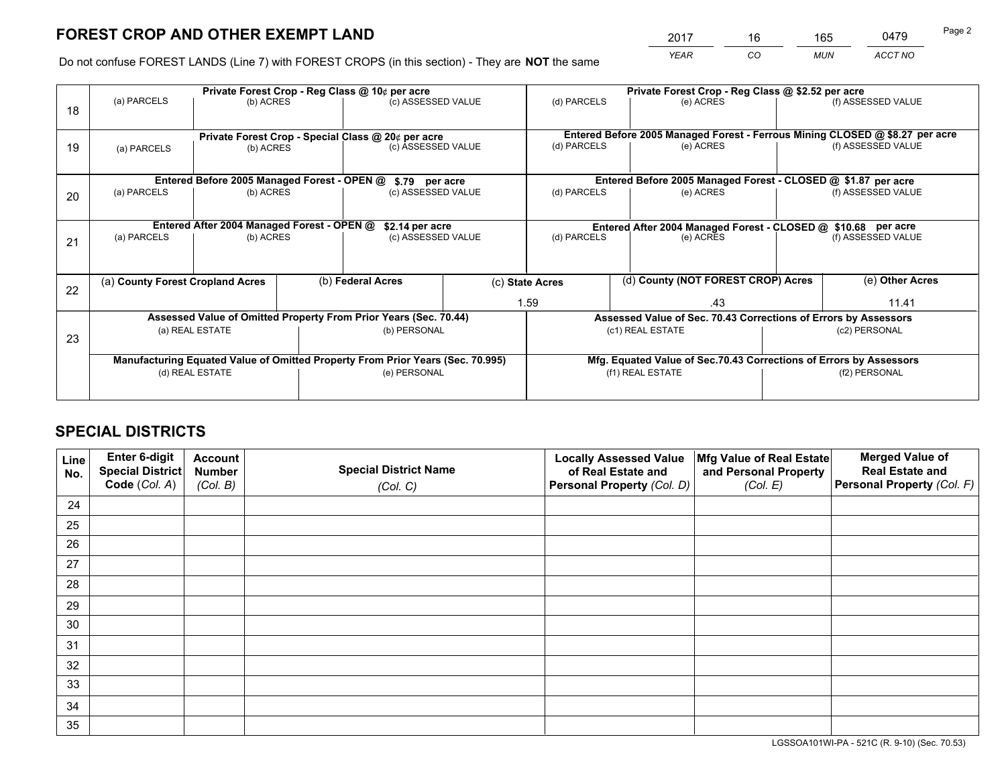*YEAR CO MUN ACCT NO* <sup>2017</sup> <sup>16</sup> <sup>165</sup> <sup>0479</sup>

Do not confuse FOREST LANDS (Line 7) with FOREST CROPS (in this section) - They are **NOT** the same

|    |                                                                                |                                                               |  | Private Forest Crop - Reg Class @ 10¢ per acre                   |  | Private Forest Crop - Reg Class @ \$2.52 per acre                  |                                                                              |                    |                    |  |
|----|--------------------------------------------------------------------------------|---------------------------------------------------------------|--|------------------------------------------------------------------|--|--------------------------------------------------------------------|------------------------------------------------------------------------------|--------------------|--------------------|--|
| 18 | (a) PARCELS<br>(b) ACRES                                                       |                                                               |  | (c) ASSESSED VALUE                                               |  | (d) PARCELS                                                        | (e) ACRES                                                                    |                    | (f) ASSESSED VALUE |  |
|    |                                                                                |                                                               |  |                                                                  |  |                                                                    |                                                                              |                    |                    |  |
|    |                                                                                | Private Forest Crop - Special Class @ 20¢ per acre            |  |                                                                  |  |                                                                    | Entered Before 2005 Managed Forest - Ferrous Mining CLOSED @ \$8.27 per acre |                    |                    |  |
| 19 | (a) PARCELS<br>(b) ACRES                                                       |                                                               |  | (c) ASSESSED VALUE                                               |  |                                                                    | (e) ACRES                                                                    |                    | (f) ASSESSED VALUE |  |
|    |                                                                                |                                                               |  |                                                                  |  |                                                                    |                                                                              |                    |                    |  |
|    |                                                                                | Entered Before 2005 Managed Forest - OPEN @                   |  | \$.79 per acre                                                   |  |                                                                    | Entered Before 2005 Managed Forest - CLOSED @ \$1.87 per acre                |                    |                    |  |
| 20 | (a) PARCELS<br>(b) ACRES                                                       |                                                               |  | (c) ASSESSED VALUE                                               |  | (d) PARCELS                                                        | (e) ACRES                                                                    |                    | (f) ASSESSED VALUE |  |
|    |                                                                                |                                                               |  |                                                                  |  |                                                                    |                                                                              |                    |                    |  |
|    |                                                                                | Entered After 2004 Managed Forest - OPEN @<br>\$2.14 per acre |  |                                                                  |  |                                                                    | Entered After 2004 Managed Forest - CLOSED @ \$10.68 per acre                |                    |                    |  |
| 21 | (a) PARCELS                                                                    | (b) ACRES                                                     |  | (c) ASSESSED VALUE                                               |  | (d) PARCELS<br>(e) ACRES                                           |                                                                              | (f) ASSESSED VALUE |                    |  |
|    |                                                                                |                                                               |  |                                                                  |  |                                                                    |                                                                              |                    |                    |  |
|    |                                                                                |                                                               |  |                                                                  |  |                                                                    |                                                                              |                    |                    |  |
| 22 | (a) County Forest Cropland Acres                                               |                                                               |  | (b) Federal Acres                                                |  | (c) State Acres                                                    | (d) County (NOT FOREST CROP) Acres                                           |                    | (e) Other Acres    |  |
|    |                                                                                |                                                               |  |                                                                  |  | 1.59<br>.43                                                        |                                                                              | 11.41              |                    |  |
|    |                                                                                |                                                               |  | Assessed Value of Omitted Property From Prior Years (Sec. 70.44) |  | Assessed Value of Sec. 70.43 Corrections of Errors by Assessors    |                                                                              |                    |                    |  |
| 23 | (a) REAL ESTATE                                                                |                                                               |  | (b) PERSONAL                                                     |  | (c1) REAL ESTATE                                                   |                                                                              | (c2) PERSONAL      |                    |  |
|    |                                                                                |                                                               |  |                                                                  |  |                                                                    |                                                                              |                    |                    |  |
|    | Manufacturing Equated Value of Omitted Property From Prior Years (Sec. 70.995) |                                                               |  |                                                                  |  | Mfg. Equated Value of Sec.70.43 Corrections of Errors by Assessors |                                                                              |                    |                    |  |
|    | (d) REAL ESTATE                                                                |                                                               |  | (e) PERSONAL                                                     |  | (f1) REAL ESTATE                                                   |                                                                              | (f2) PERSONAL      |                    |  |
|    |                                                                                |                                                               |  |                                                                  |  |                                                                    |                                                                              |                    |                    |  |

## **SPECIAL DISTRICTS**

| Line<br>No. | Enter 6-digit<br>Special District<br>Code (Col. A) | <b>Account</b><br><b>Number</b> | <b>Special District Name</b> | <b>Locally Assessed Value</b><br>of Real Estate and | Mfg Value of Real Estate<br>and Personal Property | <b>Merged Value of</b><br><b>Real Estate and</b><br>Personal Property (Col. F) |
|-------------|----------------------------------------------------|---------------------------------|------------------------------|-----------------------------------------------------|---------------------------------------------------|--------------------------------------------------------------------------------|
|             |                                                    | (Col. B)                        | (Col. C)                     | Personal Property (Col. D)                          | (Col. E)                                          |                                                                                |
| 24          |                                                    |                                 |                              |                                                     |                                                   |                                                                                |
| 25          |                                                    |                                 |                              |                                                     |                                                   |                                                                                |
| 26          |                                                    |                                 |                              |                                                     |                                                   |                                                                                |
| 27          |                                                    |                                 |                              |                                                     |                                                   |                                                                                |
| 28          |                                                    |                                 |                              |                                                     |                                                   |                                                                                |
| 29          |                                                    |                                 |                              |                                                     |                                                   |                                                                                |
| 30          |                                                    |                                 |                              |                                                     |                                                   |                                                                                |
| 31          |                                                    |                                 |                              |                                                     |                                                   |                                                                                |
| 32          |                                                    |                                 |                              |                                                     |                                                   |                                                                                |
| 33          |                                                    |                                 |                              |                                                     |                                                   |                                                                                |
| 34          |                                                    |                                 |                              |                                                     |                                                   |                                                                                |
| 35          |                                                    |                                 |                              |                                                     |                                                   |                                                                                |

LGSSOA101WI-PA - 521C (R. 9-10) (Sec. 70.53)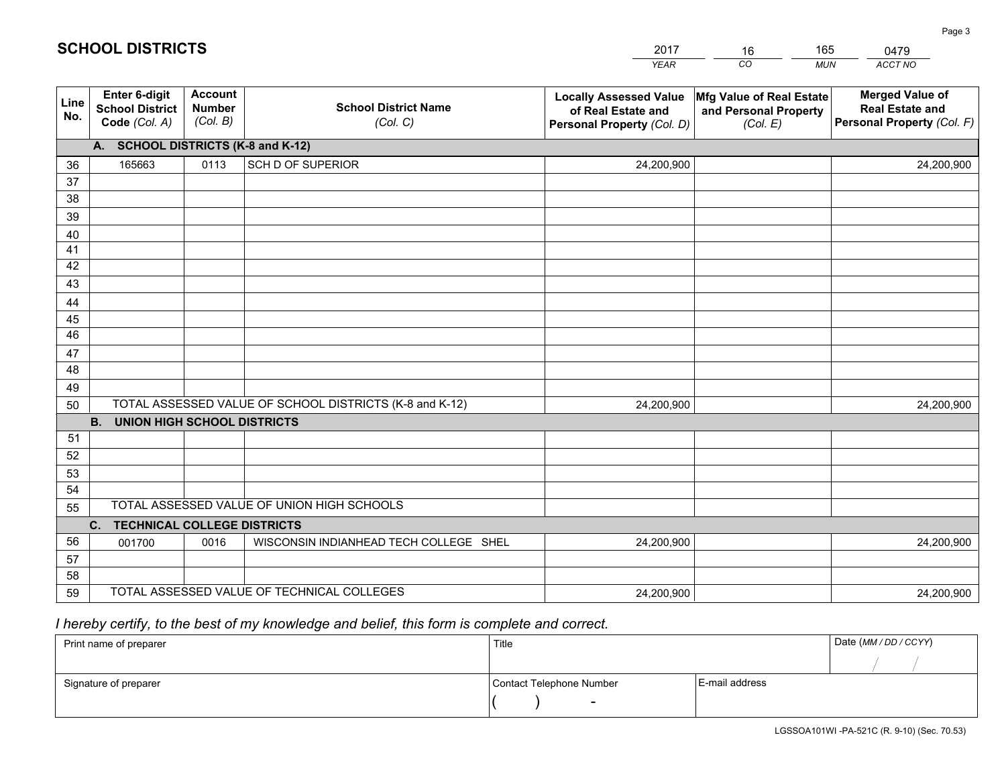|             |                                                          |                                             |                                                         | <b>YEAR</b>                                                                       | CO<br><b>MUN</b>                                              | ACCT NO                                                                        |  |  |
|-------------|----------------------------------------------------------|---------------------------------------------|---------------------------------------------------------|-----------------------------------------------------------------------------------|---------------------------------------------------------------|--------------------------------------------------------------------------------|--|--|
| Line<br>No. | Enter 6-digit<br><b>School District</b><br>Code (Col. A) | <b>Account</b><br><b>Number</b><br>(Col. B) | <b>School District Name</b><br>(Col. C)                 | <b>Locally Assessed Value</b><br>of Real Estate and<br>Personal Property (Col. D) | Mfg Value of Real Estate<br>and Personal Property<br>(Col. E) | <b>Merged Value of</b><br><b>Real Estate and</b><br>Personal Property (Col. F) |  |  |
|             | A. SCHOOL DISTRICTS (K-8 and K-12)                       |                                             |                                                         |                                                                                   |                                                               |                                                                                |  |  |
| 36          | 165663                                                   | 0113                                        | SCH D OF SUPERIOR                                       | 24,200,900                                                                        |                                                               | 24,200,900                                                                     |  |  |
| 37          |                                                          |                                             |                                                         |                                                                                   |                                                               |                                                                                |  |  |
| 38          |                                                          |                                             |                                                         |                                                                                   |                                                               |                                                                                |  |  |
| 39          |                                                          |                                             |                                                         |                                                                                   |                                                               |                                                                                |  |  |
| 40          |                                                          |                                             |                                                         |                                                                                   |                                                               |                                                                                |  |  |
| 41<br>42    |                                                          |                                             |                                                         |                                                                                   |                                                               |                                                                                |  |  |
| 43          |                                                          |                                             |                                                         |                                                                                   |                                                               |                                                                                |  |  |
| 44          |                                                          |                                             |                                                         |                                                                                   |                                                               |                                                                                |  |  |
| 45          |                                                          |                                             |                                                         |                                                                                   |                                                               |                                                                                |  |  |
| 46          |                                                          |                                             |                                                         |                                                                                   |                                                               |                                                                                |  |  |
| 47          |                                                          |                                             |                                                         |                                                                                   |                                                               |                                                                                |  |  |
| 48          |                                                          |                                             |                                                         |                                                                                   |                                                               |                                                                                |  |  |
| 49          |                                                          |                                             |                                                         |                                                                                   |                                                               |                                                                                |  |  |
| 50          |                                                          |                                             | TOTAL ASSESSED VALUE OF SCHOOL DISTRICTS (K-8 and K-12) | 24,200,900                                                                        |                                                               | 24,200,900                                                                     |  |  |
|             | <b>B.</b><br><b>UNION HIGH SCHOOL DISTRICTS</b>          |                                             |                                                         |                                                                                   |                                                               |                                                                                |  |  |
| 51          |                                                          |                                             |                                                         |                                                                                   |                                                               |                                                                                |  |  |
| 52          |                                                          |                                             |                                                         |                                                                                   |                                                               |                                                                                |  |  |
| 53          |                                                          |                                             |                                                         |                                                                                   |                                                               |                                                                                |  |  |
| 54          |                                                          |                                             |                                                         |                                                                                   |                                                               |                                                                                |  |  |
| 55          | TOTAL ASSESSED VALUE OF UNION HIGH SCHOOLS               |                                             |                                                         |                                                                                   |                                                               |                                                                                |  |  |
|             | C.<br><b>TECHNICAL COLLEGE DISTRICTS</b>                 |                                             |                                                         |                                                                                   |                                                               |                                                                                |  |  |
| 56<br>57    | 001700                                                   | 0016                                        | WISCONSIN INDIANHEAD TECH COLLEGE SHEL                  | 24,200,900                                                                        |                                                               | 24,200,900                                                                     |  |  |
| 58          |                                                          |                                             |                                                         |                                                                                   |                                                               |                                                                                |  |  |
| 59          |                                                          |                                             | TOTAL ASSESSED VALUE OF TECHNICAL COLLEGES              | 24,200,900                                                                        |                                                               | 24,200,900                                                                     |  |  |

16

165

 *I hereby certify, to the best of my knowledge and belief, this form is complete and correct.*

**SCHOOL DISTRICTS**

| Print name of preparer | Title                    | Date (MM/DD/CCYY) |  |
|------------------------|--------------------------|-------------------|--|
|                        |                          |                   |  |
| Signature of preparer  | Contact Telephone Number | E-mail address    |  |
|                        | $\overline{\phantom{0}}$ |                   |  |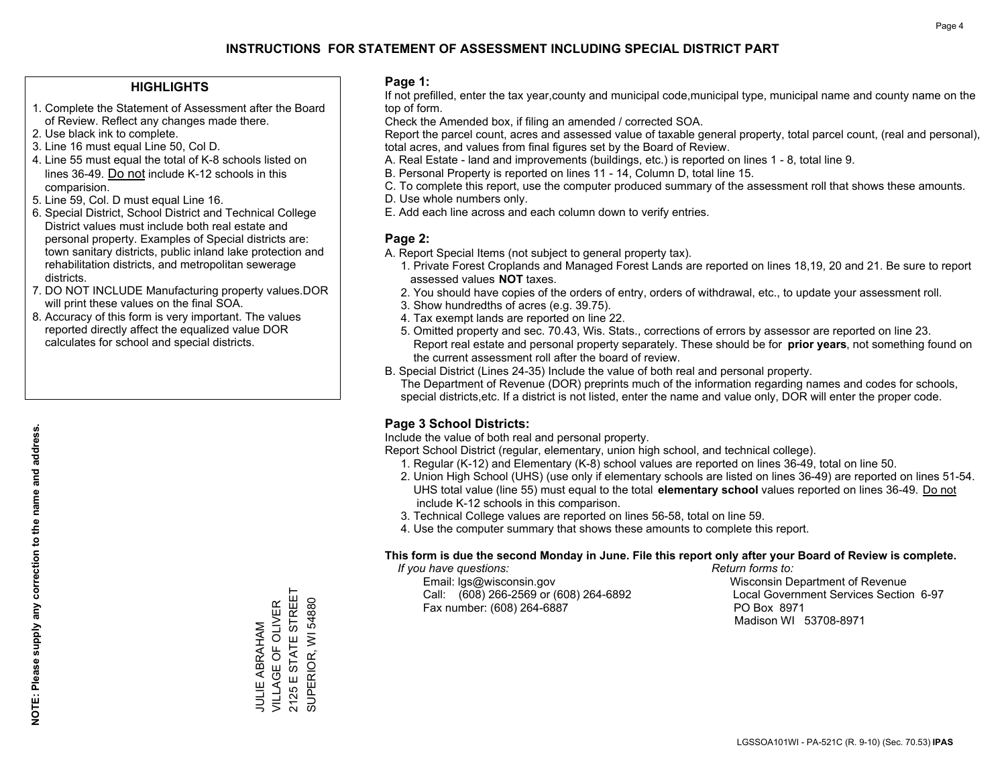### **HIGHLIGHTS**

- 1. Complete the Statement of Assessment after the Board of Review. Reflect any changes made there.
- 2. Use black ink to complete.
- 3. Line 16 must equal Line 50, Col D.
- 4. Line 55 must equal the total of K-8 schools listed on lines 36-49. Do not include K-12 schools in this comparision.
- 5. Line 59, Col. D must equal Line 16.
- 6. Special District, School District and Technical College District values must include both real estate and personal property. Examples of Special districts are: town sanitary districts, public inland lake protection and rehabilitation districts, and metropolitan sewerage districts.
- 7. DO NOT INCLUDE Manufacturing property values.DOR will print these values on the final SOA.

JULIE ABRAHAM VILLAGE OF OLIVER 2125 E STATE STREET SUPERIOR, WI 54880

VILLAGE OF OLIVER **JULIE ABRAHAM** 

STATE STREET

 $2125ES$ 

SUPERIOR, WI 54880

 8. Accuracy of this form is very important. The values reported directly affect the equalized value DOR calculates for school and special districts.

### **Page 1:**

 If not prefilled, enter the tax year,county and municipal code,municipal type, municipal name and county name on the top of form.

Check the Amended box, if filing an amended / corrected SOA.

 Report the parcel count, acres and assessed value of taxable general property, total parcel count, (real and personal), total acres, and values from final figures set by the Board of Review.

- A. Real Estate land and improvements (buildings, etc.) is reported on lines 1 8, total line 9.
- B. Personal Property is reported on lines 11 14, Column D, total line 15.
- C. To complete this report, use the computer produced summary of the assessment roll that shows these amounts.
- D. Use whole numbers only.
- E. Add each line across and each column down to verify entries.

### **Page 2:**

- A. Report Special Items (not subject to general property tax).
- 1. Private Forest Croplands and Managed Forest Lands are reported on lines 18,19, 20 and 21. Be sure to report assessed values **NOT** taxes.
- 2. You should have copies of the orders of entry, orders of withdrawal, etc., to update your assessment roll.
	- 3. Show hundredths of acres (e.g. 39.75).
- 4. Tax exempt lands are reported on line 22.
- 5. Omitted property and sec. 70.43, Wis. Stats., corrections of errors by assessor are reported on line 23. Report real estate and personal property separately. These should be for **prior years**, not something found on the current assessment roll after the board of review.
- B. Special District (Lines 24-35) Include the value of both real and personal property.
- The Department of Revenue (DOR) preprints much of the information regarding names and codes for schools, special districts,etc. If a district is not listed, enter the name and value only, DOR will enter the proper code.

### **Page 3 School Districts:**

Include the value of both real and personal property.

Report School District (regular, elementary, union high school, and technical college).

- 1. Regular (K-12) and Elementary (K-8) school values are reported on lines 36-49, total on line 50.
- 2. Union High School (UHS) (use only if elementary schools are listed on lines 36-49) are reported on lines 51-54. UHS total value (line 55) must equal to the total **elementary school** values reported on lines 36-49. Do notinclude K-12 schools in this comparison.
- 3. Technical College values are reported on lines 56-58, total on line 59.
- 4. Use the computer summary that shows these amounts to complete this report.

#### **This form is due the second Monday in June. File this report only after your Board of Review is complete.**

 *If you have questions: Return forms to:*

 Email: lgs@wisconsin.gov Wisconsin Department of RevenueCall:  $(608)$  266-2569 or  $(608)$  264-6892 Fax number: (608) 264-6887 PO Box 8971

Local Government Services Section 6-97 Madison WI 53708-8971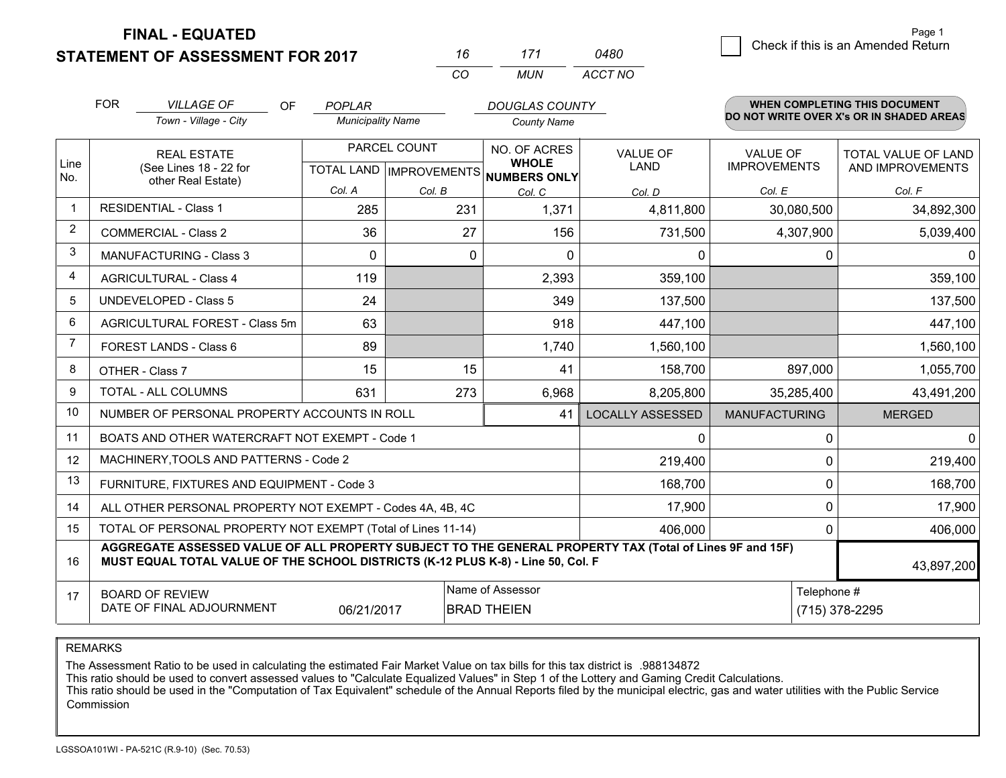**FINAL - EQUATED**

## **STATEMENT OF ASSESSMENT FOR 2017**

| 16 | 171 | 0480    |
|----|-----|---------|
| cо | MUN | ACCT NO |

|                | <b>FOR</b>                                                                                                                                                                                   | <b>VILLAGE OF</b><br><b>OF</b>                            | <b>POPLAR</b>            |              | <b>DOUGLAS COUNTY</b>                                    |                         |                      | <b>WHEN COMPLETING THIS DOCUMENT</b>     |
|----------------|----------------------------------------------------------------------------------------------------------------------------------------------------------------------------------------------|-----------------------------------------------------------|--------------------------|--------------|----------------------------------------------------------|-------------------------|----------------------|------------------------------------------|
|                |                                                                                                                                                                                              | Town - Village - City                                     | <b>Municipality Name</b> |              | <b>County Name</b>                                       |                         |                      | DO NOT WRITE OVER X's OR IN SHADED AREAS |
|                |                                                                                                                                                                                              | <b>REAL ESTATE</b>                                        |                          | PARCEL COUNT | NO. OF ACRES                                             | <b>VALUE OF</b>         | <b>VALUE OF</b>      | TOTAL VALUE OF LAND                      |
| Line<br>No.    |                                                                                                                                                                                              | (See Lines 18 - 22 for<br>other Real Estate)              |                          |              | <b>WHOLE</b><br>TOTAL LAND   IMPROVEMENTS   NUMBERS ONLY | <b>LAND</b>             | <b>IMPROVEMENTS</b>  | AND IMPROVEMENTS                         |
|                |                                                                                                                                                                                              |                                                           | Col. A                   | Col. B       | Col. C                                                   | Col. D                  | Col. E               | Col. F                                   |
| -1             |                                                                                                                                                                                              | <b>RESIDENTIAL - Class 1</b>                              | 285                      | 231          | 1,371                                                    | 4,811,800               | 30,080,500           | 34,892,300                               |
| $\overline{2}$ |                                                                                                                                                                                              | <b>COMMERCIAL - Class 2</b>                               | 36                       | 27           | 156                                                      | 731,500                 | 4,307,900            | 5,039,400                                |
| 3              |                                                                                                                                                                                              | MANUFACTURING - Class 3                                   | $\Omega$                 | $\Omega$     | $\Omega$                                                 | $\mathbf{0}$            | $\mathbf{0}$         | $\mathbf{0}$                             |
| $\overline{4}$ |                                                                                                                                                                                              | <b>AGRICULTURAL - Class 4</b>                             | 119                      |              | 2,393                                                    | 359,100                 |                      | 359,100                                  |
| 5              |                                                                                                                                                                                              | <b>UNDEVELOPED - Class 5</b>                              | 24                       |              | 349                                                      | 137,500                 |                      | 137,500                                  |
| 6              | AGRICULTURAL FOREST - Class 5m                                                                                                                                                               |                                                           | 63                       |              | 918                                                      | 447,100                 |                      | 447,100                                  |
| 7              | FOREST LANDS - Class 6                                                                                                                                                                       |                                                           | 89                       |              | 1,740                                                    | 1,560,100               |                      | 1,560,100                                |
| 8              |                                                                                                                                                                                              | OTHER - Class 7                                           | 15                       | 15           | 41                                                       | 158,700                 | 897,000              | 1,055,700                                |
| 9              |                                                                                                                                                                                              | TOTAL - ALL COLUMNS                                       | 631                      | 273          | 6,968                                                    | 8,205,800               | 35,285,400           | 43,491,200                               |
| 10             |                                                                                                                                                                                              | NUMBER OF PERSONAL PROPERTY ACCOUNTS IN ROLL              |                          |              | 41                                                       | <b>LOCALLY ASSESSED</b> | <b>MANUFACTURING</b> | <b>MERGED</b>                            |
| 11             |                                                                                                                                                                                              | BOATS AND OTHER WATERCRAFT NOT EXEMPT - Code 1            |                          |              |                                                          | 0                       | 0                    | $\mathbf 0$                              |
| 12             |                                                                                                                                                                                              | MACHINERY, TOOLS AND PATTERNS - Code 2                    |                          |              |                                                          | 219,400                 | $\Omega$             | 219,400                                  |
| 13             |                                                                                                                                                                                              | FURNITURE, FIXTURES AND EQUIPMENT - Code 3                |                          |              |                                                          | 168,700                 | $\mathbf 0$          | 168,700                                  |
| 14             |                                                                                                                                                                                              | ALL OTHER PERSONAL PROPERTY NOT EXEMPT - Codes 4A, 4B, 4C |                          |              |                                                          | 17,900                  | $\mathbf 0$          | 17,900                                   |
| 15             | TOTAL OF PERSONAL PROPERTY NOT EXEMPT (Total of Lines 11-14)<br>406,000                                                                                                                      |                                                           |                          |              |                                                          |                         | $\Omega$             | 406,000                                  |
| 16             | AGGREGATE ASSESSED VALUE OF ALL PROPERTY SUBJECT TO THE GENERAL PROPERTY TAX (Total of Lines 9F and 15F)<br>MUST EQUAL TOTAL VALUE OF THE SCHOOL DISTRICTS (K-12 PLUS K-8) - Line 50, Col. F |                                                           |                          |              |                                                          |                         | 43,897,200           |                                          |
| 17             |                                                                                                                                                                                              | <b>BOARD OF REVIEW</b>                                    |                          |              | Name of Assessor                                         |                         | Telephone #          |                                          |
|                |                                                                                                                                                                                              | DATE OF FINAL ADJOURNMENT                                 | 06/21/2017               |              | <b>BRAD THEIEN</b>                                       |                         |                      | (715) 378-2295                           |

REMARKS

The Assessment Ratio to be used in calculating the estimated Fair Market Value on tax bills for this tax district is .988134872<br>This ratio should be used to convert assessed values to "Calculate Equalized Values" in Step 1 Commission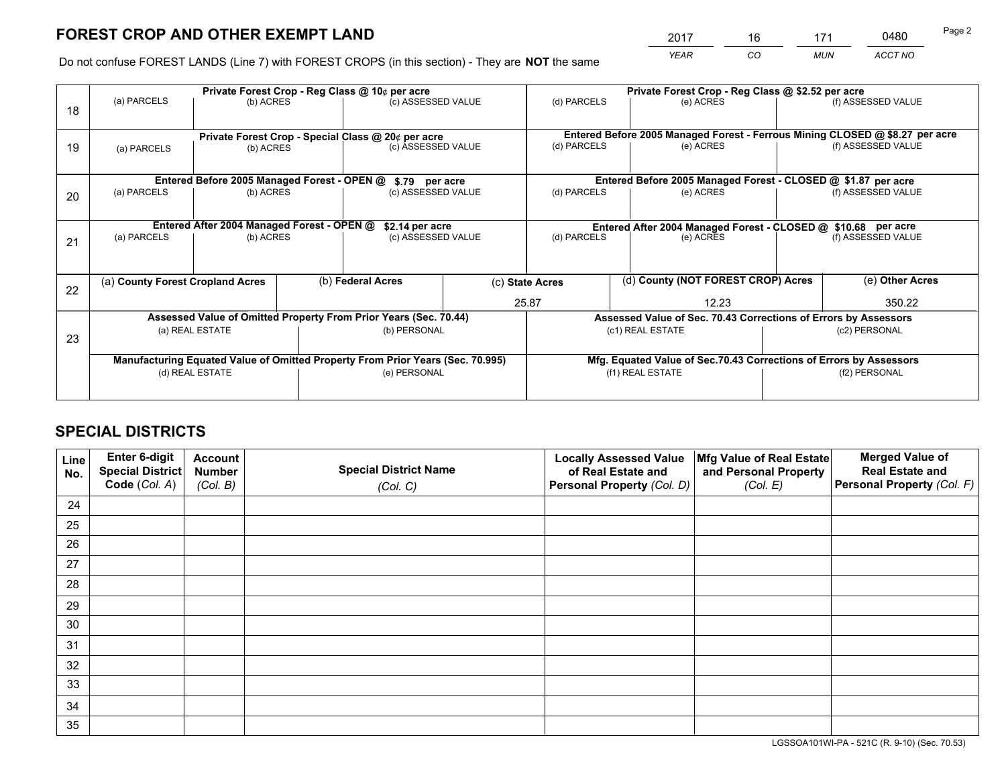*YEAR CO MUN ACCT NO* <u>2017 - 16 171 0480</u>

Do not confuse FOREST LANDS (Line 7) with FOREST CROPS (in this section) - They are **NOT** the same

|    |                                                                                |                                             |  | Private Forest Crop - Reg Class @ 10¢ per acre                   |                                                               | Private Forest Crop - Reg Class @ \$2.52 per acre |                                                                              |               |                    |  |
|----|--------------------------------------------------------------------------------|---------------------------------------------|--|------------------------------------------------------------------|---------------------------------------------------------------|---------------------------------------------------|------------------------------------------------------------------------------|---------------|--------------------|--|
| 18 | (a) PARCELS                                                                    | (b) ACRES                                   |  | (c) ASSESSED VALUE                                               |                                                               | (d) PARCELS                                       | (e) ACRES                                                                    |               | (f) ASSESSED VALUE |  |
|    |                                                                                |                                             |  |                                                                  |                                                               |                                                   |                                                                              |               |                    |  |
|    |                                                                                |                                             |  | Private Forest Crop - Special Class @ 20¢ per acre               |                                                               |                                                   | Entered Before 2005 Managed Forest - Ferrous Mining CLOSED @ \$8.27 per acre |               |                    |  |
| 19 | (a) PARCELS                                                                    | (b) ACRES                                   |  | (c) ASSESSED VALUE                                               |                                                               | (d) PARCELS                                       | (e) ACRES                                                                    |               | (f) ASSESSED VALUE |  |
|    |                                                                                |                                             |  |                                                                  |                                                               |                                                   |                                                                              |               |                    |  |
|    |                                                                                | Entered Before 2005 Managed Forest - OPEN @ |  | \$.79 per acre                                                   |                                                               |                                                   | Entered Before 2005 Managed Forest - CLOSED @ \$1.87 per acre                |               |                    |  |
| 20 | (a) PARCELS                                                                    | (b) ACRES                                   |  | (c) ASSESSED VALUE                                               |                                                               | (d) PARCELS                                       | (e) ACRES                                                                    |               | (f) ASSESSED VALUE |  |
|    |                                                                                |                                             |  |                                                                  |                                                               |                                                   |                                                                              |               |                    |  |
|    | Entered After 2004 Managed Forest - OPEN @<br>\$2.14 per acre                  |                                             |  |                                                                  | Entered After 2004 Managed Forest - CLOSED @ \$10.68 per acre |                                                   |                                                                              |               |                    |  |
| 21 | (a) PARCELS                                                                    | (b) ACRES                                   |  | (c) ASSESSED VALUE                                               |                                                               | (d) PARCELS<br>(e) ACRES                          |                                                                              |               | (f) ASSESSED VALUE |  |
|    |                                                                                |                                             |  |                                                                  |                                                               |                                                   |                                                                              |               |                    |  |
|    |                                                                                |                                             |  |                                                                  |                                                               |                                                   |                                                                              |               |                    |  |
| 22 | (a) County Forest Cropland Acres                                               |                                             |  | (b) Federal Acres                                                |                                                               | (c) State Acres                                   | (d) County (NOT FOREST CROP) Acres                                           |               | (e) Other Acres    |  |
|    |                                                                                |                                             |  |                                                                  |                                                               | 25.87                                             | 12.23                                                                        |               | 350.22             |  |
|    |                                                                                |                                             |  | Assessed Value of Omitted Property From Prior Years (Sec. 70.44) |                                                               |                                                   | Assessed Value of Sec. 70.43 Corrections of Errors by Assessors              |               |                    |  |
| 23 |                                                                                | (a) REAL ESTATE                             |  | (b) PERSONAL                                                     |                                                               |                                                   | (c1) REAL ESTATE                                                             | (c2) PERSONAL |                    |  |
|    |                                                                                |                                             |  |                                                                  |                                                               |                                                   |                                                                              |               |                    |  |
|    | Manufacturing Equated Value of Omitted Property From Prior Years (Sec. 70.995) |                                             |  |                                                                  |                                                               |                                                   | Mfg. Equated Value of Sec.70.43 Corrections of Errors by Assessors           |               |                    |  |
|    |                                                                                | (d) REAL ESTATE                             |  | (e) PERSONAL                                                     |                                                               |                                                   | (f1) REAL ESTATE                                                             | (f2) PERSONAL |                    |  |
|    |                                                                                |                                             |  |                                                                  |                                                               |                                                   |                                                                              |               |                    |  |

## **SPECIAL DISTRICTS**

| Line<br>No. | Enter 6-digit<br>Special District<br>Code (Col. A) | <b>Account</b><br><b>Number</b> | <b>Special District Name</b> | <b>Locally Assessed Value</b><br>of Real Estate and | Mfg Value of Real Estate<br>and Personal Property | <b>Merged Value of</b><br><b>Real Estate and</b><br>Personal Property (Col. F) |
|-------------|----------------------------------------------------|---------------------------------|------------------------------|-----------------------------------------------------|---------------------------------------------------|--------------------------------------------------------------------------------|
|             |                                                    | (Col. B)                        | (Col. C)                     | Personal Property (Col. D)                          | (Col. E)                                          |                                                                                |
| 24          |                                                    |                                 |                              |                                                     |                                                   |                                                                                |
| 25          |                                                    |                                 |                              |                                                     |                                                   |                                                                                |
| 26          |                                                    |                                 |                              |                                                     |                                                   |                                                                                |
| 27          |                                                    |                                 |                              |                                                     |                                                   |                                                                                |
| 28          |                                                    |                                 |                              |                                                     |                                                   |                                                                                |
| 29          |                                                    |                                 |                              |                                                     |                                                   |                                                                                |
| 30          |                                                    |                                 |                              |                                                     |                                                   |                                                                                |
| 31          |                                                    |                                 |                              |                                                     |                                                   |                                                                                |
| 32          |                                                    |                                 |                              |                                                     |                                                   |                                                                                |
| 33          |                                                    |                                 |                              |                                                     |                                                   |                                                                                |
| 34          |                                                    |                                 |                              |                                                     |                                                   |                                                                                |
| 35          |                                                    |                                 |                              |                                                     |                                                   |                                                                                |

LGSSOA101WI-PA - 521C (R. 9-10) (Sec. 70.53)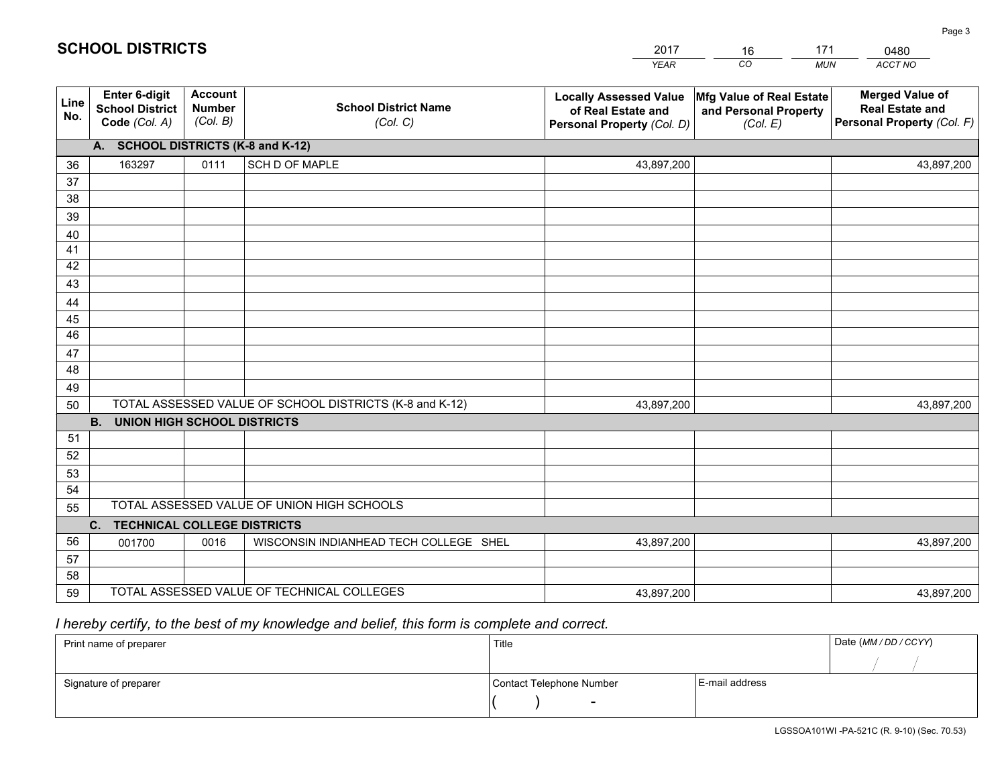|             |                                                          |                                             |                                                         | <b>YEAR</b>                                                                       | CO<br><b>MUN</b>                                              | ACCT NO                                                                        |
|-------------|----------------------------------------------------------|---------------------------------------------|---------------------------------------------------------|-----------------------------------------------------------------------------------|---------------------------------------------------------------|--------------------------------------------------------------------------------|
| Line<br>No. | Enter 6-digit<br><b>School District</b><br>Code (Col. A) | <b>Account</b><br><b>Number</b><br>(Col. B) | <b>School District Name</b><br>(Col. C)                 | <b>Locally Assessed Value</b><br>of Real Estate and<br>Personal Property (Col. D) | Mfg Value of Real Estate<br>and Personal Property<br>(Col. E) | <b>Merged Value of</b><br><b>Real Estate and</b><br>Personal Property (Col. F) |
|             | A. SCHOOL DISTRICTS (K-8 and K-12)                       |                                             |                                                         |                                                                                   |                                                               |                                                                                |
| 36          | 163297                                                   | 0111                                        | SCH D OF MAPLE                                          | 43,897,200                                                                        |                                                               | 43,897,200                                                                     |
| 37          |                                                          |                                             |                                                         |                                                                                   |                                                               |                                                                                |
| 38          |                                                          |                                             |                                                         |                                                                                   |                                                               |                                                                                |
| 39          |                                                          |                                             |                                                         |                                                                                   |                                                               |                                                                                |
| 40          |                                                          |                                             |                                                         |                                                                                   |                                                               |                                                                                |
| 41          |                                                          |                                             |                                                         |                                                                                   |                                                               |                                                                                |
| 42          |                                                          |                                             |                                                         |                                                                                   |                                                               |                                                                                |
| 43          |                                                          |                                             |                                                         |                                                                                   |                                                               |                                                                                |
| 44<br>45    |                                                          |                                             |                                                         |                                                                                   |                                                               |                                                                                |
| 46          |                                                          |                                             |                                                         |                                                                                   |                                                               |                                                                                |
| 47          |                                                          |                                             |                                                         |                                                                                   |                                                               |                                                                                |
| 48          |                                                          |                                             |                                                         |                                                                                   |                                                               |                                                                                |
| 49          |                                                          |                                             |                                                         |                                                                                   |                                                               |                                                                                |
| 50          |                                                          |                                             | TOTAL ASSESSED VALUE OF SCHOOL DISTRICTS (K-8 and K-12) | 43,897,200                                                                        |                                                               | 43,897,200                                                                     |
|             | <b>B.</b><br><b>UNION HIGH SCHOOL DISTRICTS</b>          |                                             |                                                         |                                                                                   |                                                               |                                                                                |
| 51          |                                                          |                                             |                                                         |                                                                                   |                                                               |                                                                                |
| 52          |                                                          |                                             |                                                         |                                                                                   |                                                               |                                                                                |
| 53          |                                                          |                                             |                                                         |                                                                                   |                                                               |                                                                                |
| 54          |                                                          |                                             |                                                         |                                                                                   |                                                               |                                                                                |
| 55          |                                                          |                                             | TOTAL ASSESSED VALUE OF UNION HIGH SCHOOLS              |                                                                                   |                                                               |                                                                                |
|             | C. TECHNICAL COLLEGE DISTRICTS                           |                                             |                                                         |                                                                                   |                                                               |                                                                                |
| 56          | 001700                                                   | 0016                                        | WISCONSIN INDIANHEAD TECH COLLEGE SHEL                  | 43,897,200                                                                        |                                                               | 43,897,200                                                                     |
| 57          |                                                          |                                             |                                                         |                                                                                   |                                                               |                                                                                |
| 58          |                                                          |                                             |                                                         |                                                                                   |                                                               |                                                                                |
| 59          |                                                          |                                             | TOTAL ASSESSED VALUE OF TECHNICAL COLLEGES              | 43,897,200                                                                        |                                                               | 43,897,200                                                                     |

16

171

 *I hereby certify, to the best of my knowledge and belief, this form is complete and correct.*

**SCHOOL DISTRICTS**

| Print name of preparer | Title                    |                | Date (MM / DD / CCYY) |
|------------------------|--------------------------|----------------|-----------------------|
|                        |                          |                |                       |
| Signature of preparer  | Contact Telephone Number | E-mail address |                       |
|                        | $\overline{\phantom{0}}$ |                |                       |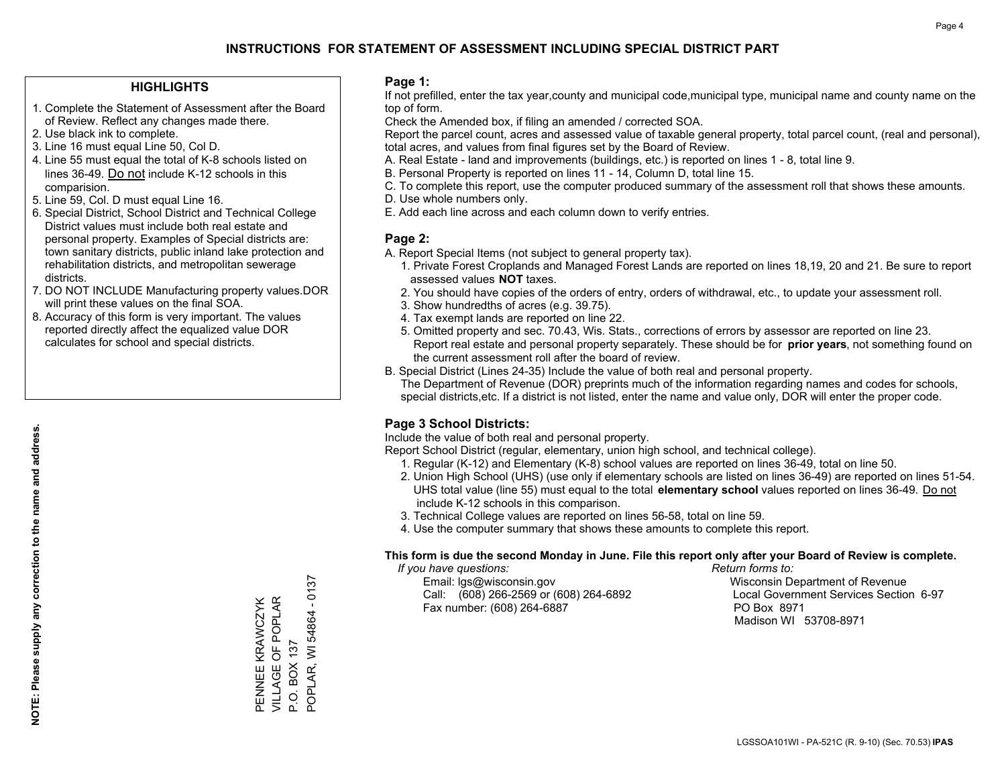### **HIGHLIGHTS**

- 1. Complete the Statement of Assessment after the Board of Review. Reflect any changes made there.
- 2. Use black ink to complete.
- 3. Line 16 must equal Line 50, Col D.
- 4. Line 55 must equal the total of K-8 schools listed on lines 36-49. Do not include K-12 schools in this comparision.
- 5. Line 59, Col. D must equal Line 16.
- 6. Special District, School District and Technical College District values must include both real estate and personal property. Examples of Special districts are: town sanitary districts, public inland lake protection and rehabilitation districts, and metropolitan sewerage districts.
- 7. DO NOT INCLUDE Manufacturing property values.DOR will print these values on the final SOA.
- 8. Accuracy of this form is very important. The values reported directly affect the equalized value DOR calculates for school and special districts.

### **Page 1:**

 If not prefilled, enter the tax year,county and municipal code,municipal type, municipal name and county name on the top of form.

Check the Amended box, if filing an amended / corrected SOA.

 Report the parcel count, acres and assessed value of taxable general property, total parcel count, (real and personal), total acres, and values from final figures set by the Board of Review.

- A. Real Estate land and improvements (buildings, etc.) is reported on lines 1 8, total line 9.
- B. Personal Property is reported on lines 11 14, Column D, total line 15.
- C. To complete this report, use the computer produced summary of the assessment roll that shows these amounts.
- D. Use whole numbers only.
- E. Add each line across and each column down to verify entries.

### **Page 2:**

- A. Report Special Items (not subject to general property tax).
- 1. Private Forest Croplands and Managed Forest Lands are reported on lines 18,19, 20 and 21. Be sure to report assessed values **NOT** taxes.
- 2. You should have copies of the orders of entry, orders of withdrawal, etc., to update your assessment roll.
	- 3. Show hundredths of acres (e.g. 39.75).
- 4. Tax exempt lands are reported on line 22.
- 5. Omitted property and sec. 70.43, Wis. Stats., corrections of errors by assessor are reported on line 23. Report real estate and personal property separately. These should be for **prior years**, not something found on the current assessment roll after the board of review.
- B. Special District (Lines 24-35) Include the value of both real and personal property.
- The Department of Revenue (DOR) preprints much of the information regarding names and codes for schools, special districts,etc. If a district is not listed, enter the name and value only, DOR will enter the proper code.

### **Page 3 School Districts:**

Include the value of both real and personal property.

Report School District (regular, elementary, union high school, and technical college).

- 1. Regular (K-12) and Elementary (K-8) school values are reported on lines 36-49, total on line 50.
- 2. Union High School (UHS) (use only if elementary schools are listed on lines 36-49) are reported on lines 51-54. UHS total value (line 55) must equal to the total **elementary school** values reported on lines 36-49. Do notinclude K-12 schools in this comparison.
- 3. Technical College values are reported on lines 56-58, total on line 59.
- 4. Use the computer summary that shows these amounts to complete this report.

#### **This form is due the second Monday in June. File this report only after your Board of Review is complete.**

 *If you have questions: Return forms to:*

 Email: lgs@wisconsin.gov Wisconsin Department of RevenueCall:  $(608)$  266-2569 or  $(608)$  264-6892 Fax number: (608) 264-6887 PO Box 8971

Local Government Services Section 6-97 Madison WI 53708-8971

 $-0137$ POPLAR, WI 54864 - 0137 PENNEE KRAWCZYK<br>VILLAGE OF POPLAR VILLAGE OF POPLAR PENNEE KRAWCZYK POPLAR, WI 54864 P.O. BOX 137 P.O. BOX 137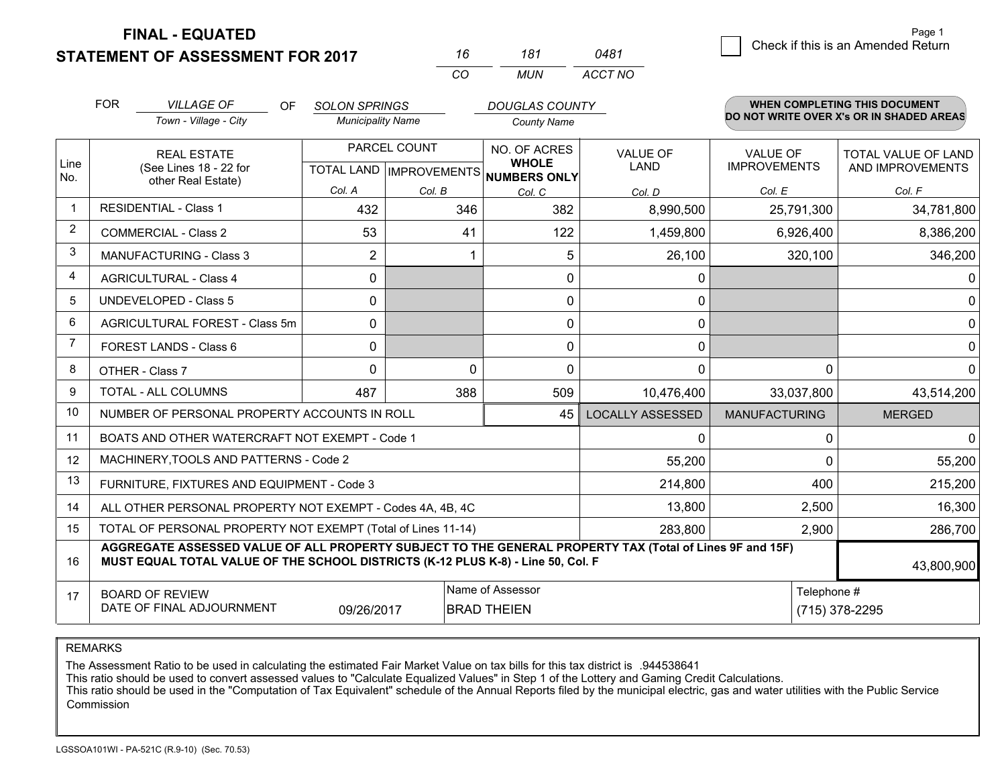**STATEMENT OF ASSESSMENT FOR 2017** 

**FINAL - EQUATED**

| Page 1                             |
|------------------------------------|
| Check if this is an Amended Return |
|                                    |

|                | <b>FOR</b><br><b>VILLAGE OF</b><br><b>OF</b>                                                                                                                                                 | <b>SOLON SPRINGS</b>     |                           | <b>DOUGLAS COUNTY</b>        |                         |                      | <b>WHEN COMPLETING THIS DOCUMENT</b>     |
|----------------|----------------------------------------------------------------------------------------------------------------------------------------------------------------------------------------------|--------------------------|---------------------------|------------------------------|-------------------------|----------------------|------------------------------------------|
|                | Town - Village - City                                                                                                                                                                        | <b>Municipality Name</b> |                           | <b>County Name</b>           |                         |                      | DO NOT WRITE OVER X's OR IN SHADED AREAS |
|                | PARCEL COUNT<br><b>REAL ESTATE</b>                                                                                                                                                           |                          |                           | NO. OF ACRES                 | <b>VALUE OF</b>         | <b>VALUE OF</b>      | <b>TOTAL VALUE OF LAND</b>               |
| Line<br>No.    | (See Lines 18 - 22 for<br>other Real Estate)                                                                                                                                                 |                          | TOTAL LAND   IMPROVEMENTS | <b>WHOLE</b><br>NUMBERS ONLY | LAND                    | <b>IMPROVEMENTS</b>  | AND IMPROVEMENTS                         |
|                |                                                                                                                                                                                              | Col. A                   | Col. B                    | Col. C                       | Col. D                  | Col. E               | Col. F                                   |
| $\mathbf{1}$   | <b>RESIDENTIAL - Class 1</b>                                                                                                                                                                 | 432                      | 346                       | 382                          | 8,990,500               | 25,791,300           | 34,781,800                               |
| $\overline{2}$ | <b>COMMERCIAL - Class 2</b>                                                                                                                                                                  | 53                       | 41                        | 122                          | 1,459,800               | 6,926,400            | 8,386,200                                |
| 3              | <b>MANUFACTURING - Class 3</b>                                                                                                                                                               | 2                        |                           | 5                            | 26,100                  | 320,100              | 346,200                                  |
| 4              | <b>AGRICULTURAL - Class 4</b>                                                                                                                                                                | 0                        |                           | 0                            | 0                       |                      | 0                                        |
| 5              | <b>UNDEVELOPED - Class 5</b>                                                                                                                                                                 | 0                        |                           | 0                            | 0                       |                      | $\Omega$                                 |
| 6              | AGRICULTURAL FOREST - Class 5m                                                                                                                                                               | 0                        |                           | 0                            | 0                       |                      | $\mathbf{0}$                             |
| 7              | <b>FOREST LANDS - Class 6</b>                                                                                                                                                                | 0                        |                           | 0                            | 0                       |                      | $\mathbf 0$                              |
| 8              | OTHER - Class 7                                                                                                                                                                              | $\Omega$                 | $\Omega$                  | $\Omega$                     | $\Omega$                | $\Omega$             | $\Omega$                                 |
| 9              | TOTAL - ALL COLUMNS                                                                                                                                                                          | 487                      | 388                       | 509                          | 10,476,400              | 33,037,800           | 43,514,200                               |
| 10             | NUMBER OF PERSONAL PROPERTY ACCOUNTS IN ROLL                                                                                                                                                 |                          |                           | 45                           | <b>LOCALLY ASSESSED</b> | <b>MANUFACTURING</b> | <b>MERGED</b>                            |
| 11             | BOATS AND OTHER WATERCRAFT NOT EXEMPT - Code 1                                                                                                                                               |                          |                           |                              | $\Omega$                | 0                    | $\Omega$                                 |
| 12             | MACHINERY, TOOLS AND PATTERNS - Code 2                                                                                                                                                       |                          |                           |                              | 55,200                  | $\Omega$             | 55,200                                   |
| 13             | FURNITURE, FIXTURES AND EQUIPMENT - Code 3                                                                                                                                                   |                          |                           |                              | 214,800                 | 400                  | 215,200                                  |
| 14             | ALL OTHER PERSONAL PROPERTY NOT EXEMPT - Codes 4A, 4B, 4C                                                                                                                                    |                          |                           |                              | 13,800                  | 2,500                | 16,300                                   |
| 15             | TOTAL OF PERSONAL PROPERTY NOT EXEMPT (Total of Lines 11-14)                                                                                                                                 |                          |                           |                              |                         | 2,900                | 286,700                                  |
| 16             | AGGREGATE ASSESSED VALUE OF ALL PROPERTY SUBJECT TO THE GENERAL PROPERTY TAX (Total of Lines 9F and 15F)<br>MUST EQUAL TOTAL VALUE OF THE SCHOOL DISTRICTS (K-12 PLUS K-8) - Line 50, Col. F |                          |                           |                              |                         |                      | 43,800,900                               |
| 17             | <b>BOARD OF REVIEW</b>                                                                                                                                                                       |                          |                           | Name of Assessor             |                         | Telephone #          |                                          |
|                | DATE OF FINAL ADJOURNMENT<br><b>BRAD THEIEN</b><br>(715) 378-2295<br>09/26/2017                                                                                                              |                          |                           |                              |                         |                      |                                          |

*CO*

*MUN*

*ACCT NO0481*

*<sup>16</sup> <sup>181</sup>*

REMARKS

The Assessment Ratio to be used in calculating the estimated Fair Market Value on tax bills for this tax district is .944538641<br>This ratio should be used to convert assessed values to "Calculate Equalized Values" in Step 1 Commission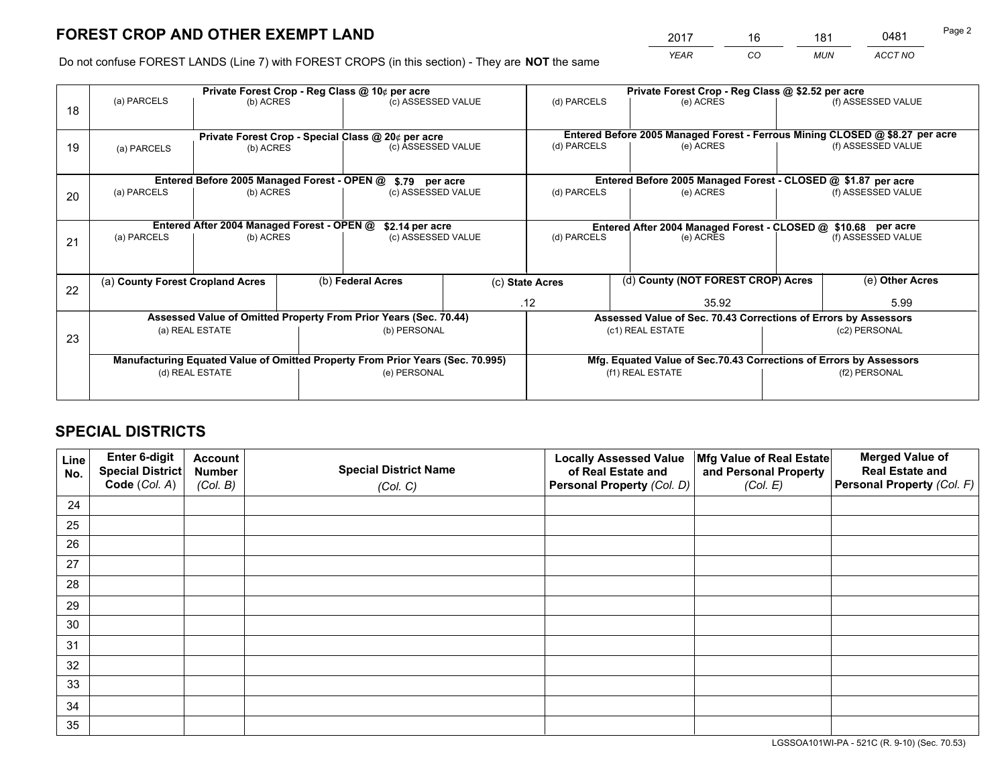*YEAR CO MUN ACCT NO* <u>2017 - 16 181 0481</u>

Do not confuse FOREST LANDS (Line 7) with FOREST CROPS (in this section) - They are **NOT** the same

|    |                                                                                | Private Forest Crop - Reg Class @ 10¢ per acre                   |                   |                                      |  | Private Forest Crop - Reg Class @ \$2.52 per acre                  |                                                                              |               |                    |  |
|----|--------------------------------------------------------------------------------|------------------------------------------------------------------|-------------------|--------------------------------------|--|--------------------------------------------------------------------|------------------------------------------------------------------------------|---------------|--------------------|--|
| 18 | (a) PARCELS                                                                    | (b) ACRES                                                        |                   | (c) ASSESSED VALUE                   |  | (d) PARCELS                                                        | (e) ACRES                                                                    |               | (f) ASSESSED VALUE |  |
|    |                                                                                | Private Forest Crop - Special Class @ 20¢ per acre               |                   |                                      |  |                                                                    | Entered Before 2005 Managed Forest - Ferrous Mining CLOSED @ \$8.27 per acre |               |                    |  |
| 19 | (a) PARCELS                                                                    | (b) ACRES                                                        |                   | (c) ASSESSED VALUE                   |  | (d) PARCELS                                                        | (e) ACRES                                                                    |               | (f) ASSESSED VALUE |  |
|    |                                                                                | Entered Before 2005 Managed Forest - OPEN @                      |                   |                                      |  | Entered Before 2005 Managed Forest - CLOSED @ \$1.87 per acre      |                                                                              |               |                    |  |
| 20 | (a) PARCELS                                                                    | (b) ACRES                                                        |                   | \$.79 per acre<br>(c) ASSESSED VALUE |  | (d) PARCELS<br>(e) ACRES                                           |                                                                              |               | (f) ASSESSED VALUE |  |
|    |                                                                                | Entered After 2004 Managed Forest - OPEN @                       |                   | \$2.14 per acre                      |  | Entered After 2004 Managed Forest - CLOSED @ \$10.68 per acre      |                                                                              |               |                    |  |
| 21 | (a) PARCELS<br>(b) ACRES                                                       |                                                                  |                   | (c) ASSESSED VALUE                   |  | (d) PARCELS                                                        | (e) ACRES                                                                    |               | (f) ASSESSED VALUE |  |
|    |                                                                                |                                                                  |                   |                                      |  |                                                                    |                                                                              |               |                    |  |
| 22 | (a) County Forest Cropland Acres                                               |                                                                  | (b) Federal Acres |                                      |  | (d) County (NOT FOREST CROP) Acres<br>(c) State Acres              |                                                                              |               | (e) Other Acres    |  |
|    |                                                                                |                                                                  |                   |                                      |  | .12<br>35.92                                                       |                                                                              |               | 5.99               |  |
|    |                                                                                | Assessed Value of Omitted Property From Prior Years (Sec. 70.44) |                   |                                      |  |                                                                    | Assessed Value of Sec. 70.43 Corrections of Errors by Assessors              |               |                    |  |
| 23 | (a) REAL ESTATE                                                                |                                                                  |                   | (b) PERSONAL                         |  | (c1) REAL ESTATE                                                   |                                                                              |               | (c2) PERSONAL      |  |
|    | Manufacturing Equated Value of Omitted Property From Prior Years (Sec. 70.995) |                                                                  |                   |                                      |  | Mfg. Equated Value of Sec.70.43 Corrections of Errors by Assessors |                                                                              |               |                    |  |
|    |                                                                                | (d) REAL ESTATE                                                  |                   | (e) PERSONAL                         |  |                                                                    | (f1) REAL ESTATE                                                             | (f2) PERSONAL |                    |  |
|    |                                                                                |                                                                  |                   |                                      |  |                                                                    |                                                                              |               |                    |  |

## **SPECIAL DISTRICTS**

| Line<br>No. | Enter 6-digit<br><b>Special District</b><br>Code (Col. A) | <b>Account</b><br><b>Number</b><br>(Col. B) | <b>Special District Name</b> | <b>Locally Assessed Value</b><br>of Real Estate and<br>Personal Property (Col. D) | Mfg Value of Real Estate<br>and Personal Property<br>(Col. E) | <b>Merged Value of</b><br><b>Real Estate and</b><br>Personal Property (Col. F) |
|-------------|-----------------------------------------------------------|---------------------------------------------|------------------------------|-----------------------------------------------------------------------------------|---------------------------------------------------------------|--------------------------------------------------------------------------------|
|             |                                                           |                                             | (Col. C)                     |                                                                                   |                                                               |                                                                                |
| 24          |                                                           |                                             |                              |                                                                                   |                                                               |                                                                                |
| 25          |                                                           |                                             |                              |                                                                                   |                                                               |                                                                                |
| 26          |                                                           |                                             |                              |                                                                                   |                                                               |                                                                                |
| 27          |                                                           |                                             |                              |                                                                                   |                                                               |                                                                                |
| 28          |                                                           |                                             |                              |                                                                                   |                                                               |                                                                                |
| 29          |                                                           |                                             |                              |                                                                                   |                                                               |                                                                                |
| 30          |                                                           |                                             |                              |                                                                                   |                                                               |                                                                                |
| 31          |                                                           |                                             |                              |                                                                                   |                                                               |                                                                                |
| 32          |                                                           |                                             |                              |                                                                                   |                                                               |                                                                                |
| 33          |                                                           |                                             |                              |                                                                                   |                                                               |                                                                                |
| 34          |                                                           |                                             |                              |                                                                                   |                                                               |                                                                                |
| 35          |                                                           |                                             |                              |                                                                                   |                                                               |                                                                                |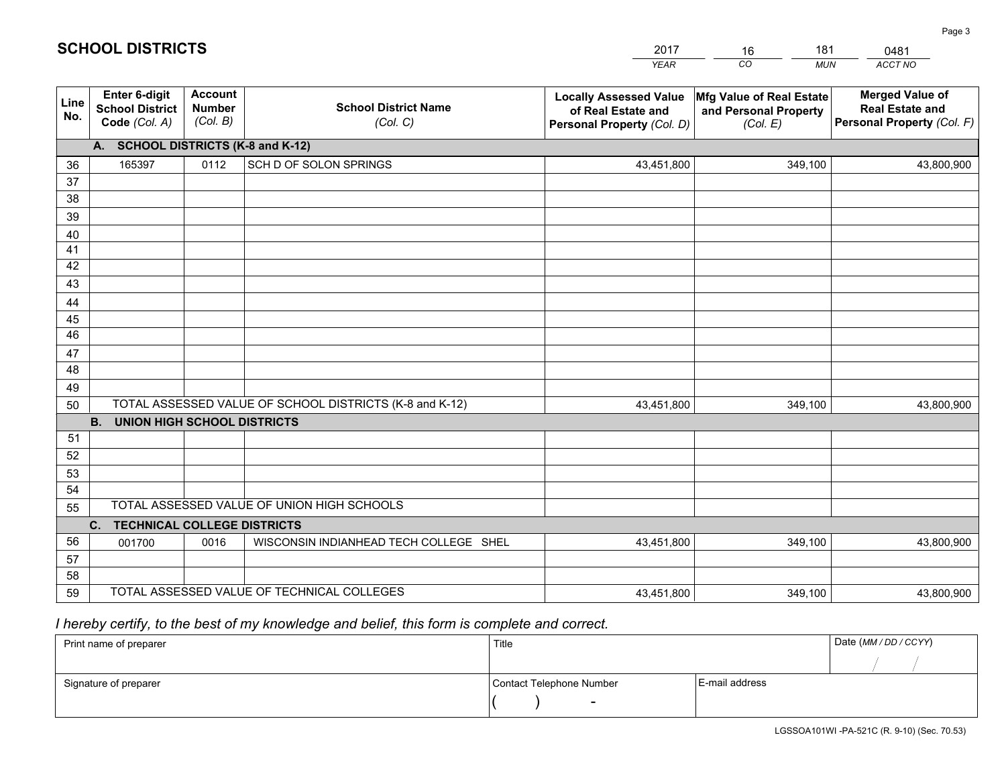|             |                                                                 |                                             |                                                         | <b>YEAR</b>                                                                       | CO<br><b>MUN</b>                                              | ACCT NO                                                                        |
|-------------|-----------------------------------------------------------------|---------------------------------------------|---------------------------------------------------------|-----------------------------------------------------------------------------------|---------------------------------------------------------------|--------------------------------------------------------------------------------|
| Line<br>No. | <b>Enter 6-digit</b><br><b>School District</b><br>Code (Col. A) | <b>Account</b><br><b>Number</b><br>(Col. B) | <b>School District Name</b><br>(Col. C)                 | <b>Locally Assessed Value</b><br>of Real Estate and<br>Personal Property (Col. D) | Mfg Value of Real Estate<br>and Personal Property<br>(Col. E) | <b>Merged Value of</b><br><b>Real Estate and</b><br>Personal Property (Col. F) |
|             | A. SCHOOL DISTRICTS (K-8 and K-12)                              |                                             |                                                         |                                                                                   |                                                               |                                                                                |
| 36          | 165397                                                          | 0112                                        | SCH D OF SOLON SPRINGS                                  | 43,451,800                                                                        | 349.100                                                       | 43,800,900                                                                     |
| 37          |                                                                 |                                             |                                                         |                                                                                   |                                                               |                                                                                |
| 38          |                                                                 |                                             |                                                         |                                                                                   |                                                               |                                                                                |
| 39          |                                                                 |                                             |                                                         |                                                                                   |                                                               |                                                                                |
| 40          |                                                                 |                                             |                                                         |                                                                                   |                                                               |                                                                                |
| 41<br>42    |                                                                 |                                             |                                                         |                                                                                   |                                                               |                                                                                |
| 43          |                                                                 |                                             |                                                         |                                                                                   |                                                               |                                                                                |
| 44          |                                                                 |                                             |                                                         |                                                                                   |                                                               |                                                                                |
| 45          |                                                                 |                                             |                                                         |                                                                                   |                                                               |                                                                                |
| 46          |                                                                 |                                             |                                                         |                                                                                   |                                                               |                                                                                |
| 47          |                                                                 |                                             |                                                         |                                                                                   |                                                               |                                                                                |
| 48          |                                                                 |                                             |                                                         |                                                                                   |                                                               |                                                                                |
| 49          |                                                                 |                                             |                                                         |                                                                                   |                                                               |                                                                                |
| 50          |                                                                 |                                             | TOTAL ASSESSED VALUE OF SCHOOL DISTRICTS (K-8 and K-12) | 43,451,800                                                                        | 349,100                                                       | 43,800,900                                                                     |
|             | <b>B. UNION HIGH SCHOOL DISTRICTS</b>                           |                                             |                                                         |                                                                                   |                                                               |                                                                                |
| 51          |                                                                 |                                             |                                                         |                                                                                   |                                                               |                                                                                |
| 52          |                                                                 |                                             |                                                         |                                                                                   |                                                               |                                                                                |
| 53<br>54    |                                                                 |                                             |                                                         |                                                                                   |                                                               |                                                                                |
| 55          |                                                                 |                                             | TOTAL ASSESSED VALUE OF UNION HIGH SCHOOLS              |                                                                                   |                                                               |                                                                                |
|             | C.<br><b>TECHNICAL COLLEGE DISTRICTS</b>                        |                                             |                                                         |                                                                                   |                                                               |                                                                                |
| 56          | 001700                                                          | 0016                                        | WISCONSIN INDIANHEAD TECH COLLEGE SHEL                  | 43,451,800                                                                        | 349,100                                                       | 43,800,900                                                                     |
| 57          |                                                                 |                                             |                                                         |                                                                                   |                                                               |                                                                                |
| 58          |                                                                 |                                             |                                                         |                                                                                   |                                                               |                                                                                |
| 59          |                                                                 |                                             | TOTAL ASSESSED VALUE OF TECHNICAL COLLEGES              | 43,451,800                                                                        | 349,100                                                       | 43,800,900                                                                     |

16

181

 *I hereby certify, to the best of my knowledge and belief, this form is complete and correct.*

**SCHOOL DISTRICTS**

| Print name of preparer | Title                    |                | Date (MM / DD / CCYY) |
|------------------------|--------------------------|----------------|-----------------------|
|                        |                          |                |                       |
| Signature of preparer  | Contact Telephone Number | E-mail address |                       |
|                        | $\sim$                   |                |                       |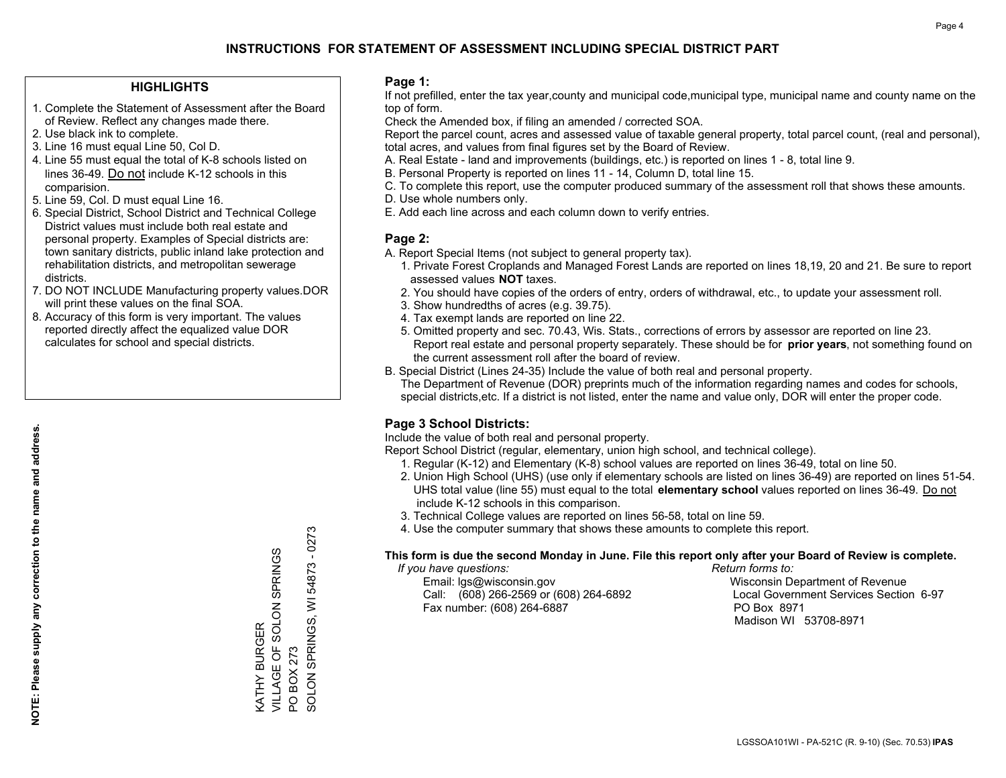### **HIGHLIGHTS**

- 1. Complete the Statement of Assessment after the Board of Review. Reflect any changes made there.
- 2. Use black ink to complete.
- 3. Line 16 must equal Line 50, Col D.
- 4. Line 55 must equal the total of K-8 schools listed on lines 36-49. Do not include K-12 schools in this comparision.
- 5. Line 59, Col. D must equal Line 16.
- 6. Special District, School District and Technical College District values must include both real estate and personal property. Examples of Special districts are: town sanitary districts, public inland lake protection and rehabilitation districts, and metropolitan sewerage districts.
- 7. DO NOT INCLUDE Manufacturing property values.DOR will print these values on the final SOA.

KATHY BURGER

VILLAGE OF SOLON SPRINGS

KATHY BURGER<br>VILLAGE OF SOLON SPRINGS

PO BOX 273

PO BOX 273

SOLON SPRINGS, WI 54873 - 0273

SOLON SPRINGS, WI

54873 - 0273

 8. Accuracy of this form is very important. The values reported directly affect the equalized value DOR calculates for school and special districts.

### **Page 1:**

 If not prefilled, enter the tax year,county and municipal code,municipal type, municipal name and county name on the top of form.

Check the Amended box, if filing an amended / corrected SOA.

 Report the parcel count, acres and assessed value of taxable general property, total parcel count, (real and personal), total acres, and values from final figures set by the Board of Review.

- A. Real Estate land and improvements (buildings, etc.) is reported on lines 1 8, total line 9.
- B. Personal Property is reported on lines 11 14, Column D, total line 15.
- C. To complete this report, use the computer produced summary of the assessment roll that shows these amounts.
- D. Use whole numbers only.
- E. Add each line across and each column down to verify entries.

### **Page 2:**

- A. Report Special Items (not subject to general property tax).
- 1. Private Forest Croplands and Managed Forest Lands are reported on lines 18,19, 20 and 21. Be sure to report assessed values **NOT** taxes.
- 2. You should have copies of the orders of entry, orders of withdrawal, etc., to update your assessment roll.
	- 3. Show hundredths of acres (e.g. 39.75).
- 4. Tax exempt lands are reported on line 22.
- 5. Omitted property and sec. 70.43, Wis. Stats., corrections of errors by assessor are reported on line 23. Report real estate and personal property separately. These should be for **prior years**, not something found on the current assessment roll after the board of review.
- B. Special District (Lines 24-35) Include the value of both real and personal property.
- The Department of Revenue (DOR) preprints much of the information regarding names and codes for schools, special districts,etc. If a district is not listed, enter the name and value only, DOR will enter the proper code.

## **Page 3 School Districts:**

Include the value of both real and personal property.

Report School District (regular, elementary, union high school, and technical college).

- 1. Regular (K-12) and Elementary (K-8) school values are reported on lines 36-49, total on line 50.
- 2. Union High School (UHS) (use only if elementary schools are listed on lines 36-49) are reported on lines 51-54. UHS total value (line 55) must equal to the total **elementary school** values reported on lines 36-49. Do notinclude K-12 schools in this comparison.
- 3. Technical College values are reported on lines 56-58, total on line 59.
- 4. Use the computer summary that shows these amounts to complete this report.

#### **This form is due the second Monday in June. File this report only after your Board of Review is complete.**

 *If you have questions: Return forms to:*

 Email: lgs@wisconsin.gov Wisconsin Department of RevenueCall:  $(608)$  266-2569 or  $(608)$  264-6892 Fax number: (608) 264-6887 PO Box 8971

Local Government Services Section 6-97

Madison WI 53708-8971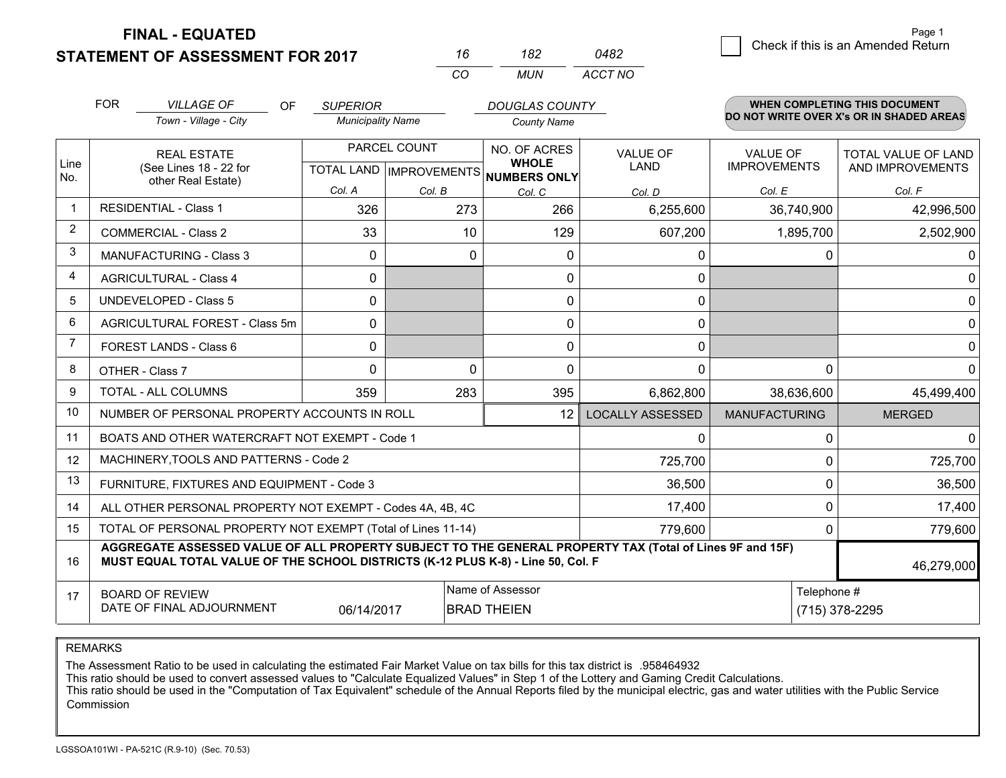**STATEMENT OF ASSESSMENT FOR 2017 FINAL - EQUATED**

|            | 182   | 0482    |  |
|------------|-------|---------|--|
| $\sqrt{2}$ | MI IN | ACCT NO |  |

|                | <b>FOR</b>                                                                                                                                   | <b>VILLAGE OF</b><br><b>OF</b>                                                                                                                                                               | <b>SUPERIOR</b>          |              | <b>DOUGLAS COUNTY</b>                                                |                         |                                        | <b>WHEN COMPLETING THIS DOCUMENT</b>     |
|----------------|----------------------------------------------------------------------------------------------------------------------------------------------|----------------------------------------------------------------------------------------------------------------------------------------------------------------------------------------------|--------------------------|--------------|----------------------------------------------------------------------|-------------------------|----------------------------------------|------------------------------------------|
|                |                                                                                                                                              | Town - Village - City                                                                                                                                                                        | <b>Municipality Name</b> |              | <b>County Name</b>                                                   |                         |                                        | DO NOT WRITE OVER X's OR IN SHADED AREAS |
| Line<br>No.    |                                                                                                                                              | <b>REAL ESTATE</b><br>(See Lines 18 - 22 for                                                                                                                                                 |                          | PARCEL COUNT | NO. OF ACRES<br><b>WHOLE</b><br>TOTAL LAND IMPROVEMENTS NUMBERS ONLY | VALUE OF<br>LAND        | <b>VALUE OF</b><br><b>IMPROVEMENTS</b> | TOTAL VALUE OF LAND<br>AND IMPROVEMENTS  |
|                |                                                                                                                                              | other Real Estate)                                                                                                                                                                           | Col. A                   | Col. B       | Col. C                                                               | Col. D                  | Col. E                                 | Col. F                                   |
| 1              |                                                                                                                                              | <b>RESIDENTIAL - Class 1</b>                                                                                                                                                                 | 326                      | 273          | 266                                                                  | 6,255,600               | 36,740,900                             | 42,996,500                               |
| $\overline{2}$ |                                                                                                                                              | <b>COMMERCIAL - Class 2</b>                                                                                                                                                                  | 33                       | 10           | 129                                                                  | 607,200                 | 1,895,700                              | 2,502,900                                |
| 3              |                                                                                                                                              | <b>MANUFACTURING - Class 3</b>                                                                                                                                                               | 0                        | 0            | 0                                                                    | 0                       | 0                                      |                                          |
| 4              |                                                                                                                                              | <b>AGRICULTURAL - Class 4</b>                                                                                                                                                                | $\Omega$                 |              | 0                                                                    | $\Omega$                |                                        |                                          |
| 5              |                                                                                                                                              | <b>UNDEVELOPED - Class 5</b>                                                                                                                                                                 | $\Omega$                 |              | 0                                                                    | $\mathbf 0$             |                                        |                                          |
| 6              |                                                                                                                                              | AGRICULTURAL FOREST - Class 5m                                                                                                                                                               | $\Omega$                 |              | $\Omega$                                                             | 0                       |                                        |                                          |
| $\overline{7}$ |                                                                                                                                              | FOREST LANDS - Class 6                                                                                                                                                                       | 0                        |              | $\Omega$                                                             | $\mathbf{0}$            |                                        | 0                                        |
| 8              |                                                                                                                                              | OTHER - Class 7                                                                                                                                                                              | $\Omega$                 | $\Omega$     | 0                                                                    | $\Omega$                | $\Omega$                               |                                          |
| 9              |                                                                                                                                              | TOTAL - ALL COLUMNS                                                                                                                                                                          | 359                      | 283          | 395                                                                  | 6,862,800               | 38,636,600                             | 45,499,400                               |
| 10             |                                                                                                                                              | NUMBER OF PERSONAL PROPERTY ACCOUNTS IN ROLL                                                                                                                                                 |                          |              | 12                                                                   | <b>LOCALLY ASSESSED</b> | <b>MANUFACTURING</b>                   | <b>MERGED</b>                            |
| 11             |                                                                                                                                              | BOATS AND OTHER WATERCRAFT NOT EXEMPT - Code 1                                                                                                                                               |                          |              |                                                                      | $\Omega$                | O                                      |                                          |
| 12             |                                                                                                                                              | MACHINERY, TOOLS AND PATTERNS - Code 2                                                                                                                                                       |                          |              |                                                                      | 725,700                 |                                        | 725,700                                  |
| 13             |                                                                                                                                              | FURNITURE, FIXTURES AND EQUIPMENT - Code 3                                                                                                                                                   |                          |              |                                                                      | 36,500                  | 0                                      | 36,500                                   |
| 14             |                                                                                                                                              | ALL OTHER PERSONAL PROPERTY NOT EXEMPT - Codes 4A, 4B, 4C                                                                                                                                    |                          |              |                                                                      | 17,400                  | $\Omega$                               | 17,400                                   |
| 15             | TOTAL OF PERSONAL PROPERTY NOT EXEMPT (Total of Lines 11-14)<br>779,600                                                                      |                                                                                                                                                                                              |                          |              |                                                                      |                         |                                        | 779,600<br>0                             |
| 16             |                                                                                                                                              | AGGREGATE ASSESSED VALUE OF ALL PROPERTY SUBJECT TO THE GENERAL PROPERTY TAX (Total of Lines 9F and 15F)<br>MUST EQUAL TOTAL VALUE OF THE SCHOOL DISTRICTS (K-12 PLUS K-8) - Line 50, Col. F |                          |              |                                                                      |                         |                                        | 46,279,000                               |
| 17             | Name of Assessor<br>Telephone #<br><b>BOARD OF REVIEW</b><br>DATE OF FINAL ADJOURNMENT<br><b>BRAD THEIEN</b><br>(715) 378-2295<br>06/14/2017 |                                                                                                                                                                                              |                          |              |                                                                      |                         |                                        |                                          |

REMARKS

The Assessment Ratio to be used in calculating the estimated Fair Market Value on tax bills for this tax district is .958464932

This ratio should be used to convert assessed values to "Calculate Equalized Values" in Step 1 of the Lottery and Gaming Credit Calculations.

 This ratio should be used in the "Computation of Tax Equivalent" schedule of the Annual Reports filed by the municipal electric, gas and water utilities with the Public Service Commission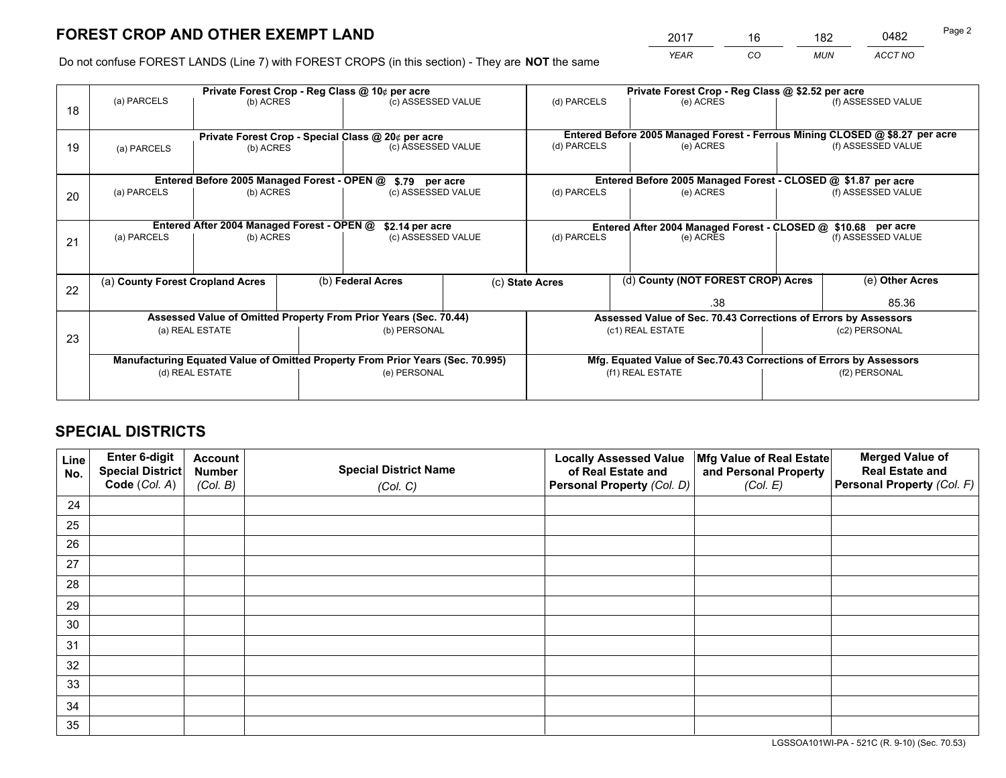*YEAR CO MUN ACCT NO* <u>2017 - 16 182 0482</u>

Do not confuse FOREST LANDS (Line 7) with FOREST CROPS (in this section) - They are **NOT** the same

|    |                                                                                |                                             |                   | Private Forest Crop - Reg Class @ 10¢ per acre                   |                 | Private Forest Crop - Reg Class @ \$2.52 per acre             |                                                                              |                 |                    |  |
|----|--------------------------------------------------------------------------------|---------------------------------------------|-------------------|------------------------------------------------------------------|-----------------|---------------------------------------------------------------|------------------------------------------------------------------------------|-----------------|--------------------|--|
| 18 | (a) PARCELS                                                                    | (b) ACRES                                   |                   | (c) ASSESSED VALUE                                               |                 | (d) PARCELS                                                   | (e) ACRES                                                                    |                 | (f) ASSESSED VALUE |  |
|    | Private Forest Crop - Special Class @ 20¢ per acre                             |                                             |                   |                                                                  |                 |                                                               | Entered Before 2005 Managed Forest - Ferrous Mining CLOSED @ \$8.27 per acre |                 |                    |  |
| 19 | (a) PARCELS<br>(b) ACRES                                                       |                                             |                   | (c) ASSESSED VALUE                                               |                 | (d) PARCELS                                                   | (e) ACRES                                                                    |                 | (f) ASSESSED VALUE |  |
|    |                                                                                | Entered Before 2005 Managed Forest - OPEN @ |                   |                                                                  |                 |                                                               | Entered Before 2005 Managed Forest - CLOSED @ \$1.87 per acre                |                 |                    |  |
| 20 | (a) PARCELS<br>(b) ACRES                                                       |                                             |                   | \$.79 per acre<br>(c) ASSESSED VALUE                             |                 | (d) PARCELS<br>(e) ACRES                                      |                                                                              |                 | (f) ASSESSED VALUE |  |
|    |                                                                                | Entered After 2004 Managed Forest - OPEN @  |                   | \$2.14 per acre                                                  |                 | Entered After 2004 Managed Forest - CLOSED @ \$10.68 per acre |                                                                              |                 |                    |  |
| 21 | (a) PARCELS                                                                    | (b) ACRES                                   |                   | (c) ASSESSED VALUE                                               |                 | (d) PARCELS                                                   | (e) ACRES                                                                    |                 | (f) ASSESSED VALUE |  |
|    | (a) County Forest Cropland Acres                                               |                                             | (b) Federal Acres |                                                                  | (c) State Acres | (d) County (NOT FOREST CROP) Acres                            |                                                                              | (e) Other Acres |                    |  |
| 22 |                                                                                |                                             |                   |                                                                  |                 |                                                               | .38                                                                          |                 | 85.36              |  |
|    |                                                                                |                                             |                   | Assessed Value of Omitted Property From Prior Years (Sec. 70.44) |                 |                                                               | Assessed Value of Sec. 70.43 Corrections of Errors by Assessors              |                 |                    |  |
| 23 | (a) REAL ESTATE                                                                |                                             |                   | (b) PERSONAL                                                     |                 | (c1) REAL ESTATE                                              |                                                                              | (c2) PERSONAL   |                    |  |
|    | Manufacturing Equated Value of Omitted Property From Prior Years (Sec. 70.995) |                                             |                   |                                                                  |                 |                                                               | Mfg. Equated Value of Sec.70.43 Corrections of Errors by Assessors           |                 |                    |  |
|    |                                                                                | (d) REAL ESTATE                             |                   | (e) PERSONAL                                                     |                 | (f1) REAL ESTATE                                              |                                                                              | (f2) PERSONAL   |                    |  |
|    |                                                                                |                                             |                   |                                                                  |                 |                                                               |                                                                              |                 |                    |  |

## **SPECIAL DISTRICTS**

| Line<br>No. | Enter 6-digit<br>Special District<br>Code (Col. A) | <b>Account</b><br><b>Number</b> | <b>Special District Name</b> | <b>Locally Assessed Value</b><br>of Real Estate and | Mfg Value of Real Estate<br>and Personal Property | <b>Merged Value of</b><br><b>Real Estate and</b><br>Personal Property (Col. F) |
|-------------|----------------------------------------------------|---------------------------------|------------------------------|-----------------------------------------------------|---------------------------------------------------|--------------------------------------------------------------------------------|
|             |                                                    | (Col. B)                        | (Col. C)                     | Personal Property (Col. D)                          | (Col. E)                                          |                                                                                |
| 24          |                                                    |                                 |                              |                                                     |                                                   |                                                                                |
| 25          |                                                    |                                 |                              |                                                     |                                                   |                                                                                |
| 26          |                                                    |                                 |                              |                                                     |                                                   |                                                                                |
| 27          |                                                    |                                 |                              |                                                     |                                                   |                                                                                |
| 28          |                                                    |                                 |                              |                                                     |                                                   |                                                                                |
| 29          |                                                    |                                 |                              |                                                     |                                                   |                                                                                |
| 30          |                                                    |                                 |                              |                                                     |                                                   |                                                                                |
| 31          |                                                    |                                 |                              |                                                     |                                                   |                                                                                |
| 32          |                                                    |                                 |                              |                                                     |                                                   |                                                                                |
| 33          |                                                    |                                 |                              |                                                     |                                                   |                                                                                |
| 34          |                                                    |                                 |                              |                                                     |                                                   |                                                                                |
| 35          |                                                    |                                 |                              |                                                     |                                                   |                                                                                |

LGSSOA101WI-PA - 521C (R. 9-10) (Sec. 70.53)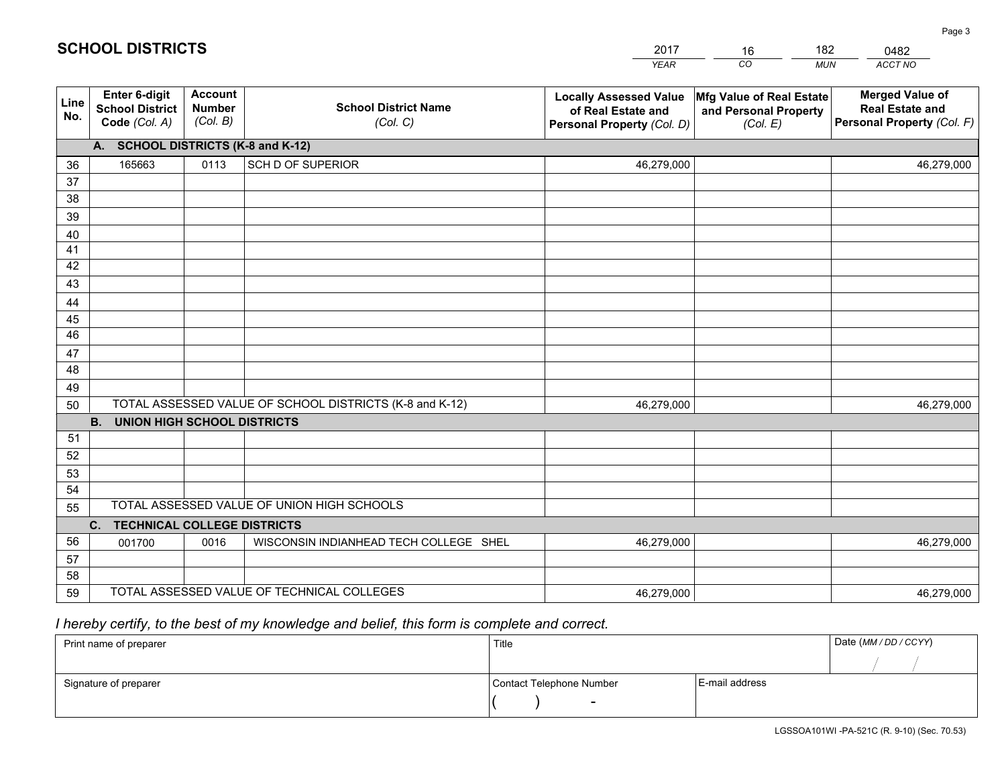|             |                                                          |                                             |                                                         | <b>YEAR</b>                                                                       | CO<br><b>MUN</b>                                              | ACCT NO                                                                        |
|-------------|----------------------------------------------------------|---------------------------------------------|---------------------------------------------------------|-----------------------------------------------------------------------------------|---------------------------------------------------------------|--------------------------------------------------------------------------------|
| Line<br>No. | Enter 6-digit<br><b>School District</b><br>Code (Col. A) | <b>Account</b><br><b>Number</b><br>(Col. B) | <b>School District Name</b><br>(Col. C)                 | <b>Locally Assessed Value</b><br>of Real Estate and<br>Personal Property (Col. D) | Mfg Value of Real Estate<br>and Personal Property<br>(Col. E) | <b>Merged Value of</b><br><b>Real Estate and</b><br>Personal Property (Col. F) |
|             | A. SCHOOL DISTRICTS (K-8 and K-12)                       |                                             |                                                         |                                                                                   |                                                               |                                                                                |
| 36          | 165663                                                   | 0113                                        | SCH D OF SUPERIOR                                       | 46,279,000                                                                        |                                                               | 46,279,000                                                                     |
| 37          |                                                          |                                             |                                                         |                                                                                   |                                                               |                                                                                |
| 38          |                                                          |                                             |                                                         |                                                                                   |                                                               |                                                                                |
| 39          |                                                          |                                             |                                                         |                                                                                   |                                                               |                                                                                |
| 40          |                                                          |                                             |                                                         |                                                                                   |                                                               |                                                                                |
| 41          |                                                          |                                             |                                                         |                                                                                   |                                                               |                                                                                |
| 42          |                                                          |                                             |                                                         |                                                                                   |                                                               |                                                                                |
| 43          |                                                          |                                             |                                                         |                                                                                   |                                                               |                                                                                |
| 44          |                                                          |                                             |                                                         |                                                                                   |                                                               |                                                                                |
| 45<br>46    |                                                          |                                             |                                                         |                                                                                   |                                                               |                                                                                |
|             |                                                          |                                             |                                                         |                                                                                   |                                                               |                                                                                |
| 47<br>48    |                                                          |                                             |                                                         |                                                                                   |                                                               |                                                                                |
| 49          |                                                          |                                             |                                                         |                                                                                   |                                                               |                                                                                |
| 50          |                                                          |                                             | TOTAL ASSESSED VALUE OF SCHOOL DISTRICTS (K-8 and K-12) | 46,279,000                                                                        |                                                               | 46,279,000                                                                     |
|             | <b>B.</b><br><b>UNION HIGH SCHOOL DISTRICTS</b>          |                                             |                                                         |                                                                                   |                                                               |                                                                                |
| 51          |                                                          |                                             |                                                         |                                                                                   |                                                               |                                                                                |
| 52          |                                                          |                                             |                                                         |                                                                                   |                                                               |                                                                                |
| 53          |                                                          |                                             |                                                         |                                                                                   |                                                               |                                                                                |
| 54          |                                                          |                                             |                                                         |                                                                                   |                                                               |                                                                                |
| 55          |                                                          |                                             | TOTAL ASSESSED VALUE OF UNION HIGH SCHOOLS              |                                                                                   |                                                               |                                                                                |
|             | C.<br><b>TECHNICAL COLLEGE DISTRICTS</b>                 |                                             |                                                         |                                                                                   |                                                               |                                                                                |
| 56          | 001700                                                   | 0016                                        | WISCONSIN INDIANHEAD TECH COLLEGE SHEL                  | 46,279,000                                                                        |                                                               | 46,279,000                                                                     |
| 57          |                                                          |                                             |                                                         |                                                                                   |                                                               |                                                                                |
| 58          |                                                          |                                             |                                                         |                                                                                   |                                                               |                                                                                |
| 59          |                                                          |                                             | TOTAL ASSESSED VALUE OF TECHNICAL COLLEGES              | 46,279,000                                                                        |                                                               | 46,279,000                                                                     |

16

182

 *I hereby certify, to the best of my knowledge and belief, this form is complete and correct.*

**SCHOOL DISTRICTS**

| Print name of preparer | Title                    |                | Date (MM / DD / CCYY) |
|------------------------|--------------------------|----------------|-----------------------|
|                        |                          |                |                       |
| Signature of preparer  | Contact Telephone Number | E-mail address |                       |
|                        | $\overline{\phantom{0}}$ |                |                       |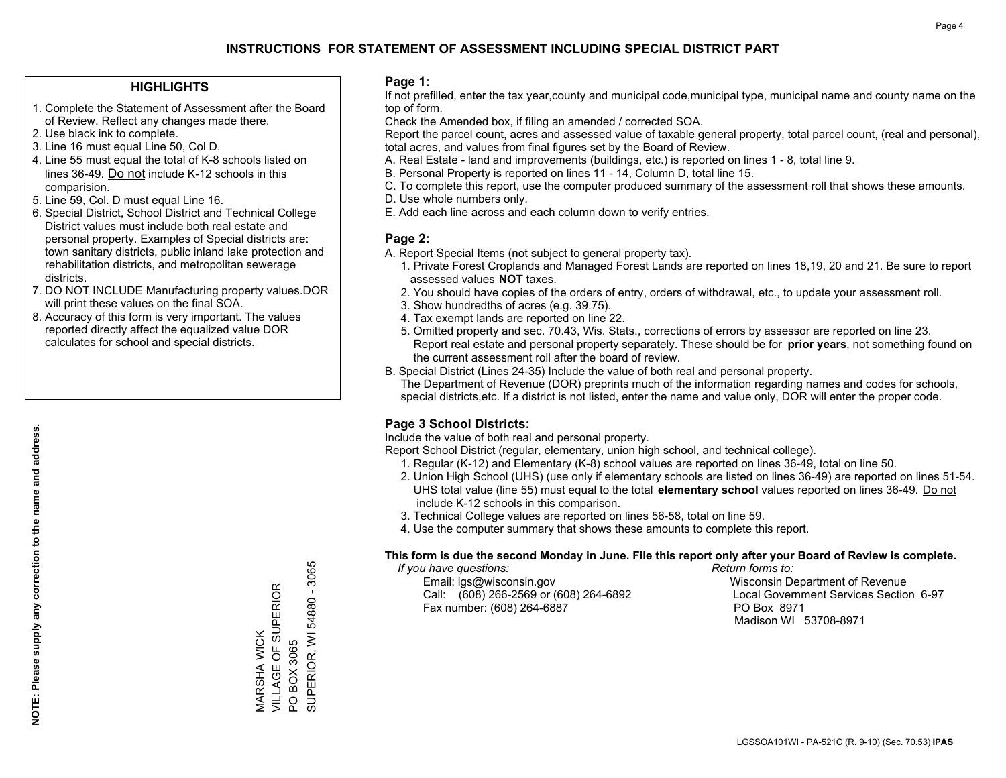### **HIGHLIGHTS**

- 1. Complete the Statement of Assessment after the Board of Review. Reflect any changes made there.
- 2. Use black ink to complete.
- 3. Line 16 must equal Line 50, Col D.
- 4. Line 55 must equal the total of K-8 schools listed on lines 36-49. Do not include K-12 schools in this comparision.
- 5. Line 59, Col. D must equal Line 16.
- 6. Special District, School District and Technical College District values must include both real estate and personal property. Examples of Special districts are: town sanitary districts, public inland lake protection and rehabilitation districts, and metropolitan sewerage districts.
- 7. DO NOT INCLUDE Manufacturing property values.DOR will print these values on the final SOA.

MARSHA WICK

VILLAGE OF SUPERIOR

MARSHA WICK<br>VILLAGE OF SUPERIOR

PO BOX 3065

 $\overline{S}$ 

BOX 3065

SUPERIOR, WI 54880 - 3065

SUPERIOR, WI 54880 - 3065

 8. Accuracy of this form is very important. The values reported directly affect the equalized value DOR calculates for school and special districts.

### **Page 1:**

 If not prefilled, enter the tax year,county and municipal code,municipal type, municipal name and county name on the top of form.

Check the Amended box, if filing an amended / corrected SOA.

 Report the parcel count, acres and assessed value of taxable general property, total parcel count, (real and personal), total acres, and values from final figures set by the Board of Review.

- A. Real Estate land and improvements (buildings, etc.) is reported on lines 1 8, total line 9.
- B. Personal Property is reported on lines 11 14, Column D, total line 15.
- C. To complete this report, use the computer produced summary of the assessment roll that shows these amounts.
- D. Use whole numbers only.
- E. Add each line across and each column down to verify entries.

### **Page 2:**

- A. Report Special Items (not subject to general property tax).
- 1. Private Forest Croplands and Managed Forest Lands are reported on lines 18,19, 20 and 21. Be sure to report assessed values **NOT** taxes.
- 2. You should have copies of the orders of entry, orders of withdrawal, etc., to update your assessment roll.
	- 3. Show hundredths of acres (e.g. 39.75).
- 4. Tax exempt lands are reported on line 22.
- 5. Omitted property and sec. 70.43, Wis. Stats., corrections of errors by assessor are reported on line 23. Report real estate and personal property separately. These should be for **prior years**, not something found on the current assessment roll after the board of review.
- B. Special District (Lines 24-35) Include the value of both real and personal property.

 The Department of Revenue (DOR) preprints much of the information regarding names and codes for schools, special districts,etc. If a district is not listed, enter the name and value only, DOR will enter the proper code.

### **Page 3 School Districts:**

Include the value of both real and personal property.

Report School District (regular, elementary, union high school, and technical college).

- 1. Regular (K-12) and Elementary (K-8) school values are reported on lines 36-49, total on line 50.
- 2. Union High School (UHS) (use only if elementary schools are listed on lines 36-49) are reported on lines 51-54. UHS total value (line 55) must equal to the total **elementary school** values reported on lines 36-49. Do notinclude K-12 schools in this comparison.
- 3. Technical College values are reported on lines 56-58, total on line 59.
- 4. Use the computer summary that shows these amounts to complete this report.

#### **This form is due the second Monday in June. File this report only after your Board of Review is complete.**

 *If you have questions: Return forms to:*

 Email: lgs@wisconsin.gov Wisconsin Department of RevenueCall:  $(608)$  266-2569 or  $(608)$  264-6892 Fax number: (608) 264-6887 PO Box 8971

Local Government Services Section 6-97 Madison WI 53708-8971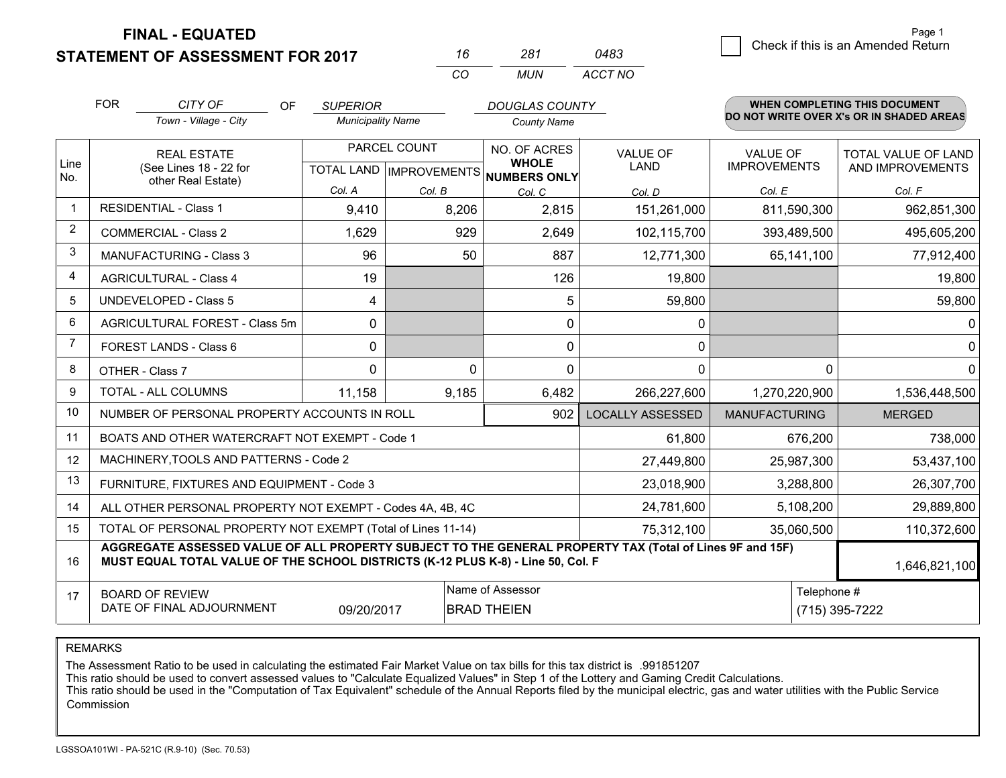**FINAL - EQUATED**

**STATEMENT OF ASSESSMENT FOR 2017** 

| 16  | 281 | 0483    |
|-----|-----|---------|
| CO. | MUN | ACCT NO |

|                | <b>FOR</b><br>CITY OF<br>Town - Village - City                                                                                                                                               | <b>OF</b><br><b>SUPERIOR</b><br><b>Municipality Name</b> |                                                          | <b>DOUGLAS COUNTY</b><br><b>County Name</b> |                                |                                 | <b>WHEN COMPLETING THIS DOCUMENT</b><br>DO NOT WRITE OVER X's OR IN SHADED AREAS |  |
|----------------|----------------------------------------------------------------------------------------------------------------------------------------------------------------------------------------------|----------------------------------------------------------|----------------------------------------------------------|---------------------------------------------|--------------------------------|---------------------------------|----------------------------------------------------------------------------------|--|
| Line<br>No.    | <b>REAL ESTATE</b><br>(See Lines 18 - 22 for<br>other Real Estate)                                                                                                                           |                                                          | PARCEL COUNT<br>TOTAL LAND   IMPROVEMENTS   NUMBERS ONLY |                                             | <b>VALUE OF</b><br><b>LAND</b> | VALUE OF<br><b>IMPROVEMENTS</b> | TOTAL VALUE OF LAND<br>AND IMPROVEMENTS                                          |  |
|                |                                                                                                                                                                                              | Col. A                                                   | Col. B                                                   | Col. C                                      | Col. D                         | Col. E                          | Col. F                                                                           |  |
| $\mathbf 1$    | <b>RESIDENTIAL - Class 1</b>                                                                                                                                                                 | 9,410                                                    | 8,206                                                    | 2,815                                       | 151,261,000                    | 811,590,300                     | 962,851,300                                                                      |  |
| 2              | <b>COMMERCIAL - Class 2</b>                                                                                                                                                                  | 1,629                                                    | 929                                                      | 2,649                                       | 102,115,700                    | 393,489,500                     | 495,605,200                                                                      |  |
| 3              | <b>MANUFACTURING - Class 3</b>                                                                                                                                                               | 96                                                       | 50                                                       | 887                                         | 12,771,300                     | 65,141,100                      | 77,912,400                                                                       |  |
| 4              | <b>AGRICULTURAL - Class 4</b>                                                                                                                                                                | 19                                                       |                                                          | 126                                         | 19,800                         |                                 | 19,800                                                                           |  |
| 5              | <b>UNDEVELOPED - Class 5</b>                                                                                                                                                                 | 4                                                        |                                                          | 5                                           | 59,800                         |                                 | 59,800                                                                           |  |
| 6              | AGRICULTURAL FOREST - Class 5m                                                                                                                                                               | $\mathbf{0}$                                             |                                                          | 0                                           | 0                              |                                 | $\mathbf 0$                                                                      |  |
| $\overline{7}$ | FOREST LANDS - Class 6                                                                                                                                                                       | $\mathbf{0}$                                             |                                                          | 0                                           | 0                              |                                 | $\mathbf 0$                                                                      |  |
| 8              | OTHER - Class 7                                                                                                                                                                              | $\Omega$                                                 | $\Omega$                                                 | $\Omega$                                    | 0                              |                                 | $\mathbf{0}$                                                                     |  |
| 9              | TOTAL - ALL COLUMNS                                                                                                                                                                          | 11,158                                                   | 9,185                                                    | 6,482                                       | 266,227,600                    | 1,270,220,900                   | 1,536,448,500                                                                    |  |
| 10             | NUMBER OF PERSONAL PROPERTY ACCOUNTS IN ROLL                                                                                                                                                 |                                                          |                                                          | 902                                         | <b>LOCALLY ASSESSED</b>        | <b>MANUFACTURING</b>            | <b>MERGED</b>                                                                    |  |
| 11             | BOATS AND OTHER WATERCRAFT NOT EXEMPT - Code 1                                                                                                                                               |                                                          |                                                          |                                             | 61,800                         | 676,200                         | 738,000                                                                          |  |
| 12             | MACHINERY, TOOLS AND PATTERNS - Code 2                                                                                                                                                       |                                                          |                                                          |                                             | 27,449,800                     | 25,987,300                      | 53,437,100                                                                       |  |
| 13             | FURNITURE, FIXTURES AND EQUIPMENT - Code 3                                                                                                                                                   |                                                          |                                                          |                                             | 23,018,900                     | 3,288,800                       | 26,307,700                                                                       |  |
| 14             | ALL OTHER PERSONAL PROPERTY NOT EXEMPT - Codes 4A, 4B, 4C                                                                                                                                    |                                                          |                                                          |                                             | 24,781,600                     | 5,108,200                       | 29,889,800                                                                       |  |
| 15             | TOTAL OF PERSONAL PROPERTY NOT EXEMPT (Total of Lines 11-14)                                                                                                                                 |                                                          |                                                          |                                             | 75,312,100                     | 35,060,500                      | 110,372,600                                                                      |  |
| 16             | AGGREGATE ASSESSED VALUE OF ALL PROPERTY SUBJECT TO THE GENERAL PROPERTY TAX (Total of Lines 9F and 15F)<br>MUST EQUAL TOTAL VALUE OF THE SCHOOL DISTRICTS (K-12 PLUS K-8) - Line 50, Col. F |                                                          |                                                          |                                             |                                |                                 |                                                                                  |  |
| 17             | Name of Assessor<br>Telephone #<br><b>BOARD OF REVIEW</b><br>DATE OF FINAL ADJOURNMENT<br>09/20/2017<br><b>BRAD THEIEN</b>                                                                   |                                                          |                                                          |                                             |                                |                                 | (715) 395-7222                                                                   |  |

REMARKS

The Assessment Ratio to be used in calculating the estimated Fair Market Value on tax bills for this tax district is .991851207

This ratio should be used to convert assessed values to "Calculate Equalized Values" in Step 1 of the Lottery and Gaming Credit Calculations.<br>This ratio should be used in the "Computation of Tax Equivalent" schedule of the Commission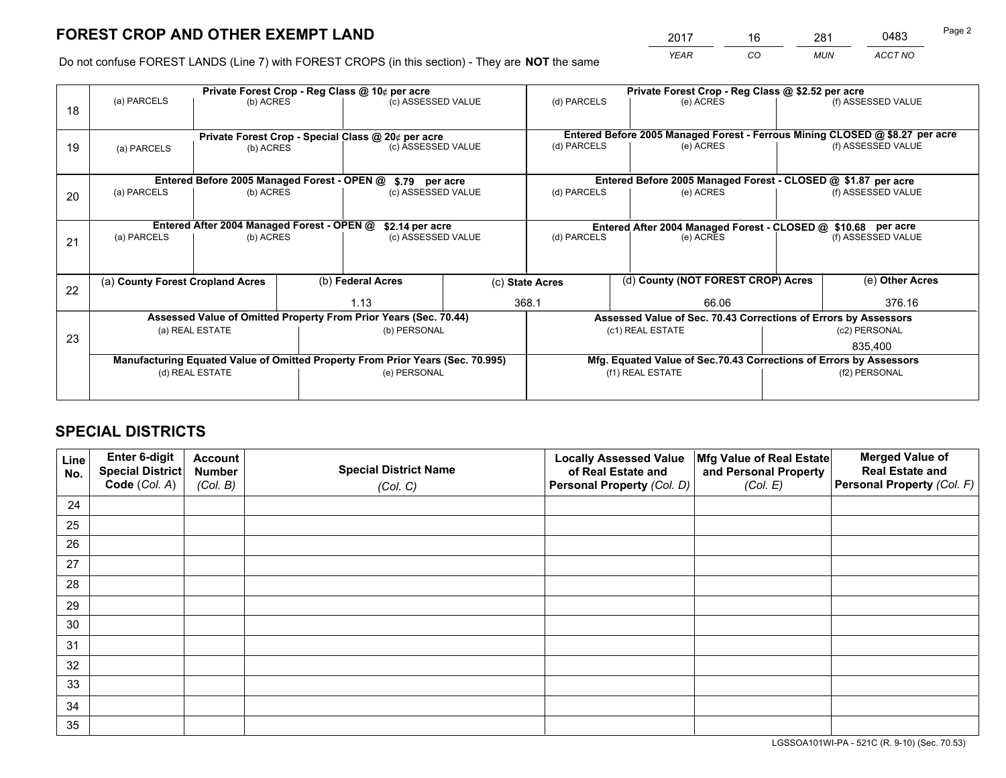*YEAR CO MUN ACCT NO* <u>2017 - 16 281 0483</u>

Do not confuse FOREST LANDS (Line 7) with FOREST CROPS (in this section) - They are **NOT** the same

|    |                                                               |                                             |  | Private Forest Crop - Reg Class @ 10¢ per acre                                 |  | Private Forest Crop - Reg Class @ \$2.52 per acre             |                  |                                    |                                                                              |                                                                    |
|----|---------------------------------------------------------------|---------------------------------------------|--|--------------------------------------------------------------------------------|--|---------------------------------------------------------------|------------------|------------------------------------|------------------------------------------------------------------------------|--------------------------------------------------------------------|
| 18 | (a) PARCELS                                                   | (b) ACRES                                   |  | (c) ASSESSED VALUE                                                             |  | (d) PARCELS                                                   |                  | (e) ACRES                          |                                                                              | (f) ASSESSED VALUE                                                 |
|    | Private Forest Crop - Special Class @ 20¢ per acre            |                                             |  |                                                                                |  |                                                               |                  |                                    | Entered Before 2005 Managed Forest - Ferrous Mining CLOSED @ \$8.27 per acre |                                                                    |
| 19 | (b) ACRES<br>(a) PARCELS                                      |                                             |  | (c) ASSESSED VALUE                                                             |  | (d) PARCELS                                                   |                  | (e) ACRES                          |                                                                              | (f) ASSESSED VALUE                                                 |
|    |                                                               | Entered Before 2005 Managed Forest - OPEN @ |  | \$.79 per acre                                                                 |  |                                                               |                  |                                    |                                                                              | Entered Before 2005 Managed Forest - CLOSED @ \$1.87 per acre      |
|    | (a) PARCELS                                                   | (b) ACRES                                   |  | (c) ASSESSED VALUE                                                             |  | (d) PARCELS                                                   |                  | (e) ACRES                          |                                                                              | (f) ASSESSED VALUE                                                 |
| 20 |                                                               |                                             |  |                                                                                |  |                                                               |                  |                                    |                                                                              |                                                                    |
|    | Entered After 2004 Managed Forest - OPEN @<br>\$2.14 per acre |                                             |  |                                                                                |  | Entered After 2004 Managed Forest - CLOSED @ \$10.68 per acre |                  |                                    |                                                                              |                                                                    |
| 21 | (a) PARCELS                                                   | (b) ACRES                                   |  | (c) ASSESSED VALUE                                                             |  | (d) PARCELS<br>(e) ACRES                                      |                  |                                    | (f) ASSESSED VALUE                                                           |                                                                    |
|    |                                                               |                                             |  |                                                                                |  |                                                               |                  |                                    |                                                                              |                                                                    |
| 22 | (a) County Forest Cropland Acres                              |                                             |  | (b) Federal Acres                                                              |  | (c) State Acres                                               |                  | (d) County (NOT FOREST CROP) Acres |                                                                              | (e) Other Acres                                                    |
|    |                                                               |                                             |  | 1.13                                                                           |  | 368.1<br>66.06                                                |                  |                                    |                                                                              | 376.16                                                             |
|    |                                                               |                                             |  | Assessed Value of Omitted Property From Prior Years (Sec. 70.44)               |  |                                                               |                  |                                    |                                                                              | Assessed Value of Sec. 70.43 Corrections of Errors by Assessors    |
| 23 |                                                               | (a) REAL ESTATE                             |  | (b) PERSONAL                                                                   |  |                                                               | (c1) REAL ESTATE |                                    |                                                                              | (c2) PERSONAL                                                      |
|    |                                                               |                                             |  |                                                                                |  |                                                               |                  |                                    |                                                                              | 835,400                                                            |
|    |                                                               |                                             |  | Manufacturing Equated Value of Omitted Property From Prior Years (Sec. 70.995) |  |                                                               |                  |                                    |                                                                              | Mfg. Equated Value of Sec.70.43 Corrections of Errors by Assessors |
|    |                                                               | (d) REAL ESTATE                             |  | (e) PERSONAL                                                                   |  |                                                               | (f1) REAL ESTATE |                                    | (f2) PERSONAL                                                                |                                                                    |
|    |                                                               |                                             |  |                                                                                |  |                                                               |                  |                                    |                                                                              |                                                                    |

## **SPECIAL DISTRICTS**

| Line<br>No. | Enter 6-digit<br>Special District<br>Code (Col. A) | <b>Account</b><br><b>Number</b> | <b>Special District Name</b> | <b>Locally Assessed Value</b><br>of Real Estate and | Mfg Value of Real Estate<br>and Personal Property | <b>Merged Value of</b><br><b>Real Estate and</b><br>Personal Property (Col. F) |
|-------------|----------------------------------------------------|---------------------------------|------------------------------|-----------------------------------------------------|---------------------------------------------------|--------------------------------------------------------------------------------|
|             |                                                    | (Col. B)                        | (Col. C)                     | Personal Property (Col. D)                          | (Col. E)                                          |                                                                                |
| 24          |                                                    |                                 |                              |                                                     |                                                   |                                                                                |
| 25          |                                                    |                                 |                              |                                                     |                                                   |                                                                                |
| 26          |                                                    |                                 |                              |                                                     |                                                   |                                                                                |
| 27          |                                                    |                                 |                              |                                                     |                                                   |                                                                                |
| 28          |                                                    |                                 |                              |                                                     |                                                   |                                                                                |
| 29          |                                                    |                                 |                              |                                                     |                                                   |                                                                                |
| 30          |                                                    |                                 |                              |                                                     |                                                   |                                                                                |
| 31          |                                                    |                                 |                              |                                                     |                                                   |                                                                                |
| 32          |                                                    |                                 |                              |                                                     |                                                   |                                                                                |
| 33          |                                                    |                                 |                              |                                                     |                                                   |                                                                                |
| 34          |                                                    |                                 |                              |                                                     |                                                   |                                                                                |
| 35          |                                                    |                                 |                              |                                                     |                                                   |                                                                                |

LGSSOA101WI-PA - 521C (R. 9-10) (Sec. 70.53)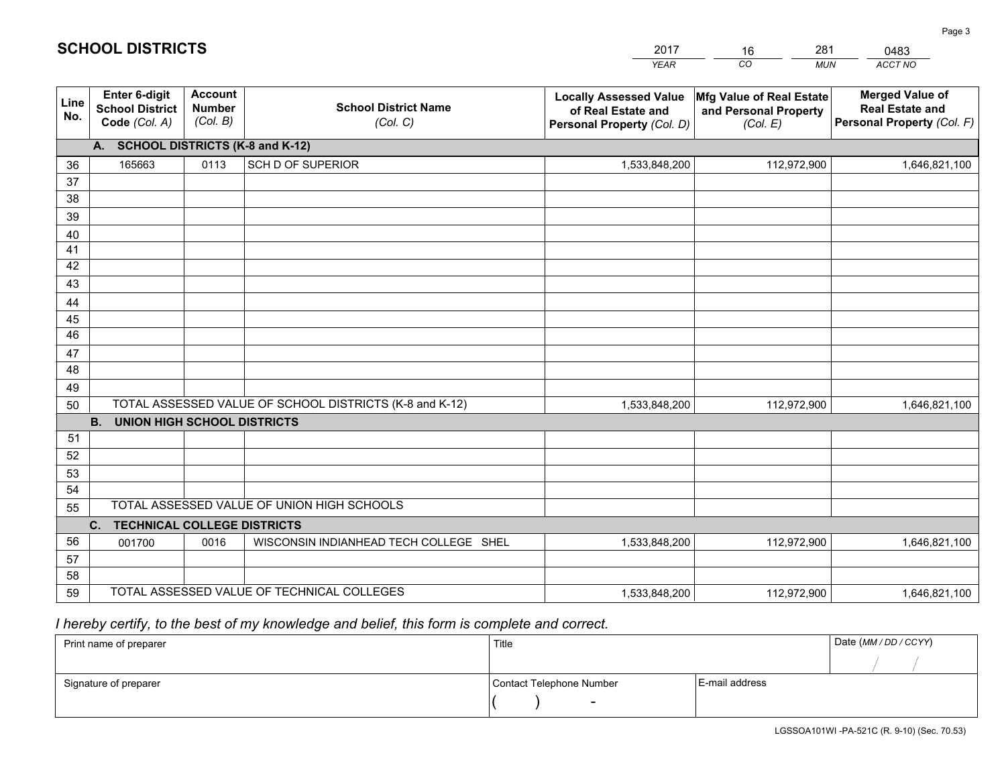|             |                                                          |                                             |                                                         | YEAR                                                                              | CO.<br><b>MUN</b>                                             | ACCT NO                                                                        |  |  |  |  |
|-------------|----------------------------------------------------------|---------------------------------------------|---------------------------------------------------------|-----------------------------------------------------------------------------------|---------------------------------------------------------------|--------------------------------------------------------------------------------|--|--|--|--|
| Line<br>No. | Enter 6-digit<br><b>School District</b><br>Code (Col. A) | <b>Account</b><br><b>Number</b><br>(Col. B) | <b>School District Name</b><br>(Col. C)                 | <b>Locally Assessed Value</b><br>of Real Estate and<br>Personal Property (Col. D) | Mfg Value of Real Estate<br>and Personal Property<br>(Col. E) | <b>Merged Value of</b><br><b>Real Estate and</b><br>Personal Property (Col. F) |  |  |  |  |
|             | A. SCHOOL DISTRICTS (K-8 and K-12)                       |                                             |                                                         |                                                                                   |                                                               |                                                                                |  |  |  |  |
| 36          | 165663                                                   | 0113                                        | <b>SCH D OF SUPERIOR</b>                                | 1,533,848,200                                                                     | 112,972,900                                                   | 1,646,821,100                                                                  |  |  |  |  |
| 37          |                                                          |                                             |                                                         |                                                                                   |                                                               |                                                                                |  |  |  |  |
| 38          |                                                          |                                             |                                                         |                                                                                   |                                                               |                                                                                |  |  |  |  |
| 39          |                                                          |                                             |                                                         |                                                                                   |                                                               |                                                                                |  |  |  |  |
| 40          |                                                          |                                             |                                                         |                                                                                   |                                                               |                                                                                |  |  |  |  |
| 41<br>42    |                                                          |                                             |                                                         |                                                                                   |                                                               |                                                                                |  |  |  |  |
| 43          |                                                          |                                             |                                                         |                                                                                   |                                                               |                                                                                |  |  |  |  |
| 44          |                                                          |                                             |                                                         |                                                                                   |                                                               |                                                                                |  |  |  |  |
| 45          |                                                          |                                             |                                                         |                                                                                   |                                                               |                                                                                |  |  |  |  |
| 46          |                                                          |                                             |                                                         |                                                                                   |                                                               |                                                                                |  |  |  |  |
| 47          |                                                          |                                             |                                                         |                                                                                   |                                                               |                                                                                |  |  |  |  |
| 48          |                                                          |                                             |                                                         |                                                                                   |                                                               |                                                                                |  |  |  |  |
| 49          |                                                          |                                             |                                                         |                                                                                   |                                                               |                                                                                |  |  |  |  |
| 50          |                                                          |                                             | TOTAL ASSESSED VALUE OF SCHOOL DISTRICTS (K-8 and K-12) | 1,533,848,200                                                                     | 112,972,900                                                   | 1,646,821,100                                                                  |  |  |  |  |
|             | <b>B.</b><br>UNION HIGH SCHOOL DISTRICTS                 |                                             |                                                         |                                                                                   |                                                               |                                                                                |  |  |  |  |
| 51          |                                                          |                                             |                                                         |                                                                                   |                                                               |                                                                                |  |  |  |  |
| 52          |                                                          |                                             |                                                         |                                                                                   |                                                               |                                                                                |  |  |  |  |
| 53          |                                                          |                                             |                                                         |                                                                                   |                                                               |                                                                                |  |  |  |  |
| 54          |                                                          |                                             |                                                         |                                                                                   |                                                               |                                                                                |  |  |  |  |
| 55          |                                                          |                                             | TOTAL ASSESSED VALUE OF UNION HIGH SCHOOLS              |                                                                                   |                                                               |                                                                                |  |  |  |  |
|             | C.<br><b>TECHNICAL COLLEGE DISTRICTS</b>                 |                                             |                                                         |                                                                                   |                                                               |                                                                                |  |  |  |  |
| 56          | 001700                                                   | 0016                                        | WISCONSIN INDIANHEAD TECH COLLEGE SHEL                  | 1,533,848,200                                                                     | 112,972,900                                                   | 1,646,821,100                                                                  |  |  |  |  |
| 57<br>58    |                                                          |                                             |                                                         |                                                                                   |                                                               |                                                                                |  |  |  |  |
| 59          |                                                          |                                             | TOTAL ASSESSED VALUE OF TECHNICAL COLLEGES              | 1,533,848,200                                                                     | 112,972,900                                                   | 1,646,821,100                                                                  |  |  |  |  |
|             |                                                          |                                             |                                                         |                                                                                   |                                                               |                                                                                |  |  |  |  |

16

281

 *I hereby certify, to the best of my knowledge and belief, this form is complete and correct.*

**SCHOOL DISTRICTS**

| Print name of preparer | Title                    |                | Date (MM / DD / CCYY) |
|------------------------|--------------------------|----------------|-----------------------|
|                        |                          |                |                       |
| Signature of preparer  | Contact Telephone Number | E-mail address |                       |
|                        | -                        |                |                       |